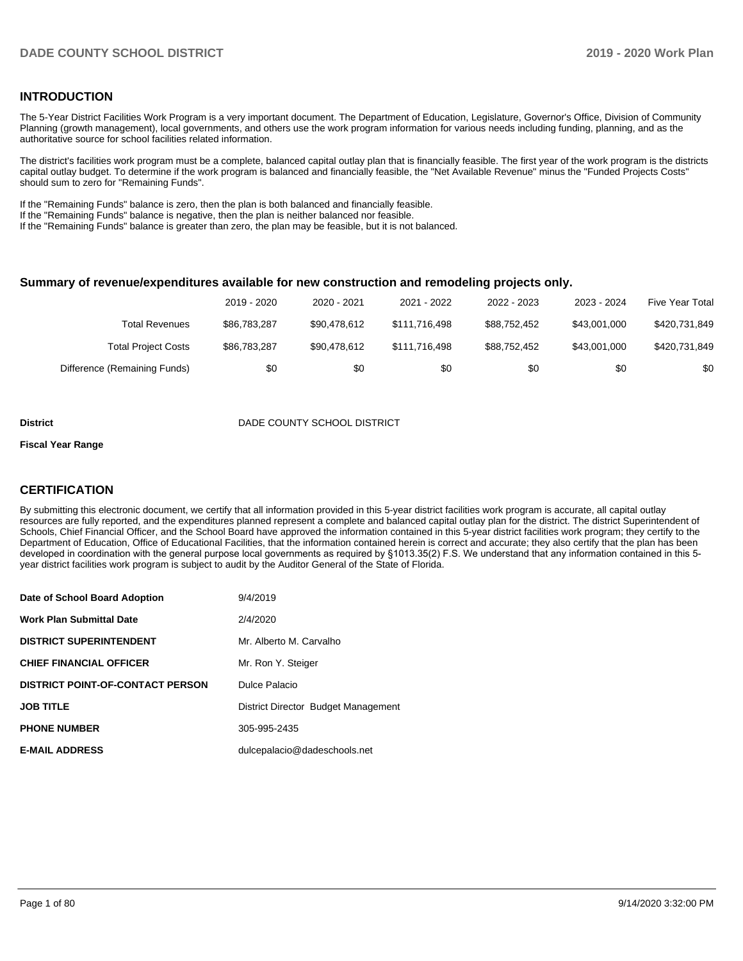#### **INTRODUCTION**

The 5-Year District Facilities Work Program is a very important document. The Department of Education, Legislature, Governor's Office, Division of Community Planning (growth management), local governments, and others use the work program information for various needs including funding, planning, and as the authoritative source for school facilities related information.

The district's facilities work program must be a complete, balanced capital outlay plan that is financially feasible. The first year of the work program is the districts capital outlay budget. To determine if the work program is balanced and financially feasible, the "Net Available Revenue" minus the "Funded Projects Costs" should sum to zero for "Remaining Funds".

If the "Remaining Funds" balance is zero, then the plan is both balanced and financially feasible.

If the "Remaining Funds" balance is negative, then the plan is neither balanced nor feasible.

If the "Remaining Funds" balance is greater than zero, the plan may be feasible, but it is not balanced.

#### **Summary of revenue/expenditures available for new construction and remodeling projects only.**

|                              | 2019 - 2020  | 2020 - 2021  | 2021 - 2022   | 2022 - 2023  | 2023 - 2024  | Five Year Total |
|------------------------------|--------------|--------------|---------------|--------------|--------------|-----------------|
| Total Revenues               | \$86,783,287 | \$90.478.612 | \$111.716.498 | \$88.752.452 | \$43.001.000 | \$420,731,849   |
| <b>Total Project Costs</b>   | \$86,783,287 | \$90.478.612 | \$111.716.498 | \$88.752.452 | \$43.001.000 | \$420.731.849   |
| Difference (Remaining Funds) | \$0          | \$0          | \$0           | \$0          | \$0          | \$0             |

#### **District** District DADE COUNTY SCHOOL DISTRICT

#### **Fiscal Year Range**

#### **CERTIFICATION**

By submitting this electronic document, we certify that all information provided in this 5-year district facilities work program is accurate, all capital outlay resources are fully reported, and the expenditures planned represent a complete and balanced capital outlay plan for the district. The district Superintendent of Schools, Chief Financial Officer, and the School Board have approved the information contained in this 5-year district facilities work program; they certify to the Department of Education, Office of Educational Facilities, that the information contained herein is correct and accurate; they also certify that the plan has been developed in coordination with the general purpose local governments as required by §1013.35(2) F.S. We understand that any information contained in this 5 year district facilities work program is subject to audit by the Auditor General of the State of Florida.

| Date of School Board Adoption           | 9/4/2019                            |
|-----------------------------------------|-------------------------------------|
| <b>Work Plan Submittal Date</b>         | 2/4/2020                            |
| <b>DISTRICT SUPERINTENDENT</b>          | Mr. Alberto M. Carvalho             |
| <b>CHIEF FINANCIAL OFFICER</b>          | Mr. Ron Y. Steiger                  |
| <b>DISTRICT POINT-OF-CONTACT PERSON</b> | Dulce Palacio                       |
| <b>JOB TITLE</b>                        | District Director Budget Management |
| <b>PHONE NUMBER</b>                     | 305-995-2435                        |
| <b>E-MAIL ADDRESS</b>                   | dulcepalacio@dadeschools.net        |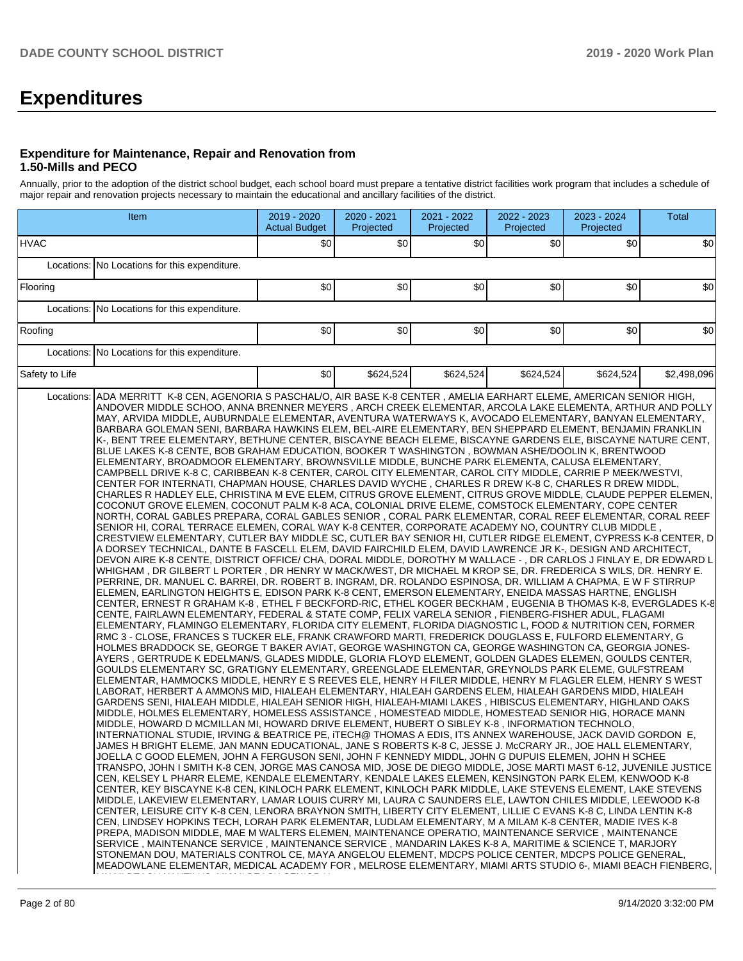# **Expenditures**

#### **Expenditure for Maintenance, Repair and Renovation from 1.50-Mills and PECO**

Annually, prior to the adoption of the district school budget, each school board must prepare a tentative district facilities work program that includes a schedule of major repair and renovation projects necessary to maintain the educational and ancillary facilities of the district.

| Item           |                                                                                                                                                                                                                                                                                                                                                                                                                                                                                                                                                                                                                                                                                                                                                                                                                                                                                                                                                                                                                                                                                                                                                                                                                                                                                                                                                                                                                                                                                                                                                                                                                                                                                                                                                                                                                                                                                                                                                                                                                                                                                                                                                                                                                                                                                                                                                                                                                                                                                                                                                                                                                                                                                                                                                                                                                                                                                                                                                                                                                                                                                                                                                                                                                                                                                                                                                                                                                                                                                                                                                                                                                                                                                                                                                                                                                                                                                                                                                                                                                                                                                                                                                                                                                                                                                                                                                                                                                                                                                                                                                                                                                                                                                                                                                                                                                                                                                                                                                   | 2019 - 2020<br><b>Actual Budget</b> | 2020 - 2021<br>Projected | 2021 - 2022<br>Projected | 2022 - 2023<br>Projected | 2023 - 2024<br>Projected | <b>Total</b> |
|----------------|---------------------------------------------------------------------------------------------------------------------------------------------------------------------------------------------------------------------------------------------------------------------------------------------------------------------------------------------------------------------------------------------------------------------------------------------------------------------------------------------------------------------------------------------------------------------------------------------------------------------------------------------------------------------------------------------------------------------------------------------------------------------------------------------------------------------------------------------------------------------------------------------------------------------------------------------------------------------------------------------------------------------------------------------------------------------------------------------------------------------------------------------------------------------------------------------------------------------------------------------------------------------------------------------------------------------------------------------------------------------------------------------------------------------------------------------------------------------------------------------------------------------------------------------------------------------------------------------------------------------------------------------------------------------------------------------------------------------------------------------------------------------------------------------------------------------------------------------------------------------------------------------------------------------------------------------------------------------------------------------------------------------------------------------------------------------------------------------------------------------------------------------------------------------------------------------------------------------------------------------------------------------------------------------------------------------------------------------------------------------------------------------------------------------------------------------------------------------------------------------------------------------------------------------------------------------------------------------------------------------------------------------------------------------------------------------------------------------------------------------------------------------------------------------------------------------------------------------------------------------------------------------------------------------------------------------------------------------------------------------------------------------------------------------------------------------------------------------------------------------------------------------------------------------------------------------------------------------------------------------------------------------------------------------------------------------------------------------------------------------------------------------------------------------------------------------------------------------------------------------------------------------------------------------------------------------------------------------------------------------------------------------------------------------------------------------------------------------------------------------------------------------------------------------------------------------------------------------------------------------------------------------------------------------------------------------------------------------------------------------------------------------------------------------------------------------------------------------------------------------------------------------------------------------------------------------------------------------------------------------------------------------------------------------------------------------------------------------------------------------------------------------------------------------------------------------------------------------------------------------------------------------------------------------------------------------------------------------------------------------------------------------------------------------------------------------------------------------------------------------------------------------------------------------------------------------------------------------------------------------------------------------------------------------------------------------------|-------------------------------------|--------------------------|--------------------------|--------------------------|--------------------------|--------------|
| <b>HVAC</b>    |                                                                                                                                                                                                                                                                                                                                                                                                                                                                                                                                                                                                                                                                                                                                                                                                                                                                                                                                                                                                                                                                                                                                                                                                                                                                                                                                                                                                                                                                                                                                                                                                                                                                                                                                                                                                                                                                                                                                                                                                                                                                                                                                                                                                                                                                                                                                                                                                                                                                                                                                                                                                                                                                                                                                                                                                                                                                                                                                                                                                                                                                                                                                                                                                                                                                                                                                                                                                                                                                                                                                                                                                                                                                                                                                                                                                                                                                                                                                                                                                                                                                                                                                                                                                                                                                                                                                                                                                                                                                                                                                                                                                                                                                                                                                                                                                                                                                                                                                                   | \$0                                 | \$0                      | \$0                      | \$0                      | \$0                      | 30           |
|                | Locations: No Locations for this expenditure.                                                                                                                                                                                                                                                                                                                                                                                                                                                                                                                                                                                                                                                                                                                                                                                                                                                                                                                                                                                                                                                                                                                                                                                                                                                                                                                                                                                                                                                                                                                                                                                                                                                                                                                                                                                                                                                                                                                                                                                                                                                                                                                                                                                                                                                                                                                                                                                                                                                                                                                                                                                                                                                                                                                                                                                                                                                                                                                                                                                                                                                                                                                                                                                                                                                                                                                                                                                                                                                                                                                                                                                                                                                                                                                                                                                                                                                                                                                                                                                                                                                                                                                                                                                                                                                                                                                                                                                                                                                                                                                                                                                                                                                                                                                                                                                                                                                                                                     |                                     |                          |                          |                          |                          |              |
| Flooring       |                                                                                                                                                                                                                                                                                                                                                                                                                                                                                                                                                                                                                                                                                                                                                                                                                                                                                                                                                                                                                                                                                                                                                                                                                                                                                                                                                                                                                                                                                                                                                                                                                                                                                                                                                                                                                                                                                                                                                                                                                                                                                                                                                                                                                                                                                                                                                                                                                                                                                                                                                                                                                                                                                                                                                                                                                                                                                                                                                                                                                                                                                                                                                                                                                                                                                                                                                                                                                                                                                                                                                                                                                                                                                                                                                                                                                                                                                                                                                                                                                                                                                                                                                                                                                                                                                                                                                                                                                                                                                                                                                                                                                                                                                                                                                                                                                                                                                                                                                   | \$0                                 | \$0                      | \$0                      | \$0                      | \$0                      | 30           |
|                | Locations: No Locations for this expenditure.                                                                                                                                                                                                                                                                                                                                                                                                                                                                                                                                                                                                                                                                                                                                                                                                                                                                                                                                                                                                                                                                                                                                                                                                                                                                                                                                                                                                                                                                                                                                                                                                                                                                                                                                                                                                                                                                                                                                                                                                                                                                                                                                                                                                                                                                                                                                                                                                                                                                                                                                                                                                                                                                                                                                                                                                                                                                                                                                                                                                                                                                                                                                                                                                                                                                                                                                                                                                                                                                                                                                                                                                                                                                                                                                                                                                                                                                                                                                                                                                                                                                                                                                                                                                                                                                                                                                                                                                                                                                                                                                                                                                                                                                                                                                                                                                                                                                                                     |                                     |                          |                          |                          |                          |              |
| Roofing        |                                                                                                                                                                                                                                                                                                                                                                                                                                                                                                                                                                                                                                                                                                                                                                                                                                                                                                                                                                                                                                                                                                                                                                                                                                                                                                                                                                                                                                                                                                                                                                                                                                                                                                                                                                                                                                                                                                                                                                                                                                                                                                                                                                                                                                                                                                                                                                                                                                                                                                                                                                                                                                                                                                                                                                                                                                                                                                                                                                                                                                                                                                                                                                                                                                                                                                                                                                                                                                                                                                                                                                                                                                                                                                                                                                                                                                                                                                                                                                                                                                                                                                                                                                                                                                                                                                                                                                                                                                                                                                                                                                                                                                                                                                                                                                                                                                                                                                                                                   | \$0                                 | \$0                      | \$0                      | \$0                      | \$0                      | \$0          |
|                | Locations: No Locations for this expenditure.                                                                                                                                                                                                                                                                                                                                                                                                                                                                                                                                                                                                                                                                                                                                                                                                                                                                                                                                                                                                                                                                                                                                                                                                                                                                                                                                                                                                                                                                                                                                                                                                                                                                                                                                                                                                                                                                                                                                                                                                                                                                                                                                                                                                                                                                                                                                                                                                                                                                                                                                                                                                                                                                                                                                                                                                                                                                                                                                                                                                                                                                                                                                                                                                                                                                                                                                                                                                                                                                                                                                                                                                                                                                                                                                                                                                                                                                                                                                                                                                                                                                                                                                                                                                                                                                                                                                                                                                                                                                                                                                                                                                                                                                                                                                                                                                                                                                                                     |                                     |                          |                          |                          |                          |              |
| Safety to Life |                                                                                                                                                                                                                                                                                                                                                                                                                                                                                                                                                                                                                                                                                                                                                                                                                                                                                                                                                                                                                                                                                                                                                                                                                                                                                                                                                                                                                                                                                                                                                                                                                                                                                                                                                                                                                                                                                                                                                                                                                                                                                                                                                                                                                                                                                                                                                                                                                                                                                                                                                                                                                                                                                                                                                                                                                                                                                                                                                                                                                                                                                                                                                                                                                                                                                                                                                                                                                                                                                                                                                                                                                                                                                                                                                                                                                                                                                                                                                                                                                                                                                                                                                                                                                                                                                                                                                                                                                                                                                                                                                                                                                                                                                                                                                                                                                                                                                                                                                   | \$0                                 | \$624.524                | \$624.524                | \$624,524                | \$624,524                | \$2,498,096  |
|                | Locations: ADA MERRITT K-8 CEN, AGENORIA S PASCHAL/O, AIR BASE K-8 CENTER, AMELIA EARHART ELEME, AMERICAN SENIOR HIGH,<br>ANDOVER MIDDLE SCHOO, ANNA BRENNER MEYERS, ARCH CREEK ELEMENTAR, ARCOLA LAKE ELEMENTA, ARTHUR AND POLLY<br>MAY, ARVIDA MIDDLE, AUBURNDALE ELEMENTAR, AVENTURA WATERWAYS K, AVOCADO ELEMENTARY, BANYAN ELEMENTARY,<br>BARBARA GOLEMAN SENI, BARBARA HAWKINS ELEM, BEL-AIRE ELEMENTARY, BEN SHEPPARD ELEMENT, BENJAMIN FRANKLIN<br>K-, BENT TREE ELEMENTARY, BETHUNE CENTER, BISCAYNE BEACH ELEME, BISCAYNE GARDENS ELE, BISCAYNE NATURE CENT,<br>BLUE LAKES K-8 CENTE, BOB GRAHAM EDUCATION, BOOKER T WASHINGTON , BOWMAN ASHE/DOOLIN K, BRENTWOOD <br>ELEMENTARY, BROADMOOR ELEMENTARY, BROWNSVILLE MIDDLE, BUNCHE PARK ELEMENTA, CALUSA ELEMENTARY,<br>CAMPBELL DRIVE K-8 C, CARIBBEAN K-8 CENTER, CAROL CITY ELEMENTAR, CAROL CITY MIDDLE, CARRIE P MEEK/WESTVI,<br>CENTER FOR INTERNATI, CHAPMAN HOUSE, CHARLES DAVID WYCHE, CHARLES R DREW K-8 C, CHARLES R DREW MIDDL,<br>CHARLES R HADLEY ELE, CHRISTINA M EVE ELEM, CITRUS GROVE ELEMENT, CITRUS GROVE MIDDLE, CLAUDE PEPPER ELEMEN,<br>COCONUT GROVE ELEMEN, COCONUT PALM K-8 ACA, COLONIAL DRIVE ELEME, COMSTOCK ELEMENTARY, COPE CENTER<br>NORTH, CORAL GABLES PREPARA, CORAL GABLES SENIOR , CORAL PARK ELEMENTAR, CORAL REEF ELEMENTAR, CORAL REEF<br>SENIOR HI, CORAL TERRACE ELEMEN, CORAL WAY K-8 CENTER, CORPORATE ACADEMY NO, COUNTRY CLUB MIDDLE,<br>CRESTVIEW ELEMENTARY, CUTLER BAY MIDDLE SC, CUTLER BAY SENIOR HI, CUTLER RIDGE ELEMENT, CYPRESS K-8 CENTER, D<br>A DORSEY TECHNICAL, DANTE B FASCELL ELEM, DAVID FAIRCHILD ELEM, DAVID LAWRENCE JR K-, DESIGN AND ARCHITECT,<br>DEVON AIRE K-8 CENTE, DISTRICT OFFICE/ CHA, DORAL MIDDLE, DOROTHY M WALLACE -, DR CARLOS J FINLAY E, DR EDWARD L<br>WHIGHAM , DR GILBERT L PORTER , DR HENRY W MACK/WEST, DR MICHAEL M KROP SE, DR. FREDERICA S WILS, DR. HENRY E.<br>PERRINE, DR. MANUEL C. BARREI, DR. ROBERT B. INGRAM, DR. ROLANDO ESPINOSA, DR. WILLIAM A CHAPMA, E W F STIRRUP<br>ELEMEN, EARLINGTON HEIGHTS E, EDISON PARK K-8 CENT, EMERSON ELEMENTARY, ENEIDA MASSAS HARTNE, ENGLISH<br>CENTER, ERNEST R GRAHAM K-8, ETHEL F BECKFORD-RIC, ETHEL KOGER BECKHAM, EUGENIA B THOMAS K-8, EVERGLADES K-8<br>CENTE, FAIRLAWN ELEMENTARY, FEDERAL & STATE COMP, FELIX VARELA SENIOR, FIENBERG-FISHER ADUL, FLAGAMI<br>ELEMENTARY, FLAMINGO ELEMENTARY, FLORIDA CITY ELEMENT, FLORIDA DIAGNOSTIC L, FOOD & NUTRITION CEN, FORMER<br>RMC 3 - CLOSE, FRANCES S TUCKER ELE, FRANK CRAWFORD MARTI, FREDERICK DOUGLASS E, FULFORD ELEMENTARY, G<br>HOLMES BRADDOCK SE, GEORGE T BAKER AVIAT, GEORGE WASHINGTON CA, GEORGE WASHINGTON CA, GEORGIA JONES-<br>AYERS, GERTRUDE K EDELMAN/S, GLADES MIDDLE, GLORIA FLOYD ELEMENT, GOLDEN GLADES ELEMEN, GOULDS CENTER,<br>GOULDS ELEMENTARY SC, GRATIGNY ELEMENTARY, GREENGLADE ELEMENTAR, GREYNOLDS PARK ELEME, GULFSTREAM<br>ELEMENTAR, HAMMOCKS MIDDLE, HENRY E S REEVES ELE, HENRY H FILER MIDDLE, HENRY M FLAGLER ELEM, HENRY S WEST<br>LABORAT, HERBERT A AMMONS MID, HIALEAH ELEMENTARY, HIALEAH GARDENS ELEM, HIALEAH GARDENS MIDD, HIALEAH<br>GARDENS SENI, HIALEAH MIDDLE, HIALEAH SENIOR HIGH, HIALEAH-MIAMI LAKES, HIBISCUS ELEMENTARY, HIGHLAND OAKS<br>MIDDLE, HOLMES ELEMENTARY, HOMELESS ASSISTANCE, HOMESTEAD MIDDLE, HOMESTEAD SENIOR HIG, HORACE MANN<br>MIDDLE, HOWARD D MCMILLAN MI, HOWARD DRIVE ELEMENT, HUBERT O SIBLEY K-8, INFORMATION TECHNOLO,<br>INTERNATIONAL STUDIE, IRVING & BEATRICE PE, ITECH@ THOMAS A EDIS, ITS ANNEX WAREHOUSE, JACK DAVID GORDON E,<br>JAMES H BRIGHT ELEME, JAN MANN EDUCATIONAL, JANE S ROBERTS K-8 C, JESSE J. McCRARY JR., JOE HALL ELEMENTARY,<br>JOELLA C GOOD ELEMEN, JOHN A FERGUSON SENI, JOHN F KENNEDY MIDDL, JOHN G DUPUIS ELEMEN, JOHN H SCHEE<br>TRANSPO, JOHN I SMITH K-8 CEN, JORGE MAS CANOSA MID, JOSE DE DIEGO MIDDLE, JOSE MARTI MAST 6-12, JUVENILE JUSTICE<br>CEN, KELSEY L PHARR ELEME, KENDALE ELEMENTARY, KENDALE LAKES ELEMEN, KENSINGTON PARK ELEM, KENWOOD K-8<br>CENTER, KEY BISCAYNE K-8 CEN, KINLOCH PARK ELEMENT, KINLOCH PARK MIDDLE, LAKE STEVENS ELEMENT, LAKE STEVENS<br>MIDDLE, LAKEVIEW ELEMENTARY, LAMAR LOUIS CURRY MI, LAURA C SAUNDERS ELE, LAWTON CHILES MIDDLE, LEEWOOD K-8<br>CENTER, LEISURE CITY K-8 CEN, LENORA BRAYNON SMITH, LIBERTY CITY ELEMENT, LILLIE C EVANS K-8 C, LINDA LENTIN K-8<br>CEN, LINDSEY HOPKINS TECH, LORAH PARK ELEMENTAR, LUDLAM ELEMENTARY, M A MILAM K-8 CENTER, MADIE IVES K-8<br>PREPA, MADISON MIDDLE, MAE M WALTERS ELEMEN, MAINTENANCE OPERATIO, MAINTENANCE SERVICE, MAINTENANCE<br>SERVICE , MAINTENANCE SERVICE , MAINTENANCE SERVICE , MANDARIN LAKES K-8 A, MARITIME & SCIENCE T, MARJORY<br>STONEMAN DOU, MATERIALS CONTROL CE, MAYA ANGELOU ELEMENT, MDCPS POLICE CENTER, MDCPS POLICE GENERAL,<br>MEADOWLANE ELEMENTAR, MEDICAL ACADEMY FOR , MELROSE ELEMENTARY, MIAMI ARTS STUDIO 6-, MIAMI BEACH FIENBERG, |                                     |                          |                          |                          |                          |              |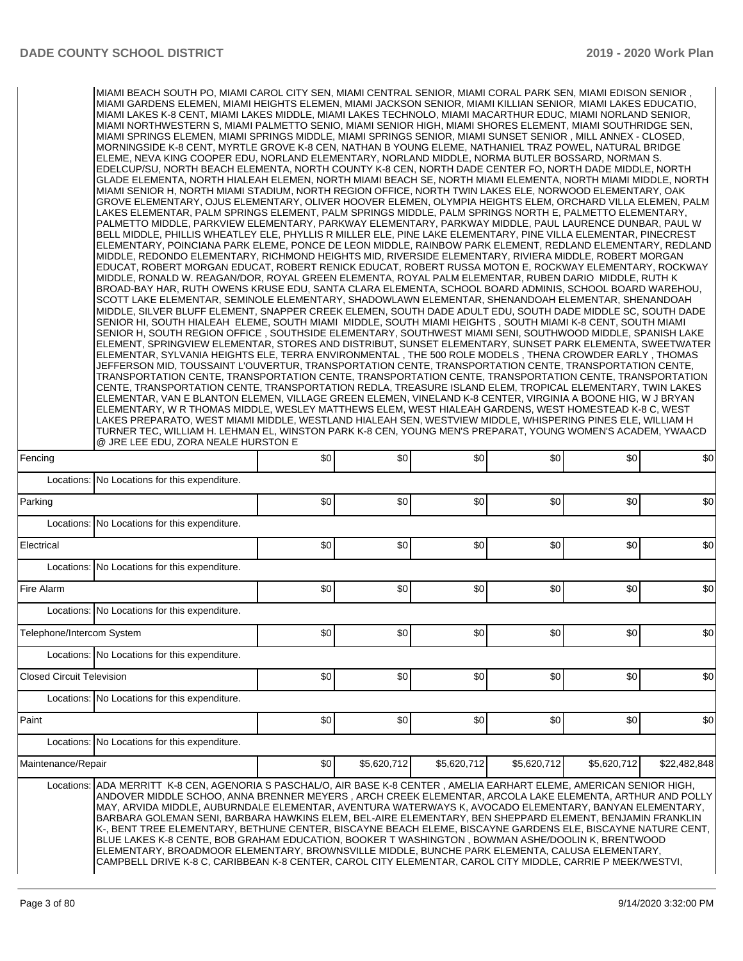|                                  | , MIAMI BEACH SOUTH PO, MIAMI CAROL CITY SEN, MIAMI CENTRAL SENIOR, MIAMI CORAL PARK SEN, MIAMI EDISON SENIOR <br>MIAMI GARDENS ELEMEN, MIAMI HEIGHTS ELEMEN, MIAMI JACKSON SENIOR, MIAMI KILLIAN SENIOR, MIAMI LAKES EDUCATIO,<br>MIAMI LAKES K-8 CENT, MIAMI LAKES MIDDLE, MIAMI LAKES TECHNOLO, MIAMI MACARTHUR EDUC, MIAMI NORLAND SENIOR,<br>MIAMI NORTHWESTERN S, MIAMI PALMETTO SENIO, MIAMI SENIOR HIGH, MIAMI SHORES ELEMENT, MIAMI SOUTHRIDGE SEN,<br>MIAMI SPRINGS ELEMEN, MIAMI SPRINGS MIDDLE, MIAMI SPRINGS SENIOR, MIAMI SUNSET SENIOR, MILL ANNEX - CLOSED,<br>MORNINGSIDE K-8 CENT, MYRTLE GROVE K-8 CEN, NATHAN B YOUNG ELEME, NATHANIEL TRAZ POWEL, NATURAL BRIDGE<br>ELEME, NEVA KING COOPER EDU, NORLAND ELEMENTARY, NORLAND MIDDLE, NORMA BUTLER BOSSARD, NORMAN S.<br>EDELCUP/SU, NORTH BEACH ELEMENTA, NORTH COUNTY K-8 CEN, NORTH DADE CENTER FO, NORTH DADE MIDDLE, NORTH<br>GLADE ELEMENTA, NORTH HIALEAH ELEMEN, NORTH MIAMI BEACH SE, NORTH MIAMI ELEMENTA, NORTH MIAMI MIDDLE, NORTH<br>MIAMI SENIOR H, NORTH MIAMI STADIUM, NORTH REGION OFFICE, NORTH TWIN LAKES ELE, NORWOOD ELEMENTARY, OAK<br>GROVE ELEMENTARY, OJUS ELEMENTARY, OLIVER HOOVER ELEMEN, OLYMPIA HEIGHTS ELEM, ORCHARD VILLA ELEMEN, PALM<br>LAKES ELEMENTAR, PALM SPRINGS ELEMENT, PALM SPRINGS MIDDLE, PALM SPRINGS NORTH E, PALMETTO ELEMENTARY,<br>PALMETTO MIDDLE, PARKVIEW ELEMENTARY, PARKWAY ELEMENTARY, PARKWAY MIDDLE, PAUL LAURENCE DUNBAR, PAUL W<br>BELL MIDDLE, PHILLIS WHEATLEY ELE, PHYLLIS R MILLER ELE, PINE LAKE ELEMENTARY, PINE VILLA ELEMENTAR, PINECREST<br>ELEMENTARY, POINCIANA PARK ELEME, PONCE DE LEON MIDDLE, RAINBOW PARK ELEMENT, REDLAND ELEMENTARY, REDLAND<br>MIDDLE, REDONDO ELEMENTARY, RICHMOND HEIGHTS MID, RIVERSIDE ELEMENTARY, RIVIERA MIDDLE, ROBERT MORGAN<br>EDUCAT, ROBERT MORGAN EDUCAT, ROBERT RENICK EDUCAT, ROBERT RUSSA MOTON E, ROCKWAY ELEMENTARY, ROCKWAY<br>MIDDLE, RONALD W. REAGAN/DOR, ROYAL GREEN ELEMENTA, ROYAL PALM ELEMENTAR, RUBEN DARIO MIDDLE, RUTH K<br>BROAD-BAY HAR, RUTH OWENS KRUSE EDU, SANTA CLARA ELEMENTA, SCHOOL BOARD ADMINIS, SCHOOL BOARD WAREHOU,<br>SCOTT LAKE ELEMENTAR, SEMINOLE ELEMENTARY, SHADOWLAWN ELEMENTAR, SHENANDOAH ELEMENTAR, SHENANDOAH<br>MIDDLE, SILVER BLUFF ELEMENT, SNAPPER CREEK ELEMEN, SOUTH DADE ADULT EDU, SOUTH DADE MIDDLE SC, SOUTH DADE<br>SENIOR HI, SOUTH HIALEAH ELEME, SOUTH MIAMI MIDDLE, SOUTH MIAMI HEIGHTS, SOUTH MIAMI K-8 CENT, SOUTH MIAMI<br>SENIOR H, SOUTH REGION OFFICE, SOUTHSIDE ELEMENTARY, SOUTHWEST MIAMI SENI, SOUTHWOOD MIDDLE, SPANISH LAKE<br>ELEMENT, SPRINGVIEW ELEMENTAR, STORES AND DISTRIBUT, SUNSET ELEMENTARY, SUNSET PARK ELEMENTA, SWEETWATER<br>ELEMENTAR, SYLVANIA HEIGHTS ELE, TERRA ENVIRONMENTAL, THE 500 ROLE MODELS, THENA CROWDER EARLY, THOMAS<br>JEFFERSON MID, TOUSSAINT L'OUVERTUR, TRANSPORTATION CENTE, TRANSPORTATION CENTE, TRANSPORTATION CENTE,<br>TRANSPORTATION CENTE, TRANSPORTATION CENTE, TRANSPORTATION CENTE, TRANSPORTATION CENTE, TRANSPORTATION<br>CENTE, TRANSPORTATION CENTE, TRANSPORTATION REDLA, TREASURE ISLAND ELEM, TROPICAL ELEMENTARY, TWIN LAKES<br>ELEMENTAR, VAN E BLANTON ELEMEN, VILLAGE GREEN ELEMEN, VINELAND K-8 CENTER, VIRGINIA A BOONE HIG, W J BRYAN<br>ELEMENTARY, W R THOMAS MIDDLE, WESLEY MATTHEWS ELEM, WEST HIALEAH GARDENS, WEST HOMESTEAD K-8 C, WEST<br>LAKES PREPARATO, WEST MIAMI MIDDLE, WESTLAND HIALEAH SEN, WESTVIEW MIDDLE, WHISPERING PINES ELE, WILLIAM H<br>TURNER TEC, WILLIAM H. LEHMAN EL, WINSTON PARK K-8 CEN, YOUNG MEN'S PREPARAT, YOUNG WOMEN'S ACADEM, YWAACD<br>@ JRE LEE EDU, ZORA NEALE HURSTON E |     |             |             |             |             |              |
|----------------------------------|----------------------------------------------------------------------------------------------------------------------------------------------------------------------------------------------------------------------------------------------------------------------------------------------------------------------------------------------------------------------------------------------------------------------------------------------------------------------------------------------------------------------------------------------------------------------------------------------------------------------------------------------------------------------------------------------------------------------------------------------------------------------------------------------------------------------------------------------------------------------------------------------------------------------------------------------------------------------------------------------------------------------------------------------------------------------------------------------------------------------------------------------------------------------------------------------------------------------------------------------------------------------------------------------------------------------------------------------------------------------------------------------------------------------------------------------------------------------------------------------------------------------------------------------------------------------------------------------------------------------------------------------------------------------------------------------------------------------------------------------------------------------------------------------------------------------------------------------------------------------------------------------------------------------------------------------------------------------------------------------------------------------------------------------------------------------------------------------------------------------------------------------------------------------------------------------------------------------------------------------------------------------------------------------------------------------------------------------------------------------------------------------------------------------------------------------------------------------------------------------------------------------------------------------------------------------------------------------------------------------------------------------------------------------------------------------------------------------------------------------------------------------------------------------------------------------------------------------------------------------------------------------------------------------------------------------------------------------------------------------------------------------------------------------------------------------------------------------------------------------------------------------------------------------------------------------------------------------------------------------------------------------------------------------------------------------------------------------------------------------------------------------------------------------------------------------------------------------------------------------------------------------------------------------------------------------------------------------------------------------------------|-----|-------------|-------------|-------------|-------------|--------------|
| Fencing                          |                                                                                                                                                                                                                                                                                                                                                                                                                                                                                                                                                                                                                                                                                                                                                                                                                                                                                                                                                                                                                                                                                                                                                                                                                                                                                                                                                                                                                                                                                                                                                                                                                                                                                                                                                                                                                                                                                                                                                                                                                                                                                                                                                                                                                                                                                                                                                                                                                                                                                                                                                                                                                                                                                                                                                                                                                                                                                                                                                                                                                                                                                                                                                                                                                                                                                                                                                                                                                                                                                                                                                                                                                                  | \$0 | \$0         | \$0         | \$0         | \$0         | \$0          |
|                                  | Locations: No Locations for this expenditure.                                                                                                                                                                                                                                                                                                                                                                                                                                                                                                                                                                                                                                                                                                                                                                                                                                                                                                                                                                                                                                                                                                                                                                                                                                                                                                                                                                                                                                                                                                                                                                                                                                                                                                                                                                                                                                                                                                                                                                                                                                                                                                                                                                                                                                                                                                                                                                                                                                                                                                                                                                                                                                                                                                                                                                                                                                                                                                                                                                                                                                                                                                                                                                                                                                                                                                                                                                                                                                                                                                                                                                                    |     |             |             |             |             |              |
| Parking                          |                                                                                                                                                                                                                                                                                                                                                                                                                                                                                                                                                                                                                                                                                                                                                                                                                                                                                                                                                                                                                                                                                                                                                                                                                                                                                                                                                                                                                                                                                                                                                                                                                                                                                                                                                                                                                                                                                                                                                                                                                                                                                                                                                                                                                                                                                                                                                                                                                                                                                                                                                                                                                                                                                                                                                                                                                                                                                                                                                                                                                                                                                                                                                                                                                                                                                                                                                                                                                                                                                                                                                                                                                                  | \$0 | \$0         | \$0         | \$0         | \$0         | \$0          |
|                                  | Locations: No Locations for this expenditure.                                                                                                                                                                                                                                                                                                                                                                                                                                                                                                                                                                                                                                                                                                                                                                                                                                                                                                                                                                                                                                                                                                                                                                                                                                                                                                                                                                                                                                                                                                                                                                                                                                                                                                                                                                                                                                                                                                                                                                                                                                                                                                                                                                                                                                                                                                                                                                                                                                                                                                                                                                                                                                                                                                                                                                                                                                                                                                                                                                                                                                                                                                                                                                                                                                                                                                                                                                                                                                                                                                                                                                                    |     |             |             |             |             |              |
| Electrical                       |                                                                                                                                                                                                                                                                                                                                                                                                                                                                                                                                                                                                                                                                                                                                                                                                                                                                                                                                                                                                                                                                                                                                                                                                                                                                                                                                                                                                                                                                                                                                                                                                                                                                                                                                                                                                                                                                                                                                                                                                                                                                                                                                                                                                                                                                                                                                                                                                                                                                                                                                                                                                                                                                                                                                                                                                                                                                                                                                                                                                                                                                                                                                                                                                                                                                                                                                                                                                                                                                                                                                                                                                                                  | \$0 | \$0         | \$0         | \$0         | \$0         | \$0          |
|                                  | Locations: No Locations for this expenditure.                                                                                                                                                                                                                                                                                                                                                                                                                                                                                                                                                                                                                                                                                                                                                                                                                                                                                                                                                                                                                                                                                                                                                                                                                                                                                                                                                                                                                                                                                                                                                                                                                                                                                                                                                                                                                                                                                                                                                                                                                                                                                                                                                                                                                                                                                                                                                                                                                                                                                                                                                                                                                                                                                                                                                                                                                                                                                                                                                                                                                                                                                                                                                                                                                                                                                                                                                                                                                                                                                                                                                                                    |     |             |             |             |             |              |
| Fire Alarm                       |                                                                                                                                                                                                                                                                                                                                                                                                                                                                                                                                                                                                                                                                                                                                                                                                                                                                                                                                                                                                                                                                                                                                                                                                                                                                                                                                                                                                                                                                                                                                                                                                                                                                                                                                                                                                                                                                                                                                                                                                                                                                                                                                                                                                                                                                                                                                                                                                                                                                                                                                                                                                                                                                                                                                                                                                                                                                                                                                                                                                                                                                                                                                                                                                                                                                                                                                                                                                                                                                                                                                                                                                                                  | \$0 | \$0         | \$0         | \$0         | \$0         | \$0          |
|                                  | Locations: No Locations for this expenditure.                                                                                                                                                                                                                                                                                                                                                                                                                                                                                                                                                                                                                                                                                                                                                                                                                                                                                                                                                                                                                                                                                                                                                                                                                                                                                                                                                                                                                                                                                                                                                                                                                                                                                                                                                                                                                                                                                                                                                                                                                                                                                                                                                                                                                                                                                                                                                                                                                                                                                                                                                                                                                                                                                                                                                                                                                                                                                                                                                                                                                                                                                                                                                                                                                                                                                                                                                                                                                                                                                                                                                                                    |     |             |             |             |             |              |
| Telephone/Intercom System        |                                                                                                                                                                                                                                                                                                                                                                                                                                                                                                                                                                                                                                                                                                                                                                                                                                                                                                                                                                                                                                                                                                                                                                                                                                                                                                                                                                                                                                                                                                                                                                                                                                                                                                                                                                                                                                                                                                                                                                                                                                                                                                                                                                                                                                                                                                                                                                                                                                                                                                                                                                                                                                                                                                                                                                                                                                                                                                                                                                                                                                                                                                                                                                                                                                                                                                                                                                                                                                                                                                                                                                                                                                  | \$0 | \$0         | \$0         | \$0         | \$0         | \$0          |
|                                  | Locations: No Locations for this expenditure.                                                                                                                                                                                                                                                                                                                                                                                                                                                                                                                                                                                                                                                                                                                                                                                                                                                                                                                                                                                                                                                                                                                                                                                                                                                                                                                                                                                                                                                                                                                                                                                                                                                                                                                                                                                                                                                                                                                                                                                                                                                                                                                                                                                                                                                                                                                                                                                                                                                                                                                                                                                                                                                                                                                                                                                                                                                                                                                                                                                                                                                                                                                                                                                                                                                                                                                                                                                                                                                                                                                                                                                    |     |             |             |             |             |              |
| <b>Closed Circuit Television</b> |                                                                                                                                                                                                                                                                                                                                                                                                                                                                                                                                                                                                                                                                                                                                                                                                                                                                                                                                                                                                                                                                                                                                                                                                                                                                                                                                                                                                                                                                                                                                                                                                                                                                                                                                                                                                                                                                                                                                                                                                                                                                                                                                                                                                                                                                                                                                                                                                                                                                                                                                                                                                                                                                                                                                                                                                                                                                                                                                                                                                                                                                                                                                                                                                                                                                                                                                                                                                                                                                                                                                                                                                                                  | \$0 | \$0         | \$0         | \$0         | \$0         | \$0          |
|                                  | Locations: No Locations for this expenditure.                                                                                                                                                                                                                                                                                                                                                                                                                                                                                                                                                                                                                                                                                                                                                                                                                                                                                                                                                                                                                                                                                                                                                                                                                                                                                                                                                                                                                                                                                                                                                                                                                                                                                                                                                                                                                                                                                                                                                                                                                                                                                                                                                                                                                                                                                                                                                                                                                                                                                                                                                                                                                                                                                                                                                                                                                                                                                                                                                                                                                                                                                                                                                                                                                                                                                                                                                                                                                                                                                                                                                                                    |     |             |             |             |             |              |
| Paint                            |                                                                                                                                                                                                                                                                                                                                                                                                                                                                                                                                                                                                                                                                                                                                                                                                                                                                                                                                                                                                                                                                                                                                                                                                                                                                                                                                                                                                                                                                                                                                                                                                                                                                                                                                                                                                                                                                                                                                                                                                                                                                                                                                                                                                                                                                                                                                                                                                                                                                                                                                                                                                                                                                                                                                                                                                                                                                                                                                                                                                                                                                                                                                                                                                                                                                                                                                                                                                                                                                                                                                                                                                                                  | \$0 | \$0         | \$0         | \$0         | \$0         | \$0          |
|                                  | Locations: No Locations for this expenditure.                                                                                                                                                                                                                                                                                                                                                                                                                                                                                                                                                                                                                                                                                                                                                                                                                                                                                                                                                                                                                                                                                                                                                                                                                                                                                                                                                                                                                                                                                                                                                                                                                                                                                                                                                                                                                                                                                                                                                                                                                                                                                                                                                                                                                                                                                                                                                                                                                                                                                                                                                                                                                                                                                                                                                                                                                                                                                                                                                                                                                                                                                                                                                                                                                                                                                                                                                                                                                                                                                                                                                                                    |     |             |             |             |             |              |
| Maintenance/Repair               |                                                                                                                                                                                                                                                                                                                                                                                                                                                                                                                                                                                                                                                                                                                                                                                                                                                                                                                                                                                                                                                                                                                                                                                                                                                                                                                                                                                                                                                                                                                                                                                                                                                                                                                                                                                                                                                                                                                                                                                                                                                                                                                                                                                                                                                                                                                                                                                                                                                                                                                                                                                                                                                                                                                                                                                                                                                                                                                                                                                                                                                                                                                                                                                                                                                                                                                                                                                                                                                                                                                                                                                                                                  | \$0 | \$5,620,712 | \$5,620,712 | \$5,620,712 | \$5,620,712 | \$22,482,848 |
|                                  | Locations: ADA MERRITT K-8 CEN, AGENORIA S PASCHAL/O, AIR BASE K-8 CENTER, AMELIA EARHART ELEME, AMERICAN SENIOR HIGH,<br>ANDOVER MIDDLE SCHOO, ANNA BRENNER MEYERS, ARCH CREEK ELEMENTAR, ARCOLA LAKE ELEMENTA, ARTHUR AND POLLY<br>MAY, ARVIDA MIDDLE, AUBURNDALE ELEMENTAR, AVENTURA WATERWAYS K, AVOCADO ELEMENTARY, BANYAN ELEMENTARY,<br>BARBARA GOLEMAN SENI, BARBARA HAWKINS ELEM, BEL-AIRE ELEMENTARY, BEN SHEPPARD ELEMENT, BENJAMIN FRANKLIN<br>K-, BENT TREE ELEMENTARY, BETHUNE CENTER, BISCAYNE BEACH ELEME, BISCAYNE GARDENS ELE, BISCAYNE NATURE CENT,<br>BLUE LAKES K-8 CENTE, BOB GRAHAM EDUCATION, BOOKER T WASHINGTON, BOWMAN ASHE/DOOLIN K, BRENTWOOD<br>ELEMENTARY, BROADMOOR ELEMENTARY, BROWNSVILLE MIDDLE, BUNCHE PARK ELEMENTA, CALUSA ELEMENTARY,<br>CAMPBELL DRIVE K-8 C, CARIBBEAN K-8 CENTER, CAROL CITY ELEMENTAR, CAROL CITY MIDDLE, CARRIE P MEEK/WESTVI,                                                                                                                                                                                                                                                                                                                                                                                                                                                                                                                                                                                                                                                                                                                                                                                                                                                                                                                                                                                                                                                                                                                                                                                                                                                                                                                                                                                                                                                                                                                                                                                                                                                                                                                                                                                                                                                                                                                                                                                                                                                                                                                                                                                                                                                                                                                                                                                                                                                                                                                                                                                                                                                                                                                                       |     |             |             |             |             |              |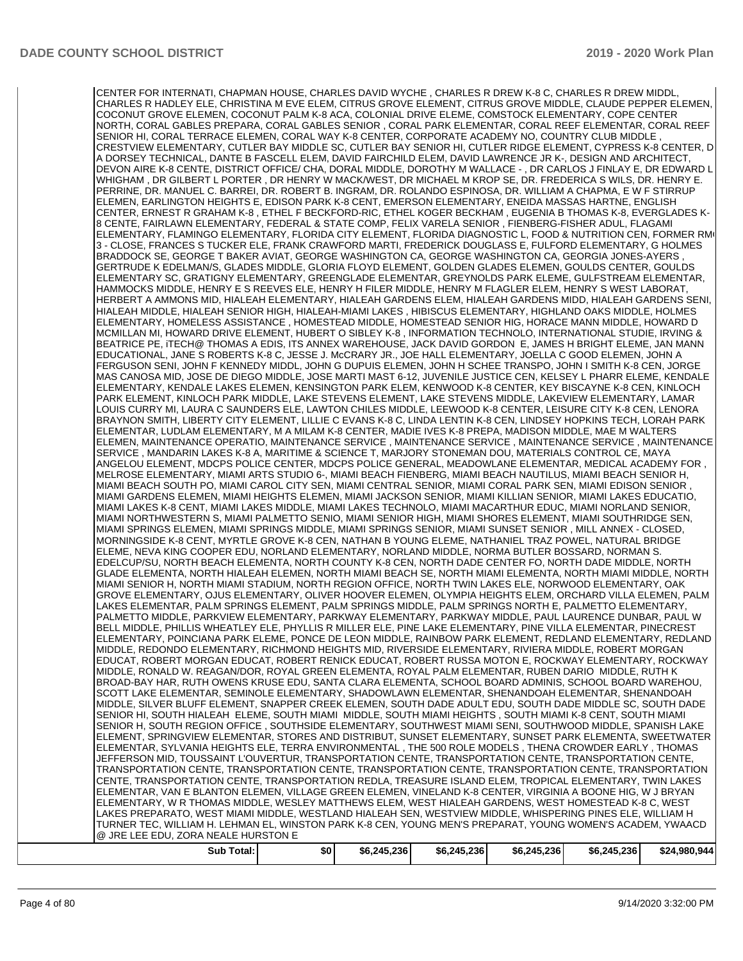CENTER FOR INTERNATI, CHAPMAN HOUSE, CHARLES DAVID WYCHE , CHARLES R DREW K-8 C, CHARLES R DREW MIDDL, CHARLES R HADLEY ELE, CHRISTINA M EVE ELEM, CITRUS GROVE ELEMENT, CITRUS GROVE MIDDLE, CLAUDE PEPPER ELEMEN, COCONUT GROVE ELEMEN, COCONUT PALM K-8 ACA, COLONIAL DRIVE ELEME, COMSTOCK ELEMENTARY, COPE CENTER NORTH, CORAL GABLES PREPARA, CORAL GABLES SENIOR , CORAL PARK ELEMENTAR, CORAL REEF ELEMENTAR, CORAL REEF SENIOR HI, CORAL TERRACE ELEMEN, CORAL WAY K-8 CENTER, CORPORATE ACADEMY NO, COUNTRY CLUB MIDDLE , CRESTVIEW ELEMENTARY, CUTLER BAY MIDDLE SC, CUTLER BAY SENIOR HI, CUTLER RIDGE ELEMENT, CYPRESS K-8 CENTER, D A DORSEY TECHNICAL, DANTE B FASCELL ELEM, DAVID FAIRCHILD ELEM, DAVID LAWRENCE JR K-, DESIGN AND ARCHITECT, DEVON AIRE K-8 CENTE, DISTRICT OFFICE/ CHA, DORAL MIDDLE, DOROTHY M WALLACE - , DR CARLOS J FINLAY E, DR EDWARD L WHIGHAM , DR GILBERT L PORTER , DR HENRY W MACK/WEST, DR MICHAEL M KROP SE, DR. FREDERICA S WILS, DR. HENRY E. PERRINE, DR. MANUEL C. BARREI, DR. ROBERT B. INGRAM, DR. ROLANDO ESPINOSA, DR. WILLIAM A CHAPMA, E W F STIRRUP ELEMEN, EARLINGTON HEIGHTS E, EDISON PARK K-8 CENT, EMERSON ELEMENTARY, ENEIDA MASSAS HARTNE, ENGLISH CENTER, ERNEST R GRAHAM K-8 , ETHEL F BECKFORD-RIC, ETHEL KOGER BECKHAM , EUGENIA B THOMAS K-8, EVERGLADES K-8 CENTE, FAIRLAWN ELEMENTARY, FEDERAL & STATE COMP, FELIX VARELA SENIOR , FIENBERG-FISHER ADUL, FLAGAMI ELEMENTARY, FLAMINGO ELEMENTARY, FLORIDA CITY ELEMENT, FLORIDA DIAGNOSTIC L, FOOD & NUTRITION CEN, FORMER RMC 3 - CLOSE, FRANCES S TUCKER ELE, FRANK CRAWFORD MARTI, FREDERICK DOUGLASS E, FULFORD ELEMENTARY, G HOLMES BRADDOCK SE, GEORGE T BAKER AVIAT, GEORGE WASHINGTON CA, GEORGE WASHINGTON CA, GEORGIA JONES-AYERS GERTRUDE K EDELMAN/S, GLADES MIDDLE, GLORIA FLOYD ELEMENT, GOLDEN GLADES ELEMEN, GOULDS CENTER, GOULDS ELEMENTARY SC, GRATIGNY ELEMENTARY, GREENGLADE ELEMENTAR, GREYNOLDS PARK ELEME, GULFSTREAM ELEMENTAR, HAMMOCKS MIDDLE, HENRY E S REEVES ELE, HENRY H FILER MIDDLE, HENRY M FLAGLER ELEM, HENRY S WEST LABORAT, HERBERT A AMMONS MID, HIALEAH ELEMENTARY, HIALEAH GARDENS ELEM, HIALEAH GARDENS MIDD, HIALEAH GARDENS SENI, HIALEAH MIDDLE, HIALEAH SENIOR HIGH, HIALEAH-MIAMI LAKES , HIBISCUS ELEMENTARY, HIGHLAND OAKS MIDDLE, HOLMES ELEMENTARY, HOMELESS ASSISTANCE , HOMESTEAD MIDDLE, HOMESTEAD SENIOR HIG, HORACE MANN MIDDLE, HOWARD D MCMILLAN MI, HOWARD DRIVE ELEMENT, HUBERT O SIBLEY K-8 , INFORMATION TECHNOLO, INTERNATIONAL STUDIE, IRVING & BEATRICE PE, iTECH@ THOMAS A EDIS, ITS ANNEX WAREHOUSE, JACK DAVID GORDON E, JAMES H BRIGHT ELEME, JAN MANN EDUCATIONAL, JANE S ROBERTS K-8 C, JESSE J. McCRARY JR., JOE HALL ELEMENTARY, JOELLA C GOOD ELEMEN, JOHN A FERGUSON SENI, JOHN F KENNEDY MIDDL, JOHN G DUPUIS ELEMEN, JOHN H SCHEE TRANSPO, JOHN I SMITH K-8 CEN, JORGE MAS CANOSA MID, JOSE DE DIEGO MIDDLE, JOSE MARTI MAST 6-12, JUVENILE JUSTICE CEN, KELSEY L PHARR ELEME, KENDALE ELEMENTARY, KENDALE LAKES ELEMEN, KENSINGTON PARK ELEM, KENWOOD K-8 CENTER, KEY BISCAYNE K-8 CEN, KINLOCH PARK ELEMENT, KINLOCH PARK MIDDLE, LAKE STEVENS ELEMENT, LAKE STEVENS MIDDLE, LAKEVIEW ELEMENTARY, LAMAR LOUIS CURRY MI, LAURA C SAUNDERS ELE, LAWTON CHILES MIDDLE, LEEWOOD K-8 CENTER, LEISURE CITY K-8 CEN, LENORA BRAYNON SMITH, LIBERTY CITY ELEMENT, LILLIE C EVANS K-8 C, LINDA LENTIN K-8 CEN, LINDSEY HOPKINS TECH, LORAH PARK ELEMENTAR, LUDLAM ELEMENTARY, M A MILAM K-8 CENTER, MADIE IVES K-8 PREPA, MADISON MIDDLE, MAE M WALTERS ELEMEN, MAINTENANCE OPERATIO, MAINTENANCE SERVICE , MAINTENANCE SERVICE , MAINTENANCE SERVICE , MAINTENANCE SERVICE , MANDARIN LAKES K-8 A, MARITIME & SCIENCE T, MARJORY STONEMAN DOU, MATERIALS CONTROL CE, MAYA ANGELOU ELEMENT, MDCPS POLICE CENTER, MDCPS POLICE GENERAL, MEADOWLANE ELEMENTAR, MEDICAL ACADEMY FOR , MELROSE ELEMENTARY, MIAMI ARTS STUDIO 6-, MIAMI BEACH FIENBERG, MIAMI BEACH NAUTILUS, MIAMI BEACH SENIOR H, MIAMI BEACH SOUTH PO, MIAMI CAROL CITY SEN, MIAMI CENTRAL SENIOR, MIAMI CORAL PARK SEN, MIAMI EDISON SENIOR , MIAMI GARDENS ELEMEN, MIAMI HEIGHTS ELEMEN, MIAMI JACKSON SENIOR, MIAMI KILLIAN SENIOR, MIAMI LAKES EDUCATIO, MIAMI LAKES K-8 CENT, MIAMI LAKES MIDDLE, MIAMI LAKES TECHNOLO, MIAMI MACARTHUR EDUC, MIAMI NORLAND SENIOR, MIAMI NORTHWESTERN S, MIAMI PALMETTO SENIO, MIAMI SENIOR HIGH, MIAMI SHORES ELEMENT, MIAMI SOUTHRIDGE SEN, MIAMI SPRINGS ELEMEN, MIAMI SPRINGS MIDDLE, MIAMI SPRINGS SENIOR, MIAMI SUNSET SENIOR , MILL ANNEX - CLOSED, MORNINGSIDE K-8 CENT, MYRTLE GROVE K-8 CEN, NATHAN B YOUNG ELEME, NATHANIEL TRAZ POWEL, NATURAL BRIDGE ELEME, NEVA KING COOPER EDU, NORLAND ELEMENTARY, NORLAND MIDDLE, NORMA BUTLER BOSSARD, NORMAN S. EDELCUP/SU, NORTH BEACH ELEMENTA, NORTH COUNTY K-8 CEN, NORTH DADE CENTER FO, NORTH DADE MIDDLE, NORTH GLADE ELEMENTA, NORTH HIALEAH ELEMEN, NORTH MIAMI BEACH SE, NORTH MIAMI ELEMENTA, NORTH MIAMI MIDDLE, NORTH MIAMI SENIOR H, NORTH MIAMI STADIUM, NORTH REGION OFFICE, NORTH TWIN LAKES ELE, NORWOOD ELEMENTARY, OAK GROVE ELEMENTARY, OJUS ELEMENTARY, OLIVER HOOVER ELEMEN, OLYMPIA HEIGHTS ELEM, ORCHARD VILLA ELEMEN, PALM LAKES ELEMENTAR, PALM SPRINGS ELEMENT, PALM SPRINGS MIDDLE, PALM SPRINGS NORTH E, PALMETTO ELEMENTARY, PALMETTO MIDDLE, PARKVIEW ELEMENTARY, PARKWAY ELEMENTARY, PARKWAY MIDDLE, PAUL LAURENCE DUNBAR, PAUL W BELL MIDDLE, PHILLIS WHEATLEY ELE, PHYLLIS R MILLER ELE, PINE LAKE ELEMENTARY, PINE VILLA ELEMENTAR, PINECREST ELEMENTARY, POINCIANA PARK ELEME, PONCE DE LEON MIDDLE, RAINBOW PARK ELEMENT, REDLAND ELEMENTARY, REDLAND MIDDLE, REDONDO ELEMENTARY, RICHMOND HEIGHTS MID, RIVERSIDE ELEMENTARY, RIVIERA MIDDLE, ROBERT MORGAN EDUCAT, ROBERT MORGAN EDUCAT, ROBERT RENICK EDUCAT, ROBERT RUSSA MOTON E, ROCKWAY ELEMENTARY, ROCKWAY MIDDLE, RONALD W. REAGAN/DOR, ROYAL GREEN ELEMENTA, ROYAL PALM ELEMENTAR, RUBEN DARIO MIDDLE, RUTH K BROAD-BAY HAR, RUTH OWENS KRUSE EDU, SANTA CLARA ELEMENTA, SCHOOL BOARD ADMINIS, SCHOOL BOARD WAREHOU, SCOTT LAKE ELEMENTAR, SEMINOLE ELEMENTARY, SHADOWLAWN ELEMENTAR, SHENANDOAH ELEMENTAR, SHENANDOAH MIDDLE, SILVER BLUFF ELEMENT, SNAPPER CREEK ELEMEN, SOUTH DADE ADULT EDU, SOUTH DADE MIDDLE SC, SOUTH DADE SENIOR HI, SOUTH HIALEAH ELEME, SOUTH MIAMI MIDDLE, SOUTH MIAMI HEIGHTS , SOUTH MIAMI K-8 CENT, SOUTH MIAMI SENIOR H, SOUTH REGION OFFICE , SOUTHSIDE ELEMENTARY, SOUTHWEST MIAMI SENI, SOUTHWOOD MIDDLE, SPANISH LAKE ELEMENT, SPRINGVIEW ELEMENTAR, STORES AND DISTRIBUT, SUNSET ELEMENTARY, SUNSET PARK ELEMENTA, SWEETWATER ELEMENTAR, SYLVANIA HEIGHTS ELE, TERRA ENVIRONMENTAL , THE 500 ROLE MODELS , THENA CROWDER EARLY , THOMAS JEFFERSON MID, TOUSSAINT L'OUVERTUR, TRANSPORTATION CENTE, TRANSPORTATION CENTE, TRANSPORTATION CENTE, TRANSPORTATION CENTE, TRANSPORTATION CENTE, TRANSPORTATION CENTE, TRANSPORTATION CENTE, TRANSPORTATION CENTE, TRANSPORTATION CENTE, TRANSPORTATION REDLA, TREASURE ISLAND ELEM, TROPICAL ELEMENTARY, TWIN LAKES ELEMENTAR, VAN E BLANTON ELEMEN, VILLAGE GREEN ELEMEN, VINELAND K-8 CENTER, VIRGINIA A BOONE HIG, W J BRYAN ELEMENTARY, W R THOMAS MIDDLE, WESLEY MATTHEWS ELEM, WEST HIALEAH GARDENS, WEST HOMESTEAD K-8 C, WEST LAKES PREPARATO, WEST MIAMI MIDDLE, WESTLAND HIALEAH SEN, WESTVIEW MIDDLE, WHISPERING PINES ELE, WILLIAM H TURNER TEC, WILLIAM H. LEHMAN EL, WINSTON PARK K-8 CEN, YOUNG MEN'S PREPARAT, YOUNG WOMEN'S ACADEM, YWAACD @ JRE LEE EDU, ZORA NEALE HURSTON E **Sub Total: \$0 \$6,245,236 \$6,245,236 \$6,245,236 \$6,245,236 \$24,980,944**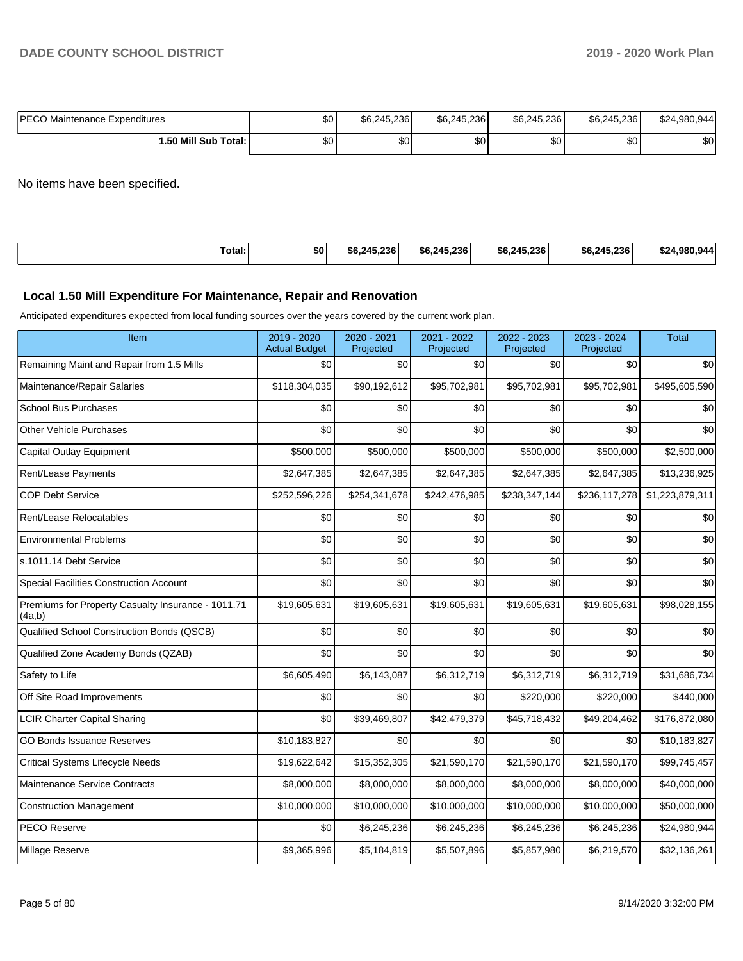| <b>IPECO Maintenance Expenditures</b> | \$0 | \$6.245.236 | \$6,245,236 | \$6,245,236 | \$6,245,236 | \$24,980,944 |
|---------------------------------------|-----|-------------|-------------|-------------|-------------|--------------|
| 1.50 Mill Sub Total:1                 | \$0 | ا 30        | \$0         | \$0         | \$0         | \$0          |

No items have been specified.

| <b>Total:</b> | \$0 | .45.236 <sup> </sup><br>\$6.24F | \$6.245.236 | \$6.245.236 | \$6.245.236 | \$24.980.944 |
|---------------|-----|---------------------------------|-------------|-------------|-------------|--------------|
|---------------|-----|---------------------------------|-------------|-------------|-------------|--------------|

#### **Local 1.50 Mill Expenditure For Maintenance, Repair and Renovation**

Anticipated expenditures expected from local funding sources over the years covered by the current work plan.

| Item                                                         | 2019 - 2020<br><b>Actual Budget</b> | 2020 - 2021<br>Projected | 2021 - 2022<br>Projected | 2022 - 2023<br>Projected | 2023 - 2024<br>Projected | <b>Total</b>    |
|--------------------------------------------------------------|-------------------------------------|--------------------------|--------------------------|--------------------------|--------------------------|-----------------|
| Remaining Maint and Repair from 1.5 Mills                    | \$0                                 | \$0                      | \$0                      | \$0                      | \$0                      | \$0             |
| Maintenance/Repair Salaries                                  | \$118,304,035                       | \$90,192,612             | \$95,702,981             | \$95,702,981             | \$95,702,981             | \$495,605,590   |
| <b>School Bus Purchases</b>                                  | \$0                                 | \$0                      | \$0                      | \$0                      | \$0                      | \$0             |
| <b>Other Vehicle Purchases</b>                               | \$0                                 | \$0                      | \$0                      | \$0                      | \$0                      | \$0             |
| <b>Capital Outlay Equipment</b>                              | \$500,000                           | \$500,000                | \$500,000                | \$500,000                | \$500,000                | \$2,500,000     |
| Rent/Lease Payments                                          | \$2,647,385                         | \$2,647,385              | \$2,647,385              | \$2,647,385              | \$2,647,385              | \$13,236,925    |
| <b>COP Debt Service</b>                                      | \$252,596,226                       | \$254,341,678            | \$242,476,985            | \$238,347,144            | \$236,117,278            | \$1,223,879,311 |
| Rent/Lease Relocatables                                      | \$0                                 | \$0                      | \$0                      | \$0                      | \$0                      | \$0             |
| <b>Environmental Problems</b>                                | \$0                                 | \$0                      | \$0                      | \$0                      | \$0                      | \$0             |
| s.1011.14 Debt Service                                       | \$0                                 | \$0                      | \$0                      | \$0                      | \$0                      | \$0             |
| Special Facilities Construction Account                      | \$0                                 | \$0                      | \$0                      | \$0                      | \$0                      | \$0             |
| Premiums for Property Casualty Insurance - 1011.71<br>(4a,b) | \$19,605,631                        | \$19,605,631             | \$19,605,631             | \$19,605,631             | \$19,605,631             | \$98,028,155    |
| Qualified School Construction Bonds (QSCB)                   | \$0                                 | \$0                      | \$0                      | \$0                      | \$0                      | \$0             |
| Qualified Zone Academy Bonds (QZAB)                          | \$0                                 | \$0                      | \$0                      | \$0                      | \$0                      | \$0             |
| Safety to Life                                               | \$6,605,490                         | \$6,143,087              | \$6,312,719              | \$6,312,719              | \$6,312,719              | \$31,686,734    |
| Off Site Road Improvements                                   | \$0                                 | \$0                      | \$0                      | \$220,000                | \$220,000                | \$440,000       |
| <b>LCIR Charter Capital Sharing</b>                          | \$0                                 | \$39,469,807             | \$42,479,379             | \$45,718,432             | \$49,204,462             | \$176,872,080   |
| <b>GO Bonds Issuance Reserves</b>                            | \$10,183,827                        | \$0                      | \$0                      | \$0                      | \$0                      | \$10,183,827    |
| <b>Critical Systems Lifecycle Needs</b>                      | \$19,622,642                        | \$15,352,305             | \$21,590,170             | \$21,590,170             | \$21,590,170             | \$99,745,457    |
| Maintenance Service Contracts                                | \$8,000,000                         | \$8,000,000              | \$8,000,000              | \$8,000,000              | \$8,000,000              | \$40,000,000    |
| <b>Construction Management</b>                               | \$10,000,000                        | \$10,000,000             | \$10,000,000             | \$10,000,000             | \$10,000,000             | \$50,000,000    |
| <b>PECO Reserve</b>                                          | \$0                                 | \$6,245,236              | \$6,245,236              | \$6,245,236              | \$6,245,236              | \$24,980,944    |
| Millage Reserve                                              | \$9,365,996                         | \$5,184,819              | \$5,507,896              | \$5,857,980              | \$6,219,570              | \$32,136,261    |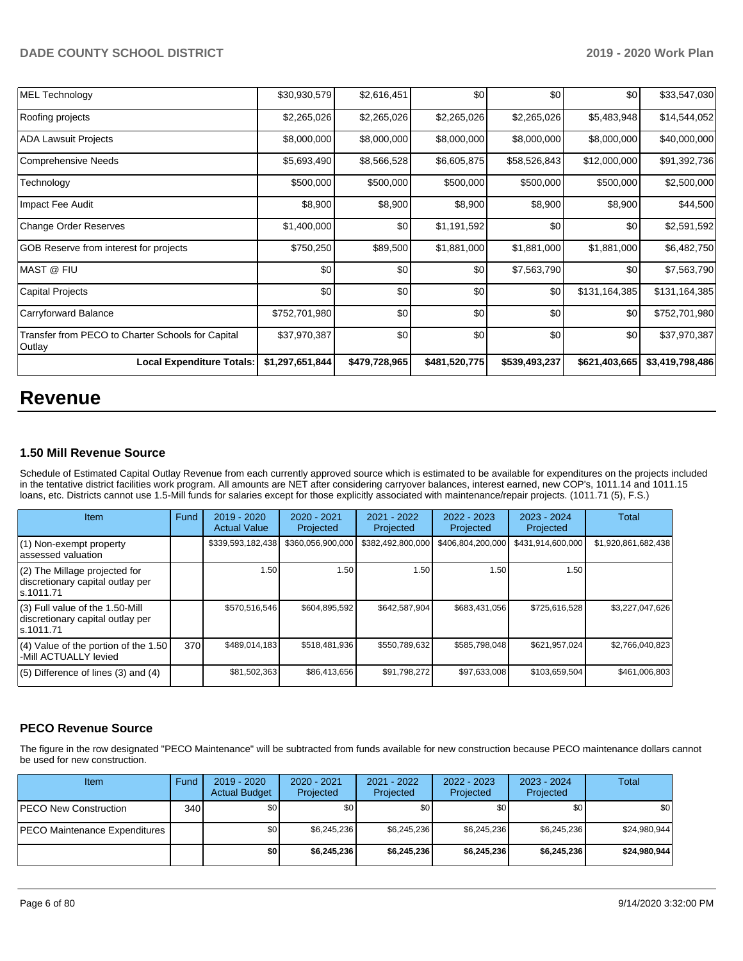| MEL Technology                                              | \$30,930,579    | \$2,616,451   | \$0           | \$0           | \$0           | \$33,547,030    |
|-------------------------------------------------------------|-----------------|---------------|---------------|---------------|---------------|-----------------|
| Roofing projects                                            | \$2,265,026     | \$2,265,026   | \$2,265,026   | \$2,265,026   | \$5,483,948   | \$14,544,052    |
| <b>ADA Lawsuit Projects</b>                                 | \$8,000,000     | \$8,000,000   | \$8,000,000   | \$8,000,000   | \$8,000,000   | \$40,000,000    |
| Comprehensive Needs                                         | \$5,693,490     | \$8,566,528   | \$6,605,875   | \$58,526,843  | \$12,000,000  | \$91,392,736    |
| Technology                                                  | \$500,000       | \$500,000     | \$500,000     | \$500,000     | \$500,000     | \$2,500,000     |
| Impact Fee Audit                                            | \$8,900         | \$8,900       | \$8,900       | \$8,900       | \$8,900       | \$44,500        |
| Change Order Reserves                                       | \$1,400,000     | \$0           | \$1,191,592   | \$0           | \$0           | \$2,591,592     |
| GOB Reserve from interest for projects                      | \$750,250       | \$89,500      | \$1,881,000   | \$1,881,000   | \$1,881,000   | \$6,482,750     |
| MAST @ FIU                                                  | \$0             | \$0           | \$0           | \$7,563,790   | \$0           | \$7,563,790     |
| Capital Projects                                            | \$0             | \$0           | \$0           | \$0           | \$131,164,385 | \$131,164,385   |
| Carryforward Balance                                        | \$752,701,980   | \$0           | \$0           | \$0           | \$0           | \$752,701,980   |
| Transfer from PECO to Charter Schools for Capital<br>Outlay | \$37,970,387    | \$0           | \$0           | \$0           | \$0           | \$37,970,387    |
| <b>Local Expenditure Totals:</b>                            | \$1,297,651,844 | \$479,728,965 | \$481,520,775 | \$539,493,237 | \$621,403,665 | \$3,419,798,486 |

# **Revenue**

#### **1.50 Mill Revenue Source**

Schedule of Estimated Capital Outlay Revenue from each currently approved source which is estimated to be available for expenditures on the projects included in the tentative district facilities work program. All amounts are NET after considering carryover balances, interest earned, new COP's, 1011.14 and 1011.15 loans, etc. Districts cannot use 1.5-Mill funds for salaries except for those explicitly associated with maintenance/repair projects. (1011.71 (5), F.S.)

| Item                                                                                | Fund | $2019 - 2020$<br><b>Actual Value</b> | $2020 - 2021$<br>Projected | $2021 - 2022$<br>Projected | $2022 - 2023$<br>Projected | $2023 - 2024$<br>Projected | Total               |
|-------------------------------------------------------------------------------------|------|--------------------------------------|----------------------------|----------------------------|----------------------------|----------------------------|---------------------|
| $(1)$ Non-exempt property<br>lassessed valuation                                    |      | \$339,593,182,438                    | \$360,056,900,000          | \$382,492,800,000          | \$406,804,200,000          | \$431,914,600,000          | \$1,920,861,682,438 |
| (2) The Millage projected for<br>discretionary capital outlay per<br>ls.1011.71     |      | 1.50                                 | 1.50                       | 1.50 <sub>1</sub>          | 1.50                       | 1.50                       |                     |
| $(3)$ Full value of the 1.50-Mill<br>discretionary capital outlay per<br>ls.1011.71 |      | \$570,516,546                        | \$604,895,592              | \$642,587,904              | \$683,431,056              | \$725,616,528              | \$3,227,047,626     |
| $(4)$ Value of the portion of the 1.50<br>-Mill ACTUALLY levied                     | 370  | \$489,014,183                        | \$518,481,936              | \$550,789,632              | \$585,798,048              | \$621,957,024              | \$2,766,040,823     |
| $(5)$ Difference of lines $(3)$ and $(4)$                                           |      | \$81,502,363                         | \$86,413,656               | \$91,798,272               | \$97,633,008               | \$103,659,504              | \$461,006,803       |

#### **PECO Revenue Source**

The figure in the row designated "PECO Maintenance" will be subtracted from funds available for new construction because PECO maintenance dollars cannot be used for new construction.

| Item                          | Fund | $2019 - 2020$<br><b>Actual Budget</b> | $2020 - 2021$<br>Projected | 2021 - 2022<br>Projected | 2022 - 2023<br>Projected | $2023 - 2024$<br>Projected | Total        |
|-------------------------------|------|---------------------------------------|----------------------------|--------------------------|--------------------------|----------------------------|--------------|
| <b>PECO New Construction</b>  | 340  | \$0                                   | \$0                        | \$0                      | \$0                      | \$0                        | \$0          |
| PECO Maintenance Expenditures |      | \$0 <sub>1</sub>                      | \$6,245,236                | \$6,245,236              | \$6.245.236              | \$6,245,236                | \$24,980,944 |
|                               |      | \$0                                   | \$6,245,236                | \$6,245,236              | \$6.245.236              | \$6,245,236                | \$24,980,944 |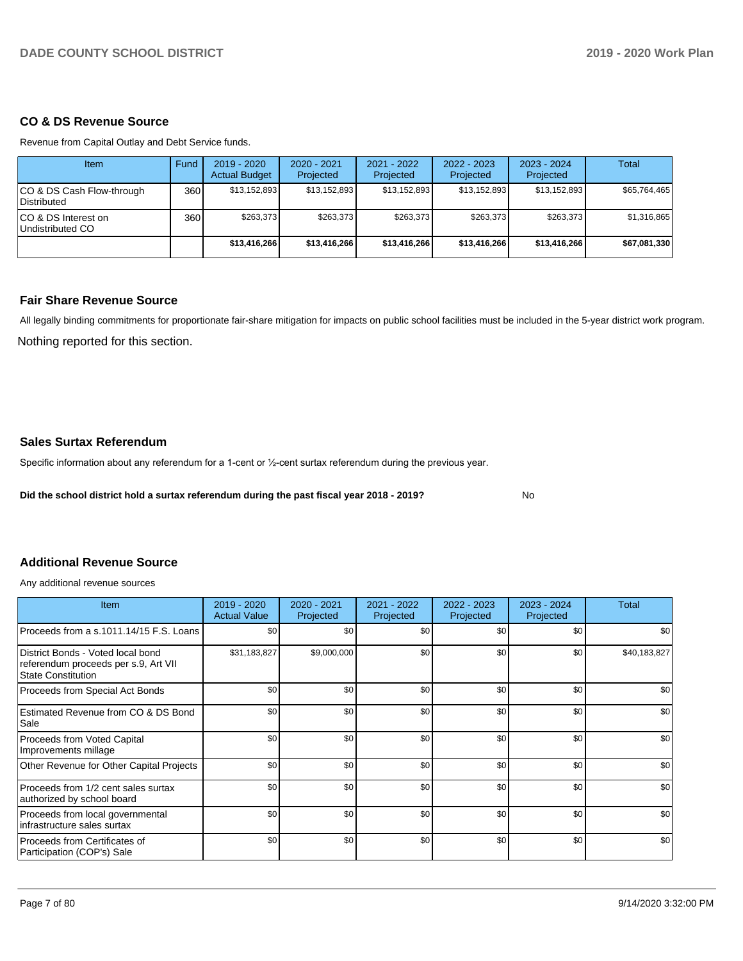#### **CO & DS Revenue Source**

Revenue from Capital Outlay and Debt Service funds.

| Item                                            | Fund | $2019 - 2020$<br><b>Actual Budget</b> | $2020 - 2021$<br>Projected | 2021 - 2022<br>Projected | $2022 - 2023$<br>Projected | $2023 - 2024$<br>Projected | Total        |
|-------------------------------------------------|------|---------------------------------------|----------------------------|--------------------------|----------------------------|----------------------------|--------------|
| CO & DS Cash Flow-through<br><b>Distributed</b> | 360  | \$13,152,893                          | \$13,152,893               | \$13,152,893             | \$13,152,893               | \$13,152,893               | \$65,764,465 |
| CO & DS Interest on<br>Undistributed CO         | 360  | \$263.373                             | \$263.373                  | \$263,373                | \$263.373                  | \$263,373                  | \$1,316,865  |
|                                                 |      | \$13,416,266                          | \$13.416.266               | \$13,416,266             | \$13,416,266               | \$13.416.266               | \$67,081,330 |

#### **Fair Share Revenue Source**

Nothing reported for this section. All legally binding commitments for proportionate fair-share mitigation for impacts on public school facilities must be included in the 5-year district work program.

#### **Sales Surtax Referendum**

Specific information about any referendum for a 1-cent or 1/2-cent surtax referendum during the previous year.

**Did the school district hold a surtax referendum during the past fiscal year 2018 - 2019?**

No

#### **Additional Revenue Source**

Any additional revenue sources

| Item                                                                                                   | $2019 - 2020$<br><b>Actual Value</b> | $2020 - 2021$<br>Projected | $2021 - 2022$<br>Projected | $2022 - 2023$<br>Projected | $2023 - 2024$<br>Projected | Total        |
|--------------------------------------------------------------------------------------------------------|--------------------------------------|----------------------------|----------------------------|----------------------------|----------------------------|--------------|
| Proceeds from a s.1011.14/15 F.S. Loans                                                                | \$0                                  | \$0                        | \$0                        | \$0                        | \$0                        | \$0          |
| District Bonds - Voted local bond<br>referendum proceeds per s.9, Art VII<br><b>State Constitution</b> | \$31,183,827                         | \$9,000,000                | \$0                        | \$0                        | \$0                        | \$40,183,827 |
| Proceeds from Special Act Bonds                                                                        | \$0                                  | \$0                        | \$0                        | \$0                        | \$0                        | \$0          |
| Estimated Revenue from CO & DS Bond<br>Sale                                                            | \$0                                  | \$0                        | \$0                        | \$0                        | \$0                        | \$0          |
| Proceeds from Voted Capital<br>Improvements millage                                                    | \$0                                  | \$0                        | \$0                        | \$0                        | \$0                        | \$0          |
| Other Revenue for Other Capital Projects                                                               | \$0                                  | \$0                        | \$0                        | \$0                        | \$0                        | \$0          |
| Proceeds from 1/2 cent sales surtax<br>authorized by school board                                      | \$0                                  | \$0                        | \$0                        | \$0                        | \$0                        | \$0          |
| Proceeds from local governmental<br>infrastructure sales surtax                                        | \$0                                  | \$0                        | \$0                        | \$0                        | \$0                        | \$0          |
| Proceeds from Certificates of<br>Participation (COP's) Sale                                            | \$0                                  | \$0                        | \$0                        | \$0                        | \$0                        | \$0          |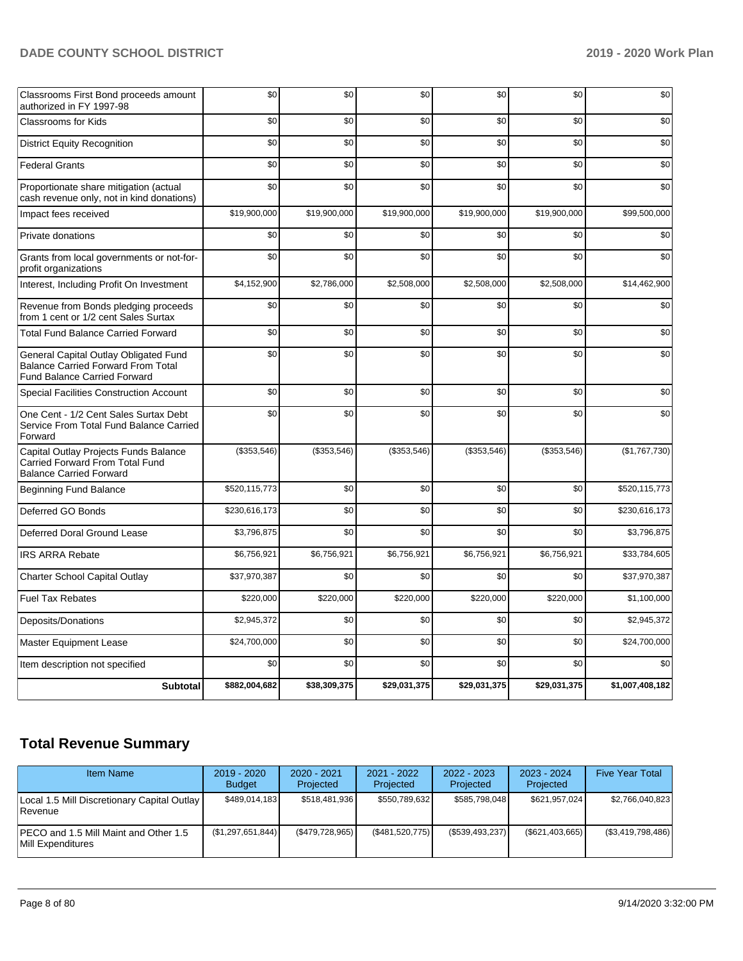| Classrooms First Bond proceeds amount<br>authorized in FY 1997-98                                                         | \$0           | \$0          | \$0          | \$0          | \$0          | \$0             |
|---------------------------------------------------------------------------------------------------------------------------|---------------|--------------|--------------|--------------|--------------|-----------------|
| <b>Classrooms for Kids</b>                                                                                                | \$0           | \$0          | \$0          | \$0          | \$0          | \$0             |
| <b>District Equity Recognition</b>                                                                                        | \$0           | \$0          | \$0          | \$0          | \$0          | \$0             |
| <b>Federal Grants</b>                                                                                                     | \$0           | \$0          | \$0          | \$0          | \$0          | \$0             |
| Proportionate share mitigation (actual<br>cash revenue only, not in kind donations)                                       | \$0           | \$0          | \$0          | \$0          | \$0          | \$0             |
| Impact fees received                                                                                                      | \$19,900,000  | \$19,900,000 | \$19,900,000 | \$19,900,000 | \$19,900,000 | \$99,500,000    |
| Private donations                                                                                                         | \$0           | \$0          | \$0          | \$0          | \$0          | \$0             |
| Grants from local governments or not-for-<br>profit organizations                                                         | \$0           | \$0          | \$0          | \$0          | \$0          | \$0             |
| Interest, Including Profit On Investment                                                                                  | \$4,152,900   | \$2,786,000  | \$2,508,000  | \$2,508,000  | \$2,508,000  | \$14,462,900    |
| Revenue from Bonds pledging proceeds<br>from 1 cent or 1/2 cent Sales Surtax                                              | \$0           | \$0          | \$0          | \$0          | \$0          | \$0             |
| <b>Total Fund Balance Carried Forward</b>                                                                                 | \$0           | \$0          | \$0          | \$0          | \$0          | \$0             |
| General Capital Outlay Obligated Fund<br><b>Balance Carried Forward From Total</b><br><b>Fund Balance Carried Forward</b> | \$0           | \$0          | \$0          | \$0          | \$0          | \$0             |
| Special Facilities Construction Account                                                                                   | \$0           | \$0          | \$0          | \$0          | \$0          | \$0             |
| One Cent - 1/2 Cent Sales Surtax Debt<br>Service From Total Fund Balance Carried<br>Forward                               | \$0           | \$0          | \$0          | \$0          | \$0          | \$0             |
| Capital Outlay Projects Funds Balance<br>Carried Forward From Total Fund<br><b>Balance Carried Forward</b>                | (\$353,546)   | (\$353,546)  | (\$353,546)  | (\$353,546)  | (\$353,546)  | (\$1,767,730)   |
| <b>Beginning Fund Balance</b>                                                                                             | \$520,115,773 | \$0          | \$0          | \$0          | \$0          | \$520.115.773   |
| Deferred GO Bonds                                                                                                         | \$230,616,173 | \$0          | \$0          | \$0          | \$0          | \$230,616,173   |
| Deferred Doral Ground Lease                                                                                               | \$3,796,875   | \$0          | \$0          | \$0          | \$0          | \$3,796,875     |
| <b>IRS ARRA Rebate</b>                                                                                                    | \$6,756,921   | \$6,756,921  | \$6,756,921  | \$6,756,921  | \$6,756,921  | \$33,784,605    |
| <b>Charter School Capital Outlay</b>                                                                                      | \$37,970,387  | \$0          | \$0          | \$0          | \$0          | \$37,970,387    |
| <b>Fuel Tax Rebates</b>                                                                                                   | \$220,000     | \$220,000    | \$220,000    | \$220,000    | \$220,000    | \$1,100,000     |
| Deposits/Donations                                                                                                        | \$2,945,372   | \$0          | \$0          | \$0          | \$0          | \$2,945,372     |
| <b>Master Equipment Lease</b>                                                                                             | \$24,700,000  | \$0          | \$0          | \$0          | \$0          | \$24.700.000    |
| Item description not specified                                                                                            | \$0           | \$0          | \$0          | \$0          | \$0          | \$0             |
| <b>Subtotal</b>                                                                                                           | \$882,004,682 | \$38,309,375 | \$29,031,375 | \$29,031,375 | \$29,031,375 | \$1,007,408,182 |

# **Total Revenue Summary**

| Item Name                                                   | $2019 - 2020$<br><b>Budget</b> | $2020 - 2021$<br>Projected | $2021 - 2022$<br>Projected | $2022 - 2023$<br>Projected | $2023 - 2024$<br>Projected | <b>Five Year Total</b> |
|-------------------------------------------------------------|--------------------------------|----------------------------|----------------------------|----------------------------|----------------------------|------------------------|
| Local 1.5 Mill Discretionary Capital Outlay<br>Revenue      | \$489,014,183                  | \$518.481.936              | \$550,789,632              | \$585.798.048              | \$621.957.024              | \$2,766,040,823        |
| IPECO and 1.5 Mill Maint and Other 1.5<br>Mill Expenditures | (\$1,297,651,844)              | (\$479,728,965)            | (\$481,520,775)            | $(\$539,493,237)$          | $(\$621,403,665)$          | (\$3,419,798,486)      |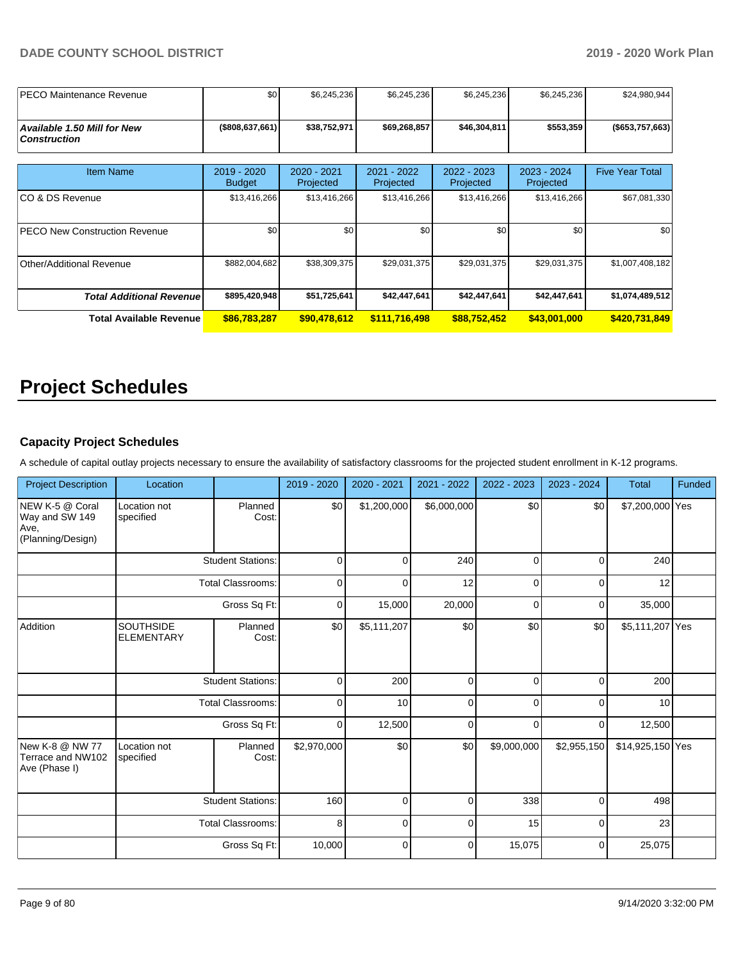| <b>IPECO Maintenance Revenue</b>                          | \$0 <sub>1</sub>             | \$6,245,236              | \$6,245,236              | \$6,245,236              | \$6,245,236                | \$24,980,944           |
|-----------------------------------------------------------|------------------------------|--------------------------|--------------------------|--------------------------|----------------------------|------------------------|
| <b>Available 1.50 Mill for New</b><br><b>Construction</b> | $($ \$808,637,661)           | \$38,752,971             | \$69,268,857             | \$46,304,811             | \$553,359                  | (\$653,757,663)        |
| <b>Item Name</b>                                          | 2019 - 2020<br><b>Budget</b> | 2020 - 2021<br>Projected | 2021 - 2022<br>Projected | 2022 - 2023<br>Projected | $2023 - 2024$<br>Projected | <b>Five Year Total</b> |
| ICO & DS Revenue                                          | \$13,416,266                 | \$13,416,266             | \$13,416,266             | \$13,416,266             | \$13,416,266               | \$67,081,330           |
| <b>PECO New Construction Revenue</b>                      | \$0                          | \$0                      | \$0                      | \$0                      | \$0                        | \$0                    |
| Other/Additional Revenue                                  | \$882,004,682                | \$38,309,375             | \$29,031,375             | \$29,031,375             | \$29,031,375               | \$1,007,408,182        |
| <b>Total Additional Revenuel</b>                          | \$895,420,948                | \$51,725,641             | \$42,447,641             | \$42,447,641             | \$42,447,641               | \$1,074,489,512        |
| <b>Total Available Revenue</b>                            | \$86,783,287                 | \$90,478,612             | \$111,716,498            | \$88,752,452             | \$43,001,000               | \$420,731,849          |

# **Project Schedules**

#### **Capacity Project Schedules**

A schedule of capital outlay projects necessary to ensure the availability of satisfactory classrooms for the projected student enrollment in K-12 programs.

| <b>Project Description</b>                                     | Location                              |                          | 2019 - 2020    | 2020 - 2021    | 2021 - 2022 | 2022 - 2023    | 2023 - 2024 | Total            | Funded |
|----------------------------------------------------------------|---------------------------------------|--------------------------|----------------|----------------|-------------|----------------|-------------|------------------|--------|
| NEW K-5 @ Coral<br>Way and SW 149<br>Ave,<br>(Planning/Design) | Location not<br>specified             | Planned<br>Cost:         | \$0            | \$1,200,000    | \$6,000,000 | \$0            | \$0         | \$7,200,000 Yes  |        |
|                                                                |                                       | <b>Student Stations:</b> | 0              | 0              | 240         | 0              | 0           | 240              |        |
|                                                                |                                       | <b>Total Classrooms:</b> | $\mathbf 0$    | 0              | 12          | $\overline{0}$ | $\mathbf 0$ | 12               |        |
|                                                                |                                       | Gross Sq Ft:             | 0              | 15,000         | 20,000      | 0              | $\mathbf 0$ | 35,000           |        |
| Addition                                                       | <b>SOUTHSIDE</b><br><b>ELEMENTARY</b> | Planned<br>Cost:         | \$0            | \$5,111,207    | \$0         | \$0            | \$0         | \$5,111,207 Yes  |        |
|                                                                |                                       | <b>Student Stations:</b> | 0              | 200            | 0           | $\mathbf 0$    | $\mathbf 0$ | 200              |        |
|                                                                |                                       | <b>Total Classrooms:</b> | 0              | 10             | 0           | $\mathbf 0$    | $\mathbf 0$ | 10               |        |
|                                                                |                                       | Gross Sq Ft:             | $\overline{0}$ | 12,500         | 0           | $\overline{0}$ | 0           | 12,500           |        |
| New K-8 @ NW 77<br>Terrace and NW102<br>Ave (Phase I)          | Location not<br>specified             | Planned<br>Cost:         | \$2,970,000    | \$0            | \$0         | \$9,000,000    | \$2,955,150 | \$14,925,150 Yes |        |
|                                                                |                                       | <b>Student Stations:</b> | 160            | $\mathbf 0$    | $\mathbf 0$ | 338            | $\mathbf 0$ | 498              |        |
|                                                                |                                       | <b>Total Classrooms:</b> | 8              | 0              | 0           | 15             | 0           | 23               |        |
|                                                                |                                       | Gross Sq Ft:             | 10,000         | $\overline{0}$ | $\mathbf 0$ | 15,075         | $\mathbf 0$ | 25,075           |        |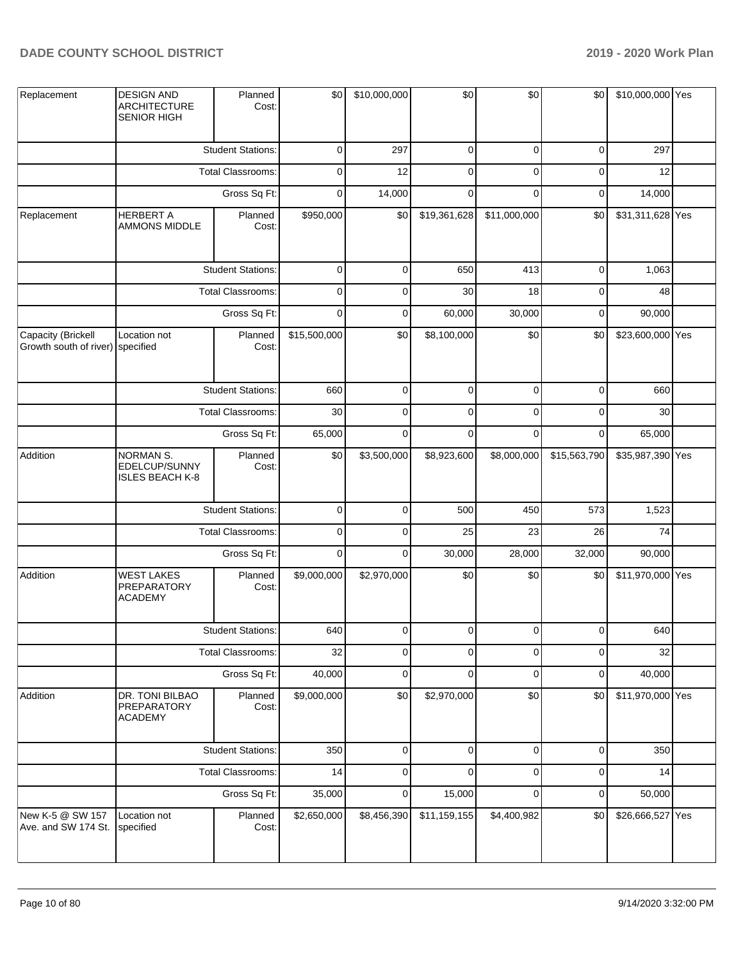| Replacement                                            | <b>DESIGN AND</b><br><b>ARCHITECTURE</b><br><b>SENIOR HIGH</b> | Planned<br>Cost:         | \$0          | \$10,000,000 | \$0          | \$0            | \$0            | \$10,000,000 Yes |  |
|--------------------------------------------------------|----------------------------------------------------------------|--------------------------|--------------|--------------|--------------|----------------|----------------|------------------|--|
|                                                        |                                                                | <b>Student Stations:</b> | 0            | 297          | $\mathbf 0$  | 0              | $\mathbf 0$    | 297              |  |
|                                                        |                                                                | Total Classrooms:        | 0            | 12           | $\mathbf 0$  | 0              | $\mathbf 0$    | 12               |  |
|                                                        |                                                                | Gross Sq Ft:             | 0            | 14,000       | $\mathbf 0$  | 0              | $\mathbf 0$    | 14,000           |  |
| Replacement                                            | <b>HERBERT A</b><br>AMMONS MIDDLE                              | Planned<br>Cost:         | \$950,000    | \$0          | \$19,361,628 | \$11,000,000   | \$0            | \$31,311,628 Yes |  |
|                                                        |                                                                | <b>Student Stations:</b> | $\mathbf 0$  | 0            | 650          | 413            | $\pmb{0}$      | 1,063            |  |
|                                                        |                                                                | <b>Total Classrooms:</b> | 0            | 0            | 30           | 18             | 0              | 48               |  |
|                                                        |                                                                | Gross Sq Ft:             | $\mathbf 0$  | $\mathbf 0$  | 60,000       | 30,000         | 0              | 90,000           |  |
| Capacity (Brickell<br>Growth south of river) specified | Location not                                                   | Planned<br>Cost:         | \$15,500,000 | \$0          | \$8,100,000  | \$0            | \$0            | \$23,600,000 Yes |  |
|                                                        |                                                                | <b>Student Stations:</b> | 660          | 0            | $\mathbf 0$  | 0              | $\mathbf 0$    | 660              |  |
|                                                        |                                                                | <b>Total Classrooms:</b> | 30           | 0            | $\mathbf 0$  | 0              | $\mathbf 0$    | 30               |  |
|                                                        |                                                                | Gross Sq Ft:             | 65,000       | 0            | $\mathbf 0$  | $\mathbf 0$    | $\mathbf 0$    | 65,000           |  |
| Addition                                               | <b>NORMAN S.</b><br>EDELCUP/SUNNY<br><b>ISLES BEACH K-8</b>    | Planned<br>Cost:         | \$0          | \$3,500,000  | \$8,923,600  | \$8,000,000    | \$15,563,790   | \$35,987,390 Yes |  |
|                                                        |                                                                | <b>Student Stations:</b> | $\mathbf 0$  | 0            | 500          | 450            | 573            | 1,523            |  |
|                                                        |                                                                | <b>Total Classrooms:</b> | 0            | 0            | 25           | 23             | 26             | 74               |  |
|                                                        |                                                                | Gross Sq Ft:             | $\mathbf 0$  | 0            | 30,000       | 28,000         | 32,000         | 90,000           |  |
| Addition                                               | <b>WEST LAKES</b><br><b>PREPARATORY</b><br><b>ACADEMY</b>      | Planned<br>Cost:         | \$9,000,000  | \$2,970,000  | \$0          | \$0            | \$0            | \$11,970,000 Yes |  |
|                                                        |                                                                | <b>Student Stations:</b> | 640          | $\Omega$     | $\mathbf 0$  | $\overline{0}$ | $\overline{0}$ | 640              |  |
|                                                        |                                                                | <b>Total Classrooms:</b> | 32           | 0            | $\mathbf 0$  | $\mathbf 0$    | $\pmb{0}$      | 32               |  |
|                                                        |                                                                | Gross Sq Ft:             | 40,000       | 0            | $\mathbf 0$  | $\pmb{0}$      | 0              | 40,000           |  |
| Addition                                               | DR. TONI BILBAO<br>PREPARATORY<br><b>ACADEMY</b>               | Planned<br>Cost:         | \$9,000,000  | \$0          | \$2,970,000  | \$0            | \$0            | \$11,970,000 Yes |  |
|                                                        |                                                                | <b>Student Stations:</b> | 350          | 0            | $\pmb{0}$    | $\mathbf 0$    | $\mathbf 0$    | 350              |  |
|                                                        |                                                                | <b>Total Classrooms:</b> | 14           | 0            | 0            | 0              | 0              | 14               |  |
|                                                        |                                                                | Gross Sq Ft:             | 35,000       | 0            | 15,000       | $\mathbf 0$    | 0              | 50,000           |  |
| New K-5 @ SW 157<br>Ave. and SW 174 St.                | Location not<br>specified                                      | Planned<br>Cost:         | \$2,650,000  | \$8,456,390  | \$11,159,155 | \$4,400,982    | \$0            | \$26,666,527 Yes |  |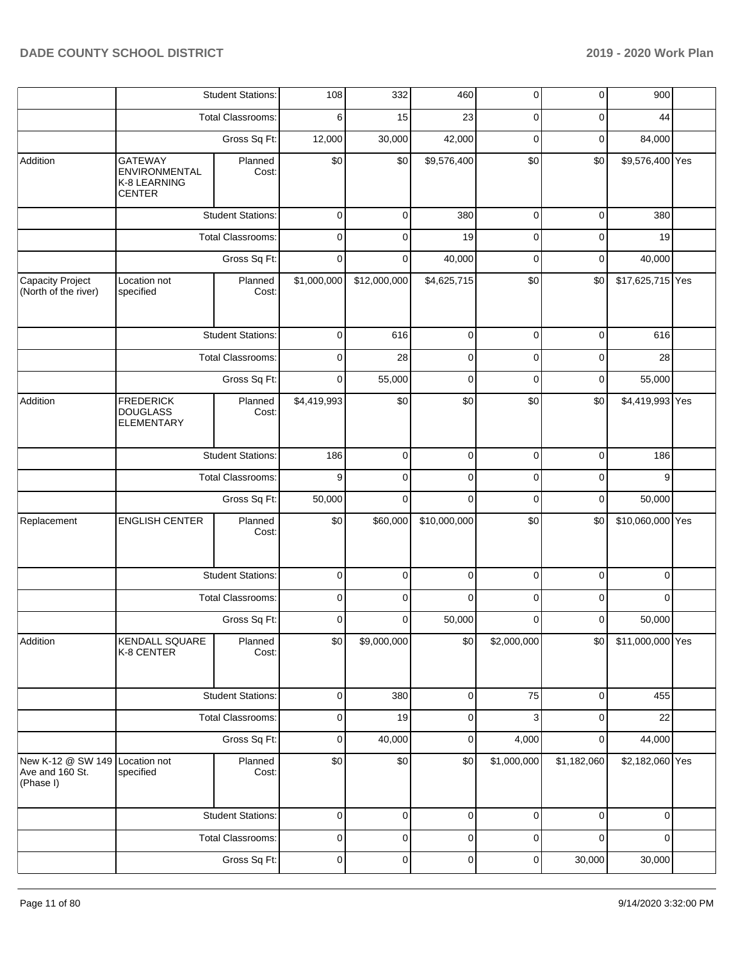|                                                   |                                                                  | <b>Student Stations:</b> | 108         | 332          | 460          | $\mathbf 0$ | $\mathbf 0$ | 900                                                                                                                                                                                                                                                                                                                       |  |
|---------------------------------------------------|------------------------------------------------------------------|--------------------------|-------------|--------------|--------------|-------------|-------------|---------------------------------------------------------------------------------------------------------------------------------------------------------------------------------------------------------------------------------------------------------------------------------------------------------------------------|--|
|                                                   |                                                                  | <b>Total Classrooms:</b> | 6           | 15           | 23           | 0           | $\mathbf 0$ | 44                                                                                                                                                                                                                                                                                                                        |  |
|                                                   |                                                                  | Gross Sq Ft:             | 12,000      | 30,000       | 42,000       | $\mathbf 0$ | 0           | 84,000                                                                                                                                                                                                                                                                                                                    |  |
| Addition                                          | <b>GATEWAY</b><br>ENVIRONMENTAL<br>K-8 LEARNING<br><b>CENTER</b> | Planned<br>Cost:         | \$0         | \$0          | \$9,576,400  | \$0         | \$0         |                                                                                                                                                                                                                                                                                                                           |  |
|                                                   |                                                                  | <b>Student Stations:</b> | 0           | 0            | 380          | $\mathbf 0$ | $\mathbf 0$ | 380                                                                                                                                                                                                                                                                                                                       |  |
|                                                   |                                                                  | <b>Total Classrooms:</b> | $\mathbf 0$ | $\Omega$     | 19           | $\mathbf 0$ | $\mathbf 0$ | 19                                                                                                                                                                                                                                                                                                                        |  |
|                                                   |                                                                  | Gross Sq Ft:             | $\mathbf 0$ | 0            | 40,000       | $\mathbf 0$ | $\mathbf 0$ | 40,000                                                                                                                                                                                                                                                                                                                    |  |
| Capacity Project<br>(North of the river)          | Location not<br>specified                                        | Planned<br>Cost:         | \$1,000,000 | \$12,000,000 | \$4,625,715  | \$0         | \$0         |                                                                                                                                                                                                                                                                                                                           |  |
|                                                   |                                                                  | <b>Student Stations:</b> | 0           | 616          | $\mathbf 0$  | 0           | 0           | 616                                                                                                                                                                                                                                                                                                                       |  |
|                                                   |                                                                  | <b>Total Classrooms:</b> | $\mathbf 0$ | 28           | $\mathbf 0$  | $\mathbf 0$ | $\mathbf 0$ | 28                                                                                                                                                                                                                                                                                                                        |  |
|                                                   |                                                                  | Gross Sq Ft:             | 0           | 55,000       | $\mathbf 0$  | $\mathbf 0$ | 0           | 55,000                                                                                                                                                                                                                                                                                                                    |  |
| Addition                                          | <b>FREDERICK</b><br><b>DOUGLASS</b><br><b>ELEMENTARY</b>         | Planned<br>Cost:         | \$4,419,993 | \$0          | \$0          | \$0         | \$0         |                                                                                                                                                                                                                                                                                                                           |  |
|                                                   |                                                                  | <b>Student Stations:</b> | 186         | 0            | $\mathbf 0$  | $\mathbf 0$ | $\mathbf 0$ | 186                                                                                                                                                                                                                                                                                                                       |  |
|                                                   |                                                                  | Total Classrooms:        | 9           | $\mathbf 0$  | $\mathbf 0$  | 0           | $\mathbf 0$ | 9                                                                                                                                                                                                                                                                                                                         |  |
|                                                   |                                                                  | Gross Sq Ft:             | 50,000      | $\Omega$     | $\Omega$     | $\mathbf 0$ | $\mathbf 0$ | 50,000                                                                                                                                                                                                                                                                                                                    |  |
| Replacement                                       | <b>ENGLISH CENTER</b>                                            | Planned<br>Cost:         | \$0         | \$60,000     | \$10,000,000 | \$0         | \$0         | \$9,576,400 Yes<br>\$17,625,715 Yes<br>\$4,419,993 Yes<br>\$10,060,000 Yes<br>$\mathbf 0$<br>$\mathbf 0$<br>0<br>0<br>50,000<br>0<br>\$11,000,000 Yes<br>\$0<br>$\mathbf 0$<br>455<br>22<br>$\mathbf 0$<br>44,000<br>$\mathbf 0$<br>\$2,182,060 Yes<br>$\mathbf 0$<br>$\mathbf 0$<br>$\mathbf 0$<br>$\mathbf 0$<br>30,000 |  |
|                                                   |                                                                  | <b>Student Stations:</b> | 0           | $\Omega$     | $\mathbf 0$  | $\mathbf 0$ |             |                                                                                                                                                                                                                                                                                                                           |  |
|                                                   |                                                                  | Total Classrooms:        | 0           | 0            | $\mathbf 0$  | $\mathbf 0$ |             |                                                                                                                                                                                                                                                                                                                           |  |
|                                                   |                                                                  | Gross Sq Ft:             | 0           | $\Omega$     | 50,000       | $\mathbf 0$ |             |                                                                                                                                                                                                                                                                                                                           |  |
| Addition                                          | KENDALL SQUARE<br>K-8 CENTER                                     | Planned<br>Cost:         | \$0         | \$9,000,000  | \$0          | \$2,000,000 |             |                                                                                                                                                                                                                                                                                                                           |  |
|                                                   |                                                                  | <b>Student Stations:</b> | 0           | 380          | 0            | 75          |             |                                                                                                                                                                                                                                                                                                                           |  |
|                                                   |                                                                  | Total Classrooms:        | 0           | 19           | $\mathbf 0$  | 3           |             |                                                                                                                                                                                                                                                                                                                           |  |
|                                                   |                                                                  | Gross Sq Ft:             | 0           | 40,000       | 0            | 4,000       |             |                                                                                                                                                                                                                                                                                                                           |  |
| New K-12 @ SW 149<br>Ave and 160 St.<br>(Phase I) | Location not<br>specified                                        | Planned<br>Cost:         | \$0         | \$0          | \$0          | \$1,000,000 | \$1,182,060 |                                                                                                                                                                                                                                                                                                                           |  |
|                                                   |                                                                  | <b>Student Stations:</b> | 0           | 0            | 0            | $\mathbf 0$ |             |                                                                                                                                                                                                                                                                                                                           |  |
|                                                   |                                                                  | Total Classrooms:        | 0           | 0            | $\mathbf 0$  | 0           |             |                                                                                                                                                                                                                                                                                                                           |  |
|                                                   |                                                                  | Gross Sq Ft:             | 0           | 0            | 0            | $\mathbf 0$ | 30,000      |                                                                                                                                                                                                                                                                                                                           |  |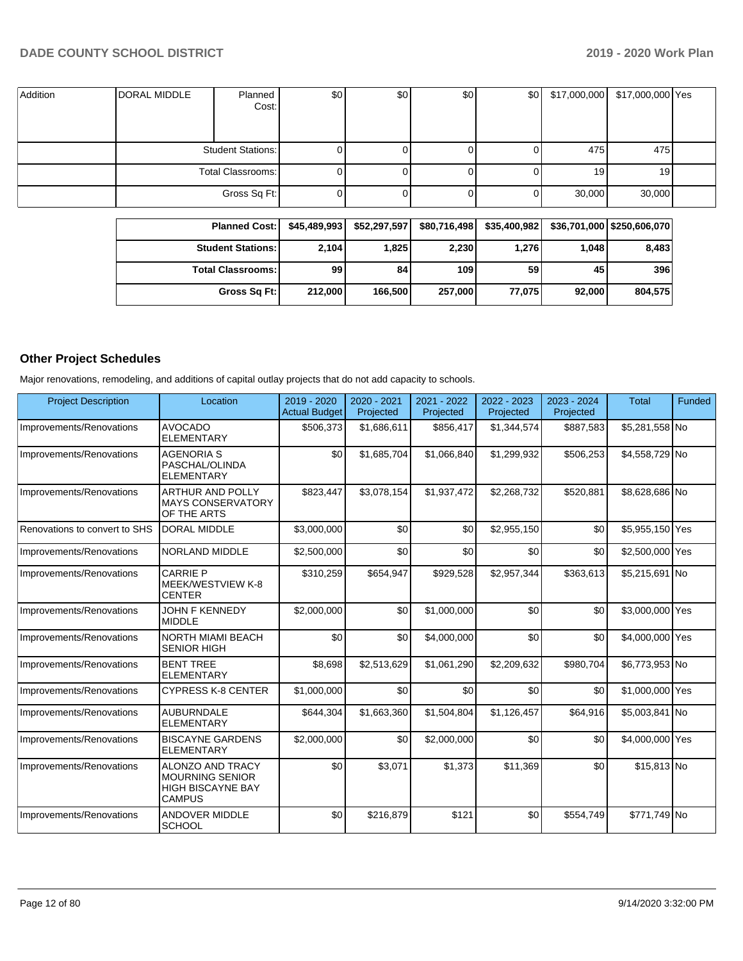| Addition | DORAL MIDDLE | Planned<br>Cost:         | \$0 | \$0 | \$0 | \$0 | \$17,000,000 | \$17,000,000 Yes |  |
|----------|--------------|--------------------------|-----|-----|-----|-----|--------------|------------------|--|
|          |              | <b>Student Stations:</b> |     |     |     |     | 475          | 475              |  |
|          |              | Total Classrooms:        |     |     |     |     | 19           | 19 <sub>l</sub>  |  |
|          |              | Gross Sq Ft:             |     |     |     |     | 30,000       | 30,000           |  |

| <b>Planned Cost:</b>       | \$45,489,993 | \$52,297,597 | \$80,716,498 | \$35,400,982 |        | \$36,701,000 \$250,606,070 |
|----------------------------|--------------|--------------|--------------|--------------|--------|----------------------------|
| <b>Student Stations: I</b> | 2,104        | 1,825        | 2,230        | 1,276        | 1.048  | 8,483                      |
| <b>Total Classrooms:</b>   | 99           | 84           | 109          | 59           | 45     | 396                        |
| Gross Sq Ft:               | 212,000      | 166,500      | 257,000      | 77,075       | 92.000 | 804,575                    |

# **Other Project Schedules**

Major renovations, remodeling, and additions of capital outlay projects that do not add capacity to schools.

| <b>Project Description</b>    | Location                                                                                       | $2019 - 2020$<br><b>Actual Budget</b> | 2020 - 2021<br>Projected | 2021 - 2022<br>Projected | 2022 - 2023<br>Projected | 2023 - 2024<br>Projected | <b>Total</b>    | Funded |
|-------------------------------|------------------------------------------------------------------------------------------------|---------------------------------------|--------------------------|--------------------------|--------------------------|--------------------------|-----------------|--------|
| Improvements/Renovations      | <b>AVOCADO</b><br><b>ELEMENTARY</b>                                                            | \$506,373                             | \$1,686,611              | \$856,417                | \$1.344.574              | \$887,583                | \$5,281,558 No  |        |
| Improvements/Renovations      | <b>AGENORIA S</b><br>PASCHAL/OLINDA<br><b>ELEMENTARY</b>                                       | \$0                                   | \$1,685,704              | \$1,066,840              | \$1,299,932              | \$506,253                | \$4,558,729 No  |        |
| Improvements/Renovations      | <b>ARTHUR AND POLLY</b><br><b>MAYS CONSERVATORY</b><br>OF THE ARTS                             | \$823,447                             | \$3,078,154              | \$1,937,472              | \$2,268,732              | \$520,881                | \$8,628,686 No  |        |
| Renovations to convert to SHS | <b>DORAL MIDDLE</b>                                                                            | \$3,000,000                           | \$0                      | \$0                      | \$2,955,150              | \$0                      | \$5,955,150 Yes |        |
| Improvements/Renovations      | <b>NORLAND MIDDLE</b>                                                                          | \$2,500,000                           | \$0                      | \$0                      | \$0                      | \$0                      | \$2,500,000 Yes |        |
| Improvements/Renovations      | <b>CARRIE P</b><br>MEEK/WESTVIEW K-8<br><b>CENTER</b>                                          | \$310,259                             | \$654,947                | \$929,528                | \$2,957,344              | \$363,613                | \$5,215,691 No  |        |
| Improvements/Renovations      | <b>JOHN F KENNEDY</b><br><b>MIDDLE</b>                                                         | \$2,000,000                           | \$0                      | \$1,000,000              | \$0                      | \$0                      | \$3,000,000 Yes |        |
| Improvements/Renovations      | <b>NORTH MIAMI BEACH</b><br><b>SENIOR HIGH</b>                                                 | \$0                                   | \$0                      | \$4,000,000              | \$0                      | \$0                      | \$4,000,000 Yes |        |
| Improvements/Renovations      | <b>BENT TREE</b><br><b>ELEMENTARY</b>                                                          | \$8,698                               | \$2,513,629              | \$1,061,290              | \$2,209,632              | \$980,704                | \$6,773,953 No  |        |
| Improvements/Renovations      | <b>CYPRESS K-8 CENTER</b>                                                                      | \$1,000,000                           | \$0                      | \$0                      | \$0                      | \$0                      | \$1,000,000 Yes |        |
| Improvements/Renovations      | <b>AUBURNDALE</b><br><b>ELEMENTARY</b>                                                         | \$644,304                             | \$1,663,360              | \$1,504,804              | \$1,126,457              | \$64,916                 | \$5,003,841 No  |        |
| Improvements/Renovations      | <b>BISCAYNE GARDENS</b><br><b>ELEMENTARY</b>                                                   | \$2,000,000                           | \$0                      | \$2,000,000              | \$0                      | \$0                      | \$4,000,000 Yes |        |
| Improvements/Renovations      | <b>ALONZO AND TRACY</b><br><b>MOURNING SENIOR</b><br><b>HIGH BISCAYNE BAY</b><br><b>CAMPUS</b> | \$0                                   | \$3,071                  | \$1,373                  | \$11,369                 | \$0                      | \$15,813 No     |        |
| Improvements/Renovations      | <b>ANDOVER MIDDLE</b><br><b>SCHOOL</b>                                                         | \$0                                   | \$216,879                | \$121                    | \$0                      | \$554,749                | \$771,749 No    |        |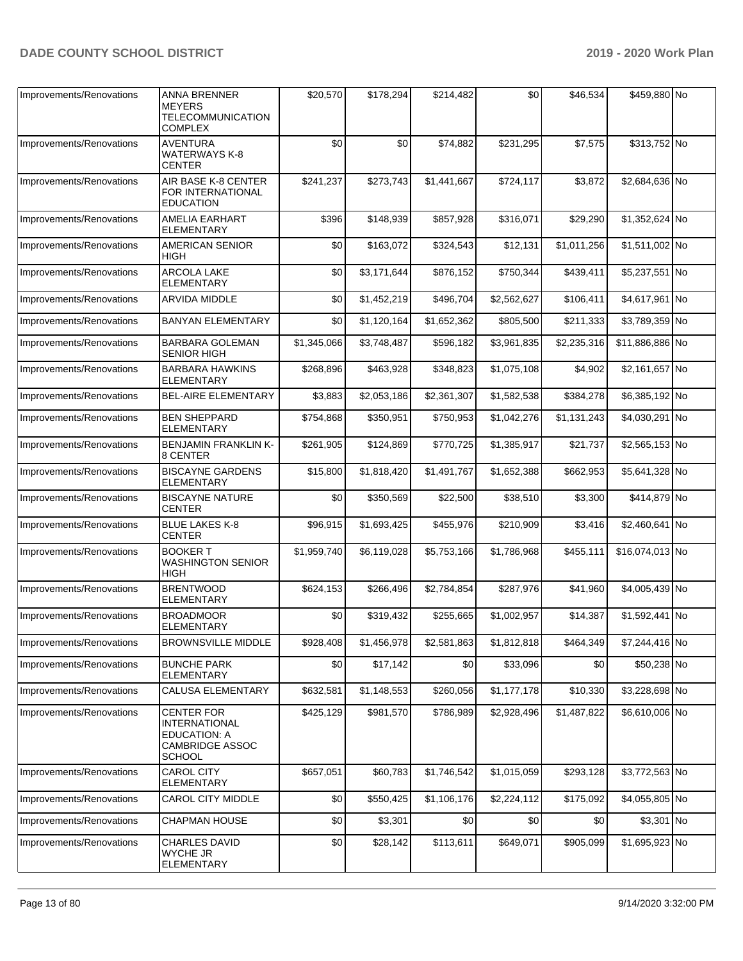| Improvements/Renovations | <b>ANNA BRENNER</b><br><b>MEYERS</b><br><b>TELECOMMUNICATION</b><br><b>COMPLEX</b>                          | \$20,570    | \$178,294   | \$214,482   | \$0         | \$46,534    | \$459,880 No    |  |
|--------------------------|-------------------------------------------------------------------------------------------------------------|-------------|-------------|-------------|-------------|-------------|-----------------|--|
| Improvements/Renovations | AVENTURA<br>WATERWAYS K-8<br>CENTER                                                                         | \$0         | \$0         | \$74,882    | \$231,295   | \$7,575     | \$313,752 No    |  |
| Improvements/Renovations | AIR BASE K-8 CENTER<br>FOR INTERNATIONAL<br><b>EDUCATION</b>                                                | \$241,237   | \$273,743   | \$1,441,667 | \$724,117   | \$3,872     | \$2,684,636 No  |  |
| Improvements/Renovations | AMELIA EARHART<br>ELEMENTARY                                                                                | \$396       | \$148,939   | \$857,928   | \$316,071   | \$29,290    | \$1,352,624 No  |  |
| Improvements/Renovations | <b>AMERICAN SENIOR</b><br>HIGH                                                                              | \$0         | \$163,072   | \$324,543   | \$12.131    | \$1.011.256 | \$1,511,002 No  |  |
| Improvements/Renovations | ARCOLA LAKE<br>ELEMENTARY                                                                                   | \$0         | \$3,171,644 | \$876,152   | \$750,344   | \$439,411   | \$5,237,551 No  |  |
| Improvements/Renovations | ARVIDA MIDDLE                                                                                               | \$0         | \$1,452,219 | \$496,704   | \$2,562,627 | \$106,411   | \$4,617,961 No  |  |
| Improvements/Renovations | <b>BANYAN ELEMENTARY</b>                                                                                    | \$0         | \$1,120,164 | \$1,652,362 | \$805,500   | \$211,333   | \$3,789,359 No  |  |
| Improvements/Renovations | <b>BARBARA GOLEMAN</b><br><b>SENIOR HIGH</b>                                                                | \$1,345,066 | \$3,748,487 | \$596,182   | \$3,961,835 | \$2,235,316 | \$11,886,886 No |  |
| Improvements/Renovations | <b>BARBARA HAWKINS</b><br><b>ELEMENTARY</b>                                                                 | \$268,896   | \$463,928   | \$348,823   | \$1,075,108 | \$4,902     | \$2,161,657 No  |  |
| Improvements/Renovations | <b>BEL-AIRE ELEMENTARY</b>                                                                                  | \$3,883     | \$2,053,186 | \$2,361,307 | \$1,582,538 | \$384,278   | \$6,385,192 No  |  |
| Improvements/Renovations | <b>BEN SHEPPARD</b><br>ELEMENTARY                                                                           | \$754,868   | \$350,951   | \$750,953   | \$1,042,276 | \$1,131,243 | \$4,030,291 No  |  |
| Improvements/Renovations | <b>BENJAMIN FRANKLIN K-</b><br>8 CENTER                                                                     | \$261,905   | \$124,869   | \$770,725   | \$1,385,917 | \$21,737    | \$2,565,153 No  |  |
| Improvements/Renovations | <b>BISCAYNE GARDENS</b><br><b>ELEMENTARY</b>                                                                | \$15,800    | \$1,818,420 | \$1,491,767 | \$1,652,388 | \$662,953   | \$5,641,328 No  |  |
| Improvements/Renovations | <b>BISCAYNE NATURE</b><br>CENTER                                                                            | \$0         | \$350,569   | \$22,500    | \$38,510    | \$3,300     | \$414,879 No    |  |
| Improvements/Renovations | <b>BLUE LAKES K-8</b><br>CENTER                                                                             | \$96,915    | \$1,693,425 | \$455,976   | \$210,909   | \$3,416     | \$2,460,641 No  |  |
| Improvements/Renovations | <b>BOOKER T</b><br><b>WASHINGTON SENIOR</b><br>HIGH                                                         | \$1,959,740 | \$6,119,028 | \$5,753,166 | \$1,786,968 | \$455,111   | \$16,074,013 No |  |
| Improvements/Renovations | <b>BRENTWOOD</b><br>ELEMENTARY                                                                              | \$624,153   | \$266,496   | \$2,784,854 | \$287,976   | \$41,960    | \$4,005,439 No  |  |
| Improvements/Renovations | <b>BROADMOOR</b><br>ELEMENTARY                                                                              | \$0         | \$319,432   | \$255,665   | \$1,002,957 | \$14,387    | \$1,592,441 No  |  |
| Improvements/Renovations | <b>BROWNSVILLE MIDDLE</b>                                                                                   | \$928,408   | \$1,456,978 | \$2,581,863 | \$1,812,818 | \$464,349   | \$7,244,416 No  |  |
| Improvements/Renovations | <b>BUNCHE PARK</b><br><b>ELEMENTARY</b>                                                                     | \$0         | \$17,142    | \$0         | \$33,096    | \$0         | \$50,238 No     |  |
| Improvements/Renovations | <b>CALUSA ELEMENTARY</b>                                                                                    | \$632,581   | \$1,148,553 | \$260,056   | \$1,177,178 | \$10,330    | \$3,228,698 No  |  |
| Improvements/Renovations | <b>CENTER FOR</b><br><b>INTERNATIONAL</b><br><b>EDUCATION: A</b><br><b>CAMBRIDGE ASSOC</b><br><b>SCHOOL</b> | \$425,129   | \$981,570   | \$786,989   | \$2,928,496 | \$1,487,822 | \$6,610,006 No  |  |
| Improvements/Renovations | <b>CAROL CITY</b><br><b>ELEMENTARY</b>                                                                      | \$657,051   | \$60,783    | \$1,746,542 | \$1,015,059 | \$293,128   | \$3,772,563 No  |  |
| Improvements/Renovations | CAROL CITY MIDDLE                                                                                           | \$0         | \$550,425   | \$1,106,176 | \$2,224,112 | \$175,092   | \$4,055,805 No  |  |
| Improvements/Renovations | <b>CHAPMAN HOUSE</b>                                                                                        | \$0         | \$3,301     | \$0         | \$0         | \$0         | \$3,301 No      |  |
| Improvements/Renovations | <b>CHARLES DAVID</b><br><b>WYCHE JR</b><br>ELEMENTARY                                                       | \$0         | \$28,142    | \$113,611   | \$649,071   | \$905,099   | \$1,695,923 No  |  |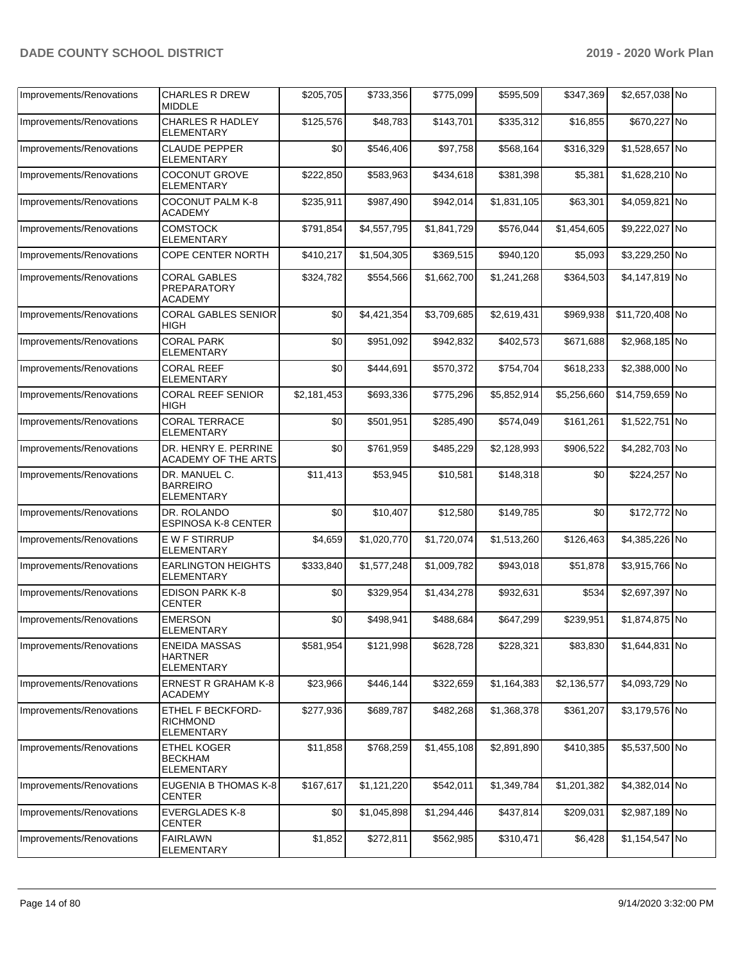| Improvements/Renovations | <b>CHARLES R DREW</b><br><b>MIDDLE</b>                           | \$205,705   | \$733,356   | \$775,099   | \$595,509   | \$347,369   | \$2,657,038 No  |  |
|--------------------------|------------------------------------------------------------------|-------------|-------------|-------------|-------------|-------------|-----------------|--|
| Improvements/Renovations | <b>CHARLES R HADLEY</b><br><b>ELEMENTARY</b>                     | \$125,576   | \$48,783    | \$143,701   | \$335,312   | \$16,855    | \$670,227 No    |  |
| Improvements/Renovations | <b>CLAUDE PEPPER</b><br><b>ELEMENTARY</b>                        | \$0         | \$546,406   | \$97,758    | \$568,164   | \$316,329   | \$1,528,657 No  |  |
| Improvements/Renovations | <b>COCONUT GROVE</b><br><b>ELEMENTARY</b>                        | \$222,850   | \$583,963   | \$434,618   | \$381,398   | \$5,381     | \$1,628,210 No  |  |
| Improvements/Renovations | <b>COCONUT PALM K-8</b><br><b>ACADEMY</b>                        | \$235,911   | \$987,490   | \$942,014   | \$1,831,105 | \$63,301    | \$4,059,821 No  |  |
| Improvements/Renovations | <b>COMSTOCK</b><br><b>ELEMENTARY</b>                             | \$791,854   | \$4,557,795 | \$1,841,729 | \$576,044   | \$1,454,605 | \$9,222,027 No  |  |
| Improvements/Renovations | <b>COPE CENTER NORTH</b>                                         | \$410,217   | \$1,504,305 | \$369,515   | \$940,120   | \$5,093     | \$3,229,250 No  |  |
| Improvements/Renovations | <b>CORAL GABLES</b><br><b>PREPARATORY</b><br><b>ACADEMY</b>      | \$324,782   | \$554,566   | \$1,662,700 | \$1,241,268 | \$364,503   | \$4,147,819 No  |  |
| Improvements/Renovations | <b>CORAL GABLES SENIOR</b><br>HIGH                               | \$0         | \$4,421,354 | \$3,709,685 | \$2,619,431 | \$969,938   | \$11,720,408 No |  |
| Improvements/Renovations | <b>CORAL PARK</b><br>ELEMENTARY                                  | \$0         | \$951,092   | \$942,832   | \$402,573   | \$671,688   | \$2,968,185 No  |  |
| Improvements/Renovations | <b>CORAL REEF</b><br><b>ELEMENTARY</b>                           | \$0         | \$444,691   | \$570,372   | \$754,704   | \$618,233   | \$2,388,000 No  |  |
| Improvements/Renovations | <b>CORAL REEF SENIOR</b><br>HIGH                                 | \$2,181,453 | \$693,336   | \$775,296   | \$5,852,914 | \$5,256,660 | \$14,759,659 No |  |
| Improvements/Renovations | <b>CORAL TERRACE</b><br><b>ELEMENTARY</b>                        | \$0         | \$501,951   | \$285,490   | \$574,049   | \$161,261   | \$1,522,751 No  |  |
| Improvements/Renovations | DR. HENRY E. PERRINE<br><b>ACADEMY OF THE ARTS</b>               | \$0         | \$761,959   | \$485,229   | \$2,128,993 | \$906,522   | \$4,282,703 No  |  |
| Improvements/Renovations | DR. MANUEL C.<br><b>BARREIRO</b><br><b>ELEMENTARY</b>            | \$11,413    | \$53,945    | \$10,581    | \$148,318   | \$0         | \$224,257 No    |  |
| Improvements/Renovations | DR. ROLANDO<br><b>ESPINOSA K-8 CENTER</b>                        | \$0         | \$10,407    | \$12,580    | \$149,785   | \$0         | \$172,772 No    |  |
| Improvements/Renovations | <b>EWF STIRRUP</b><br><b>ELEMENTARY</b>                          | \$4,659     | \$1,020,770 | \$1,720,074 | \$1,513,260 | \$126,463   | \$4,385,226 No  |  |
| Improvements/Renovations | <b>EARLINGTON HEIGHTS</b><br><b>ELEMENTARY</b>                   | \$333,840   | \$1,577,248 | \$1,009,782 | \$943,018   | \$51,878    | \$3,915,766 No  |  |
| Improvements/Renovations | EDISON PARK K-8<br><b>CENTER</b>                                 | \$0         | \$329,954   | \$1,434,278 | \$932,631   | \$534       | \$2,697,397 No  |  |
| Improvements/Renovations | <b>EMERSON</b><br>ELEMENTARY                                     | \$0         | \$498,941   | \$488,684   | \$647,299   | \$239,951   | \$1,874,875 No  |  |
| Improvements/Renovations | <b>ENEIDA MASSAS</b><br><b>HARTNER</b><br><b>ELEMENTARY</b>      | \$581,954   | \$121,998   | \$628,728   | \$228,321   | \$83,830    | \$1,644,831 No  |  |
| Improvements/Renovations | <b>ERNEST R GRAHAM K-8</b><br><b>ACADEMY</b>                     | \$23,966    | \$446,144   | \$322,659   | \$1,164,383 | \$2,136,577 | \$4,093,729 No  |  |
| Improvements/Renovations | <b>ETHEL F BECKFORD-</b><br><b>RICHMOND</b><br><b>ELEMENTARY</b> | \$277,936   | \$689,787   | \$482,268   | \$1,368,378 | \$361,207   | \$3,179,576 No  |  |
| Improvements/Renovations | <b>ETHEL KOGER</b><br><b>BECKHAM</b><br><b>ELEMENTARY</b>        | \$11,858    | \$768,259   | \$1,455,108 | \$2,891,890 | \$410,385   | \$5,537,500 No  |  |
| Improvements/Renovations | EUGENIA B THOMAS K-8<br><b>CENTER</b>                            | \$167,617   | \$1,121,220 | \$542,011   | \$1,349,784 | \$1,201,382 | \$4,382,014 No  |  |
| Improvements/Renovations | <b>EVERGLADES K-8</b><br><b>CENTER</b>                           | \$0         | \$1,045,898 | \$1,294,446 | \$437,814   | \$209,031   | \$2,987,189 No  |  |
| Improvements/Renovations | <b>FAIRLAWN</b><br><b>ELEMENTARY</b>                             | \$1,852     | \$272,811   | \$562,985   | \$310,471   | \$6,428     | \$1,154,547 No  |  |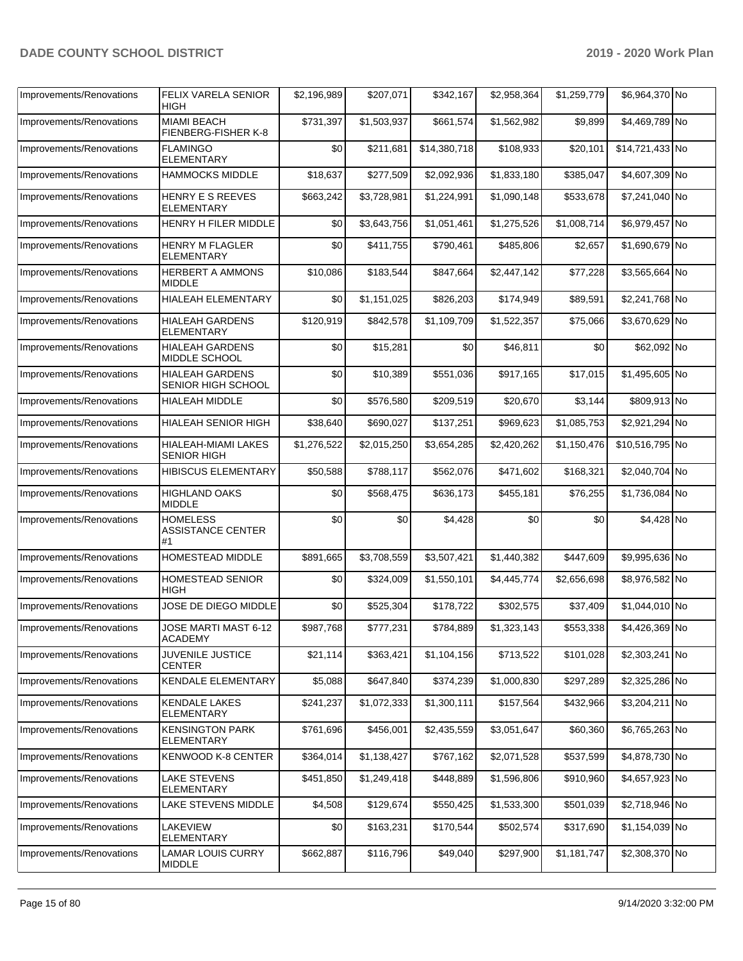| Improvements/Renovations | FELIX VARELA SENIOR<br><b>HIGH</b>                | \$2,196,989 | \$207,071   | \$342,167    | \$2,958,364 | \$1,259,779 | \$6,964,370 No  |  |
|--------------------------|---------------------------------------------------|-------------|-------------|--------------|-------------|-------------|-----------------|--|
| Improvements/Renovations | <b>MIAMI BEACH</b><br>FIENBERG-FISHER K-8         | \$731,397   | \$1,503,937 | \$661,574    | \$1,562,982 | \$9,899     | \$4,469,789 No  |  |
| Improvements/Renovations | <b>FLAMINGO</b><br><b>ELEMENTARY</b>              | \$0         | \$211,681   | \$14,380,718 | \$108,933   | \$20,101    | \$14,721,433 No |  |
| Improvements/Renovations | <b>HAMMOCKS MIDDLE</b>                            | \$18,637    | \$277,509   | \$2,092,936  | \$1,833,180 | \$385,047   | \$4,607,309 No  |  |
| Improvements/Renovations | HENRY E S REEVES<br><b>ELEMENTARY</b>             | \$663,242   | \$3,728,981 | \$1,224,991  | \$1,090,148 | \$533,678   | \$7,241,040 No  |  |
| Improvements/Renovations | HENRY H FILER MIDDLE                              | \$0         | \$3,643,756 | \$1,051,461  | \$1,275,526 | \$1,008,714 | \$6,979,457 No  |  |
| Improvements/Renovations | <b>HENRY M FLAGLER</b><br><b>ELEMENTARY</b>       | \$0         | \$411,755   | \$790,461    | \$485,806   | \$2,657     | \$1,690,679 No  |  |
| Improvements/Renovations | <b>HERBERT A AMMONS</b><br><b>MIDDLE</b>          | \$10,086    | \$183,544   | \$847,664    | \$2,447,142 | \$77,228    | \$3,565,664 No  |  |
| Improvements/Renovations | HIALEAH ELEMENTARY                                | \$0         | \$1,151,025 | \$826,203    | \$174,949   | \$89,591    | \$2,241,768 No  |  |
| Improvements/Renovations | <b>HIALEAH GARDENS</b><br>ELEMENTARY              | \$120,919   | \$842,578   | \$1,109,709  | \$1,522,357 | \$75,066    | \$3,670,629 No  |  |
| Improvements/Renovations | <b>HIALEAH GARDENS</b><br>MIDDLE SCHOOL           | \$0         | \$15,281    | \$0          | \$46.811    | \$0         | \$62,092 No     |  |
| Improvements/Renovations | <b>HIALEAH GARDENS</b><br>SENIOR HIGH SCHOOL      | \$0         | \$10,389    | \$551,036    | \$917,165   | \$17,015    | \$1,495,605 No  |  |
| Improvements/Renovations | <b>HIALEAH MIDDLE</b>                             | \$0         | \$576,580   | \$209,519    | \$20,670    | \$3,144     | \$809,913 No    |  |
| Improvements/Renovations | <b>HIALEAH SENIOR HIGH</b>                        | \$38,640    | \$690,027   | \$137,251    | \$969,623   | \$1,085,753 | \$2,921,294 No  |  |
| Improvements/Renovations | HIALEAH-MIAMI LAKES<br><b>SENIOR HIGH</b>         | \$1,276,522 | \$2,015,250 | \$3,654,285  | \$2,420,262 | \$1,150,476 | \$10,516,795 No |  |
| Improvements/Renovations | <b>HIBISCUS ELEMENTARY</b>                        | \$50,588    | \$788,117   | \$562,076    | \$471,602   | \$168,321   | \$2,040,704 No  |  |
| Improvements/Renovations | <b>HIGHLAND OAKS</b><br><b>MIDDLE</b>             | \$0         | \$568,475   | \$636,173    | \$455,181   | \$76,255    | \$1,736,084 No  |  |
| Improvements/Renovations | <b>HOMELESS</b><br><b>ASSISTANCE CENTER</b><br>#1 | \$0         | \$0         | \$4,428      | \$0         | \$0         | \$4,428 No      |  |
| Improvements/Renovations | HOMESTEAD MIDDLE                                  | \$891,665   | \$3,708,559 | \$3,507,421  | \$1,440,382 | \$447,609   | \$9,995,636 No  |  |
| Improvements/Renovations | <b>HOMESTEAD SENIOR</b><br><b>HIGH</b>            | \$0         | \$324,009   | \$1,550,101  | \$4,445,774 | \$2,656,698 | \$8,976,582 No  |  |
| Improvements/Renovations | JOSE DE DIEGO MIDDLE                              | \$0         | \$525,304   | \$178,722    | \$302,575   | \$37,409    | \$1,044,010 No  |  |
| Improvements/Renovations | JOSE MARTI MAST 6-12<br><b>ACADEMY</b>            | \$987,768   | \$777,231   | \$784,889    | \$1,323,143 | \$553,338   | \$4,426,369 No  |  |
| Improvements/Renovations | <b>JUVENILE JUSTICE</b><br><b>CENTER</b>          | \$21,114    | \$363,421   | \$1,104,156  | \$713,522   | \$101,028   | \$2,303,241 No  |  |
| Improvements/Renovations | KENDALE ELEMENTARY                                | \$5,088     | \$647,840   | \$374,239    | \$1,000,830 | \$297,289   | \$2,325,286 No  |  |
| Improvements/Renovations | <b>KENDALE LAKES</b><br><b>ELEMENTARY</b>         | \$241,237   | \$1,072,333 | \$1,300,111  | \$157,564   | \$432,966   | \$3,204,211 No  |  |
| Improvements/Renovations | <b>KENSINGTON PARK</b><br>ELEMENTARY              | \$761,696   | \$456,001   | \$2,435,559  | \$3,051,647 | \$60,360    | \$6,765,263 No  |  |
| Improvements/Renovations | KENWOOD K-8 CENTER                                | \$364,014   | \$1,138,427 | \$767,162    | \$2,071,528 | \$537,599   | \$4,878,730 No  |  |
| Improvements/Renovations | LAKE STEVENS<br>ELEMENTARY                        | \$451,850   | \$1,249,418 | \$448,889    | \$1,596,806 | \$910,960   | \$4,657,923 No  |  |
| Improvements/Renovations | LAKE STEVENS MIDDLE                               | \$4,508     | \$129,674   | \$550,425    | \$1,533,300 | \$501,039   | \$2,718,946 No  |  |
| Improvements/Renovations | LAKEVIEW<br><b>ELEMENTARY</b>                     | \$0         | \$163,231   | \$170,544    | \$502,574   | \$317,690   | \$1,154,039 No  |  |
| Improvements/Renovations | <b>LAMAR LOUIS CURRY</b><br><b>MIDDLE</b>         | \$662,887   | \$116,796   | \$49,040     | \$297,900   | \$1,181,747 | \$2,308,370 No  |  |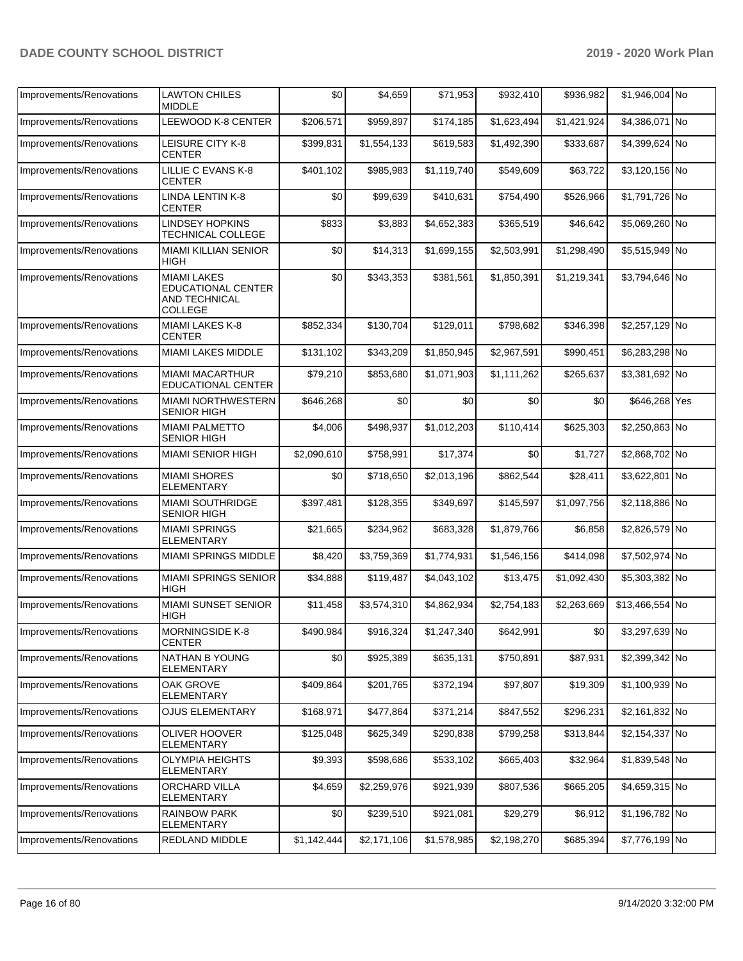| Improvements/Renovations | <b>LAWTON CHILES</b><br><b>MIDDLE</b>                                              | \$0         | \$4,659     | \$71,953    | \$932,410   | \$936,982   | \$1,946,004 No  |  |
|--------------------------|------------------------------------------------------------------------------------|-------------|-------------|-------------|-------------|-------------|-----------------|--|
| Improvements/Renovations | <b>LEEWOOD K-8 CENTER</b>                                                          | \$206,571   | \$959,897   | \$174,185   | \$1,623,494 | \$1,421,924 | \$4,386,071 No  |  |
| Improvements/Renovations | LEISURE CITY K-8<br><b>CENTER</b>                                                  | \$399,831   | \$1,554,133 | \$619,583   | \$1,492,390 | \$333,687   | \$4,399,624 No  |  |
| Improvements/Renovations | LILLIE C EVANS K-8<br><b>CENTER</b>                                                | \$401,102   | \$985,983   | \$1,119,740 | \$549,609   | \$63,722    | \$3.120.156 No  |  |
| Improvements/Renovations | <b>LINDA LENTIN K-8</b><br>CENTER                                                  | \$0         | \$99,639    | \$410,631   | \$754,490   | \$526,966   | \$1,791,726 No  |  |
| Improvements/Renovations | <b>LINDSEY HOPKINS</b><br>TECHNICAL COLLEGE                                        | \$833       | \$3,883     | \$4,652,383 | \$365,519   | \$46,642    | \$5,069,260 No  |  |
| Improvements/Renovations | <b>MIAMI KILLIAN SENIOR</b><br>HIGH                                                | \$0         | \$14,313    | \$1,699,155 | \$2,503,991 | \$1,298,490 | \$5,515,949 No  |  |
| Improvements/Renovations | <b>MIAMI LAKES</b><br><b>EDUCATIONAL CENTER</b><br><b>AND TECHNICAL</b><br>COLLEGE | \$0         | \$343,353   | \$381,561   | \$1,850,391 | \$1,219,341 | \$3,794,646 No  |  |
| Improvements/Renovations | MIAMI LAKES K-8<br><b>CENTER</b>                                                   | \$852,334   | \$130,704   | \$129,011   | \$798,682   | \$346,398   | \$2,257,129 No  |  |
| Improvements/Renovations | <b>MIAMI LAKES MIDDLE</b>                                                          | \$131,102   | \$343,209   | \$1,850,945 | \$2,967,591 | \$990,451   | \$6,283,298 No  |  |
| Improvements/Renovations | <b>MIAMI MACARTHUR</b><br>EDUCATIONAL CENTER                                       | \$79,210    | \$853,680   | \$1,071,903 | \$1.111.262 | \$265,637   | \$3,381,692 No  |  |
| Improvements/Renovations | <b>MIAMI NORTHWESTERN</b><br><b>SENIOR HIGH</b>                                    | \$646,268   | \$0         | \$0         | \$0         | \$0         | \$646,268 Yes   |  |
| Improvements/Renovations | <b>MIAMI PALMETTO</b><br><b>SENIOR HIGH</b>                                        | \$4,006     | \$498,937   | \$1,012,203 | \$110,414   | \$625,303   | \$2,250,863 No  |  |
| Improvements/Renovations | <b>MIAMI SENIOR HIGH</b>                                                           | \$2,090,610 | \$758,991   | \$17,374    | \$0         | \$1,727     | \$2,868,702 No  |  |
| Improvements/Renovations | <b>MIAMI SHORES</b><br><b>ELEMENTARY</b>                                           | \$0         | \$718,650   | \$2,013,196 | \$862,544   | \$28,411    | \$3,622,801 No  |  |
| Improvements/Renovations | MIAMI SOUTHRIDGE<br><b>SENIOR HIGH</b>                                             | \$397,481   | \$128,355   | \$349,697   | \$145,597   | \$1,097,756 | \$2,118,886 No  |  |
| Improvements/Renovations | <b>MIAMI SPRINGS</b><br><b>ELEMENTARY</b>                                          | \$21,665    | \$234,962   | \$683,328   | \$1,879,766 | \$6,858     | \$2,826,579 No  |  |
| Improvements/Renovations | <b>MIAMI SPRINGS MIDDLE</b>                                                        | \$8,420     | \$3,759,369 | \$1,774,931 | \$1,546,156 | \$414,098   | \$7,502,974 No  |  |
| Improvements/Renovations | <b>MIAMI SPRINGS SENIOR</b><br>HIGH                                                | \$34,888    | \$119,487   | \$4,043,102 | \$13,475    | \$1,092,430 | \$5,303,382 No  |  |
| Improvements/Renovations | <b>MIAMI SUNSET SENIOR</b><br>HIGH                                                 | \$11,458    | \$3,574,310 | \$4,862,934 | \$2,754,183 | \$2,263,669 | \$13,466,554 No |  |
| Improvements/Renovations | MORNINGSIDE K-8<br><b>CENTER</b>                                                   | \$490,984   | \$916,324   | \$1,247,340 | \$642,991   | \$0         | \$3,297,639 No  |  |
| Improvements/Renovations | NATHAN B YOUNG<br>ELEMENTARY                                                       | \$0         | \$925,389   | \$635,131   | \$750,891   | \$87,931    | \$2,399,342 No  |  |
| Improvements/Renovations | <b>OAK GROVE</b><br><b>ELEMENTARY</b>                                              | \$409,864   | \$201,765   | \$372,194   | \$97,807    | \$19,309    | \$1,100,939 No  |  |
| Improvements/Renovations | <b>OJUS ELEMENTARY</b>                                                             | \$168,971   | \$477,864   | \$371,214   | \$847,552   | \$296,231   | \$2,161,832 No  |  |
| Improvements/Renovations | OLIVER HOOVER<br><b>ELEMENTARY</b>                                                 | \$125,048   | \$625,349   | \$290,838   | \$799,258   | \$313,844   | \$2,154,337 No  |  |
| Improvements/Renovations | <b>OLYMPIA HEIGHTS</b><br>ELEMENTARY                                               | \$9,393     | \$598,686   | \$533,102   | \$665,403   | \$32,964    | \$1,839,548 No  |  |
| Improvements/Renovations | <b>ORCHARD VILLA</b><br>ELEMENTARY                                                 | \$4,659     | \$2,259,976 | \$921,939   | \$807,536   | \$665,205   | \$4,659,315 No  |  |
| Improvements/Renovations | <b>RAINBOW PARK</b><br><b>ELEMENTARY</b>                                           | \$0         | \$239,510   | \$921,081   | \$29,279    | \$6,912     | \$1,196,782 No  |  |
| Improvements/Renovations | REDLAND MIDDLE                                                                     | \$1,142,444 | \$2,171,106 | \$1,578,985 | \$2,198,270 | \$685,394   | \$7,776,199 No  |  |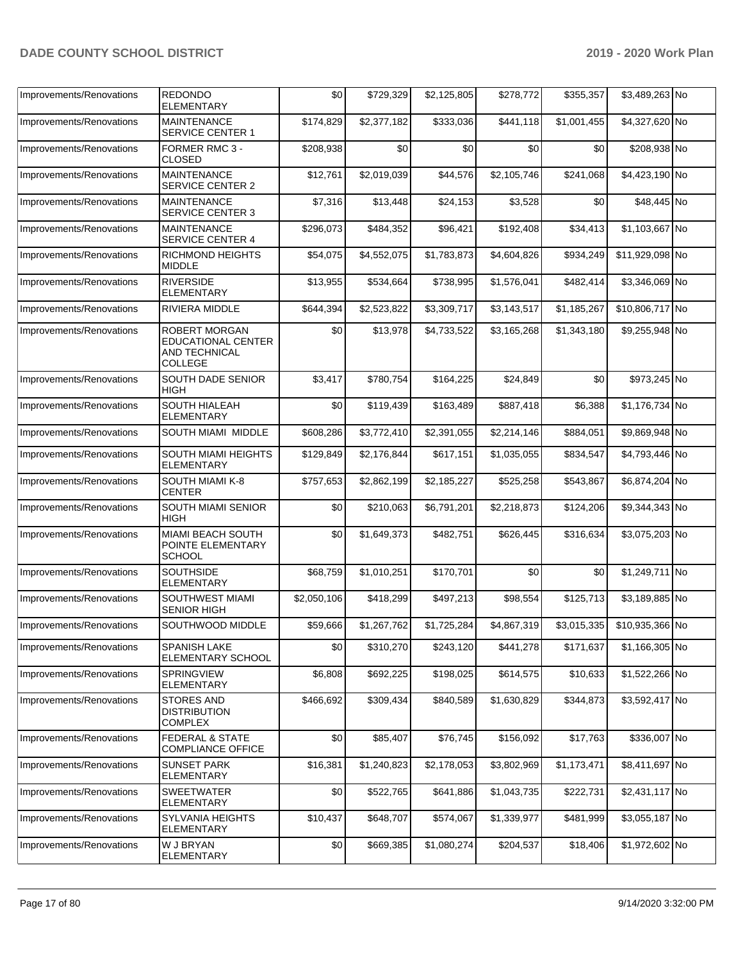| Improvements/Renovations | <b>REDONDO</b><br><b>ELEMENTARY</b>                                           | \$0         | \$729,329   | \$2,125,805 | \$278,772   | \$355,357   | \$3,489,263 No  |  |
|--------------------------|-------------------------------------------------------------------------------|-------------|-------------|-------------|-------------|-------------|-----------------|--|
| Improvements/Renovations | <b>MAINTENANCE</b><br><b>SERVICE CENTER 1</b>                                 | \$174,829   | \$2,377,182 | \$333,036   | \$441,118   | \$1,001,455 | \$4,327,620 No  |  |
| Improvements/Renovations | FORMER RMC 3 -<br><b>CLOSED</b>                                               | \$208,938   | \$0         | \$0         | \$0         | \$0         | \$208,938 No    |  |
| Improvements/Renovations | <b>MAINTENANCE</b><br><b>SERVICE CENTER 2</b>                                 | \$12,761    | \$2,019,039 | \$44,576    | \$2,105,746 | \$241,068   | \$4,423,190 No  |  |
| Improvements/Renovations | <b>MAINTENANCE</b><br><b>SERVICE CENTER 3</b>                                 | \$7,316     | \$13,448    | \$24,153    | \$3,528     | \$0         | \$48,445 No     |  |
| Improvements/Renovations | <b>MAINTENANCE</b><br><b>SERVICE CENTER 4</b>                                 | \$296,073   | \$484,352   | \$96,421    | \$192,408   | \$34,413    | \$1,103,667 No  |  |
| Improvements/Renovations | RICHMOND HEIGHTS<br><b>MIDDLE</b>                                             | \$54,075    | \$4,552,075 | \$1,783,873 | \$4,604,826 | \$934,249   | \$11,929,098 No |  |
| Improvements/Renovations | <b>RIVERSIDE</b><br>ELEMENTARY                                                | \$13,955    | \$534,664   | \$738,995   | \$1,576,041 | \$482,414   | \$3,346,069 No  |  |
| Improvements/Renovations | RIVIERA MIDDLE                                                                | \$644,394   | \$2,523,822 | \$3,309,717 | \$3,143,517 | \$1,185,267 | \$10,806,717 No |  |
| Improvements/Renovations | <b>ROBERT MORGAN</b><br>EDUCATIONAL CENTER<br>AND TECHNICAL<br><b>COLLEGE</b> | \$0         | \$13,978    | \$4,733,522 | \$3,165,268 | \$1,343,180 | \$9,255,948 No  |  |
| Improvements/Renovations | <b>SOUTH DADE SENIOR</b><br><b>HIGH</b>                                       | \$3,417     | \$780.754   | \$164,225   | \$24,849    | \$0         | \$973,245 No    |  |
| Improvements/Renovations | <b>SOUTH HIALEAH</b><br><b>ELEMENTARY</b>                                     | \$0         | \$119,439   | \$163,489   | \$887,418   | \$6,388     | \$1,176,734 No  |  |
| Improvements/Renovations | SOUTH MIAMI MIDDLE                                                            | \$608,286   | \$3,772,410 | \$2,391,055 | \$2,214,146 | \$884,051   | \$9,869,948 No  |  |
| Improvements/Renovations | SOUTH MIAMI HEIGHTS<br><b>ELEMENTARY</b>                                      | \$129,849   | \$2,176,844 | \$617,151   | \$1,035,055 | \$834,547   | \$4,793,446 No  |  |
| Improvements/Renovations | SOUTH MIAMI K-8<br><b>CENTER</b>                                              | \$757,653   | \$2,862,199 | \$2,185,227 | \$525,258   | \$543,867   | \$6,874,204 No  |  |
| Improvements/Renovations | <b>SOUTH MIAMI SENIOR</b><br><b>HIGH</b>                                      | \$0         | \$210,063   | \$6,791,201 | \$2,218,873 | \$124,206   | \$9,344,343 No  |  |
| Improvements/Renovations | MIAMI BEACH SOUTH<br>POINTE ELEMENTARY<br><b>SCHOOL</b>                       | \$0         | \$1,649,373 | \$482,751   | \$626,445   | \$316,634   | \$3,075,203 No  |  |
| Improvements/Renovations | <b>SOUTHSIDE</b><br><b>ELEMENTARY</b>                                         | \$68,759    | \$1,010,251 | \$170,701   | \$0         | \$0         | \$1,249,711 No  |  |
| Improvements/Renovations | <b>SOUTHWEST MIAMI</b><br><b>SENIOR HIGH</b>                                  | \$2,050,106 | \$418,299   | \$497,213   | \$98,554    | \$125,713   | \$3,189,885 No  |  |
| Improvements/Renovations | SOUTHWOOD MIDDLE                                                              | \$59,666    | \$1,267,762 | \$1,725,284 | \$4,867,319 | \$3,015,335 | \$10,935,366 No |  |
| Improvements/Renovations | <b>SPANISH LAKE</b><br>ELEMENTARY SCHOOL                                      | \$0         | \$310,270   | \$243,120   | \$441,278   | \$171,637   | \$1,166,305 No  |  |
| Improvements/Renovations | SPRINGVIEW<br>ELEMENTARY                                                      | \$6,808     | \$692,225   | \$198,025   | \$614,575   | \$10,633    | \$1,522,266 No  |  |
| Improvements/Renovations | <b>STORES AND</b><br><b>DISTRIBUTION</b><br><b>COMPLEX</b>                    | \$466,692   | \$309,434   | \$840,589   | \$1,630,829 | \$344,873   | \$3,592,417 No  |  |
| Improvements/Renovations | <b>FEDERAL &amp; STATE</b><br><b>COMPLIANCE OFFICE</b>                        | \$0         | \$85,407    | \$76,745    | \$156,092   | \$17,763    | \$336,007 No    |  |
| Improvements/Renovations | <b>SUNSET PARK</b><br>ELEMENTARY                                              | \$16,381    | \$1,240,823 | \$2,178,053 | \$3,802,969 | \$1,173,471 | \$8,411,697 No  |  |
| Improvements/Renovations | <b>SWEETWATER</b><br>ELEMENTARY                                               | \$0         | \$522,765   | \$641,886   | \$1,043,735 | \$222,731   | \$2,431,117 No  |  |
| Improvements/Renovations | <b>SYLVANIA HEIGHTS</b><br><b>ELEMENTARY</b>                                  | \$10,437    | \$648,707   | \$574,067   | \$1,339,977 | \$481,999   | \$3,055,187 No  |  |
| Improvements/Renovations | W J BRYAN<br>ELEMENTARY                                                       | \$0         | \$669,385   | \$1,080,274 | \$204,537   | \$18,406    | \$1,972,602 No  |  |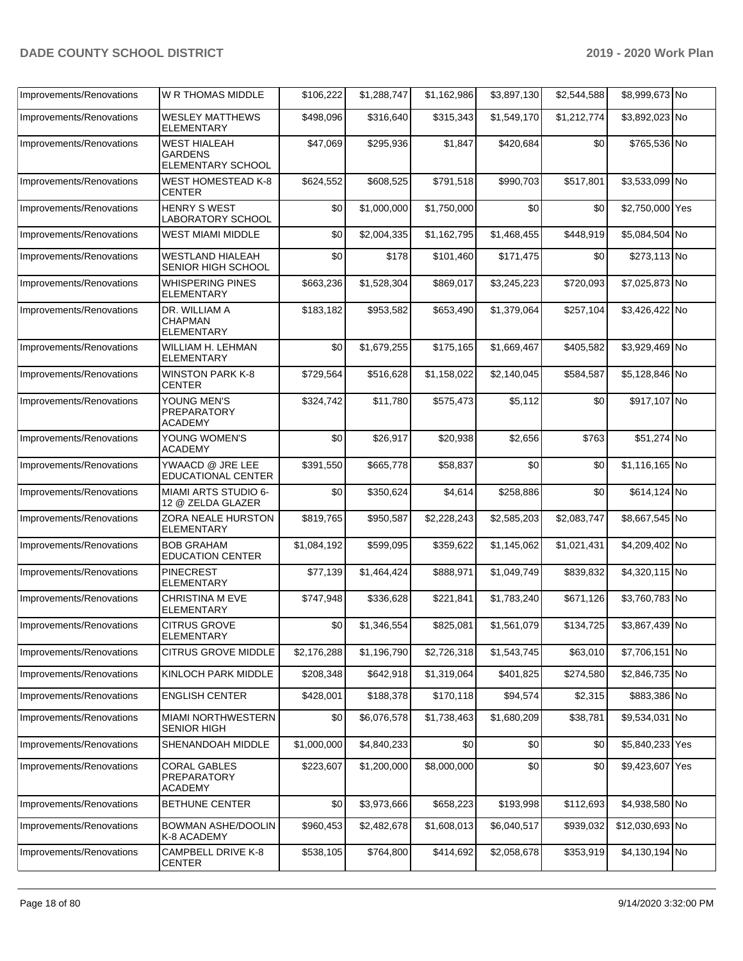| Improvements/Renovations | W R THOMAS MIDDLE                                          | \$106,222   | \$1,288,747 | \$1,162,986 | \$3,897,130 | \$2,544,588 | \$8,999,673 No  |  |
|--------------------------|------------------------------------------------------------|-------------|-------------|-------------|-------------|-------------|-----------------|--|
| Improvements/Renovations | <b>WESLEY MATTHEWS</b><br>ELEMENTARY                       | \$498,096   | \$316,640   | \$315,343   | \$1,549,170 | \$1,212,774 | \$3,892,023 No  |  |
| Improvements/Renovations | <b>WEST HIALEAH</b><br><b>GARDENS</b><br>ELEMENTARY SCHOOL | \$47,069    | \$295,936   | \$1,847     | \$420,684   | \$0         | \$765,536 No    |  |
| Improvements/Renovations | WEST HOMESTEAD K-8<br><b>CENTER</b>                        | \$624,552   | \$608,525   | \$791,518   | \$990,703   | \$517,801   | \$3,533,099 No  |  |
| Improvements/Renovations | HENRY S WEST<br><b>LABORATORY SCHOOL</b>                   | \$0         | \$1,000,000 | \$1,750,000 | \$0         | \$0         | \$2,750,000 Yes |  |
| Improvements/Renovations | <b>WEST MIAMI MIDDLE</b>                                   | \$0         | \$2,004,335 | \$1,162,795 | \$1,468,455 | \$448,919   | \$5,084,504 No  |  |
| Improvements/Renovations | WESTLAND HIALEAH<br>SENIOR HIGH SCHOOL                     | \$0         | \$178       | \$101,460   | \$171,475   | \$0         | \$273,113 No    |  |
| Improvements/Renovations | <b>WHISPERING PINES</b><br><b>ELEMENTARY</b>               | \$663,236   | \$1,528,304 | \$869,017   | \$3,245,223 | \$720,093   | \$7,025,873 No  |  |
| Improvements/Renovations | DR. WILLIAM A<br><b>CHAPMAN</b><br><b>ELEMENTARY</b>       | \$183,182   | \$953,582   | \$653,490   | \$1,379,064 | \$257,104   | \$3,426,422 No  |  |
| Improvements/Renovations | WILLIAM H. LEHMAN<br><b>ELEMENTARY</b>                     | \$0         | \$1,679,255 | \$175,165   | \$1,669,467 | \$405,582   | \$3,929,469 No  |  |
| Improvements/Renovations | <b>WINSTON PARK K-8</b><br><b>CENTER</b>                   | \$729,564   | \$516,628   | \$1,158,022 | \$2,140,045 | \$584,587   | \$5,128,846 No  |  |
| Improvements/Renovations | YOUNG MEN'S<br><b>PREPARATORY</b><br><b>ACADEMY</b>        | \$324,742   | \$11,780    | \$575,473   | \$5,112     | \$0         | \$917,107 No    |  |
| Improvements/Renovations | YOUNG WOMEN'S<br><b>ACADEMY</b>                            | \$0         | \$26,917    | \$20,938    | \$2,656     | \$763       | \$51,274 No     |  |
| Improvements/Renovations | YWAACD @ JRE LEE<br>EDUCATIONAL CENTER                     | \$391,550   | \$665,778   | \$58,837    | \$0         | \$0         | \$1,116,165 No  |  |
| Improvements/Renovations | MIAMI ARTS STUDIO 6-<br>12 @ ZELDA GLAZER                  | \$0         | \$350,624   | \$4,614     | \$258,886   | \$0         | \$614,124 No    |  |
| Improvements/Renovations | ZORA NEALE HURSTON<br><b>ELEMENTARY</b>                    | \$819,765   | \$950,587   | \$2,228,243 | \$2,585,203 | \$2,083,747 | \$8,667,545 No  |  |
| Improvements/Renovations | <b>BOB GRAHAM</b><br><b>EDUCATION CENTER</b>               | \$1,084,192 | \$599,095   | \$359,622   | \$1,145,062 | \$1,021,431 | \$4,209,402 No  |  |
| Improvements/Renovations | <b>PINECREST</b><br><b>ELEMENTARY</b>                      | \$77,139    | \$1,464,424 | \$888,971   | \$1,049,749 | \$839,832   | \$4,320,115 No  |  |
| Improvements/Renovations | <b>CHRISTINA M EVE</b><br><b>ELEMENTARY</b>                | \$747,948   | \$336,628   | \$221,841   | \$1,783,240 | \$671,126   | \$3,760,783 No  |  |
| Improvements/Renovations | <b>CITRUS GROVE</b><br><b>ELEMENTARY</b>                   | \$0         | \$1,346,554 | \$825,081   | \$1,561,079 | \$134,725   | \$3,867,439 No  |  |
| Improvements/Renovations | <b>CITRUS GROVE MIDDLE</b>                                 | \$2,176,288 | \$1,196,790 | \$2,726,318 | \$1,543,745 | \$63,010    | \$7,706,151 No  |  |
| Improvements/Renovations | KINLOCH PARK MIDDLE                                        | \$208,348   | \$642,918   | \$1,319,064 | \$401,825   | \$274,580   | \$2,846,735 No  |  |
| Improvements/Renovations | <b>ENGLISH CENTER</b>                                      | \$428,001   | \$188,378   | \$170,118   | \$94,574    | \$2,315     | \$883,386 No    |  |
| Improvements/Renovations | MIAMI NORTHWESTERN<br><b>SENIOR HIGH</b>                   | \$0         | \$6,076,578 | \$1,738,463 | \$1,680,209 | \$38,781    | \$9,534,031 No  |  |
| Improvements/Renovations | SHENANDOAH MIDDLE                                          | \$1,000,000 | \$4,840,233 | \$0         | \$0         | \$0         | \$5,840,233 Yes |  |
| Improvements/Renovations | <b>CORAL GABLES</b><br>PREPARATORY<br><b>ACADEMY</b>       | \$223,607   | \$1,200,000 | \$8,000,000 | \$0         | \$0         | \$9,423,607 Yes |  |
| Improvements/Renovations | BETHUNE CENTER                                             | \$0         | \$3,973,666 | \$658,223   | \$193,998   | \$112,693   | \$4,938,580 No  |  |
| Improvements/Renovations | BOWMAN ASHE/DOOLIN<br>K-8 ACADEMY                          | \$960,453   | \$2,482,678 | \$1,608,013 | \$6,040,517 | \$939,032   | \$12,030,693 No |  |
| Improvements/Renovations | CAMPBELL DRIVE K-8<br>CENTER                               | \$538,105   | \$764,800   | \$414,692   | \$2,058,678 | \$353,919   | \$4,130,194 No  |  |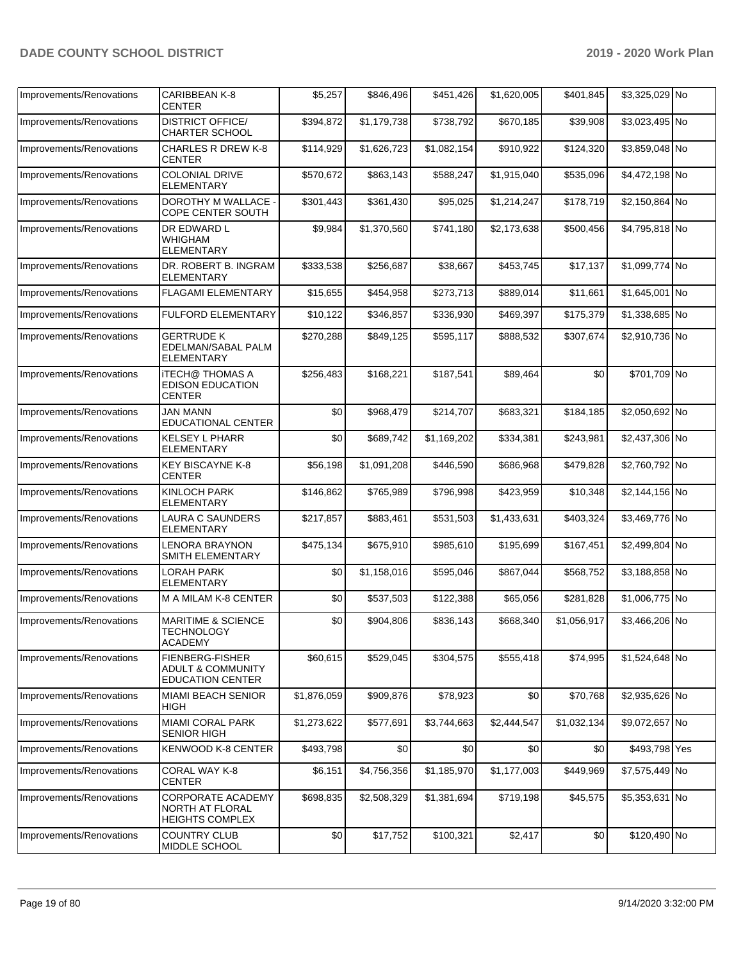| Improvements/Renovations | CARIBBEAN K-8<br><b>CENTER</b>                                                    | \$5,257     | \$846,496   | \$451,426   | \$1,620,005 | \$401,845   | \$3,325,029 No |  |
|--------------------------|-----------------------------------------------------------------------------------|-------------|-------------|-------------|-------------|-------------|----------------|--|
| Improvements/Renovations | <b>DISTRICT OFFICE/</b><br><b>CHARTER SCHOOL</b>                                  | \$394,872   | \$1,179,738 | \$738,792   | \$670,185   | \$39,908    | \$3,023,495 No |  |
| Improvements/Renovations | CHARLES R DREW K-8<br><b>CENTER</b>                                               | \$114,929   | \$1,626,723 | \$1,082,154 | \$910,922   | \$124,320   | \$3,859,048 No |  |
| Improvements/Renovations | <b>COLONIAL DRIVE</b><br><b>ELEMENTARY</b>                                        | \$570,672   | \$863,143   | \$588,247   | \$1,915,040 | \$535,096   | \$4,472,198 No |  |
| Improvements/Renovations | DOROTHY M WALLACE -<br>COPE CENTER SOUTH                                          | \$301,443   | \$361,430   | \$95,025    | \$1,214,247 | \$178,719   | \$2,150,864 No |  |
| Improvements/Renovations | DR EDWARD L<br>WHIGHAM<br>ELEMENTARY                                              | \$9,984     | \$1,370,560 | \$741,180   | \$2,173,638 | \$500,456   | \$4,795,818 No |  |
| Improvements/Renovations | DR. ROBERT B. INGRAM<br><b>ELEMENTARY</b>                                         | \$333,538   | \$256,687   | \$38,667    | \$453,745   | \$17,137    | \$1,099,774 No |  |
| Improvements/Renovations | FLAGAMI ELEMENTARY                                                                | \$15,655    | \$454,958   | \$273,713   | \$889,014   | \$11,661    | \$1,645,001 No |  |
| Improvements/Renovations | FULFORD ELEMENTARY                                                                | \$10,122    | \$346,857   | \$336,930   | \$469,397   | \$175,379   | \$1,338,685 No |  |
| Improvements/Renovations | <b>GERTRUDE K</b><br>EDELMAN/SABAL PALM<br><b>ELEMENTARY</b>                      | \$270,288   | \$849,125   | \$595,117   | \$888,532   | \$307,674   | \$2,910,736 No |  |
| Improvements/Renovations | <b>ITECH@ THOMAS A</b><br><b>EDISON EDUCATION</b><br><b>CENTER</b>                | \$256,483   | \$168,221   | \$187,541   | \$89,464    | \$0         | \$701,709 No   |  |
| Improvements/Renovations | <b>JAN MANN</b><br><b>EDUCATIONAL CENTER</b>                                      | \$0         | \$968,479   | \$214,707   | \$683,321   | \$184,185   | \$2,050,692 No |  |
| Improvements/Renovations | <b>KELSEY L PHARR</b><br><b>ELEMENTARY</b>                                        | \$0         | \$689,742   | \$1,169,202 | \$334,381   | \$243,981   | \$2,437,306 No |  |
| Improvements/Renovations | <b>KEY BISCAYNE K-8</b><br><b>CENTER</b>                                          | \$56,198    | \$1,091,208 | \$446,590   | \$686,968   | \$479,828   | \$2,760,792 No |  |
| Improvements/Renovations | <b>KINLOCH PARK</b><br><b>ELEMENTARY</b>                                          | \$146,862   | \$765,989   | \$796,998   | \$423,959   | \$10,348    | \$2,144,156 No |  |
| Improvements/Renovations | LAURA C SAUNDERS<br>ELEMENTARY                                                    | \$217,857   | \$883,461   | \$531,503   | \$1,433,631 | \$403,324   | \$3,469,776 No |  |
| Improvements/Renovations | <b>LENORA BRAYNON</b><br>SMITH ELEMENTARY                                         | \$475,134   | \$675,910   | \$985,610   | \$195,699   | \$167,451   | \$2,499,804 No |  |
| Improvements/Renovations | LORAH PARK<br><b>ELEMENTARY</b>                                                   | \$0         | \$1,158,016 | \$595,046   | \$867,044   | \$568,752   | \$3,188,858 No |  |
| Improvements/Renovations | M A MILAM K-8 CENTER                                                              | \$0         | \$537,503   | \$122,388   | \$65,056    | \$281,828   | \$1,006,775 No |  |
| Improvements/Renovations | <b>MARITIME &amp; SCIENCE</b><br><b>TECHNOLOGY</b><br><b>ACADEMY</b>              | \$0         | \$904,806   | \$836,143   | \$668,340   | \$1,056,917 | \$3,466,206 No |  |
| Improvements/Renovations | <b>FIENBERG-FISHER</b><br><b>ADULT &amp; COMMUNITY</b><br><b>EDUCATION CENTER</b> | \$60,615    | \$529,045   | \$304,575   | \$555,418   | \$74,995    | \$1,524,648 No |  |
| Improvements/Renovations | <b>MIAMI BEACH SENIOR</b><br>HIGH                                                 | \$1,876,059 | \$909,876   | \$78,923    | \$0         | \$70,768    | \$2,935,626 No |  |
| Improvements/Renovations | MIAMI CORAL PARK<br><b>SENIOR HIGH</b>                                            | \$1,273,622 | \$577,691   | \$3,744,663 | \$2,444,547 | \$1,032,134 | \$9,072,657 No |  |
| Improvements/Renovations | <b>KENWOOD K-8 CENTER</b>                                                         | \$493,798   | \$0         | \$0         | \$0         | \$0         | \$493,798 Yes  |  |
| Improvements/Renovations | CORAL WAY K-8<br><b>CENTER</b>                                                    | \$6,151     | \$4,756,356 | \$1,185,970 | \$1,177,003 | \$449,969   | \$7,575,449 No |  |
| Improvements/Renovations | CORPORATE ACADEMY<br>NORTH AT FLORAL<br><b>HEIGHTS COMPLEX</b>                    | \$698,835   | \$2,508,329 | \$1,381,694 | \$719,198   | \$45,575    | \$5,353,631 No |  |
| Improvements/Renovations | <b>COUNTRY CLUB</b><br>MIDDLE SCHOOL                                              | \$0         | \$17,752    | \$100,321   | \$2,417     | \$0         | \$120,490 No   |  |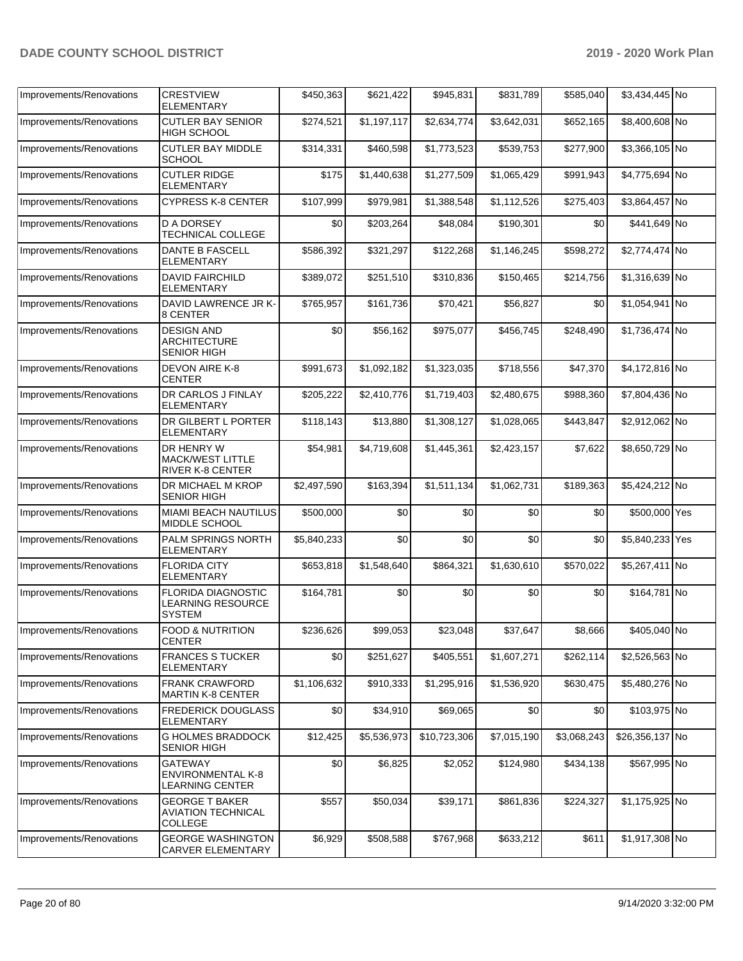| Improvements/Renovations | <b>CRESTVIEW</b><br><b>ELEMENTARY</b>                                  | \$450,363   | \$621,422   | \$945,831    | \$831,789   | \$585,040   | \$3,434,445 No  |  |
|--------------------------|------------------------------------------------------------------------|-------------|-------------|--------------|-------------|-------------|-----------------|--|
| Improvements/Renovations | <b>CUTLER BAY SENIOR</b><br><b>HIGH SCHOOL</b>                         | \$274,521   | \$1,197,117 | \$2,634,774  | \$3,642,031 | \$652,165   | \$8,400,608 No  |  |
| Improvements/Renovations | <b>CUTLER BAY MIDDLE</b><br><b>SCHOOL</b>                              | \$314,331   | \$460,598   | \$1,773,523  | \$539,753   | \$277,900   | \$3,366,105 No  |  |
| Improvements/Renovations | <b>CUTLER RIDGE</b><br><b>ELEMENTARY</b>                               | \$175       | \$1,440,638 | \$1,277,509  | \$1,065,429 | \$991,943   | \$4,775,694 No  |  |
| Improvements/Renovations | <b>CYPRESS K-8 CENTER</b>                                              | \$107,999   | \$979,981   | \$1,388,548  | \$1,112,526 | \$275,403   | \$3,864,457 No  |  |
| Improvements/Renovations | <b>D A DORSEY</b><br><b>TECHNICAL COLLEGE</b>                          | \$0         | \$203,264   | \$48,084     | \$190,301   | \$0         | \$441,649 No    |  |
| Improvements/Renovations | <b>DANTE B FASCELL</b><br><b>ELEMENTARY</b>                            | \$586,392   | \$321,297   | \$122,268    | \$1,146,245 | \$598,272   | \$2,774,474 No  |  |
| Improvements/Renovations | <b>DAVID FAIRCHILD</b><br>ELEMENTARY                                   | \$389,072   | \$251,510   | \$310,836    | \$150,465   | \$214,756   | \$1,316,639 No  |  |
| Improvements/Renovations | DAVID LAWRENCE JR K-<br>8 CENTER                                       | \$765,957   | \$161,736   | \$70,421     | \$56,827    | \$0         | \$1,054,941 No  |  |
| Improvements/Renovations | <b>DESIGN AND</b><br><b>ARCHITECTURE</b><br><b>SENIOR HIGH</b>         | \$0         | \$56,162    | \$975,077    | \$456,745   | \$248,490   | \$1,736,474 No  |  |
| Improvements/Renovations | DEVON AIRE K-8<br><b>CENTER</b>                                        | \$991,673   | \$1,092,182 | \$1,323,035  | \$718,556   | \$47,370    | \$4,172,816 No  |  |
| Improvements/Renovations | DR CARLOS J FINLAY<br><b>ELEMENTARY</b>                                | \$205,222   | \$2,410,776 | \$1,719,403  | \$2,480,675 | \$988,360   | \$7,804,436 No  |  |
| Improvements/Renovations | DR GILBERT L PORTER<br>ELEMENTARY                                      | \$118,143   | \$13,880    | \$1,308,127  | \$1,028,065 | \$443,847   | \$2,912,062 No  |  |
| Improvements/Renovations | DR HENRY W<br><b>MACK/WEST LITTLE</b><br><b>RIVER K-8 CENTER</b>       | \$54,981    | \$4,719,608 | \$1,445,361  | \$2,423,157 | \$7,622     | \$8,650,729 No  |  |
| Improvements/Renovations | DR MICHAEL M KROP<br><b>SENIOR HIGH</b>                                | \$2,497,590 | \$163,394   | \$1,511,134  | \$1,062,731 | \$189,363   | \$5,424,212 No  |  |
| Improvements/Renovations | <b>MIAMI BEACH NAUTILUS</b><br><b>MIDDLE SCHOOL</b>                    | \$500,000   | \$0         | \$0          | \$0         | \$0         | \$500,000 Yes   |  |
| Improvements/Renovations | PALM SPRINGS NORTH<br><b>ELEMENTARY</b>                                | \$5,840,233 | \$0         | \$0          | \$0         | \$0         | \$5,840,233 Yes |  |
| Improvements/Renovations | <b>FLORIDA CITY</b><br><b>ELEMENTARY</b>                               | \$653,818   | \$1,548,640 | \$864,321    | \$1,630,610 | \$570,022   | \$5,267,411 No  |  |
| Improvements/Renovations | <b>FLORIDA DIAGNOSTIC</b><br><b>LEARNING RESOURCE</b><br><b>SYSTEM</b> | \$164,781   | \$0         | \$0          | \$0         | \$0         | \$164,781 No    |  |
| Improvements/Renovations | <b>FOOD &amp; NUTRITION</b><br><b>CENTER</b>                           | \$236,626   | \$99,053    | \$23,048     | \$37,647    | \$8,666     | \$405,040 No    |  |
| Improvements/Renovations | <b>FRANCES S TUCKER</b><br><b>ELEMENTARY</b>                           | \$0         | \$251,627   | \$405,551    | \$1,607,271 | \$262,114   | \$2,526,563 No  |  |
| Improvements/Renovations | <b>FRANK CRAWFORD</b><br><b>MARTIN K-8 CENTER</b>                      | \$1,106,632 | \$910,333   | \$1,295,916  | \$1,536,920 | \$630,475   | \$5,480,276 No  |  |
| Improvements/Renovations | <b>FREDERICK DOUGLASS</b><br><b>ELEMENTARY</b>                         | \$0         | \$34,910    | \$69,065     | \$0         | \$0         | \$103,975 No    |  |
| Improvements/Renovations | <b>G HOLMES BRADDOCK</b><br><b>SENIOR HIGH</b>                         | \$12,425    | \$5,536,973 | \$10,723,306 | \$7,015,190 | \$3,068,243 | \$26,356,137 No |  |
| Improvements/Renovations | GATEWAY<br><b>ENVIRONMENTAL K-8</b><br><b>LEARNING CENTER</b>          | \$0         | \$6,825     | \$2,052      | \$124,980   | \$434,138   | \$567,995 No    |  |
| Improvements/Renovations | <b>GEORGE T BAKER</b><br><b>AVIATION TECHNICAL</b><br>COLLEGE          | \$557       | \$50,034    | \$39,171     | \$861,836   | \$224,327   | \$1,175,925 No  |  |
| Improvements/Renovations | <b>GEORGE WASHINGTON</b><br><b>CARVER ELEMENTARY</b>                   | \$6,929     | \$508,588   | \$767,968    | \$633,212   | \$611       | \$1,917,308 No  |  |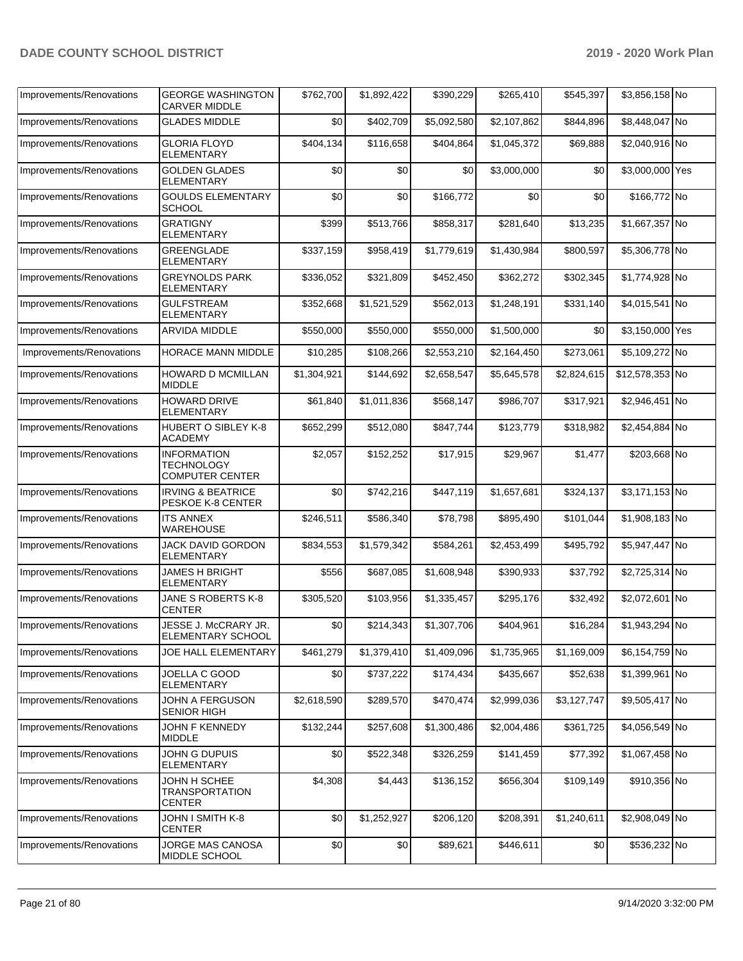| Improvements/Renovations | <b>GEORGE WASHINGTON</b><br><b>CARVER MIDDLE</b>           | \$762,700        | \$1,892,422 | \$390,229   | \$265,410   | \$545,397   | \$3,856,158 No  |  |
|--------------------------|------------------------------------------------------------|------------------|-------------|-------------|-------------|-------------|-----------------|--|
| Improvements/Renovations | <b>GLADES MIDDLE</b>                                       | \$0              | \$402,709   | \$5,092,580 | \$2,107,862 | \$844,896   | \$8,448,047 No  |  |
| Improvements/Renovations | <b>GLORIA FLOYD</b><br><b>ELEMENTARY</b>                   | \$404,134        | \$116,658   | \$404,864   | \$1,045,372 | \$69,888    | \$2,040,916 No  |  |
| Improvements/Renovations | <b>GOLDEN GLADES</b><br><b>ELEMENTARY</b>                  | \$0              | \$0         | \$0         | \$3,000,000 | \$0         | \$3,000,000 Yes |  |
| Improvements/Renovations | <b>GOULDS ELEMENTARY</b><br><b>SCHOOL</b>                  | \$0              | \$0         | \$166,772   | \$0         | \$0         | \$166,772 No    |  |
| Improvements/Renovations | <b>GRATIGNY</b><br><b>ELEMENTARY</b>                       | \$399            | \$513,766   | \$858,317   | \$281,640   | \$13,235    | \$1,667,357 No  |  |
| Improvements/Renovations | <b>GREENGLADE</b><br><b>ELEMENTARY</b>                     | \$337,159        | \$958,419   | \$1,779,619 | \$1,430,984 | \$800,597   | \$5,306,778 No  |  |
| Improvements/Renovations | <b>GREYNOLDS PARK</b><br><b>ELEMENTARY</b>                 | \$336,052        | \$321,809   | \$452,450   | \$362,272   | \$302,345   | \$1,774,928 No  |  |
| Improvements/Renovations | <b>GULFSTREAM</b><br><b>ELEMENTARY</b>                     | \$352,668        | \$1,521,529 | \$562,013   | \$1,248,191 | \$331,140   | \$4,015,541 No  |  |
| Improvements/Renovations | <b>ARVIDA MIDDLE</b>                                       | \$550,000        | \$550,000   | \$550,000   | \$1,500,000 | \$0         | \$3,150,000 Yes |  |
| Improvements/Renovations | HORACE MANN MIDDLE                                         | \$10,285         | \$108,266   | \$2,553,210 | \$2,164,450 | \$273,061   | \$5,109,272 No  |  |
| Improvements/Renovations | HOWARD D MCMILLAN<br><b>MIDDLE</b>                         | \$1,304,921      | \$144,692   | \$2,658,547 | \$5,645,578 | \$2,824,615 | \$12,578,353 No |  |
| Improvements/Renovations | <b>HOWARD DRIVE</b><br><b>ELEMENTARY</b>                   | \$61,840         | \$1,011,836 | \$568,147   | \$986,707   | \$317,921   | \$2,946,451 No  |  |
| Improvements/Renovations | <b>HUBERT O SIBLEY K-8</b><br><b>ACADEMY</b>               | \$652,299        | \$512,080   | \$847,744   | \$123,779   | \$318,982   | \$2,454,884 No  |  |
| Improvements/Renovations | <b>INFORMATION</b><br>TECHNOLOGY<br><b>COMPUTER CENTER</b> | \$2,057          | \$152,252   | \$17,915    | \$29,967    | \$1,477     | \$203,668 No    |  |
| Improvements/Renovations | <b>IRVING &amp; BEATRICE</b><br>PESKOE K-8 CENTER          | \$0              | \$742,216   | \$447,119   | \$1,657,681 | \$324,137   | \$3,171,153 No  |  |
| Improvements/Renovations | <b>ITS ANNEX</b><br><b>WAREHOUSE</b>                       | \$246,511        | \$586,340   | \$78,798    | \$895,490   | \$101,044   | \$1,908,183 No  |  |
| Improvements/Renovations | JACK DAVID GORDON<br><b>ELEMENTARY</b>                     | \$834,553        | \$1,579,342 | \$584,261   | \$2,453,499 | \$495,792   | \$5,947,447 No  |  |
| Improvements/Renovations | <b>JAMES H BRIGHT</b><br><b>ELEMENTARY</b>                 | \$556            | \$687,085   | \$1,608,948 | \$390,933   | \$37,792    | \$2,725,314 No  |  |
| Improvements/Renovations | JANE S ROBERTS K-8<br><b>CENTER</b>                        | \$305,520        | \$103,956   | \$1,335,457 | \$295,176   | \$32,492    | \$2,072,601 No  |  |
| Improvements/Renovations | JESSE J. McCRARY JR.<br><b>ELEMENTARY SCHOOL</b>           | \$0 <sub>1</sub> | \$214,343   | \$1,307,706 | \$404,961   | \$16,284    | \$1,943,294 No  |  |
| Improvements/Renovations | <b>JOE HALL ELEMENTARY</b>                                 | \$461,279        | \$1,379,410 | \$1,409,096 | \$1,735,965 | \$1,169,009 | \$6,154,759 No  |  |
| Improvements/Renovations | JOELLA C GOOD<br><b>ELEMENTARY</b>                         | \$0              | \$737,222   | \$174,434   | \$435,667   | \$52,638    | \$1,399,961 No  |  |
| Improvements/Renovations | JOHN A FERGUSON<br>SENIOR HIGH                             | \$2,618,590      | \$289,570   | \$470,474   | \$2,999,036 | \$3,127,747 | \$9,505,417 No  |  |
| Improvements/Renovations | JOHN F KENNEDY<br>MIDDLE                                   | \$132,244        | \$257,608   | \$1,300,486 | \$2,004,486 | \$361,725   | \$4,056,549 No  |  |
| Improvements/Renovations | JOHN G DUPUIS<br><b>ELEMENTARY</b>                         | \$0              | \$522,348   | \$326,259   | \$141,459   | \$77,392    | \$1,067,458 No  |  |
| Improvements/Renovations | JOHN H SCHEE<br><b>TRANSPORTATION</b><br><b>CENTER</b>     | \$4,308          | \$4,443     | \$136,152   | \$656,304   | \$109,149   | \$910,356 No    |  |
| Improvements/Renovations | JOHN I SMITH K-8<br><b>CENTER</b>                          | \$0              | \$1,252,927 | \$206,120   | \$208,391   | \$1,240,611 | \$2,908,049 No  |  |
| Improvements/Renovations | JORGE MAS CANOSA<br>MIDDLE SCHOOL                          | \$0              | \$0         | \$89,621    | \$446,611   | \$0         | \$536,232 No    |  |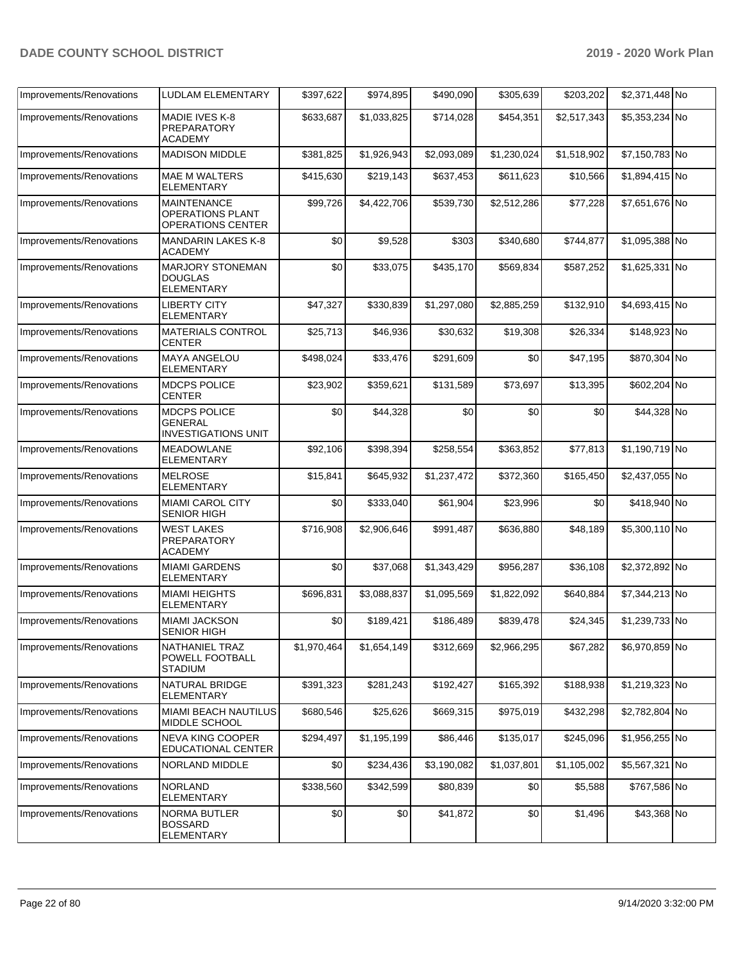| Improvements/Renovations | LUDLAM ELEMENTARY                                                  | \$397,622   | \$974,895   | \$490,090   | \$305,639   | \$203,202   | \$2,371,448 No |  |
|--------------------------|--------------------------------------------------------------------|-------------|-------------|-------------|-------------|-------------|----------------|--|
| Improvements/Renovations | MADIE IVES K-8<br><b>PREPARATORY</b><br><b>ACADEMY</b>             | \$633,687   | \$1.033.825 | \$714,028   | \$454,351   | \$2,517,343 | \$5,353,234 No |  |
| Improvements/Renovations | <b>MADISON MIDDLE</b>                                              | \$381,825   | \$1,926,943 | \$2,093,089 | \$1,230,024 | \$1,518,902 | \$7,150,783 No |  |
| Improvements/Renovations | <b>MAE M WALTERS</b><br><b>ELEMENTARY</b>                          | \$415,630   | \$219,143   | \$637,453   | \$611,623   | \$10,566    | \$1,894,415 No |  |
| Improvements/Renovations | <b>MAINTENANCE</b><br><b>OPERATIONS PLANT</b><br>OPERATIONS CENTER | \$99,726    | \$4,422,706 | \$539,730   | \$2,512,286 | \$77,228    | \$7,651,676 No |  |
| Improvements/Renovations | <b>MANDARIN LAKES K-8</b><br><b>ACADEMY</b>                        | \$0         | \$9,528     | \$303       | \$340,680   | \$744,877   | \$1,095,388 No |  |
| Improvements/Renovations | <b>MARJORY STONEMAN</b><br><b>DOUGLAS</b><br><b>ELEMENTARY</b>     | \$0         | \$33,075    | \$435,170   | \$569,834   | \$587,252   | \$1,625,331 No |  |
| Improvements/Renovations | <b>LIBERTY CITY</b><br>ELEMENTARY                                  | \$47,327    | \$330,839   | \$1,297,080 | \$2,885,259 | \$132,910   | \$4,693,415 No |  |
| Improvements/Renovations | MATERIALS CONTROL<br><b>CENTER</b>                                 | \$25,713    | \$46,936    | \$30,632    | \$19,308    | \$26,334    | \$148,923 No   |  |
| Improvements/Renovations | <b>MAYA ANGELOU</b><br><b>ELEMENTARY</b>                           | \$498,024   | \$33,476    | \$291,609   | \$0         | \$47,195    | \$870,304 No   |  |
| Improvements/Renovations | <b>MDCPS POLICE</b><br>CENTER                                      | \$23,902    | \$359,621   | \$131,589   | \$73,697    | \$13,395    | \$602,204 No   |  |
| Improvements/Renovations | MDCPS POLICE<br><b>GENERAL</b><br><b>INVESTIGATIONS UNIT</b>       | \$0         | \$44,328    | \$0         | \$0         | \$0         | \$44,328 No    |  |
| Improvements/Renovations | <b>MEADOWLANE</b><br>ELEMENTARY                                    | \$92,106    | \$398,394   | \$258,554   | \$363,852   | \$77,813    | \$1,190,719 No |  |
| Improvements/Renovations | <b>MELROSE</b><br><b>ELEMENTARY</b>                                | \$15,841    | \$645,932   | \$1,237,472 | \$372,360   | \$165,450   | \$2,437,055 No |  |
| Improvements/Renovations | <b>MIAMI CAROL CITY</b><br><b>SENIOR HIGH</b>                      | \$0         | \$333,040   | \$61,904    | \$23,996    | \$0         | \$418,940 No   |  |
| Improvements/Renovations | <b>WEST LAKES</b><br>PREPARATORY<br><b>ACADEMY</b>                 | \$716,908   | \$2,906,646 | \$991,487   | \$636,880   | \$48,189    | \$5,300,110 No |  |
| Improvements/Renovations | <b>MIAMI GARDENS</b><br><b>ELEMENTARY</b>                          | \$0         | \$37,068    | \$1,343,429 | \$956,287   | \$36,108    | \$2,372,892 No |  |
| Improvements/Renovations | <b>MIAMI HEIGHTS</b><br><b>ELEMENTARY</b>                          | \$696,831   | \$3,088,837 | \$1,095,569 | \$1,822,092 | \$640,884   | \$7,344,213 No |  |
| Improvements/Renovations | <b>MIAMI JACKSON</b><br>SENIOR HIGH                                | \$0         | \$189,421   | \$186,489   | \$839,478   | \$24,345    | \$1,239,733 No |  |
| Improvements/Renovations | NATHANIEL TRAZ<br>POWELL FOOTBALL<br><b>STADIUM</b>                | \$1,970,464 | \$1,654,149 | \$312,669   | \$2,966,295 | \$67,282    | \$6,970,859 No |  |
| Improvements/Renovations | NATURAL BRIDGE<br>ELEMENTARY                                       | \$391,323   | \$281,243   | \$192,427   | \$165,392   | \$188,938   | \$1,219,323 No |  |
| Improvements/Renovations | <b>MIAMI BEACH NAUTILUS</b><br>MIDDLE SCHOOL                       | \$680,546   | \$25,626    | \$669,315   | \$975,019   | \$432,298   | \$2,782,804 No |  |
| Improvements/Renovations | <b>NEVA KING COOPER</b><br><b>EDUCATIONAL CENTER</b>               | \$294,497   | \$1,195,199 | \$86,446    | \$135,017   | \$245,096   | \$1,956,255 No |  |
| Improvements/Renovations | NORLAND MIDDLE                                                     | \$0         | \$234,436   | \$3,190,082 | \$1,037,801 | \$1,105,002 | \$5,567,321 No |  |
| Improvements/Renovations | <b>NORLAND</b><br><b>ELEMENTARY</b>                                | \$338,560   | \$342,599   | \$80,839    | \$0         | \$5,588     | \$767,586 No   |  |
| Improvements/Renovations | <b>NORMA BUTLER</b><br>BOSSARD<br><b>ELEMENTARY</b>                | \$0         | \$0         | \$41,872    | \$0         | \$1,496     | \$43,368 No    |  |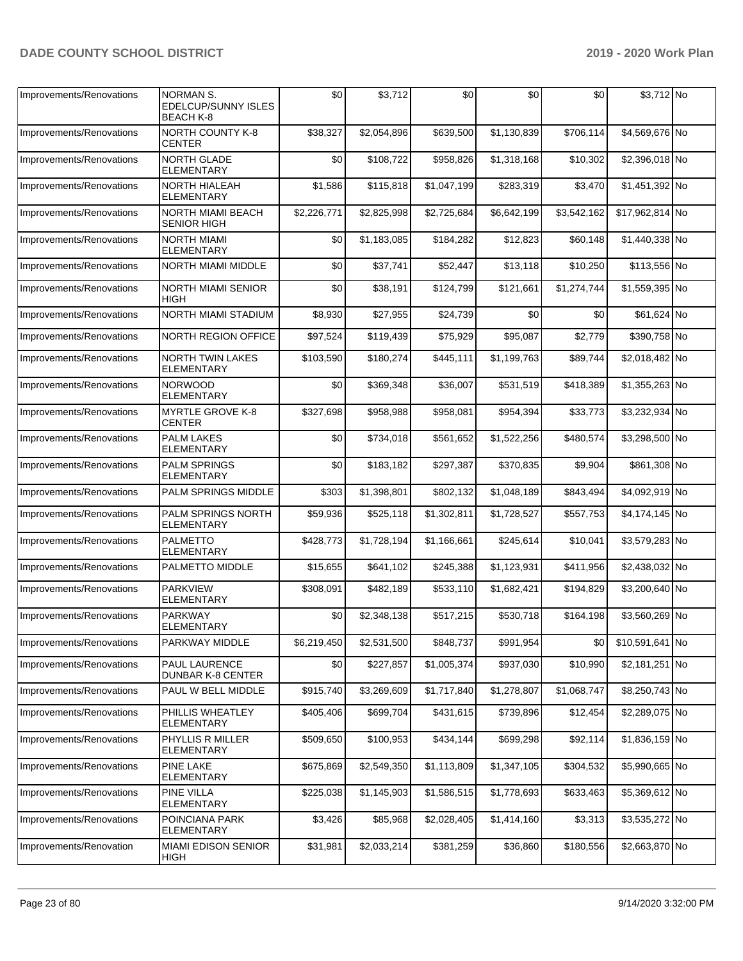| Improvements/Renovations | <b>NORMAN S.</b><br><b>EDELCUP/SUNNY ISLES</b><br><b>BEACH K-8</b> | \$0         | \$3,712     | \$0         | \$0         | \$0         | \$3,712 No      |  |
|--------------------------|--------------------------------------------------------------------|-------------|-------------|-------------|-------------|-------------|-----------------|--|
| Improvements/Renovations | <b>NORTH COUNTY K-8</b><br><b>CENTER</b>                           | \$38,327    | \$2,054,896 | \$639,500   | \$1,130,839 | \$706,114   | \$4,569,676 No  |  |
| Improvements/Renovations | NORTH GLADE<br>ELEMENTARY                                          | \$0         | \$108,722   | \$958,826   | \$1,318,168 | \$10,302    | \$2,396,018 No  |  |
| Improvements/Renovations | <b>NORTH HIALEAH</b><br><b>ELEMENTARY</b>                          | \$1,586     | \$115,818   | \$1,047,199 | \$283,319   | \$3,470     | \$1,451,392 No  |  |
| Improvements/Renovations | NORTH MIAMI BEACH<br><b>SENIOR HIGH</b>                            | \$2,226,771 | \$2,825,998 | \$2,725,684 | \$6,642,199 | \$3,542,162 | \$17,962,814 No |  |
| Improvements/Renovations | NORTH MIAMI<br><b>ELEMENTARY</b>                                   | \$0         | \$1,183,085 | \$184,282   | \$12,823    | \$60,148    | \$1,440,338 No  |  |
| Improvements/Renovations | <b>NORTH MIAMI MIDDLE</b>                                          | \$0         | \$37,741    | \$52,447    | \$13,118    | \$10,250    | \$113,556 No    |  |
| Improvements/Renovations | NORTH MIAMI SENIOR<br>HIGH                                         | \$0         | \$38,191    | \$124,799   | \$121,661   | \$1,274,744 | \$1,559,395 No  |  |
| Improvements/Renovations | NORTH MIAMI STADIUM                                                | \$8,930     | \$27,955    | \$24,739    | \$0         | \$0         | \$61,624 No     |  |
| Improvements/Renovations | NORTH REGION OFFICE                                                | \$97,524    | \$119,439   | \$75,929    | \$95,087    | \$2,779     | \$390,758 No    |  |
| Improvements/Renovations | <b>NORTH TWIN LAKES</b><br><b>ELEMENTARY</b>                       | \$103,590   | \$180,274   | \$445,111   | \$1,199,763 | \$89,744    | \$2,018,482 No  |  |
| Improvements/Renovations | <b>NORWOOD</b><br><b>ELEMENTARY</b>                                | \$0         | \$369,348   | \$36,007    | \$531,519   | \$418,389   | \$1,355,263 No  |  |
| Improvements/Renovations | <b>MYRTLE GROVE K-8</b><br><b>CENTER</b>                           | \$327,698   | \$958,988   | \$958,081   | \$954,394   | \$33,773    | \$3,232,934 No  |  |
| Improvements/Renovations | <b>PALM LAKES</b><br><b>ELEMENTARY</b>                             | \$0         | \$734,018   | \$561,652   | \$1,522,256 | \$480,574   | \$3,298,500 No  |  |
| Improvements/Renovations | <b>PALM SPRINGS</b><br><b>ELEMENTARY</b>                           | \$0         | \$183,182   | \$297,387   | \$370,835   | \$9,904     | \$861,308 No    |  |
| Improvements/Renovations | <b>PALM SPRINGS MIDDLE</b>                                         | \$303       | \$1,398,801 | \$802,132   | \$1,048,189 | \$843,494   | \$4,092,919 No  |  |
| Improvements/Renovations | PALM SPRINGS NORTH<br><b>ELEMENTARY</b>                            | \$59,936    | \$525,118   | \$1,302,811 | \$1,728,527 | \$557,753   | \$4,174,145 No  |  |
| Improvements/Renovations | <b>PALMETTO</b><br><b>ELEMENTARY</b>                               | \$428,773   | \$1,728,194 | \$1,166,661 | \$245,614   | \$10,041    | \$3,579,283 No  |  |
| Improvements/Renovations | PALMETTO MIDDLE                                                    | \$15,655    | \$641,102   | \$245,388   | \$1,123,931 | \$411,956   | \$2,438,032 No  |  |
| Improvements/Renovations | <b>PARKVIEW</b><br><b>ELEMENTARY</b>                               | \$308,091   | \$482,189   | \$533,110   | \$1,682,421 | \$194,829   | \$3,200,640 No  |  |
| Improvements/Renovations | <b>PARKWAY</b><br><b>ELEMENTARY</b>                                | \$0         | \$2,348,138 | \$517,215   | \$530,718   | \$164,198   | \$3,560,269 No  |  |
| Improvements/Renovations | PARKWAY MIDDLE                                                     | \$6,219,450 | \$2,531,500 | \$848,737   | \$991,954   | \$0         | \$10,591,641 No |  |
| Improvements/Renovations | PAUL LAURENCE<br>DUNBAR K-8 CENTER                                 | \$0         | \$227,857   | \$1,005,374 | \$937,030   | \$10,990    | \$2,181,251 No  |  |
| Improvements/Renovations | PAUL W BELL MIDDLE                                                 | \$915,740   | \$3,269,609 | \$1,717,840 | \$1,278,807 | \$1,068,747 | \$8,250,743 No  |  |
| Improvements/Renovations | PHILLIS WHEATLEY<br><b>ELEMENTARY</b>                              | \$405,406   | \$699,704   | \$431,615   | \$739,896   | \$12,454    | \$2,289,075 No  |  |
| Improvements/Renovations | PHYLLIS R MILLER<br><b>ELEMENTARY</b>                              | \$509,650   | \$100,953   | \$434,144   | \$699,298   | \$92,114    | \$1,836,159 No  |  |
| Improvements/Renovations | PINE LAKE<br><b>ELEMENTARY</b>                                     | \$675,869   | \$2,549,350 | \$1,113,809 | \$1,347,105 | \$304,532   | \$5,990,665 No  |  |
| Improvements/Renovations | <b>PINE VILLA</b><br>ELEMENTARY                                    | \$225,038   | \$1,145,903 | \$1,586,515 | \$1,778,693 | \$633,463   | \$5,369,612 No  |  |
| Improvements/Renovations | POINCIANA PARK<br>ELEMENTARY                                       | \$3,426     | \$85,968    | \$2,028,405 | \$1,414,160 | \$3,313     | \$3,535,272 No  |  |
| Improvements/Renovation  | MIAMI EDISON SENIOR<br>HIGH                                        | \$31,981    | \$2,033,214 | \$381,259   | \$36,860    | \$180,556   | \$2,663,870 No  |  |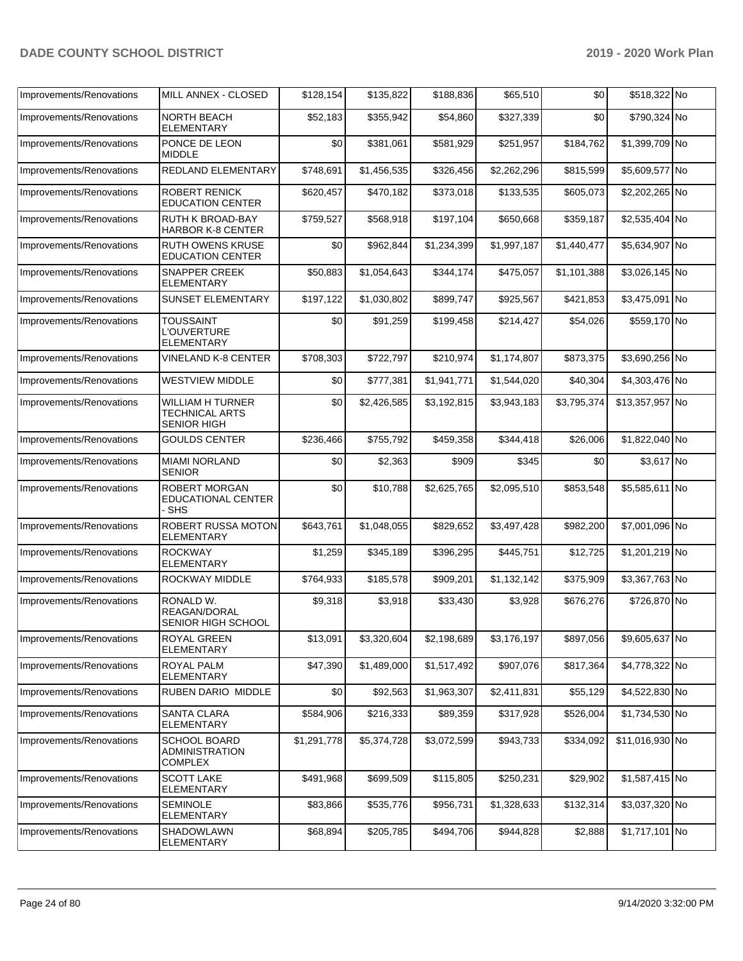| Improvements/Renovations | MILL ANNEX - CLOSED                                                    | \$128,154   | \$135,822   | \$188,836   | \$65,510    | \$0         | \$518,322 No    |  |
|--------------------------|------------------------------------------------------------------------|-------------|-------------|-------------|-------------|-------------|-----------------|--|
| Improvements/Renovations | NORTH BEACH<br><b>ELEMENTARY</b>                                       | \$52,183    | \$355,942   | \$54,860    | \$327,339   | \$0         | \$790,324 No    |  |
| Improvements/Renovations | PONCE DE LEON<br><b>MIDDLE</b>                                         | \$0         | \$381,061   | \$581,929   | \$251,957   | \$184,762   | \$1,399,709 No  |  |
| Improvements/Renovations | <b>REDLAND ELEMENTARY</b>                                              | \$748,691   | \$1,456,535 | \$326,456   | \$2,262,296 | \$815,599   | \$5,609,577 No  |  |
| Improvements/Renovations | ROBERT RENICK<br><b>EDUCATION CENTER</b>                               | \$620,457   | \$470,182   | \$373,018   | \$133,535   | \$605,073   | \$2,202,265 No  |  |
| Improvements/Renovations | RUTH K BROAD-BAY<br><b>HARBOR K-8 CENTER</b>                           | \$759,527   | \$568,918   | \$197,104   | \$650,668   | \$359,187   | \$2,535,404 No  |  |
| Improvements/Renovations | <b>RUTH OWENS KRUSE</b><br><b>EDUCATION CENTER</b>                     | \$0         | \$962,844   | \$1,234,399 | \$1,997,187 | \$1,440,477 | \$5,634,907 No  |  |
| Improvements/Renovations | <b>SNAPPER CREEK</b><br>ELEMENTARY                                     | \$50,883    | \$1,054,643 | \$344,174   | \$475,057   | \$1,101,388 | \$3,026,145 No  |  |
| Improvements/Renovations | SUNSET ELEMENTARY                                                      | \$197,122   | \$1,030,802 | \$899,747   | \$925,567   | \$421,853   | \$3,475,091 No  |  |
| Improvements/Renovations | <b>TOUSSAINT</b><br><b>L'OUVERTURE</b><br><b>ELEMENTARY</b>            | \$0         | \$91,259    | \$199,458   | \$214,427   | \$54,026    | \$559,170 No    |  |
| Improvements/Renovations | <b>VINELAND K-8 CENTER</b>                                             | \$708,303   | \$722,797   | \$210,974   | \$1,174,807 | \$873,375   | \$3,690,256 No  |  |
| Improvements/Renovations | <b>WESTVIEW MIDDLE</b>                                                 | \$0         | \$777,381   | \$1,941,771 | \$1,544,020 | \$40,304    | \$4,303,476 No  |  |
| Improvements/Renovations | <b>WILLIAM H TURNER</b><br><b>TECHNICAL ARTS</b><br><b>SENIOR HIGH</b> | \$0         | \$2,426,585 | \$3,192,815 | \$3,943,183 | \$3,795,374 | \$13,357,957 No |  |
| Improvements/Renovations | <b>GOULDS CENTER</b>                                                   | \$236,466   | \$755,792   | \$459,358   | \$344,418   | \$26,006    | \$1,822,040 No  |  |
| Improvements/Renovations | <b>MIAMI NORLAND</b><br><b>SENIOR</b>                                  | \$0         | \$2,363     | \$909       | \$345       | \$0         | \$3,617 No      |  |
| Improvements/Renovations | <b>ROBERT MORGAN</b><br>EDUCATIONAL CENTER<br>- SHS                    | \$0         | \$10,788    | \$2,625,765 | \$2,095,510 | \$853,548   | \$5,585,611 No  |  |
| Improvements/Renovations | ROBERT RUSSA MOTON<br><b>ELEMENTARY</b>                                | \$643,761   | \$1,048,055 | \$829,652   | \$3,497,428 | \$982,200   | \$7,001,096 No  |  |
| Improvements/Renovations | <b>ROCKWAY</b><br><b>ELEMENTARY</b>                                    | \$1,259     | \$345,189   | \$396,295   | \$445,751   | \$12,725    | \$1,201,219 No  |  |
| Improvements/Renovations | <b>ROCKWAY MIDDLE</b>                                                  | \$764,933   | \$185,578   | \$909,201   | \$1,132,142 | \$375,909   | \$3,367,763 No  |  |
| Improvements/Renovations | RONALD W.<br>REAGAN/DORAL<br>SENIOR HIGH SCHOOL                        | \$9,318     | \$3,918     | \$33,430    | \$3,928     | \$676,276   | \$726,870 No    |  |
| Improvements/Renovations | ROYAL GREEN<br><b>ELEMENTARY</b>                                       | \$13,091    | \$3,320,604 | \$2,198,689 | \$3,176,197 | \$897,056   | \$9,605,637 No  |  |
| Improvements/Renovations | ROYAL PALM<br>ELEMENTARY                                               | \$47,390    | \$1,489,000 | \$1,517,492 | \$907,076   | \$817,364   | \$4,778,322 No  |  |
| Improvements/Renovations | RUBEN DARIO MIDDLE                                                     | \$0         | \$92,563    | \$1,963,307 | \$2,411,831 | \$55,129    | \$4,522,830 No  |  |
| Improvements/Renovations | <b>SANTA CLARA</b><br><b>ELEMENTARY</b>                                | \$584,906   | \$216,333   | \$89,359    | \$317,928   | \$526,004   | \$1,734,530 No  |  |
| Improvements/Renovations | <b>SCHOOL BOARD</b><br>ADMINISTRATION<br>COMPLEX                       | \$1,291,778 | \$5,374,728 | \$3,072,599 | \$943,733   | \$334,092   | \$11,016,930 No |  |
| Improvements/Renovations | <b>SCOTT LAKE</b><br>ELEMENTARY                                        | \$491,968   | \$699,509   | \$115,805   | \$250,231   | \$29,902    | \$1,587,415 No  |  |
| Improvements/Renovations | <b>SEMINOLE</b><br>ELEMENTARY                                          | \$83,866    | \$535,776   | \$956,731   | \$1,328,633 | \$132,314   | \$3,037,320 No  |  |
| Improvements/Renovations | SHADOWLAWN<br>ELEMENTARY                                               | \$68,894    | \$205,785   | \$494,706   | \$944,828   | \$2,888     | \$1,717,101 No  |  |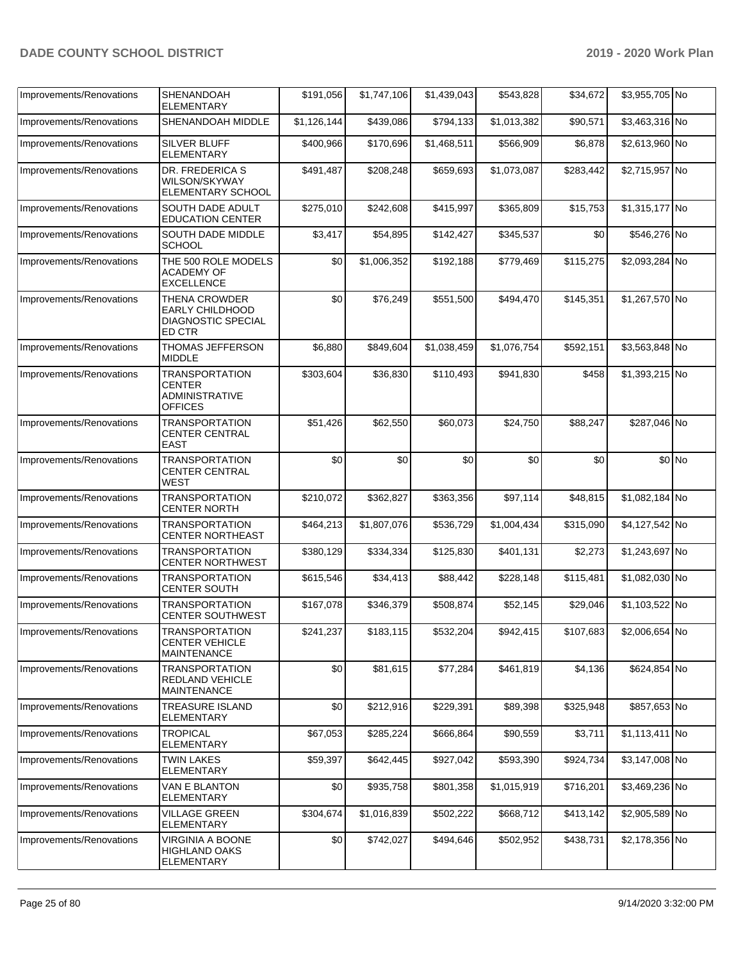| Improvements/Renovations | <b>SHENANDOAH</b><br><b>ELEMENTARY</b>                                            | \$191,056   | \$1,747,106           | \$1,439,043 | \$543,828   | \$34,672  | \$3,955,705 No |        |
|--------------------------|-----------------------------------------------------------------------------------|-------------|-----------------------|-------------|-------------|-----------|----------------|--------|
| Improvements/Renovations | SHENANDOAH MIDDLE                                                                 | \$1,126,144 | \$439,086             | \$794,133   | \$1,013,382 | \$90,571  | \$3,463,316 No |        |
| Improvements/Renovations | <b>SILVER BLUFF</b><br><b>ELEMENTARY</b>                                          | \$400,966   | \$170,696             | \$1,468,511 | \$566,909   | \$6,878   | \$2,613,960 No |        |
| Improvements/Renovations | <b>DR. FREDERICA S</b><br><b>WILSON/SKYWAY</b><br>ELEMENTARY SCHOOL               | \$491,487   | \$208,248             | \$659,693   | \$1,073,087 | \$283,442 | \$2,715,957 No |        |
| Improvements/Renovations | SOUTH DADE ADULT<br><b>EDUCATION CENTER</b>                                       | \$275,010   | \$242,608             | \$415,997   | \$365,809   | \$15,753  | \$1,315,177 No |        |
| Improvements/Renovations | SOUTH DADE MIDDLE<br><b>SCHOOL</b>                                                | \$3,417     | \$54,895              | \$142,427   | \$345,537   | \$0       | \$546,276 No   |        |
| Improvements/Renovations | THE 500 ROLE MODELS<br><b>ACADEMY OF</b><br><b>EXCELLENCE</b>                     | \$0         | \$1,006,352           | \$192,188   | \$779,469   | \$115,275 | \$2,093,284 No |        |
| Improvements/Renovations | <b>THENA CROWDER</b><br>EARLY CHILDHOOD<br><b>DIAGNOSTIC SPECIAL</b><br>ED CTR    | \$0         | \$76,249              | \$551,500   | \$494,470   | \$145,351 | \$1,267,570 No |        |
| Improvements/Renovations | <b>THOMAS JEFFERSON</b><br><b>MIDDLE</b>                                          | \$6,880     | \$849,604             | \$1,038,459 | \$1,076,754 | \$592,151 | \$3,563,848 No |        |
| Improvements/Renovations | <b>TRANSPORTATION</b><br><b>CENTER</b><br><b>ADMINISTRATIVE</b><br><b>OFFICES</b> | \$303,604   | \$36,830              | \$110,493   | \$941,830   | \$458     | \$1,393,215 No |        |
| Improvements/Renovations | <b>TRANSPORTATION</b><br><b>CENTER CENTRAL</b><br><b>EAST</b>                     | \$51,426    | \$62,550              | \$60,073    | \$24,750    | \$88,247  | \$287,046 No   |        |
| Improvements/Renovations | <b>TRANSPORTATION</b><br><b>CENTER CENTRAL</b><br><b>WEST</b>                     | \$0         | \$0                   | \$0         | \$0         | \$0       |                | \$0 No |
| Improvements/Renovations | <b>TRANSPORTATION</b><br><b>CENTER NORTH</b>                                      | \$210,072   | \$362,827             | \$363,356   | \$97,114    | \$48,815  | \$1,082,184 No |        |
| Improvements/Renovations | <b>TRANSPORTATION</b><br><b>CENTER NORTHEAST</b>                                  | \$464,213   | \$1,807,076           | \$536,729   | \$1,004,434 | \$315,090 | \$4,127,542 No |        |
| Improvements/Renovations | <b>TRANSPORTATION</b><br><b>CENTER NORTHWEST</b>                                  | \$380,129   | \$334,334             | \$125,830   | \$401,131   | \$2,273   | \$1,243,697 No |        |
| Improvements/Renovations | <b>TRANSPORTATION</b><br><b>CENTER SOUTH</b>                                      | \$615,546   | \$34,413              | \$88,442    | \$228,148   | \$115,481 | \$1,082,030 No |        |
| Improvements/Renovations | <b>TRANSPORTATION</b><br><b>CENTER SOUTHWEST</b>                                  | \$167,078   | \$346,379             | \$508,874   | \$52,145    | \$29,046  | \$1,103,522 No |        |
| Improvements/Renovations | <b>TRANSPORTATION</b><br><b>CENTER VEHICLE</b><br><b>MAINTENANCE</b>              | \$241,237   | $\overline{$183,115}$ | \$532,204   | \$942,415   | \$107,683 | \$2,006,654 No |        |
| Improvements/Renovations | <b>TRANSPORTATION</b><br>REDLAND VEHICLE<br><b>MAINTENANCE</b>                    | \$0         | \$81,615              | \$77,284    | \$461,819   | \$4,136   | \$624,854 No   |        |
| Improvements/Renovations | <b>TREASURE ISLAND</b><br><b>ELEMENTARY</b>                                       | \$0         | \$212,916             | \$229,391   | \$89,398    | \$325,948 | \$857,653 No   |        |
| Improvements/Renovations | <b>TROPICAL</b><br><b>ELEMENTARY</b>                                              | \$67,053    | \$285,224             | \$666,864   | \$90,559    | \$3,711   | \$1,113,411 No |        |
| Improvements/Renovations | <b>TWIN LAKES</b><br><b>ELEMENTARY</b>                                            | \$59,397    | \$642,445             | \$927,042   | \$593,390   | \$924,734 | \$3,147,008 No |        |
| Improvements/Renovations | VAN E BLANTON<br><b>ELEMENTARY</b>                                                | \$0         | \$935,758             | \$801,358   | \$1,015,919 | \$716,201 | \$3,469,236 No |        |
| Improvements/Renovations | <b>VILLAGE GREEN</b><br><b>ELEMENTARY</b>                                         | \$304,674   | \$1,016,839           | \$502,222   | \$668,712   | \$413,142 | \$2,905,589 No |        |
| Improvements/Renovations | VIRGINIA A BOONE<br><b>HIGHLAND OAKS</b><br><b>ELEMENTARY</b>                     | \$0         | \$742,027             | \$494,646   | \$502,952   | \$438,731 | \$2,178,356 No |        |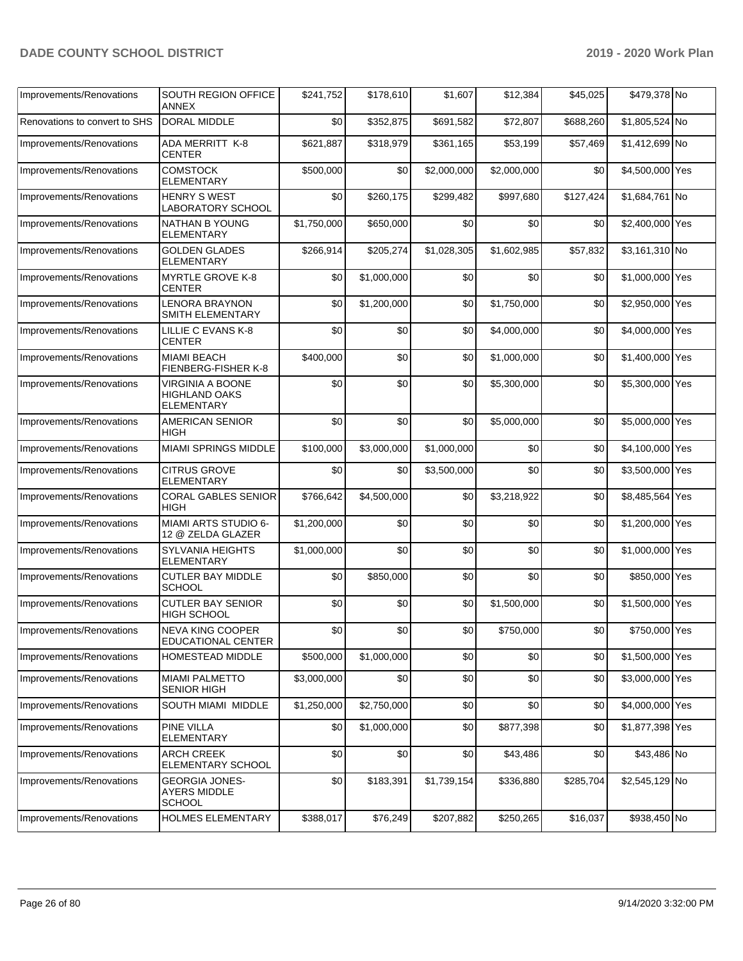| Improvements/Renovations      | <b>SOUTH REGION OFFICE</b><br><b>ANNEX</b>                    | \$241,752   | \$178,610   | \$1,607     | \$12,384    | \$45,025  | \$479,378 No    |  |
|-------------------------------|---------------------------------------------------------------|-------------|-------------|-------------|-------------|-----------|-----------------|--|
| Renovations to convert to SHS | <b>DORAL MIDDLE</b>                                           | \$0         | \$352,875   | \$691,582   | \$72,807    | \$688,260 | \$1,805,524 No  |  |
| Improvements/Renovations      | ADA MERRITT K-8<br><b>CENTER</b>                              | \$621,887   | \$318,979   | \$361,165   | \$53,199    | \$57,469  | \$1,412,699 No  |  |
| Improvements/Renovations      | <b>COMSTOCK</b><br>ELEMENTARY                                 | \$500,000   | \$0         | \$2,000,000 | \$2,000,000 | \$0       | \$4,500,000 Yes |  |
| Improvements/Renovations      | <b>HENRY S WEST</b><br>LABORATORY SCHOOL                      | \$0         | \$260,175   | \$299,482   | \$997,680   | \$127,424 | \$1,684,761 No  |  |
| Improvements/Renovations      | NATHAN B YOUNG<br><b>ELEMENTARY</b>                           | \$1,750,000 | \$650,000   | \$0         | \$0         | \$0       | \$2,400,000 Yes |  |
| Improvements/Renovations      | <b>GOLDEN GLADES</b><br><b>ELEMENTARY</b>                     | \$266,914   | \$205,274   | \$1,028,305 | \$1,602,985 | \$57,832  | \$3,161,310 No  |  |
| Improvements/Renovations      | <b>MYRTLE GROVE K-8</b><br>CENTER                             | \$0         | \$1,000,000 | \$0         | \$0         | \$0       | \$1,000,000 Yes |  |
| Improvements/Renovations      | <b>LENORA BRAYNON</b><br>SMITH ELEMENTARY                     | \$0         | \$1,200,000 | \$0         | \$1,750,000 | \$0       | \$2,950,000 Yes |  |
| Improvements/Renovations      | LILLIE C EVANS K-8<br><b>CENTER</b>                           | \$0         | \$0         | \$0         | \$4,000,000 | \$0       | \$4,000,000 Yes |  |
| Improvements/Renovations      | <b>MIAMI BEACH</b><br>FIENBERG-FISHER K-8                     | \$400,000   | \$0         | \$0         | \$1,000,000 | \$0       | \$1,400,000 Yes |  |
| Improvements/Renovations      | VIRGINIA A BOONE<br><b>HIGHLAND OAKS</b><br><b>ELEMENTARY</b> | \$0         | \$0         | \$0         | \$5,300,000 | \$0       | \$5,300,000 Yes |  |
| Improvements/Renovations      | <b>AMERICAN SENIOR</b><br>HIGH                                | \$0         | \$0         | \$0         | \$5,000,000 | \$0       | \$5,000,000 Yes |  |
| Improvements/Renovations      | <b>MIAMI SPRINGS MIDDLE</b>                                   | \$100,000   | \$3,000,000 | \$1,000,000 | \$0         | \$0       | \$4,100,000 Yes |  |
| Improvements/Renovations      | <b>CITRUS GROVE</b><br><b>ELEMENTARY</b>                      | \$0         | \$0         | \$3,500,000 | \$0         | \$0       | \$3,500,000 Yes |  |
| Improvements/Renovations      | <b>CORAL GABLES SENIOR</b><br>HIGH                            | \$766,642   | \$4,500,000 | \$0         | \$3,218,922 | \$0       | \$8,485,564 Yes |  |
| Improvements/Renovations      | MIAMI ARTS STUDIO 6-<br>12 @ ZELDA GLAZER                     | \$1,200,000 | \$0         | \$0         | \$0         | \$0       | \$1,200,000 Yes |  |
| Improvements/Renovations      | <b>SYLVANIA HEIGHTS</b><br><b>ELEMENTARY</b>                  | \$1,000,000 | \$0         | \$0         | \$0         | \$0       | \$1,000,000 Yes |  |
| Improvements/Renovations      | <b>CUTLER BAY MIDDLE</b><br><b>SCHOOL</b>                     | \$0         | \$850,000   | \$0         | \$0         | \$0       | \$850,000 Yes   |  |
| Improvements/Renovations      | <b>CUTLER BAY SENIOR</b><br>HIGH SCHOOL                       | \$0         | \$0         | \$0         | \$1,500,000 | \$0       | \$1,500,000 Yes |  |
| Improvements/Renovations      | NEVA KING COOPER<br>EDUCATIONAL CENTER                        | \$0         | \$0         | \$0         | \$750,000   | \$0       | \$750,000 Yes   |  |
| Improvements/Renovations      | HOMESTEAD MIDDLE                                              | \$500,000   | \$1,000,000 | \$0         | \$0         | \$0       | \$1,500,000 Yes |  |
| Improvements/Renovations      | <b>MIAMI PALMETTO</b><br><b>SENIOR HIGH</b>                   | \$3,000,000 | \$0         | \$0         | \$0         | \$0       | \$3,000,000 Yes |  |
| Improvements/Renovations      | SOUTH MIAMI MIDDLE                                            | \$1,250,000 | \$2,750,000 | \$0         | \$0         | \$0       | \$4,000,000 Yes |  |
| Improvements/Renovations      | <b>PINE VILLA</b><br><b>ELEMENTARY</b>                        | \$0         | \$1,000,000 | \$0         | \$877,398   | \$0       | \$1,877,398 Yes |  |
| Improvements/Renovations      | <b>ARCH CREEK</b><br>ELEMENTARY SCHOOL                        | \$0         | \$0         | \$0         | \$43,486    | \$0       | \$43,486 No     |  |
| Improvements/Renovations      | <b>GEORGIA JONES-</b><br><b>AYERS MIDDLE</b><br><b>SCHOOL</b> | \$0         | \$183,391   | \$1,739,154 | \$336,880   | \$285,704 | \$2,545,129 No  |  |
| Improvements/Renovations      | HOLMES ELEMENTARY                                             | \$388,017   | \$76,249    | \$207,882   | \$250,265   | \$16,037  | \$938,450 No    |  |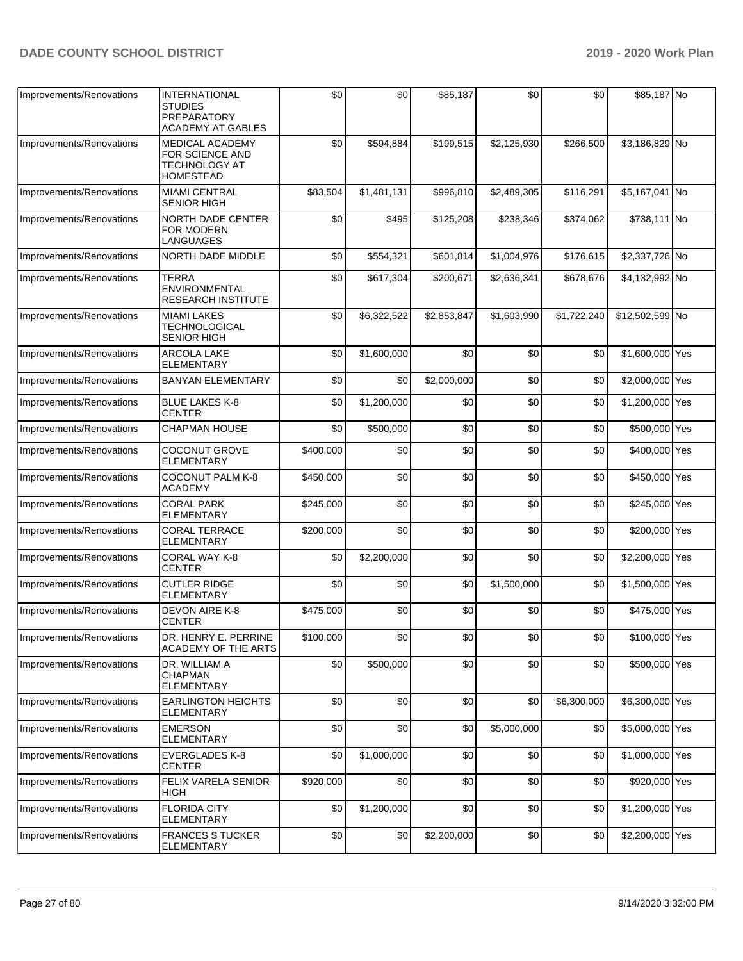| Improvements/Renovations | <b>INTERNATIONAL</b><br><b>STUDIES</b><br>PREPARATORY<br><b>ACADEMY AT GABLES</b> | \$0       | \$0         | \$85,187    | \$0         | \$0         | \$85,187 No     |  |
|--------------------------|-----------------------------------------------------------------------------------|-----------|-------------|-------------|-------------|-------------|-----------------|--|
| Improvements/Renovations | <b>MEDICAL ACADEMY</b><br>FOR SCIENCE AND<br>TECHNOLOGY AT<br><b>HOMESTEAD</b>    | \$0       | \$594,884   | \$199,515   | \$2,125,930 | \$266,500   | \$3,186,829 No  |  |
| Improvements/Renovations | <b>MIAMI CENTRAL</b><br><b>SENIOR HIGH</b>                                        | \$83,504  | \$1,481,131 | \$996,810   | \$2,489,305 | \$116,291   | \$5,167,041 No  |  |
| Improvements/Renovations | <b>NORTH DADE CENTER</b><br>FOR MODERN<br>LANGUAGES                               | \$0       | \$495       | \$125,208   | \$238,346   | \$374,062   | \$738,111 No    |  |
| Improvements/Renovations | NORTH DADE MIDDLE                                                                 | \$0       | \$554,321   | \$601,814   | \$1,004,976 | \$176,615   | \$2,337,726 No  |  |
| Improvements/Renovations | <b>TERRA</b><br><b>ENVIRONMENTAL</b><br><b>RESEARCH INSTITUTE</b>                 | \$0       | \$617,304   | \$200,671   | \$2,636,341 | \$678,676   | \$4,132,992 No  |  |
| Improvements/Renovations | <b>MIAMI LAKES</b><br><b>TECHNOLOGICAL</b><br><b>SENIOR HIGH</b>                  | \$0       | \$6,322,522 | \$2,853,847 | \$1,603,990 | \$1,722,240 | \$12,502,599 No |  |
| Improvements/Renovations | ARCOLA LAKE<br><b>ELEMENTARY</b>                                                  | \$0       | \$1,600,000 | \$0         | \$0         | \$0         | \$1,600,000 Yes |  |
| Improvements/Renovations | <b>BANYAN ELEMENTARY</b>                                                          | \$0       | \$0         | \$2,000,000 | \$0         | \$0         | \$2,000,000 Yes |  |
| Improvements/Renovations | <b>BLUE LAKES K-8</b><br><b>CENTER</b>                                            | \$0       | \$1,200,000 | \$0         | \$0         | \$0         | \$1,200,000 Yes |  |
| Improvements/Renovations | <b>CHAPMAN HOUSE</b>                                                              | \$0       | \$500,000   | \$0         | \$0         | \$0         | \$500,000 Yes   |  |
| Improvements/Renovations | <b>COCONUT GROVE</b><br><b>ELEMENTARY</b>                                         | \$400,000 | \$0         | \$0         | \$0         | \$0         | \$400,000 Yes   |  |
| Improvements/Renovations | <b>COCONUT PALM K-8</b><br><b>ACADEMY</b>                                         | \$450,000 | \$0         | \$0         | \$0         | \$0         | \$450,000 Yes   |  |
| Improvements/Renovations | <b>CORAL PARK</b><br><b>ELEMENTARY</b>                                            | \$245,000 | \$0         | \$0         | \$0         | \$0         | \$245,000 Yes   |  |
| Improvements/Renovations | <b>CORAL TERRACE</b><br><b>ELEMENTARY</b>                                         | \$200,000 | \$0         | \$0         | \$0         | \$0         | \$200,000 Yes   |  |
| Improvements/Renovations | CORAL WAY K-8<br><b>CENTER</b>                                                    | \$0       | \$2,200,000 | \$0         | \$0         | \$0         | \$2,200,000 Yes |  |
| Improvements/Renovations | <b>CUTLER RIDGE</b><br><b>ELEMENTARY</b>                                          | \$0       | \$0         | \$0         | \$1,500,000 | \$0         | \$1,500,000 Yes |  |
| Improvements/Renovations | DEVON AIRE K-8<br><b>CENTER</b>                                                   | \$475,000 | \$0         | \$0         | \$0         | \$0         | \$475,000 Yes   |  |
| Improvements/Renovations | DR. HENRY E. PERRINE<br>ACADEMY OF THE ARTS                                       | \$100,000 | \$0         | \$0         | \$0         | \$0         | \$100,000 Yes   |  |
| Improvements/Renovations | DR. WILLIAM A<br>CHAPMAN<br><b>ELEMENTARY</b>                                     | \$0       | \$500,000   | \$0         | \$0         | \$0         | \$500,000 Yes   |  |
| Improvements/Renovations | <b>EARLINGTON HEIGHTS</b><br>ELEMENTARY                                           | \$0       | \$0         | \$0         | \$0         | \$6,300,000 | \$6,300,000 Yes |  |
| Improvements/Renovations | <b>EMERSON</b><br><b>ELEMENTARY</b>                                               | \$0       | \$0         | \$0         | \$5,000,000 | \$0         | \$5,000,000 Yes |  |
| Improvements/Renovations | <b>EVERGLADES K-8</b><br><b>CENTER</b>                                            | \$0       | \$1,000,000 | \$0         | \$0         | \$0         | \$1,000,000 Yes |  |
| Improvements/Renovations | FELIX VARELA SENIOR<br><b>HIGH</b>                                                | \$920,000 | \$0         | \$0         | \$0         | \$0         | \$920,000 Yes   |  |
| Improvements/Renovations | <b>FLORIDA CITY</b><br>ELEMENTARY                                                 | \$0       | \$1,200,000 | \$0         | \$0         | \$0         | \$1,200,000 Yes |  |
| Improvements/Renovations | <b>FRANCES S TUCKER</b><br>ELEMENTARY                                             | \$0       | \$0         | \$2,200,000 | \$0         | \$0         | \$2,200,000 Yes |  |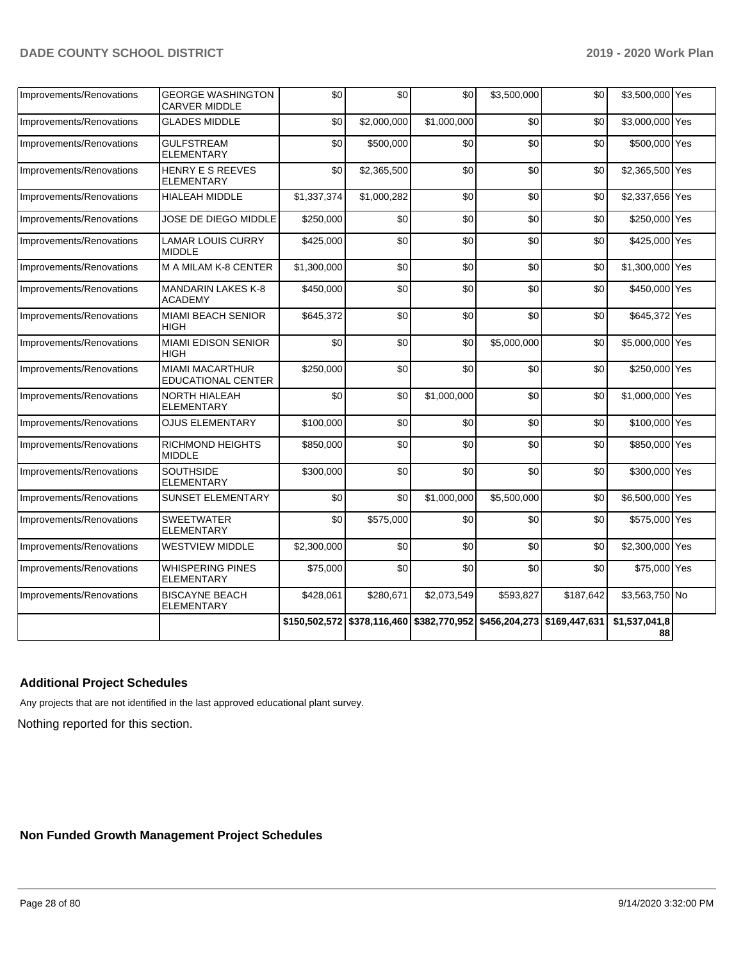| Improvements/Renovations | GEORGE WASHINGTON<br><b>CARVER MIDDLE</b>           | \$0           | \$0         | \$0                                                     | \$3,500,000 | \$0       | \$3,500,000 Yes     |  |
|--------------------------|-----------------------------------------------------|---------------|-------------|---------------------------------------------------------|-------------|-----------|---------------------|--|
| Improvements/Renovations | <b>GLADES MIDDLE</b>                                | \$0           | \$2,000,000 | \$1,000,000                                             | \$0         | \$0       | \$3,000,000 Yes     |  |
| Improvements/Renovations | <b>GULFSTREAM</b><br><b>ELEMENTARY</b>              | \$0           | \$500,000   | \$0                                                     | \$0         | \$0       | \$500,000 Yes       |  |
| Improvements/Renovations | <b>HENRY E S REEVES</b><br><b>ELEMENTARY</b>        | \$0           | \$2,365,500 | \$0                                                     | \$0         | \$0       | \$2,365,500 Yes     |  |
| Improvements/Renovations | HIALEAH MIDDLE                                      | \$1,337,374   | \$1,000,282 | \$0                                                     | \$0         | \$0       | \$2,337,656 Yes     |  |
| Improvements/Renovations | JOSE DE DIEGO MIDDLE                                | \$250,000     | \$0         | \$0                                                     | \$0         | \$0       | \$250,000 Yes       |  |
| Improvements/Renovations | <b>LAMAR LOUIS CURRY</b><br><b>MIDDLE</b>           | \$425,000     | \$0         | \$0                                                     | \$0         | \$0       | \$425,000 Yes       |  |
| Improvements/Renovations | M A MILAM K-8 CENTER                                | \$1,300,000   | \$0         | \$0                                                     | \$0         | \$0       | \$1,300,000 Yes     |  |
| Improvements/Renovations | <b>MANDARIN LAKES K-8</b><br><b>ACADEMY</b>         | \$450,000     | \$0         | \$0                                                     | \$0         | \$0       | \$450,000 Yes       |  |
| Improvements/Renovations | <b>MIAMI BEACH SENIOR</b><br><b>HIGH</b>            | \$645,372     | \$0         | \$0                                                     | \$0         | \$0       | \$645,372 Yes       |  |
| Improvements/Renovations | <b>MIAMI EDISON SENIOR</b><br><b>HIGH</b>           | \$0           | \$0         | \$0                                                     | \$5,000,000 | \$0       | \$5,000,000 Yes     |  |
| Improvements/Renovations | <b>MIAMI MACARTHUR</b><br><b>EDUCATIONAL CENTER</b> | \$250,000     | \$0         | \$0                                                     | \$0         | \$0       | \$250,000 Yes       |  |
| Improvements/Renovations | NORTH HIALEAH<br><b>ELEMENTARY</b>                  | \$0           | \$0         | \$1,000,000                                             | \$0         | \$0       | \$1,000,000 Yes     |  |
| Improvements/Renovations | <b>OJUS ELEMENTARY</b>                              | \$100,000     | \$0         | \$0                                                     | \$0         | \$0       | \$100,000 Yes       |  |
| Improvements/Renovations | <b>RICHMOND HEIGHTS</b><br><b>MIDDLE</b>            | \$850,000     | \$0         | \$0                                                     | \$0         | \$0       | \$850,000 Yes       |  |
| Improvements/Renovations | <b>SOUTHSIDE</b><br><b>ELEMENTARY</b>               | \$300,000     | \$0         | \$0                                                     | \$0         | \$0       | \$300,000 Yes       |  |
| Improvements/Renovations | <b>SUNSET ELEMENTARY</b>                            | \$0           | \$0         | \$1,000,000                                             | \$5,500,000 | \$0       | \$6,500,000 Yes     |  |
| Improvements/Renovations | <b>SWEETWATER</b><br><b>ELEMENTARY</b>              | \$0           | \$575,000   | \$0                                                     | \$0         | \$0       | \$575,000 Yes       |  |
| Improvements/Renovations | <b>WESTVIEW MIDDLE</b>                              | \$2,300,000   | \$0         | \$0                                                     | \$0         | \$0       | \$2,300,000 Yes     |  |
| Improvements/Renovations | <b>WHISPERING PINES</b><br><b>ELEMENTARY</b>        | \$75,000      | \$0         | \$0                                                     | \$0         | \$0       | \$75,000 Yes        |  |
| Improvements/Renovations | <b>BISCAYNE BEACH</b><br><b>ELEMENTARY</b>          | \$428,061     | \$280,671   | \$2,073,549                                             | \$593,827   | \$187,642 | \$3,563,750 No      |  |
|                          |                                                     | \$150,502,572 |             | \$378,116,460 \$382,770,952 \$456,204,273 \$169,447,631 |             |           | \$1,537,041,8<br>88 |  |

#### **Additional Project Schedules**

Any projects that are not identified in the last approved educational plant survey.

Nothing reported for this section.

**Non Funded Growth Management Project Schedules**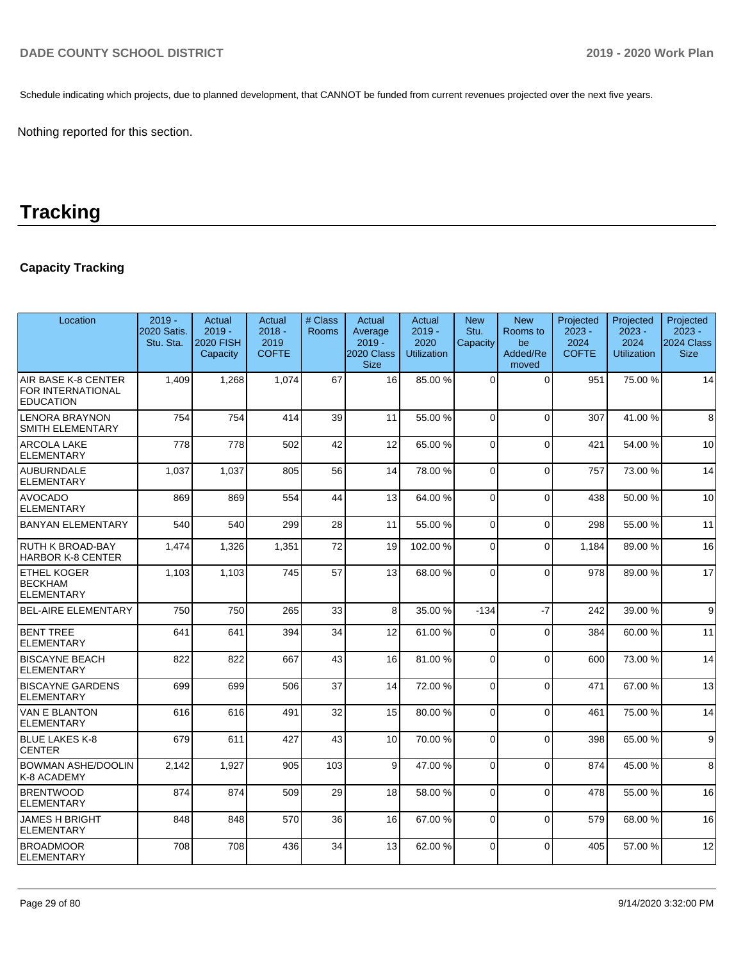Schedule indicating which projects, due to planned development, that CANNOT be funded from current revenues projected over the next five years.

Nothing reported for this section.

# **Tracking**

# **Capacity Tracking**

| Location                                                     | $2019 -$<br>2020 Satis.<br>Stu. Sta. | Actual<br>$2019 -$<br><b>2020 FISH</b><br>Capacity | Actual<br>$2018 -$<br>2019<br><b>COFTE</b> | # Class<br><b>Rooms</b> | Actual<br>Average<br>$2019 -$<br>2020 Class<br><b>Size</b> | Actual<br>$2019 -$<br>2020<br><b>Utilization</b> | <b>New</b><br>Stu.<br>Capacity | <b>New</b><br>Rooms to<br>be<br>Added/Re<br>moved | Projected<br>$2023 -$<br>2024<br><b>COFTE</b> | Projected<br>$2023 -$<br>2024<br><b>Utilization</b> | Projected<br>$2023 -$<br>2024 Class<br><b>Size</b> |
|--------------------------------------------------------------|--------------------------------------|----------------------------------------------------|--------------------------------------------|-------------------------|------------------------------------------------------------|--------------------------------------------------|--------------------------------|---------------------------------------------------|-----------------------------------------------|-----------------------------------------------------|----------------------------------------------------|
| AIR BASE K-8 CENTER<br>FOR INTERNATIONAL<br><b>EDUCATION</b> | 1,409                                | 1,268                                              | 1,074                                      | 67                      | 16                                                         | 85.00 %                                          | $\Omega$                       | $\Omega$                                          | 951                                           | 75.00 %                                             | 14                                                 |
| <b>LENORA BRAYNON</b><br>SMITH ELEMENTARY                    | 754                                  | 754                                                | 414                                        | 39                      | 11                                                         | 55.00 %                                          | $\Omega$                       | $\Omega$                                          | 307                                           | 41.00%                                              | 8                                                  |
| <b>ARCOLA LAKE</b><br><b>ELEMENTARY</b>                      | 778                                  | 778                                                | 502                                        | 42                      | 12                                                         | 65.00 %                                          | 0                              | $\Omega$                                          | 421                                           | 54.00 %                                             | 10                                                 |
| <b>AUBURNDALE</b><br><b>ELEMENTARY</b>                       | 1,037                                | 1,037                                              | 805                                        | 56                      | 14                                                         | 78.00 %                                          | $\Omega$                       | $\Omega$                                          | 757                                           | 73.00 %                                             | 14                                                 |
| <b>AVOCADO</b><br><b>ELEMENTARY</b>                          | 869                                  | 869                                                | 554                                        | 44                      | 13                                                         | 64.00 %                                          | $\Omega$                       | $\Omega$                                          | 438                                           | 50.00 %                                             | 10                                                 |
| <b>BANYAN ELEMENTARY</b>                                     | 540                                  | 540                                                | 299                                        | 28                      | 11                                                         | 55.00 %                                          | 0                              | $\Omega$                                          | 298                                           | 55.00 %                                             | 11                                                 |
| <b>RUTH K BROAD-BAY</b><br><b>HARBOR K-8 CENTER</b>          | 1,474                                | 1,326                                              | 1,351                                      | 72                      | 19                                                         | 102.00%                                          | 0                              | $\Omega$                                          | 1.184                                         | 89.00 %                                             | 16                                                 |
| <b>ETHEL KOGER</b><br><b>BECKHAM</b><br><b>ELEMENTARY</b>    | 1.103                                | 1.103                                              | 745                                        | 57                      | 13                                                         | 68.00 %                                          | $\Omega$                       | $\Omega$                                          | 978                                           | 89.00 %                                             | 17                                                 |
| <b>BEL-AIRE ELEMENTARY</b>                                   | 750                                  | 750                                                | 265                                        | 33                      | 8                                                          | 35.00 %                                          | $-134$                         | $-7$                                              | 242                                           | 39.00 %                                             | 9                                                  |
| <b>BENT TREE</b><br><b>ELEMENTARY</b>                        | 641                                  | 641                                                | 394                                        | 34                      | 12                                                         | 61.00%                                           | $\Omega$                       | $\Omega$                                          | 384                                           | 60.00 %                                             | 11                                                 |
| <b>BISCAYNE BEACH</b><br><b>ELEMENTARY</b>                   | 822                                  | 822                                                | 667                                        | 43                      | 16                                                         | 81.00%                                           | $\Omega$                       | $\Omega$                                          | 600                                           | 73.00 %                                             | 14                                                 |
| <b>BISCAYNE GARDENS</b><br>ELEMENTARY                        | 699                                  | 699                                                | 506                                        | 37                      | 14                                                         | 72.00 %                                          | 0                              | $\mathbf 0$                                       | 471                                           | 67.00 %                                             | 13                                                 |
| VAN E BLANTON<br><b>ELEMENTARY</b>                           | 616                                  | 616                                                | 491                                        | 32                      | 15                                                         | 80.00 %                                          | $\Omega$                       | $\Omega$                                          | 461                                           | 75.00 %                                             | 14                                                 |
| BLUE LAKES K-8<br><b>CENTER</b>                              | 679                                  | 611                                                | 427                                        | 43                      | 10                                                         | 70.00%                                           | $\Omega$                       | $\Omega$                                          | 398                                           | 65.00 %                                             | 9                                                  |
| <b>BOWMAN ASHE/DOOLIN</b><br>K-8 ACADEMY                     | 2,142                                | 1,927                                              | 905                                        | 103                     | 9                                                          | 47.00 %                                          | $\Omega$                       | $\Omega$                                          | 874                                           | 45.00 %                                             | 8                                                  |
| <b>BRENTWOOD</b><br><b>ELEMENTARY</b>                        | 874                                  | 874                                                | 509                                        | 29                      | 18                                                         | 58.00 %                                          | $\Omega$                       | $\Omega$                                          | 478                                           | 55.00 %                                             | 16                                                 |
| JAMES H BRIGHT<br>ELEMENTARY                                 | 848                                  | 848                                                | 570                                        | 36                      | 16                                                         | 67.00 %                                          | $\mathbf 0$                    | $\Omega$                                          | 579                                           | 68.00 %                                             | 16                                                 |
| <b>BROADMOOR</b><br><b>ELEMENTARY</b>                        | 708                                  | 708                                                | 436                                        | 34                      | 13                                                         | 62.00 %                                          | 0                              | $\Omega$                                          | 405                                           | 57.00 %                                             | 12                                                 |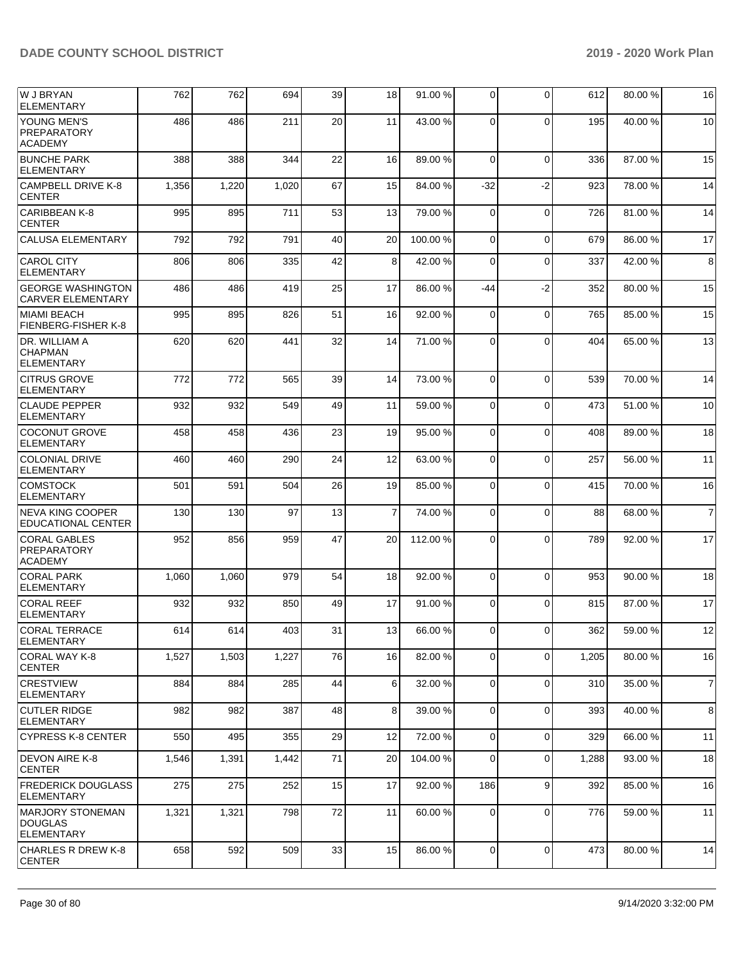| lw j bryan<br><b>ELEMENTARY</b>                      | 762   | 762   | 694   | 39 | 18             | 91.00 % | 0              | $\mathbf 0$ | 612   | 80.00 % | 16             |
|------------------------------------------------------|-------|-------|-------|----|----------------|---------|----------------|-------------|-------|---------|----------------|
| YOUNG MEN'S<br><b>PREPARATORY</b><br><b>ACADEMY</b>  | 486   | 486   | 211   | 20 | 11             | 43.00 % | $\Omega$       | $\Omega$    | 195   | 40.00%  | 10             |
| <b>BUNCHE PARK</b><br><b>ELEMENTARY</b>              | 388   | 388   | 344   | 22 | 16             | 89.00 % | $\Omega$       | $\mathbf 0$ | 336   | 87.00 % | 15             |
| <b>CAMPBELL DRIVE K-8</b><br><b>CENTER</b>           | 1,356 | 1,220 | 1,020 | 67 | 15             | 84.00 % | $-32$          | $-2$        | 923   | 78.00 % | 14             |
| CARIBBEAN K-8<br><b>CENTER</b>                       | 995   | 895   | 711   | 53 | 13             | 79.00 % | $\mathbf 0$    | $\mathbf 0$ | 726   | 81.00%  | 14             |
| <b>CALUSA ELEMENTARY</b>                             | 792   | 792   | 791   | 40 | 20             | 100.00% | $\Omega$       | $\mathbf 0$ | 679   | 86.00 % | 17             |
| <b>CAROL CITY</b><br><b>ELEMENTARY</b>               | 806   | 806   | 335   | 42 | 8              | 42.00%  | $\Omega$       | $\mathbf 0$ | 337   | 42.00 % | 8              |
| <b>GEORGE WASHINGTON</b><br><b>CARVER ELEMENTARY</b> | 486   | 486   | 419   | 25 | 17             | 86.00 % | -44            | $-2$        | 352   | 80.00 % | 15             |
| <b>MIAMI BEACH</b><br>FIENBERG-FISHER K-8            | 995   | 895   | 826   | 51 | 16             | 92.00%  | $\Omega$       | $\mathbf 0$ | 765   | 85.00 % | 15             |
| DR. WILLIAM A<br><b>CHAPMAN</b><br><b>ELEMENTARY</b> | 620   | 620   | 441   | 32 | 14             | 71.00 % | $\Omega$       | $\Omega$    | 404   | 65.00 % | 13             |
| <b>CITRUS GROVE</b><br><b>ELEMENTARY</b>             | 772   | 772   | 565   | 39 | 14             | 73.00 % | $\Omega$       | $\Omega$    | 539   | 70.00 % | 14             |
| <b>CLAUDE PEPPER</b><br><b>ELEMENTARY</b>            | 932   | 932   | 549   | 49 | 11             | 59.00 % | $\Omega$       | $\mathbf 0$ | 473   | 51.00 % | 10             |
| <b>COCONUT GROVE</b><br><b>ELEMENTARY</b>            | 458   | 458   | 436   | 23 | 19             | 95.00 % | $\Omega$       | $\mathbf 0$ | 408   | 89.00 % | 18             |
| <b>COLONIAL DRIVE</b><br><b>ELEMENTARY</b>           | 460   | 460   | 290   | 24 | 12             | 63.00 % | 0              | $\mathbf 0$ | 257   | 56.00 % | 11             |
| <b>COMSTOCK</b><br><b>ELEMENTARY</b>                 | 501   | 591   | 504   | 26 | 19             | 85.00 % | $\Omega$       | $\mathbf 0$ | 415   | 70.00 % | 16             |
| <b>NEVA KING COOPER</b><br><b>EDUCATIONAL CENTER</b> | 130   | 130   | 97    | 13 | $\overline{7}$ | 74.00 % | $\Omega$       | $\Omega$    | 88    | 68.00 % | $\overline{7}$ |
| <b>CORAL GABLES</b><br>PREPARATORY<br><b>ACADEMY</b> | 952   | 856   | 959   | 47 | 20             | 112.00% | $\Omega$       | $\Omega$    | 789   | 92.00 % | 17             |
| <b>CORAL PARK</b><br><b>ELEMENTARY</b>               | 1,060 | 1,060 | 979   | 54 | 18             | 92.00 % | $\Omega$       | $\Omega$    | 953   | 90.00 % | 18             |
| <b>CORAL REEF</b><br><b>ELEMENTARY</b>               | 932   | 932   | 850   | 49 | 17             | 91.00 % | $\Omega$       | $\Omega$    | 815   | 87.00 % | 17             |
| <b>CORAL TERRACE</b><br><b>ELEMENTARY</b>            | 614   | 614   | 403   | 31 | 13             | 66.00%  | $\mathbf{O}$   | $\mathbf 0$ | 362   | 59.00 % | 12             |
| CORAL WAY K-8<br><b>CENTER</b>                       | 1,527 | 1,503 | 1,227 | 76 | 16             | 82.00 % | 0              | $\mathbf 0$ | 1,205 | 80.00 % | 16             |
| <b>CRESTVIEW</b><br>ELEMENTARY                       | 884   | 884   | 285   | 44 | 6              | 32.00 % | $\mathbf 0$    | $\mathbf 0$ | 310   | 35.00 % | $\overline{7}$ |
| <b>CUTLER RIDGE</b><br>ELEMENTARY                    | 982   | 982   | 387   | 48 | 8 <sup>1</sup> | 39.00 % | $\overline{0}$ | $\mathbf 0$ | 393   | 40.00 % | 8              |
| CYPRESS K-8 CENTER                                   | 550   | 495   | 355   | 29 | 12             | 72.00 % | $\mathbf 0$    | $\mathbf 0$ | 329   | 66.00 % | 11             |
| <b>DEVON AIRE K-8</b><br><b>CENTER</b>               | 1,546 | 1,391 | 1,442 | 71 | 20             | 104.00% | 0              | $\mathbf 0$ | 1,288 | 93.00 % | 18             |
| <b>FREDERICK DOUGLASS</b><br><b>ELEMENTARY</b>       | 275   | 275   | 252   | 15 | 17             | 92.00 % | 186            | 9           | 392   | 85.00 % | 16             |
| MARJORY STONEMAN<br>DOUGLAS<br>ELEMENTARY            | 1,321 | 1,321 | 798   | 72 | 11             | 60.00 % | $\mathbf 0$    | $\mathbf 0$ | 776   | 59.00 % | 11             |
| CHARLES R DREW K-8<br><b>CENTER</b>                  | 658   | 592   | 509   | 33 | 15             | 86.00 % | $\mathbf 0$    | $\mathbf 0$ | 473   | 80.00 % | 14             |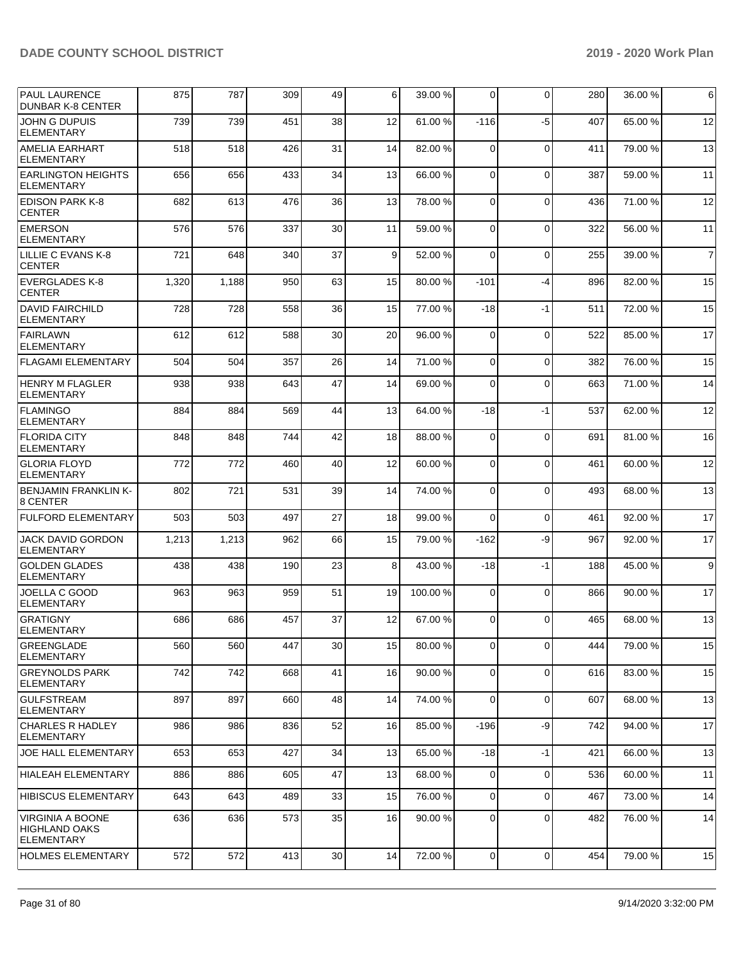| <b>PAUL LAURENCE</b><br><b>DUNBAR K-8 CENTER</b>                     | 875   | 787   | 309 | 49 | 6  | 39.00 % | $\Omega$       | $\Omega$    | 280 | 36.00 % | 6              |
|----------------------------------------------------------------------|-------|-------|-----|----|----|---------|----------------|-------------|-----|---------|----------------|
| JOHN G DUPUIS<br><b>ELEMENTARY</b>                                   | 739   | 739   | 451 | 38 | 12 | 61.00%  | $-116$         | $-5$        | 407 | 65.00 % | 12             |
| <b>AMELIA EARHART</b><br><b>ELEMENTARY</b>                           | 518   | 518   | 426 | 31 | 14 | 82.00 % | 0              | $\mathbf 0$ | 411 | 79.00 % | 13             |
| <b>EARLINGTON HEIGHTS</b><br><b>ELEMENTARY</b>                       | 656   | 656   | 433 | 34 | 13 | 66.00 % | $\Omega$       | $\mathbf 0$ | 387 | 59.00 % | 11             |
| <b>EDISON PARK K-8</b><br><b>CENTER</b>                              | 682   | 613   | 476 | 36 | 13 | 78.00 % | $\Omega$       | $\Omega$    | 436 | 71.00 % | 12             |
| <b>EMERSON</b><br><b>ELEMENTARY</b>                                  | 576   | 576   | 337 | 30 | 11 | 59.00 % | $\mathbf 0$    | $\mathbf 0$ | 322 | 56.00 % | 11             |
| LILLIE C EVANS K-8<br><b>CENTER</b>                                  | 721   | 648   | 340 | 37 | 9  | 52.00 % | $\Omega$       | $\mathbf 0$ | 255 | 39.00 % | $\overline{7}$ |
| <b>EVERGLADES K-8</b><br><b>CENTER</b>                               | 1,320 | 1,188 | 950 | 63 | 15 | 80.00 % | $-101$         | $-4$        | 896 | 82.00 % | 15             |
| <b>DAVID FAIRCHILD</b><br><b>ELEMENTARY</b>                          | 728   | 728   | 558 | 36 | 15 | 77.00 % | $-18$          | $-1$        | 511 | 72.00 % | 15             |
| FAIRLAWN<br><b>ELEMENTARY</b>                                        | 612   | 612   | 588 | 30 | 20 | 96.00 % | $\Omega$       | $\mathbf 0$ | 522 | 85.00 % | 17             |
| <b>FLAGAMI ELEMENTARY</b>                                            | 504   | 504   | 357 | 26 | 14 | 71.00 % | $\mathbf 0$    | $\mathbf 0$ | 382 | 76.00 % | 15             |
| <b>HENRY M FLAGLER</b><br><b>ELEMENTARY</b>                          | 938   | 938   | 643 | 47 | 14 | 69.00 % | 0              | $\mathbf 0$ | 663 | 71.00 % | 14             |
| <b>FLAMINGO</b><br><b>ELEMENTARY</b>                                 | 884   | 884   | 569 | 44 | 13 | 64.00%  | $-18$          | $-1$        | 537 | 62.00 % | 12             |
| <b>FLORIDA CITY</b><br><b>ELEMENTARY</b>                             | 848   | 848   | 744 | 42 | 18 | 88.00 % | $\Omega$       | $\mathbf 0$ | 691 | 81.00 % | 16             |
| <b>GLORIA FLOYD</b><br><b>ELEMENTARY</b>                             | 772   | 772   | 460 | 40 | 12 | 60.00%  | $\Omega$       | $\Omega$    | 461 | 60.00 % | 12             |
| <b>BENJAMIN FRANKLIN K-</b><br>8 CENTER                              | 802   | 721   | 531 | 39 | 14 | 74.00 % | 0              | $\mathbf 0$ | 493 | 68.00 % | 13             |
| FULFORD ELEMENTARY                                                   | 503   | 503   | 497 | 27 | 18 | 99.00 % | $\Omega$       | $\mathbf 0$ | 461 | 92.00 % | 17             |
| <b>JACK DAVID GORDON</b><br><b>ELEMENTARY</b>                        | 1,213 | 1,213 | 962 | 66 | 15 | 79.00 % | $-162$         | -9          | 967 | 92.00 % | 17             |
| <b>GOLDEN GLADES</b><br><b>ELEMENTARY</b>                            | 438   | 438   | 190 | 23 | 8  | 43.00 % | $-18$          | $-1$        | 188 | 45.00 % | 9              |
| JOELLA C GOOD<br><b>ELEMENTARY</b>                                   | 963   | 963   | 959 | 51 | 19 | 100.00% | $\mathbf 0$    | $\mathbf 0$ | 866 | 90.00 % | 17             |
| GRATIGNY<br>ELEMENTARY                                               | 686   | 686   | 457 | 37 | 12 | 67.00%  | $\Omega$       | $\Omega$    | 465 | 68.00 % | 13             |
| <b>GREENGLADE</b><br><b>ELEMENTARY</b>                               | 560   | 560   | 447 | 30 | 15 | 80.00 % | 0              | $\Omega$    | 444 | 79.00 % | 15             |
| <b>GREYNOLDS PARK</b><br>ELEMENTARY                                  | 742   | 742   | 668 | 41 | 16 | 90.00 % | $\mathbf 0$    | $\mathbf 0$ | 616 | 83.00 % | 15             |
| GULFSTREAM<br><b>ELEMENTARY</b>                                      | 897   | 897   | 660 | 48 | 14 | 74.00 % | $\Omega$       | $\mathbf 0$ | 607 | 68.00 % | 13             |
| <b>CHARLES R HADLEY</b><br><b>ELEMENTARY</b>                         | 986   | 986   | 836 | 52 | 16 | 85.00 % | $-196$         | -9          | 742 | 94.00 % | 17             |
| <b>JOE HALL ELEMENTARY</b>                                           | 653   | 653   | 427 | 34 | 13 | 65.00 % | $-18$          | $-1$        | 421 | 66.00 % | 13             |
| HIALEAH ELEMENTARY                                                   | 886   | 886   | 605 | 47 | 13 | 68.00 % | 0              | $\mathbf 0$ | 536 | 60.00 % | 11             |
| <b>HIBISCUS ELEMENTARY</b>                                           | 643   | 643   | 489 | 33 | 15 | 76.00 % | $\mathbf 0$    | $\mathbf 0$ | 467 | 73.00 % | 14             |
| <b>VIRGINIA A BOONE</b><br><b>HIGHLAND OAKS</b><br><b>ELEMENTARY</b> | 636   | 636   | 573 | 35 | 16 | 90.00 % | $\mathbf 0$    | $\mathbf 0$ | 482 | 76.00 % | 14             |
| <b>HOLMES ELEMENTARY</b>                                             | 572   | 572   | 413 | 30 | 14 | 72.00 % | $\overline{0}$ | 0           | 454 | 79.00 % | 15             |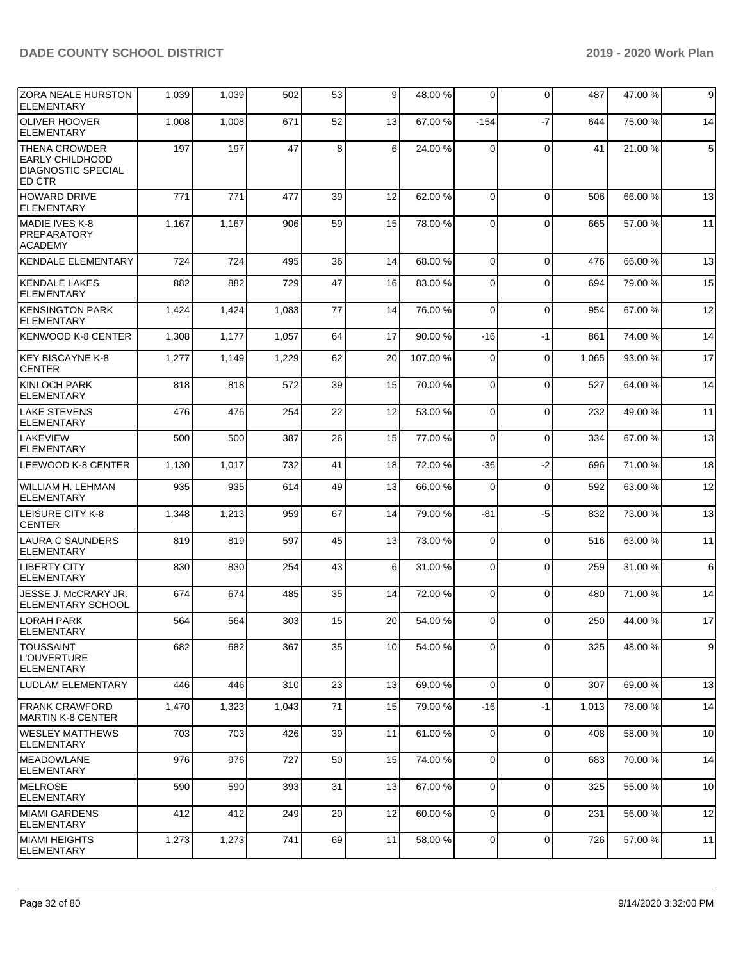| <b>ZORA NEALE HURSTON</b><br>ELEMENTARY                                               | 1,039 | 1,039 | 502   | 53 | 9  | 48.00 % | 0              | $\Omega$    | 487   | 47.00 % | 9           |
|---------------------------------------------------------------------------------------|-------|-------|-------|----|----|---------|----------------|-------------|-------|---------|-------------|
| <b>OLIVER HOOVER</b><br><b>ELEMENTARY</b>                                             | 1,008 | 1,008 | 671   | 52 | 13 | 67.00 % | $-154$         | $-7$        | 644   | 75.00 % | 14          |
| <b>THENA CROWDER</b><br><b>EARLY CHILDHOOD</b><br><b>DIAGNOSTIC SPECIAL</b><br>ED CTR | 197   | 197   | 47    | 8  | 6  | 24.00 % | 0              | $\Omega$    | 41    | 21.00 % | $\,$ 5 $\,$ |
| <b>HOWARD DRIVE</b><br><b>ELEMENTARY</b>                                              | 771   | 771   | 477   | 39 | 12 | 62.00 % | $\Omega$       | $\Omega$    | 506   | 66.00 % | 13          |
| MADIE IVES K-8<br><b>PREPARATORY</b><br><b>ACADEMY</b>                                | 1,167 | 1,167 | 906   | 59 | 15 | 78.00 % | $\mathbf 0$    | $\Omega$    | 665   | 57.00 % | 11          |
| <b>KENDALE ELEMENTARY</b>                                                             | 724   | 724   | 495   | 36 | 14 | 68.00 % | 0              | $\mathbf 0$ | 476   | 66.00 % | 13          |
| <b>KENDALE LAKES</b><br>ELEMENTARY                                                    | 882   | 882   | 729   | 47 | 16 | 83.00 % | 0              | $\Omega$    | 694   | 79.00 % | 15          |
| <b>KENSINGTON PARK</b><br><b>ELEMENTARY</b>                                           | 1,424 | 1,424 | 1,083 | 77 | 14 | 76.00 % | $\mathbf 0$    | $\Omega$    | 954   | 67.00 % | 12          |
| <b>KENWOOD K-8 CENTER</b>                                                             | 1,308 | 1,177 | 1,057 | 64 | 17 | 90.00 % | $-16$          | $-1$        | 861   | 74.00 % | 14          |
| KEY BISCAYNE K-8<br><b>CENTER</b>                                                     | 1,277 | 1,149 | 1,229 | 62 | 20 | 107.00% | 0              | $\mathbf 0$ | 1,065 | 93.00 % | 17          |
| <b>KINLOCH PARK</b><br><b>ELEMENTARY</b>                                              | 818   | 818   | 572   | 39 | 15 | 70.00 % | $\mathbf 0$    | $\mathbf 0$ | 527   | 64.00 % | 14          |
| <b>LAKE STEVENS</b><br><b>ELEMENTARY</b>                                              | 476   | 476   | 254   | 22 | 12 | 53.00 % | $\mathbf 0$    | $\Omega$    | 232   | 49.00 % | 11          |
| <b>LAKEVIEW</b><br><b>ELEMENTARY</b>                                                  | 500   | 500   | 387   | 26 | 15 | 77.00 % | 0              | $\Omega$    | 334   | 67.00 % | 13          |
| LEEWOOD K-8 CENTER                                                                    | 1,130 | 1,017 | 732   | 41 | 18 | 72.00 % | $-36$          | $-2$        | 696   | 71.00 % | 18          |
| WILLIAM H. LEHMAN<br>ELEMENTARY                                                       | 935   | 935   | 614   | 49 | 13 | 66.00 % | 0              | $\mathbf 0$ | 592   | 63.00 % | 12          |
| <b>LEISURE CITY K-8</b><br><b>CENTER</b>                                              | 1,348 | 1,213 | 959   | 67 | 14 | 79.00 % | -81            | $-5$        | 832   | 73.00 % | 13          |
| LAURA C SAUNDERS<br><b>ELEMENTARY</b>                                                 | 819   | 819   | 597   | 45 | 13 | 73.00 % | 0              | $\Omega$    | 516   | 63.00 % | 11          |
| <b>LIBERTY CITY</b><br><b>ELEMENTARY</b>                                              | 830   | 830   | 254   | 43 | 6  | 31.00 % | 0              | $\Omega$    | 259   | 31.00 % | 6           |
| JESSE J. McCRARY JR.<br>ELEMENTARY SCHOOL                                             | 674   | 674   | 485   | 35 | 14 | 72.00 % | $\mathbf 0$    | $\Omega$    | 480   | 71.00 % | 14          |
| <b>LORAH PARK</b><br><b>ELEMENTARY</b>                                                | 564   | 564   | 303   | 15 | 20 | 54.00 % | 0              | $\Omega$    | 250   | 44.00 % | 17          |
| <b>TOUSSAINT</b><br>L'OUVERTURE<br><b>ELEMENTARY</b>                                  | 682   | 682   | 367   | 35 | 10 | 54.00 % | 0              | $\mathbf 0$ | 325   | 48.00 % | 9           |
| <b>LUDLAM ELEMENTARY</b>                                                              | 446   | 446   | 310   | 23 | 13 | 69.00 % | $\mathbf 0$    | $\Omega$    | 307   | 69.00 % | 13          |
| FRANK CRAWFORD<br> MARTIN K-8 CENTER                                                  | 1,470 | 1,323 | 1,043 | 71 | 15 | 79.00 % | $-16$          | $-1$        | 1,013 | 78.00 % | 14          |
| <b>WESLEY MATTHEWS</b><br><b>ELEMENTARY</b>                                           | 703   | 703   | 426   | 39 | 11 | 61.00%  | $\mathbf 0$    | $\mathbf 0$ | 408   | 58.00 % | 10          |
| <b>MEADOWLANE</b><br><b>ELEMENTARY</b>                                                | 976   | 976   | 727   | 50 | 15 | 74.00 % | 0              | $\mathbf 0$ | 683   | 70.00%  | 14          |
| MELROSE<br><b>ELEMENTARY</b>                                                          | 590   | 590   | 393   | 31 | 13 | 67.00 % | 0              | $\mathbf 0$ | 325   | 55.00 % | 10          |
| IMIAMI GARDENS<br><b>ELEMENTARY</b>                                                   | 412   | 412   | 249   | 20 | 12 | 60.00 % | $\mathbf 0$    | $\mathbf 0$ | 231   | 56.00 % | 12          |
| <b>MIAMI HEIGHTS</b><br><b>ELEMENTARY</b>                                             | 1,273 | 1,273 | 741   | 69 | 11 | 58.00 % | $\overline{0}$ | $\mathbf 0$ | 726   | 57.00 % | 11          |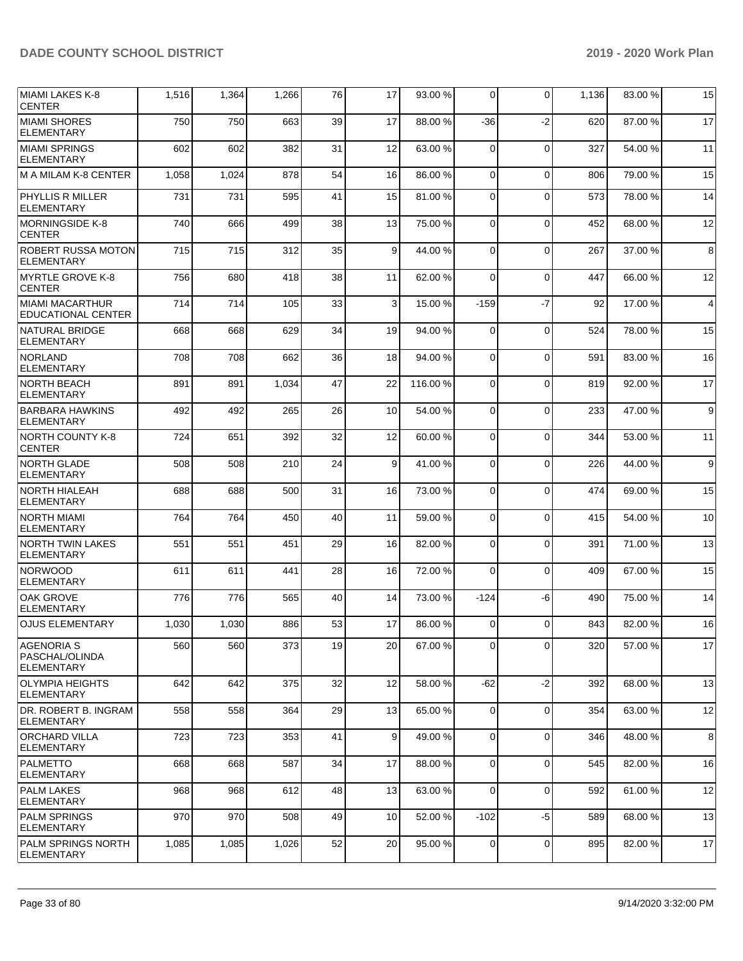| MIAMI LAKES K-8<br><b>CENTER</b>                         | 1,516 | 1,364 | 1,266 | 76 | 17           | 93.00 % | $\Omega$       | 0           | 1,136 | 83.00 % | 15             |
|----------------------------------------------------------|-------|-------|-------|----|--------------|---------|----------------|-------------|-------|---------|----------------|
| <b>MIAMI SHORES</b><br><b>ELEMENTARY</b>                 | 750   | 750   | 663   | 39 | 17           | 88.00%  | $-36$          | $-2$        | 620   | 87.00 % | 17             |
| <b>MIAMI SPRINGS</b><br><b>ELEMENTARY</b>                | 602   | 602   | 382   | 31 | 12           | 63.00 % | $\Omega$       | $\mathbf 0$ | 327   | 54.00 % | 11             |
| M A MILAM K-8 CENTER                                     | 1,058 | 1,024 | 878   | 54 | 16           | 86.00 % | $\Omega$       | 0           | 806   | 79.00 % | 15             |
| <b>PHYLLIS R MILLER</b><br><b>ELEMENTARY</b>             | 731   | 731   | 595   | 41 | 15           | 81.00%  | $\Omega$       | $\Omega$    | 573   | 78.00 % | 14             |
| MORNINGSIDE K-8<br><b>CENTER</b>                         | 740   | 666   | 499   | 38 | 13           | 75.00 % | $\Omega$       | $\Omega$    | 452   | 68.00 % | 12             |
| <b>ROBERT RUSSA MOTON</b><br><b>ELEMENTARY</b>           | 715   | 715   | 312   | 35 | 9            | 44.00 % | $\mathbf 0$    | $\mathbf 0$ | 267   | 37.00 % | 8              |
| MYRTLE GROVE K-8<br><b>CENTER</b>                        | 756   | 680   | 418   | 38 | 11           | 62.00 % | $\Omega$       | $\Omega$    | 447   | 66.00 % | 12             |
| MIAMI MACARTHUR<br><b>EDUCATIONAL CENTER</b>             | 714   | 714   | 105   | 33 | $\mathbf{3}$ | 15.00 % | $-159$         | $-7$        | 92    | 17.00 % | $\overline{4}$ |
| <b>NATURAL BRIDGE</b><br><b>ELEMENTARY</b>               | 668   | 668   | 629   | 34 | 19           | 94.00 % | $\mathbf 0$    | $\mathbf 0$ | 524   | 78.00 % | 15             |
| NORLAND<br><b>ELEMENTARY</b>                             | 708   | 708   | 662   | 36 | 18           | 94.00 % | $\Omega$       | $\Omega$    | 591   | 83.00 % | 16             |
| <b>NORTH BEACH</b><br><b>ELEMENTARY</b>                  | 891   | 891   | 1,034 | 47 | 22           | 116.00% | $\Omega$       | $\Omega$    | 819   | 92.00 % | 17             |
| <b>BARBARA HAWKINS</b><br><b>ELEMENTARY</b>              | 492   | 492   | 265   | 26 | 10           | 54.00 % | $\mathbf 0$    | $\mathbf 0$ | 233   | 47.00 % | 9              |
| NORTH COUNTY K-8<br><b>CENTER</b>                        | 724   | 651   | 392   | 32 | 12           | 60.00 % | $\Omega$       | $\Omega$    | 344   | 53.00 % | 11             |
| NORTH GLADE<br><b>ELEMENTARY</b>                         | 508   | 508   | 210   | 24 | 9            | 41.00 % | $\Omega$       | $\Omega$    | 226   | 44.00%  | 9              |
| <b>NORTH HIALEAH</b><br><b>ELEMENTARY</b>                | 688   | 688   | 500   | 31 | 16           | 73.00 % | $\mathbf 0$    | $\Omega$    | 474   | 69.00 % | 15             |
| NORTH MIAMI<br><b>ELEMENTARY</b>                         | 764   | 764   | 450   | 40 | 11           | 59.00 % | $\Omega$       | $\Omega$    | 415   | 54.00 % | 10             |
| <b>NORTH TWIN LAKES</b><br><b>ELEMENTARY</b>             | 551   | 551   | 451   | 29 | 16           | 82.00%  | $\Omega$       | $\Omega$    | 391   | 71.00 % | 13             |
| <b>NORWOOD</b><br><b>ELEMENTARY</b>                      | 611   | 611   | 441   | 28 | 16           | 72.00 % | $\Omega$       | $\mathbf 0$ | 409   | 67.00 % | 15             |
| OAK GROVE<br><b>ELEMENTARY</b>                           | 776   | 776   | 565   | 40 | 14           | 73.00 % | $-124$         | -6          | 490   | 75.00 % | 14             |
| <b>OJUS ELEMENTARY</b>                                   | 1,030 | 1,030 | 886   | 53 | 17           | 86.00 % | $\overline{0}$ | $\Omega$    | 843   | 82.00 % | 16             |
| <b>AGENORIA S</b><br>PASCHAL/OLINDA<br><b>ELEMENTARY</b> | 560   | 560   | 373   | 19 | 20           | 67.00 % | $\overline{0}$ | 0           | 320   | 57.00 % | 17             |
| OLYMPIA HEIGHTS<br> ELEMENTARY                           | 642   | 642   | 375   | 32 | 12           | 58.00 % | $-62$          | $-2$        | 392   | 68.00 % | 13             |
| DR. ROBERT B. INGRAM<br><b>ELEMENTARY</b>                | 558   | 558   | 364   | 29 | 13           | 65.00 % | $\Omega$       | 0           | 354   | 63.00 % | 12             |
| ORCHARD VILLA<br><b>ELEMENTARY</b>                       | 723   | 723   | 353   | 41 | 9            | 49.00 % | $\Omega$       | $\Omega$    | 346   | 48.00 % | 8              |
| <b>PALMETTO</b><br><b>ELEMENTARY</b>                     | 668   | 668   | 587   | 34 | 17           | 88.00 % | $\Omega$       | 0           | 545   | 82.00 % | 16             |
| <b>PALM LAKES</b><br>ELEMENTARY                          | 968   | 968   | 612   | 48 | 13           | 63.00 % | $\Omega$       | 0           | 592   | 61.00 % | 12             |
| <b>PALM SPRINGS</b><br>ELEMENTARY                        | 970   | 970   | 508   | 49 | 10           | 52.00 % | $-102$         | -5          | 589   | 68.00 % | 13             |
| <b>PALM SPRINGS NORTH</b><br>ELEMENTARY                  | 1,085 | 1,085 | 1,026 | 52 | 20           | 95.00 % | $\mathbf 0$    | 0           | 895   | 82.00 % | 17             |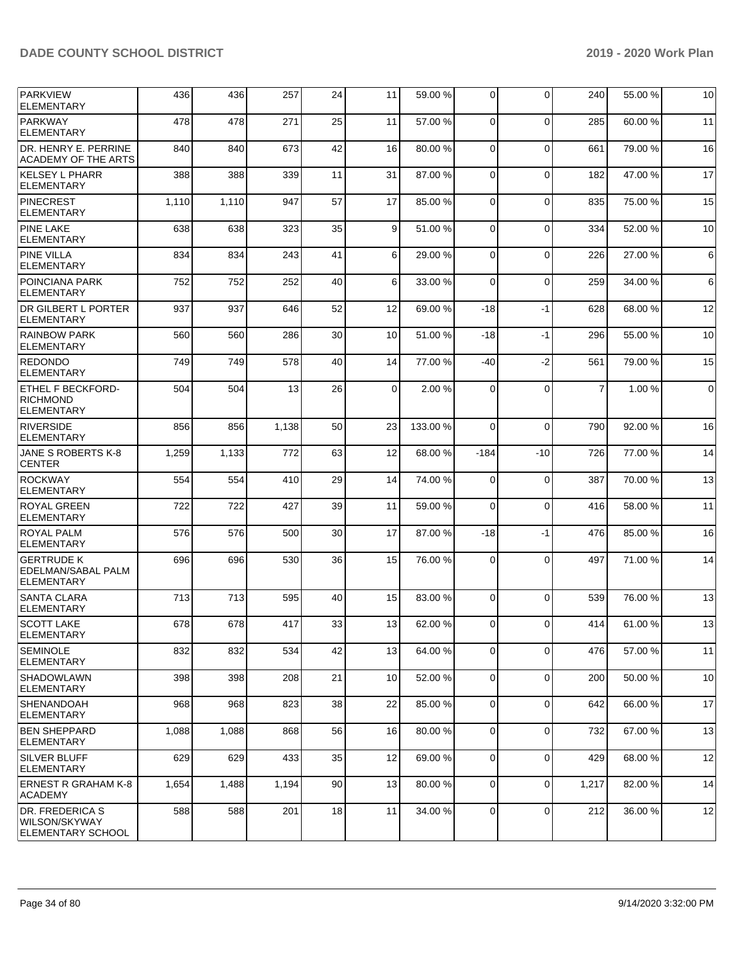| PARKVIEW<br><b>ELEMENTARY</b>                                    | 436   | 436   | 257   | 24 | 11       | 59.00 %  | $\Omega$       | $\Omega$     | 240            | 55.00 % | 10              |
|------------------------------------------------------------------|-------|-------|-------|----|----------|----------|----------------|--------------|----------------|---------|-----------------|
| <b>PARKWAY</b><br><b>ELEMENTARY</b>                              | 478   | 478   | 271   | 25 | 11       | 57.00 %  | $\Omega$       | $\Omega$     | 285            | 60.00%  | 11              |
| DR. HENRY E. PERRINE<br><b>ACADEMY OF THE ARTS</b>               | 840   | 840   | 673   | 42 | 16       | 80.00%   | $\Omega$       | $\Omega$     | 661            | 79.00 % | 16              |
| <b>KELSEY L PHARR</b><br>ELEMENTARY                              | 388   | 388   | 339   | 11 | 31       | 87.00 %  | $\Omega$       | 0            | 182            | 47.00 % | 17              |
| <b>PINECREST</b><br><b>ELEMENTARY</b>                            | 1,110 | 1,110 | 947   | 57 | 17       | 85.00 %  | $\Omega$       | $\Omega$     | 835            | 75.00 % | 15              |
| <b>PINE LAKE</b><br><b>ELEMENTARY</b>                            | 638   | 638   | 323   | 35 | 9        | 51.00%   | $\Omega$       | $\Omega$     | 334            | 52.00 % | 10              |
| <b>PINE VILLA</b><br><b>ELEMENTARY</b>                           | 834   | 834   | 243   | 41 | 6        | 29.00 %  | $\Omega$       | 0            | 226            | 27.00 % | $6 \,$          |
| POINCIANA PARK<br><b>ELEMENTARY</b>                              | 752   | 752   | 252   | 40 | 6        | 33.00 %  | $\Omega$       | $\mathbf 0$  | 259            | 34.00 % | $6 \mid$        |
| <b>DR GILBERT L PORTER</b><br><b>ELEMENTARY</b>                  | 937   | 937   | 646   | 52 | 12       | 69.00%   | $-18$          | -1           | 628            | 68.00 % | 12              |
| <b>RAINBOW PARK</b><br><b>ELEMENTARY</b>                         | 560   | 560   | 286   | 30 | 10       | 51.00 %  | -18            | -1           | 296            | 55.00 % | 10              |
| <b>REDONDO</b><br><b>ELEMENTARY</b>                              | 749   | 749   | 578   | 40 | 14       | 77.00 %  | $-40$          | $-2$         | 561            | 79.00 % | 15              |
| <b>ETHEL F BECKFORD-</b><br><b>RICHMOND</b><br><b>ELEMENTARY</b> | 504   | 504   | 13    | 26 | $\Omega$ | 2.00 %   | $\Omega$       | $\Omega$     | $\overline{7}$ | 1.00 %  | $\overline{0}$  |
| <b>RIVERSIDE</b><br><b>ELEMENTARY</b>                            | 856   | 856   | 1,138 | 50 | 23       | 133.00 % | $\Omega$       | $\mathbf 0$  | 790            | 92.00 % | 16              |
| JANE S ROBERTS K-8<br><b>CENTER</b>                              | 1,259 | 1,133 | 772   | 63 | 12       | 68.00 %  | $-184$         | $-10$        | 726            | 77.00 % | 14              |
| <b>ROCKWAY</b><br><b>ELEMENTARY</b>                              | 554   | 554   | 410   | 29 | 14       | 74.00 %  | $\Omega$       | $\mathbf 0$  | 387            | 70.00%  | 13              |
| <b>ROYAL GREEN</b><br><b>ELEMENTARY</b>                          | 722   | 722   | 427   | 39 | 11       | 59.00 %  | $\Omega$       | 0            | 416            | 58.00 % | 11              |
| ROYAL PALM<br><b>ELEMENTARY</b>                                  | 576   | 576   | 500   | 30 | 17       | 87.00%   | $-18$          | -1           | 476            | 85.00 % | 16              |
| <b>GERTRUDE K</b><br>EDELMAN/SABAL PALM<br><b>ELEMENTARY</b>     | 696   | 696   | 530   | 36 | 15       | 76.00 %  | $\Omega$       | $\mathbf{0}$ | 497            | 71.00 % | 14              |
| <b>SANTA CLARA</b><br><b>ELEMENTARY</b>                          | 713   | 713   | 595   | 40 | 15       | 83.00 %  | $\Omega$       | $\Omega$     | 539            | 76.00 % | 13              |
| <b>SCOTT LAKE</b><br>ELEMENTARY                                  | 678   | 678   | 417   | 33 | 13       | 62.00 %  | $\overline{0}$ | $\Omega$     | 414            | 61.00 % | 13              |
| <b>SEMINOLE</b><br><b>ELEMENTARY</b>                             | 832   | 832   | 534   | 42 | 13       | 64.00%   | $\overline{0}$ | 0            | 476            | 57.00 % | 11              |
| <b>SHADOWLAWN</b><br><b>ELEMENTARY</b>                           | 398   | 398   | 208   | 21 | 10       | 52.00 %  | 0              | 0            | 200            | 50.00 % | 10 <sup>1</sup> |
| <b>SHENANDOAH</b><br> ELEMENTARY                                 | 968   | 968   | 823   | 38 | 22       | 85.00 %  | $\Omega$       | 0            | 642            | 66.00 % | 17              |
| <b>BEN SHEPPARD</b><br><b>ELEMENTARY</b>                         | 1,088 | 1,088 | 868   | 56 | 16       | 80.00%   | $\overline{0}$ | 0            | 732            | 67.00 % | 13              |
| <b>SILVER BLUFF</b><br><b>ELEMENTARY</b>                         | 629   | 629   | 433   | 35 | 12       | 69.00 %  | 0              | 0            | 429            | 68.00 % | 12              |
| ERNEST R GRAHAM K-8<br><b>ACADEMY</b>                            | 1,654 | 1,488 | 1,194 | 90 | 13       | 80.00%   | $\overline{0}$ | 0            | 1,217          | 82.00 % | 14              |
| <b>IDR. FREDERICA S</b><br>WILSON/SKYWAY<br>ELEMENTARY SCHOOL    | 588   | 588   | 201   | 18 | 11       | 34.00 %  | $\overline{0}$ | 0            | 212            | 36.00 % | 12              |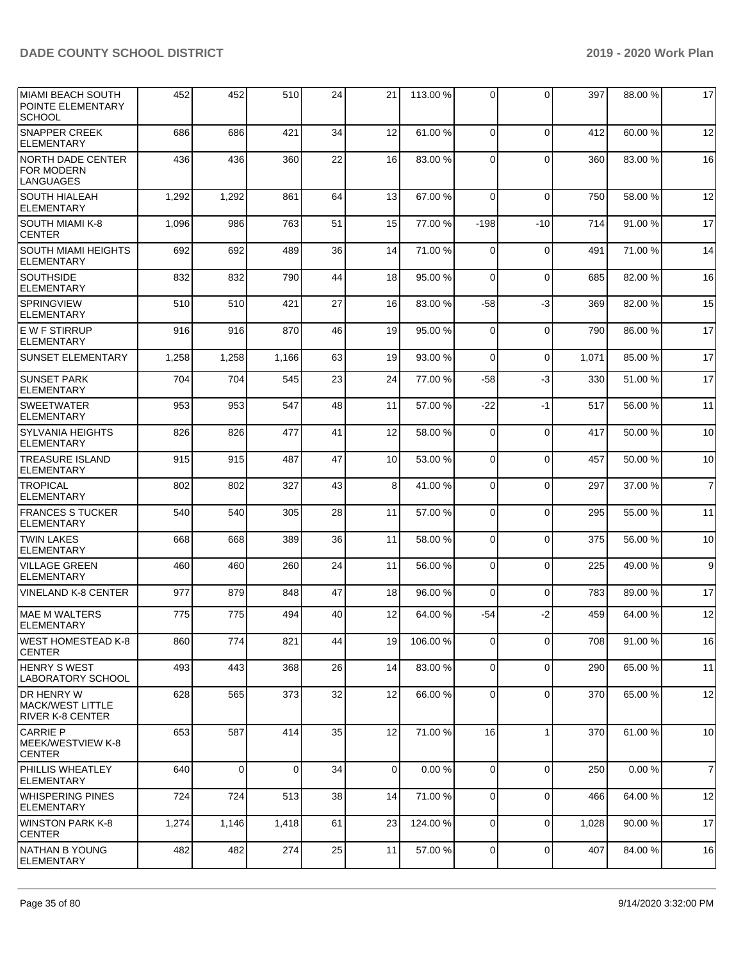| <b>MIAMI BEACH SOUTH</b><br>POINTE ELEMENTARY<br><b>SCHOOL</b> | 452   | 452         | 510      | 24 | 21              | 113.00 % | 0              | 0           | 397   | 88.00 % | 17             |
|----------------------------------------------------------------|-------|-------------|----------|----|-----------------|----------|----------------|-------------|-------|---------|----------------|
| <b>SNAPPER CREEK</b><br><b>ELEMENTARY</b>                      | 686   | 686         | 421      | 34 | 12              | 61.00%   | $\Omega$       | $\mathbf 0$ | 412   | 60.00 % | 12             |
| <b>NORTH DADE CENTER</b><br><b>FOR MODERN</b><br>LANGUAGES     | 436   | 436         | 360      | 22 | 16              | 83.00 %  | $\Omega$       | $\Omega$    | 360   | 83.00 % | 16             |
| <b>SOUTH HIALEAH</b><br><b>ELEMENTARY</b>                      | 1,292 | 1,292       | 861      | 64 | 13              | 67.00 %  | $\Omega$       | $\Omega$    | 750   | 58.00 % | 12             |
| SOUTH MIAMI K-8<br><b>CENTER</b>                               | 1,096 | 986         | 763      | 51 | 15              | 77.00 %  | $-198$         | $-10$       | 714   | 91.00 % | 17             |
| <b>SOUTH MIAMI HEIGHTS</b><br><b>ELEMENTARY</b>                | 692   | 692         | 489      | 36 | 14              | 71.00 %  | $\Omega$       | $\Omega$    | 491   | 71.00 % | 14             |
| <b>SOUTHSIDE</b><br><b>ELEMENTARY</b>                          | 832   | 832         | 790      | 44 | 18              | 95.00 %  | $\Omega$       | $\Omega$    | 685   | 82.00 % | 16             |
| <b>SPRINGVIEW</b><br><b>ELEMENTARY</b>                         | 510   | 510         | 421      | 27 | 16              | 83.00 %  | -58            | $-3$        | 369   | 82.00 % | 15             |
| E W F STIRRUP<br><b>ELEMENTARY</b>                             | 916   | 916         | 870      | 46 | 19              | 95.00 %  | $\Omega$       | $\Omega$    | 790   | 86.00 % | 17             |
| <b>SUNSET ELEMENTARY</b>                                       | 1,258 | 1,258       | 1,166    | 63 | 19              | 93.00 %  | $\Omega$       | $\mathbf 0$ | 1,071 | 85.00 % | 17             |
| <b>SUNSET PARK</b><br><b>ELEMENTARY</b>                        | 704   | 704         | 545      | 23 | 24              | 77.00 %  | $-58$          | -3          | 330   | 51.00 % | 17             |
| <b>SWEETWATER</b><br><b>ELEMENTARY</b>                         | 953   | 953         | 547      | 48 | 11              | 57.00 %  | $-22$          | $-1$        | 517   | 56.00 % | 11             |
| <b>SYLVANIA HEIGHTS</b><br><b>ELEMENTARY</b>                   | 826   | 826         | 477      | 41 | 12              | 58.00 %  | 0              | 0           | 417   | 50.00 % | 10             |
| <b>TREASURE ISLAND</b><br><b>ELEMENTARY</b>                    | 915   | 915         | 487      | 47 | 10 <sup>1</sup> | 53.00 %  | $\Omega$       | $\mathbf 0$ | 457   | 50.00 % | 10             |
| <b>TROPICAL</b><br><b>ELEMENTARY</b>                           | 802   | 802         | 327      | 43 | 8               | 41.00%   | $\Omega$       | $\Omega$    | 297   | 37.00 % | $\overline{7}$ |
| <b>FRANCES S TUCKER</b><br><b>ELEMENTARY</b>                   | 540   | 540         | 305      | 28 | 11              | 57.00 %  | $\Omega$       | $\Omega$    | 295   | 55.00 % | 11             |
| <b>TWIN LAKES</b><br><b>ELEMENTARY</b>                         | 668   | 668         | 389      | 36 | 11              | 58.00 %  | $\Omega$       | $\Omega$    | 375   | 56.00 % | 10             |
| <b>VILLAGE GREEN</b><br><b>ELEMENTARY</b>                      | 460   | 460         | 260      | 24 | 11              | 56.00 %  | $\Omega$       | $\Omega$    | 225   | 49.00 % | 9              |
| <b>VINELAND K-8 CENTER</b>                                     | 977   | 879         | 848      | 47 | 18              | 96.00 %  | 0              | $\Omega$    | 783   | 89.00 % | 17             |
| <b>MAE M WALTERS</b><br><b>ELEMENTARY</b>                      | 775   | 775         | 494      | 40 | 12              | 64.00%   | $-54$          | $-2$        | 459   | 64.00 % | 12             |
| WEST HOMESTEAD K-8<br><b>CENTER</b>                            | 860   | 774         | 821      | 44 | 19              | 106.00%  | $\overline{0}$ | 0           | 708   | 91.00%  | 16             |
| HENRY S WEST<br>LABORATORY SCHOOL                              | 493   | 443         | 368      | 26 | 14              | 83.00 %  | $\mathbf 0$    | $\mathbf 0$ | 290   | 65.00 % | 11             |
| DR HENRY W<br>IMACK/WEST LITTLE<br><b>RIVER K-8 CENTER</b>     | 628   | 565         | 373      | 32 | 12              | 66.00 %  | 0              | $\Omega$    | 370   | 65.00 % | 12             |
| <b>CARRIE P</b><br>MEEK/WESTVIEW K-8<br><b>CENTER</b>          | 653   | 587         | 414      | 35 | 12              | 71.00 %  | 16             | $\mathbf 1$ | 370   | 61.00%  | 10             |
| <b>PHILLIS WHEATLEY</b><br><b>ELEMENTARY</b>                   | 640   | $\mathbf 0$ | $\Omega$ | 34 | $\Omega$        | 0.00%    | $\Omega$       | $\mathbf 0$ | 250   | 0.00%   | $\overline{7}$ |
| WHISPERING PINES<br> ELEMENTARY                                | 724   | 724         | 513      | 38 | 14              | 71.00 %  | 0              | $\Omega$    | 466   | 64.00 % | 12             |
| <b>WINSTON PARK K-8</b><br><b>CENTER</b>                       | 1,274 | 1,146       | 1,418    | 61 | 23              | 124.00%  | $\mathbf 0$    | $\mathbf 0$ | 1,028 | 90.00 % | 17             |
| NATHAN B YOUNG<br><b>ELEMENTARY</b>                            | 482   | 482         | 274      | 25 | 11              | 57.00 %  | 0              | $\mathbf 0$ | 407   | 84.00 % | 16             |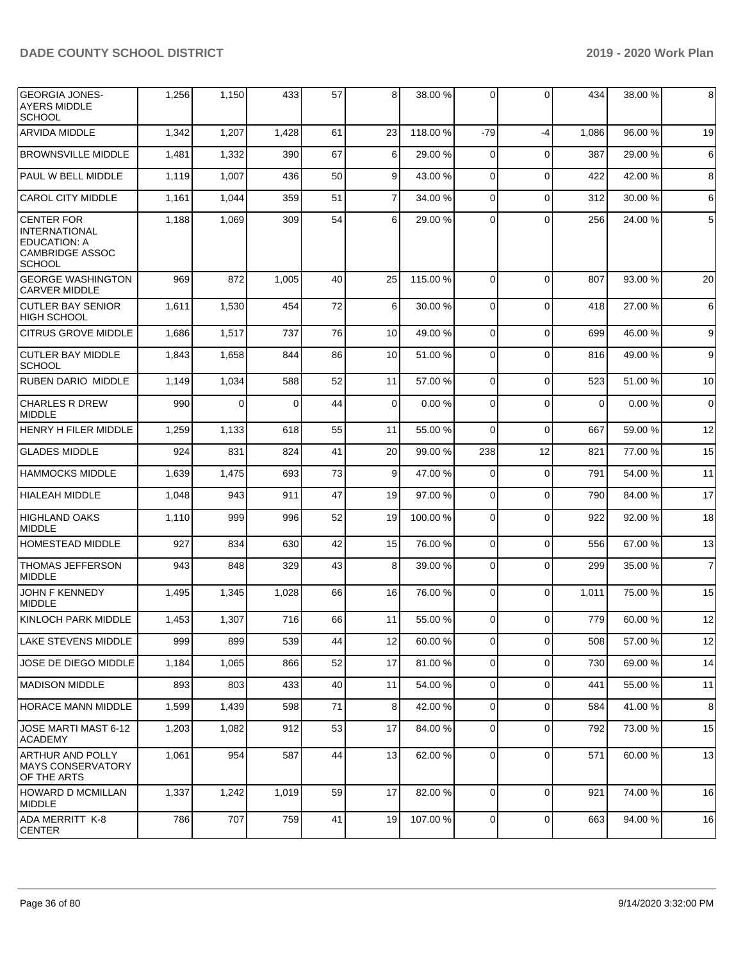| <b>GEORGIA JONES-</b><br>AYERS MIDDLE<br><b>SCHOOL</b>                                                      | 1,256 | 1,150 | 433      | 57 | 8              | 38.00 %  | $\overline{0}$ | $\Omega$       | 434      | 38.00 % | 8              |
|-------------------------------------------------------------------------------------------------------------|-------|-------|----------|----|----------------|----------|----------------|----------------|----------|---------|----------------|
| <b>ARVIDA MIDDLE</b>                                                                                        | 1,342 | 1,207 | 1,428    | 61 | 23             | 118.00%  | $-79$          | $-4$           | 1,086    | 96.00 % | 19             |
| <b>BROWNSVILLE MIDDLE</b>                                                                                   | 1,481 | 1,332 | 390      | 67 | 6              | 29.00 %  | 0              | $\Omega$       | 387      | 29.00 % | 6              |
| PAUL W BELL MIDDLE                                                                                          | 1,119 | 1,007 | 436      | 50 | 9              | 43.00 %  | $\mathbf 0$    | $\Omega$       | 422      | 42.00 % | 8              |
| <b>CAROL CITY MIDDLE</b>                                                                                    | 1,161 | 1,044 | 359      | 51 | $\overline{7}$ | 34.00 %  | $\mathbf 0$    | $\Omega$       | 312      | 30.00 % | 6              |
| <b>CENTER FOR</b><br><b>INTERNATIONAL</b><br><b>EDUCATION: A</b><br><b>CAMBRIDGE ASSOC</b><br><b>SCHOOL</b> | 1,188 | 1,069 | 309      | 54 | 6              | 29.00 %  | 0              | $\Omega$       | 256      | 24.00 % | 5              |
| <b>GEORGE WASHINGTON</b><br><b>CARVER MIDDLE</b>                                                            | 969   | 872   | 1,005    | 40 | 25             | 115.00 % | $\Omega$       | $\Omega$       | 807      | 93.00 % | 20             |
| <b>CUTLER BAY SENIOR</b><br><b>HIGH SCHOOL</b>                                                              | 1,611 | 1,530 | 454      | 72 | 6              | 30.00 %  | $\mathbf 0$    | $\Omega$       | 418      | 27.00 % | 6              |
| <b>CITRUS GROVE MIDDLE</b>                                                                                  | 1,686 | 1,517 | 737      | 76 | 10             | 49.00 %  | $\mathbf 0$    | $\Omega$       | 699      | 46.00 % | 9              |
| <b>CUTLER BAY MIDDLE</b><br><b>SCHOOL</b>                                                                   | 1,843 | 1,658 | 844      | 86 | 10             | 51.00 %  | $\mathbf 0$    | $\Omega$       | 816      | 49.00 % | 9              |
| <b>RUBEN DARIO MIDDLE</b>                                                                                   | 1,149 | 1,034 | 588      | 52 | 11             | 57.00 %  | $\Omega$       | $\Omega$       | 523      | 51.00 % | 10             |
| <b>CHARLES R DREW</b><br><b>MIDDLE</b>                                                                      | 990   | 0     | $\Omega$ | 44 | 0              | 0.00%    | $\Omega$       | $\Omega$       | $\Omega$ | 0.00%   | $\mathbf 0$    |
| <b>HENRY H FILER MIDDLE</b>                                                                                 | 1,259 | 1,133 | 618      | 55 | 11             | 55.00 %  | 0              | $\Omega$       | 667      | 59.00 % | 12             |
| <b>GLADES MIDDLE</b>                                                                                        | 924   | 831   | 824      | 41 | 20             | 99.00 %  | 238            | 12             | 821      | 77.00 % | 15             |
| <b>HAMMOCKS MIDDLE</b>                                                                                      | 1,639 | 1,475 | 693      | 73 | 9              | 47.00 %  | $\mathbf 0$    | $\Omega$       | 791      | 54.00 % | 11             |
| <b>HIALEAH MIDDLE</b>                                                                                       | 1,048 | 943   | 911      | 47 | 19             | 97.00 %  | $\overline{0}$ | $\Omega$       | 790      | 84.00 % | 17             |
| <b>HIGHLAND OAKS</b><br><b>MIDDLE</b>                                                                       | 1,110 | 999   | 996      | 52 | 19             | 100.00 % | $\mathbf 0$    | $\Omega$       | 922      | 92.00 % | 18             |
| <b>HOMESTEAD MIDDLE</b>                                                                                     | 927   | 834   | 630      | 42 | 15             | 76.00 %  | $\mathbf 0$    | $\Omega$       | 556      | 67.00 % | 13             |
| <b>THOMAS JEFFERSON</b><br><b>MIDDLE</b>                                                                    | 943   | 848   | 329      | 43 | 8              | 39.00 %  | $\mathbf 0$    | $\Omega$       | 299      | 35.00 % | $\overline{7}$ |
| JOHN F KENNEDY<br><b>MIDDLE</b>                                                                             | 1,495 | 1,345 | 1,028    | 66 | 16             | 76.00 %  | 0              | $\Omega$       | 1,011    | 75.00 % | 15             |
| KINLOCH PARK MIDDLE                                                                                         | 1,453 | 1,307 | 716      | 66 | 11             | 55.00 %  | 0              | $\Omega$       | 779      | 60.00 % | 12             |
| LAKE STEVENS MIDDLE                                                                                         | 999   | 899   | 539      | 44 | 12             | 60.00 %  | $\overline{0}$ | $\overline{0}$ | 508      | 57.00 % | 12             |
| JOSE DE DIEGO MIDDLE                                                                                        | 1,184 | 1,065 | 866      | 52 | 17             | 81.00 %  | $\overline{0}$ | $\Omega$       | 730      | 69.00 % | 14             |
| MADISON MIDDLE                                                                                              | 893   | 803   | 433      | 40 | 11             | 54.00 %  | $\overline{0}$ | $\Omega$       | 441      | 55.00 % | 11             |
| <b>HORACE MANN MIDDLE</b>                                                                                   | 1,599 | 1,439 | 598      | 71 | 8              | 42.00 %  | $\overline{0}$ | $\Omega$       | 584      | 41.00 % | 8              |
| JOSE MARTI MAST 6-12<br><b>ACADEMY</b>                                                                      | 1,203 | 1,082 | 912      | 53 | 17             | 84.00 %  | $\mathbf 0$    | $\Omega$       | 792      | 73.00 % | 15             |
| <b>ARTHUR AND POLLY</b><br><b>MAYS CONSERVATORY</b><br>OF THE ARTS                                          | 1,061 | 954   | 587      | 44 | 13             | 62.00 %  | $\overline{0}$ | $\Omega$       | 571      | 60.00 % | 13             |
| <b>HOWARD D MCMILLAN</b><br><b>MIDDLE</b>                                                                   | 1,337 | 1,242 | 1,019    | 59 | 17             | 82.00 %  | $\mathbf 0$    | $\Omega$       | 921      | 74.00 % | 16             |
| ADA MERRITT K-8<br><b>CENTER</b>                                                                            | 786   | 707   | 759      | 41 | 19             | 107.00%  | $\mathbf 0$    | $\mathbf 0$    | 663      | 94.00 % | 16             |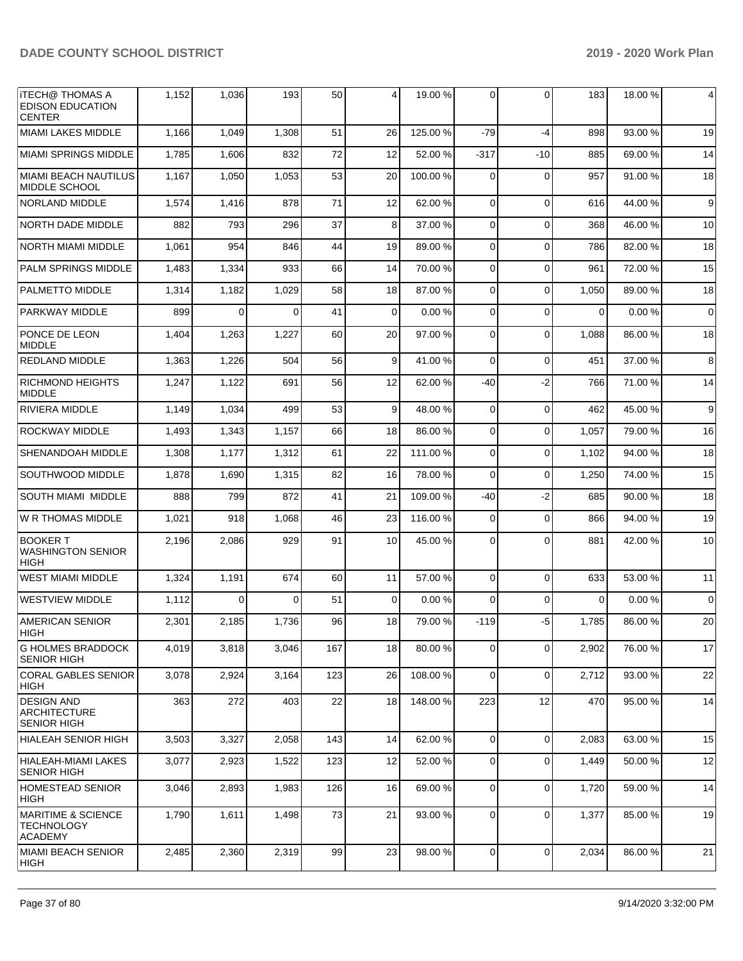| <b>ITECH@ THOMAS A</b><br><b>EDISON EDUCATION</b><br><b>CENTER</b> | 1,152 | 1,036    | 193      | 50  | 4           | 19.00 %  | $\overline{0}$ | $\Omega$    | 183      | 18.00 % | 4           |
|--------------------------------------------------------------------|-------|----------|----------|-----|-------------|----------|----------------|-------------|----------|---------|-------------|
| <b>MIAMI LAKES MIDDLE</b>                                          | 1,166 | 1,049    | 1,308    | 51  | 26          | 125.00 % | -79            | $-4$        | 898      | 93.00 % | 19          |
| MIAMI SPRINGS MIDDLE                                               | 1,785 | 1,606    | 832      | 72  | 12          | 52.00 %  | -317           | -10         | 885      | 69.00 % | 14          |
| <b>MIAMI BEACH NAUTILUS</b><br>MIDDLE SCHOOL                       | 1,167 | 1,050    | 1,053    | 53  | 20          | 100.00%  | 0              | $\Omega$    | 957      | 91.00 % | 18          |
| <b>NORLAND MIDDLE</b>                                              | 1,574 | 1,416    | 878      | 71  | 12          | 62.00 %  | $\mathbf 0$    | $\Omega$    | 616      | 44.00 % | 9           |
| <b>NORTH DADE MIDDLE</b>                                           | 882   | 793      | 296      | 37  | 8           | 37.00 %  | 0              | $\Omega$    | 368      | 46.00 % | 10          |
| <b>NORTH MIAMI MIDDLE</b>                                          | 1,061 | 954      | 846      | 44  | 19          | 89.00 %  | 0              | $\Omega$    | 786      | 82.00 % | 18          |
| <b>PALM SPRINGS MIDDLE</b>                                         | 1,483 | 1,334    | 933      | 66  | 14          | 70.00 %  | 0              | $\Omega$    | 961      | 72.00 % | 15          |
| <b>PALMETTO MIDDLE</b>                                             | 1,314 | 1,182    | 1,029    | 58  | 18          | 87.00 %  | $\mathbf 0$    | $\Omega$    | 1,050    | 89.00 % | 18          |
| <b>PARKWAY MIDDLE</b>                                              | 899   | 0        | 0        | 41  | $\mathbf 0$ | 0.00%    | 0              | $\Omega$    | $\Omega$ | 0.00%   | $\mathbf 0$ |
| PONCE DE LEON<br><b>MIDDLE</b>                                     | 1,404 | 1,263    | 1,227    | 60  | 20          | 97.00 %  | $\Omega$       | $\Omega$    | 1,088    | 86.00 % | 18          |
| <b>REDLAND MIDDLE</b>                                              | 1,363 | 1,226    | 504      | 56  | 9           | 41.00 %  | $\Omega$       | $\Omega$    | 451      | 37.00 % | 8           |
| <b>RICHMOND HEIGHTS</b><br><b>MIDDLE</b>                           | 1,247 | 1,122    | 691      | 56  | 12          | 62.00 %  | -40            | $-2$        | 766      | 71.00 % | 14          |
| RIVIERA MIDDLE                                                     | 1,149 | 1,034    | 499      | 53  | 9           | 48.00 %  | $\mathbf 0$    | $\Omega$    | 462      | 45.00 % | 9           |
| <b>ROCKWAY MIDDLE</b>                                              | 1,493 | 1,343    | 1,157    | 66  | 18          | 86.00 %  | $\mathbf 0$    | $\Omega$    | 1,057    | 79.00 % | 16          |
| SHENANDOAH MIDDLE                                                  | 1,308 | 1,177    | 1,312    | 61  | 22          | 111.00 % | 0              | $\Omega$    | 1,102    | 94.00 % | 18          |
| SOUTHWOOD MIDDLE                                                   | 1,878 | 1,690    | 1,315    | 82  | 16          | 78.00 %  | $\mathbf 0$    | $\Omega$    | 1,250    | 74.00 % | 15          |
| <b>SOUTH MIAMI MIDDLE</b>                                          | 888   | 799      | 872      | 41  | 21          | 109.00 % | -40            | $-2$        | 685      | 90.00 % | 18          |
| W R THOMAS MIDDLE                                                  | 1,021 | 918      | 1,068    | 46  | 23          | 116.00%  | 0              | $\Omega$    | 866      | 94.00 % | 19          |
| <b>BOOKER T</b><br><b>WASHINGTON SENIOR</b><br><b>HIGH</b>         | 2,196 | 2,086    | 929      | 91  | 10          | 45.00 %  | 0              | $\Omega$    | 881      | 42.00 % | 10          |
| <b>WEST MIAMI MIDDLE</b>                                           | 1,324 | 1,191    | 674      | 60  | 11          | 57.00 %  | $\mathbf 0$    | $\Omega$    | 633      | 53.00 % | 11          |
| <b>WESTVIEW MIDDLE</b>                                             | 1,112 | $\Omega$ | $\Omega$ | 51  | 0           | 0.00%    | $\Omega$       | $\Omega$    | $\Omega$ | 0.00%   | $\mathbf 0$ |
| <b>AMERICAN SENIOR</b><br><b>HIGH</b>                              | 2,301 | 2,185    | 1,736    | 96  | 18          | 79.00 %  | $-119$         | -5          | 1,785    | 86.00 % | 20          |
| <b>G HOLMES BRADDOCK</b><br><b>SENIOR HIGH</b>                     | 4,019 | 3,818    | 3,046    | 167 | 18          | 80.00 %  | 0              | $\Omega$    | 2,902    | 76.00 % | 17          |
| CORAL GABLES SENIOR<br>HIGH                                        | 3,078 | 2,924    | 3,164    | 123 | 26          | 108.00%  | $\mathbf 0$    | $\Omega$    | 2,712    | 93.00 % | 22          |
| <b>DESIGN AND</b><br><b>ARCHITECTURE</b><br><b>SENIOR HIGH</b>     | 363   | 272      | 403      | 22  | 18          | 148.00%  | 223            | 12          | 470      | 95.00 % | 14          |
| HIALEAH SENIOR HIGH                                                | 3,503 | 3,327    | 2,058    | 143 | 14          | 62.00 %  | $\mathbf 0$    | $\Omega$    | 2,083    | 63.00 % | 15          |
| HIALEAH-MIAMI LAKES<br><b>SENIOR HIGH</b>                          | 3,077 | 2,923    | 1,522    | 123 | 12          | 52.00 %  | $\mathbf 0$    | $\Omega$    | 1,449    | 50.00 % | 12          |
| <b>HOMESTEAD SENIOR</b><br>HIGH                                    | 3,046 | 2,893    | 1,983    | 126 | 16          | 69.00 %  | 0              | $\mathbf 0$ | 1,720    | 59.00 % | 14          |
| <b>MARITIME &amp; SCIENCE</b><br><b>TECHNOLOGY</b><br>ACADEMY      | 1,790 | 1,611    | 1,498    | 73  | 21          | 93.00 %  | $\mathbf 0$    | $\mathbf 0$ | 1,377    | 85.00 % | 19          |
| MIAMI BEACH SENIOR<br>HIGH                                         | 2,485 | 2,360    | 2,319    | 99  | 23          | 98.00 %  | $\overline{0}$ | $\mathbf 0$ | 2,034    | 86.00 % | 21          |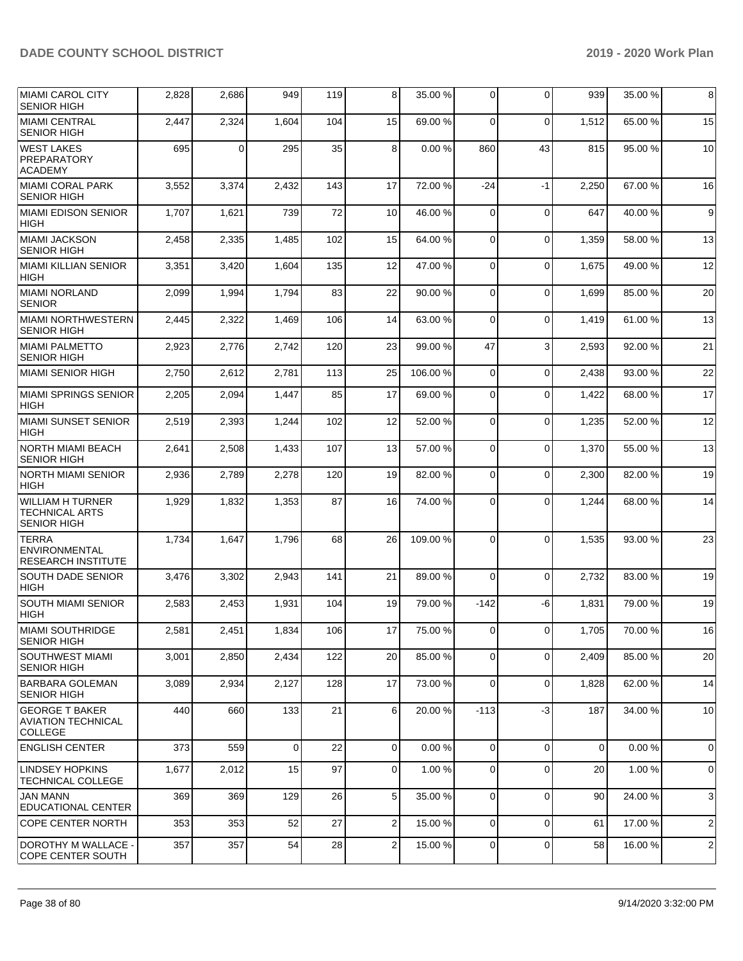| MIAMI CAROL CITY<br><b>SENIOR HIGH</b>                                 | 2,828 | 2,686 | 949      | 119 | 8              | 35.00 % | $\mathbf 0$    | $\mathbf 0$ | 939   | 35.00 % | 8              |
|------------------------------------------------------------------------|-------|-------|----------|-----|----------------|---------|----------------|-------------|-------|---------|----------------|
| <b>MIAMI CENTRAL</b><br><b>SENIOR HIGH</b>                             | 2,447 | 2,324 | 1,604    | 104 | 15             | 69.00 % | $\Omega$       | $\Omega$    | 1,512 | 65.00 % | 15             |
| <b>WEST LAKES</b><br>PREPARATORY<br><b>ACADEMY</b>                     | 695   | 0     | 295      | 35  | 8              | 0.00%   | 860            | 43          | 815   | 95.00 % | 10             |
| MIAMI CORAL PARK<br><b>SENIOR HIGH</b>                                 | 3,552 | 3,374 | 2,432    | 143 | 17             | 72.00 % | $-24$          | $-1$        | 2,250 | 67.00 % | 16             |
| MIAMI EDISON SENIOR<br><b>HIGH</b>                                     | 1,707 | 1,621 | 739      | 72  | 10             | 46.00%  | $\Omega$       | $\mathbf 0$ | 647   | 40.00%  | 9              |
| MIAMI JACKSON<br><b>SENIOR HIGH</b>                                    | 2,458 | 2,335 | 1,485    | 102 | 15             | 64.00%  | 0              | $\mathbf 0$ | 1,359 | 58.00 % | 13             |
| MIAMI KILLIAN SENIOR<br><b>HIGH</b>                                    | 3,351 | 3,420 | 1,604    | 135 | 12             | 47.00 % | $\mathbf 0$    | $\mathbf 0$ | 1,675 | 49.00 % | 12             |
| MIAMI NORLAND<br><b>SENIOR</b>                                         | 2,099 | 1,994 | 1,794    | 83  | 22             | 90.00 % | $\mathbf 0$    | $\Omega$    | 1,699 | 85.00 % | 20             |
| MIAMI NORTHWESTERN<br><b>SENIOR HIGH</b>                               | 2,445 | 2,322 | 1,469    | 106 | 14             | 63.00 % | 0              | $\mathbf 0$ | 1,419 | 61.00 % | 13             |
| MIAMI PALMETTO<br><b>SENIOR HIGH</b>                                   | 2,923 | 2,776 | 2,742    | 120 | 23             | 99.00 % | 47             | 3           | 2,593 | 92.00 % | 21             |
| <b>MIAMI SENIOR HIGH</b>                                               | 2,750 | 2,612 | 2,781    | 113 | 25             | 106.00% | 0              | $\mathbf 0$ | 2,438 | 93.00 % | 22             |
| MIAMI SPRINGS SENIOR<br><b>HIGH</b>                                    | 2,205 | 2,094 | 1,447    | 85  | 17             | 69.00 % | $\mathbf 0$    | $\Omega$    | 1,422 | 68.00 % | 17             |
| MIAMI SUNSET SENIOR<br><b>HIGH</b>                                     | 2,519 | 2,393 | 1,244    | 102 | 12             | 52.00 % | 0              | $\mathbf 0$ | 1,235 | 52.00 % | 12             |
| NORTH MIAMI BEACH<br><b>SENIOR HIGH</b>                                | 2,641 | 2,508 | 1,433    | 107 | 13             | 57.00 % | $\mathbf 0$    | $\mathbf 0$ | 1,370 | 55.00 % | 13             |
| NORTH MIAMI SENIOR<br><b>HIGH</b>                                      | 2,936 | 2,789 | 2,278    | 120 | 19             | 82.00%  | $\Omega$       | $\Omega$    | 2,300 | 82.00 % | 19             |
| <b>WILLIAM H TURNER</b><br><b>TECHNICAL ARTS</b><br><b>SENIOR HIGH</b> | 1,929 | 1,832 | 1,353    | 87  | 16             | 74.00 % | 0              | $\Omega$    | 1,244 | 68.00 % | 14             |
| <b>TERRA</b><br><b>ENVIRONMENTAL</b><br><b>RESEARCH INSTITUTE</b>      | 1,734 | 1,647 | 1,796    | 68  | 26             | 109.00% | $\Omega$       | $\Omega$    | 1,535 | 93.00 % | 23             |
| <b>SOUTH DADE SENIOR</b><br><b>HIGH</b>                                | 3,476 | 3,302 | 2,943    | 141 | 21             | 89.00 % | $\Omega$       | $\Omega$    | 2,732 | 83.00 % | 19             |
| <b>SOUTH MIAMI SENIOR</b><br><b>HIGH</b>                               | 2,583 | 2,453 | 1,931    | 104 | 19             | 79.00 % | $-142$         | -6          | 1,831 | 79.00 % | 19             |
| MIAMI SOUTHRIDGE<br><b>SENIOR HIGH</b>                                 | 2,581 | 2,451 | 1,834    | 106 | 17             | 75.00 % | $\overline{0}$ | $\pmb{0}$   | 1,705 | 70.00%  | 16             |
| SOUTHWEST MIAMI<br><b>SENIOR HIGH</b>                                  | 3,001 | 2,850 | 2,434    | 122 | 20             | 85.00 % | $\mathbf 0$    | $\Omega$    | 2,409 | 85.00 % | 20             |
| <b>BARBARA GOLEMAN</b><br><b>SENIOR HIGH</b>                           | 3,089 | 2,934 | 2,127    | 128 | 17             | 73.00 % | 0              | $\mathbf 0$ | 1,828 | 62.00 % | 14             |
| <b>GEORGE T BAKER</b><br><b>AVIATION TECHNICAL</b><br><b>COLLEGE</b>   | 440   | 660   | 133      | 21  | 6              | 20.00%  | $-113$         | $-3$        | 187   | 34.00 % | 10             |
| <b>ENGLISH CENTER</b>                                                  | 373   | 559   | $\Omega$ | 22  | $\Omega$       | 0.00%   | $\Omega$       | $\Omega$    | 0     | 0.00%   | $\mathbf 0$    |
| <b>LINDSEY HOPKINS</b><br><b>TECHNICAL COLLEGE</b>                     | 1,677 | 2,012 | 15       | 97  | $\overline{0}$ | 1.00 %  | $\mathbf 0$    | $\Omega$    | 20    | 1.00 %  | 0              |
| JAN MANN<br><b>EDUCATIONAL CENTER</b>                                  | 369   | 369   | 129      | 26  | 5              | 35.00 % | 0              | $\mathbf 0$ | 90    | 24.00 % | 3              |
| COPE CENTER NORTH                                                      | 353   | 353   | 52       | 27  | 2              | 15.00 % | $\mathbf 0$    | $\mathbf 0$ | 61    | 17.00 % | $\overline{c}$ |
| DOROTHY M WALLACE -<br>COPE CENTER SOUTH                               | 357   | 357   | 54       | 28  | 2              | 15.00 % | 0              | $\mathbf 0$ | 58    | 16.00%  | $\overline{c}$ |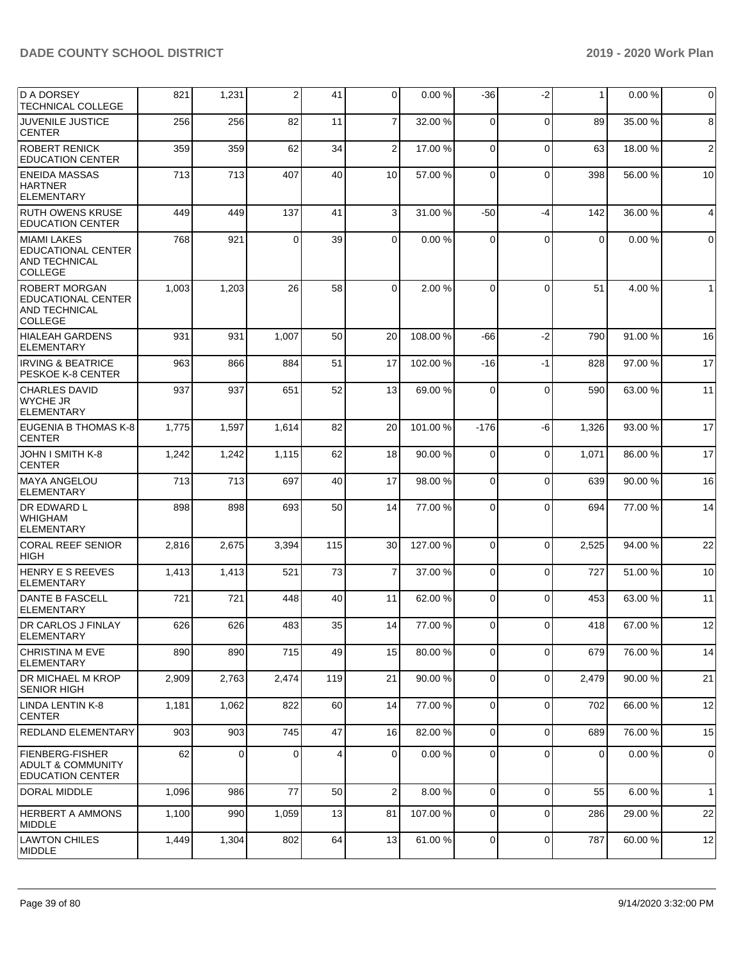| <b>D A DORSEY</b><br><b>TECHNICAL COLLEGE</b>                                        | 821   | 1,231       | 2        | 41  | $\Omega$       | 0.00%    | -36         | $-2$        | $\mathbf{1}$ | 0.00%   | 0              |
|--------------------------------------------------------------------------------------|-------|-------------|----------|-----|----------------|----------|-------------|-------------|--------------|---------|----------------|
| <b>JUVENILE JUSTICE</b><br><b>CENTER</b>                                             | 256   | 256         | 82       | 11  | $\overline{7}$ | 32.00 %  | 0           | $\mathbf 0$ | 89           | 35.00 % | 8              |
| <b>ROBERT RENICK</b><br><b>EDUCATION CENTER</b>                                      | 359   | 359         | 62       | 34  | $\overline{2}$ | 17.00 %  | 0           | $\mathbf 0$ | 63           | 18.00 % | $\overline{2}$ |
| <b>ENEIDA MASSAS</b><br><b>HARTNER</b><br><b>ELEMENTARY</b>                          | 713   | 713         | 407      | 40  | 10             | 57.00 %  | $\Omega$    | $\Omega$    | 398          | 56.00 % | 10             |
| <b>RUTH OWENS KRUSE</b><br><b>EDUCATION CENTER</b>                                   | 449   | 449         | 137      | 41  | 3              | 31.00 %  | $-50$       | $-4$        | 142          | 36.00 % | 4              |
| <b>MIAMI LAKES</b><br><b>EDUCATIONAL CENTER</b><br>AND TECHNICAL<br><b>COLLEGE</b>   | 768   | 921         | $\Omega$ | 39  | $\overline{0}$ | 0.00%    | $\Omega$    | $\Omega$    | 0            | 0.00%   | $\mathbf 0$    |
| <b>ROBERT MORGAN</b><br>EDUCATIONAL CENTER<br><b>AND TECHNICAL</b><br><b>COLLEGE</b> | 1,003 | 1,203       | 26       | 58  | $\Omega$       | 2.00 %   | $\Omega$    | $\Omega$    | 51           | 4.00 %  | $\mathbf{1}$   |
| <b>HIALEAH GARDENS</b><br>ELEMENTARY                                                 | 931   | 931         | 1,007    | 50  | 20             | 108.00%  | -66         | $-2$        | 790          | 91.00 % | 16             |
| <b>IRVING &amp; BEATRICE</b><br>PESKOE K-8 CENTER                                    | 963   | 866         | 884      | 51  | 17             | 102.00%  | $-16$       | $-1$        | 828          | 97.00 % | 17             |
| <b>CHARLES DAVID</b><br><b>WYCHE JR</b><br><b>IELEMENTARY</b>                        | 937   | 937         | 651      | 52  | 13             | 69.00 %  | $\Omega$    | $\Omega$    | 590          | 63.00 % | 11             |
| EUGENIA B THOMAS K-8<br><b>CENTER</b>                                                | 1,775 | 1,597       | 1,614    | 82  | 20             | 101.00%  | $-176$      | -6          | 1,326        | 93.00 % | 17             |
| JOHN I SMITH K-8<br><b>CENTER</b>                                                    | 1,242 | 1,242       | 1,115    | 62  | 18             | 90.00 %  | 0           | $\mathbf 0$ | 1,071        | 86.00 % | 17             |
| <b>MAYA ANGELOU</b><br><b>ELEMENTARY</b>                                             | 713   | 713         | 697      | 40  | 17             | 98.00 %  | $\Omega$    | $\mathbf 0$ | 639          | 90.00 % | 16             |
| DR EDWARD L<br><b>WHIGHAM</b><br><b>ELEMENTARY</b>                                   | 898   | 898         | 693      | 50  | 14             | 77.00 %  | $\Omega$    | $\Omega$    | 694          | 77.00 % | 14             |
| <b>CORAL REEF SENIOR</b><br><b>HIGH</b>                                              | 2,816 | 2,675       | 3,394    | 115 | 30             | 127.00 % | $\Omega$    | $\mathbf 0$ | 2,525        | 94.00 % | 22             |
| <b>HENRY E S REEVES</b><br><b>ELEMENTARY</b>                                         | 1,413 | 1,413       | 521      | 73  | $\overline{7}$ | 37.00 %  | $\mathbf 0$ | $\mathbf 0$ | 727          | 51.00 % | 10             |
| <b>DANTE B FASCELL</b><br>ELEMENTARY                                                 | 721   | 721         | 448      | 40  | 11             | 62.00 %  | 0           | $\mathbf 0$ | 453          | 63.00 % | 11             |
| DR CARLOS J FINLAY<br>ELEMENTARY                                                     | 626   | 626         | 483      | 35  | 14             | 77.00 %  | 0           | $\mathbf 0$ | 418          | 67.00 % | 12             |
| <b>CHRISTINA M EVE</b><br><b>ELEMENTARY</b>                                          | 890   | 890         | 715      | 49  | 15             | 80.00 %  | $\Omega$    | $\mathbf 0$ | 679          | 76.00 % | 14             |
| <b>DR MICHAEL M KROP</b><br><b>SENIOR HIGH</b>                                       | 2,909 | 2,763       | 2,474    | 119 | 21             | 90.00 %  | 0           | $\mathbf 0$ | 2,479        | 90.00 % | 21             |
| LINDA LENTIN K-8<br><b>CENTER</b>                                                    | 1,181 | 1,062       | 822      | 60  | 14             | 77.00 %  | $\Omega$    | $\mathbf 0$ | 702          | 66.00 % | 12             |
| REDLAND ELEMENTARY                                                                   | 903   | 903         | 745      | 47  | 16             | 82.00 %  | $\Omega$    | $\mathbf 0$ | 689          | 76.00 % | 15             |
| <b>FIENBERG-FISHER</b><br><b>ADULT &amp; COMMUNITY</b><br><b>EDUCATION CENTER</b>    | 62    | $\mathbf 0$ | $\Omega$ | 4   | $\overline{0}$ | 0.00%    | $\Omega$    | $\mathbf 0$ | $\mathbf 0$  | 0.00%   | 0              |
| DORAL MIDDLE                                                                         | 1,096 | 986         | 77       | 50  | $\overline{2}$ | 8.00 %   | $\mathbf 0$ | $\mathbf 0$ | 55           | 6.00%   | $\mathbf{1}$   |
| <b>HERBERT A AMMONS</b><br><b>MIDDLE</b>                                             | 1,100 | 990         | 1,059    | 13  | 81             | 107.00 % | $\mathbf 0$ | $\mathbf 0$ | 286          | 29.00 % | 22             |
| <b>LAWTON CHILES</b><br>MIDDLE                                                       | 1,449 | 1,304       | 802      | 64  | 13             | 61.00%   | 0           | $\mathbf 0$ | 787          | 60.00 % | 12             |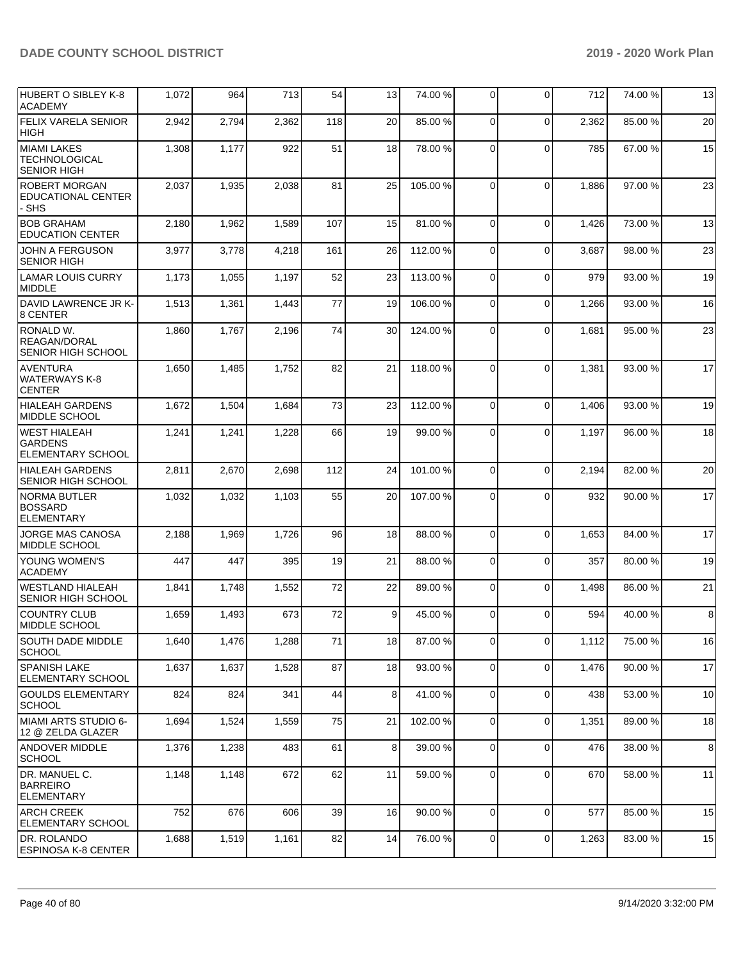| HUBERT O SIBLEY K-8<br><b>ACADEMY</b>                             | 1,072 | 964   | 713   | 54  | 13 | 74.00 %  | $\Omega$       | $\Omega$    | 712   | 74.00%  | 13 |
|-------------------------------------------------------------------|-------|-------|-------|-----|----|----------|----------------|-------------|-------|---------|----|
| <b>FELIX VARELA SENIOR</b><br><b>HIGH</b>                         | 2,942 | 2,794 | 2,362 | 118 | 20 | 85.00 %  | $\Omega$       | $\Omega$    | 2.362 | 85.00 % | 20 |
| <b>MIAMI LAKES</b><br><b>TECHNOLOGICAL</b><br><b>SENIOR HIGH</b>  | 1,308 | 1,177 | 922   | 51  | 18 | 78.00 %  | $\Omega$       | $\Omega$    | 785   | 67.00 % | 15 |
| <b>ROBERT MORGAN</b><br>EDUCATIONAL CENTER<br>- SHS               | 2,037 | 1,935 | 2,038 | 81  | 25 | 105.00%  | $\Omega$       | $\Omega$    | 1,886 | 97.00 % | 23 |
| <b>BOB GRAHAM</b><br><b>EDUCATION CENTER</b>                      | 2,180 | 1,962 | 1,589 | 107 | 15 | 81.00 %  | $\Omega$       | $\Omega$    | 1,426 | 73.00 % | 13 |
| <b>JOHN A FERGUSON</b><br><b>SENIOR HIGH</b>                      | 3,977 | 3,778 | 4,218 | 161 | 26 | 112.00 % | 0              | $\Omega$    | 3,687 | 98.00 % | 23 |
| LAMAR LOUIS CURRY<br>MIDDLE                                       | 1,173 | 1,055 | 1,197 | 52  | 23 | 113.00 % | $\Omega$       | $\Omega$    | 979   | 93.00 % | 19 |
| DAVID LAWRENCE JR K-<br>8 CENTER                                  | 1,513 | 1,361 | 1,443 | 77  | 19 | 106.00%  | $\Omega$       | $\Omega$    | 1,266 | 93.00 % | 16 |
| RONALD W.<br>REAGAN/DORAL<br>SENIOR HIGH SCHOOL                   | 1,860 | 1,767 | 2,196 | 74  | 30 | 124.00%  | 0              | $\Omega$    | 1,681 | 95.00 % | 23 |
| AVENTURA<br><b>WATERWAYS K-8</b><br><b>CENTER</b>                 | 1,650 | 1,485 | 1,752 | 82  | 21 | 118.00%  | $\Omega$       | $\Omega$    | 1,381 | 93.00 % | 17 |
| <b>HIALEAH GARDENS</b><br>MIDDLE SCHOOL                           | 1,672 | 1,504 | 1,684 | 73  | 23 | 112.00%  | $\Omega$       | $\Omega$    | 1,406 | 93.00 % | 19 |
| <b>WEST HIALEAH</b><br><b>GARDENS</b><br><b>ELEMENTARY SCHOOL</b> | 1,241 | 1,241 | 1,228 | 66  | 19 | 99.00 %  | 0              | $\Omega$    | 1,197 | 96.00 % | 18 |
| <b>HIALEAH GARDENS</b><br>SENIOR HIGH SCHOOL                      | 2,811 | 2,670 | 2,698 | 112 | 24 | 101.00%  | $\Omega$       | $\Omega$    | 2,194 | 82.00%  | 20 |
| <b>NORMA BUTLER</b><br><b>BOSSARD</b><br><b>ELEMENTARY</b>        | 1,032 | 1,032 | 1,103 | 55  | 20 | 107.00 % | $\Omega$       | $\Omega$    | 932   | 90.00 % | 17 |
| <b>JORGE MAS CANOSA</b><br><b>MIDDLE SCHOOL</b>                   | 2,188 | 1,969 | 1,726 | 96  | 18 | 88.00 %  | $\Omega$       | $\Omega$    | 1,653 | 84.00 % | 17 |
| <b>YOUNG WOMEN'S</b><br>ACADEMY                                   | 447   | 447   | 395   | 19  | 21 | 88.00 %  | $\Omega$       | $\Omega$    | 357   | 80.00%  | 19 |
| <b>WESTLAND HIALEAH</b><br><b>SENIOR HIGH SCHOOL</b>              | 1,841 | 1,748 | 1,552 | 72  | 22 | 89.00 %  | $\Omega$       | $\Omega$    | 1,498 | 86.00 % | 21 |
| COUNTRY CLUB<br> MIDDLE SCHOOL                                    | 1,659 | 1,493 | 673   | 72  | 9  | 45.00 %  | $\Omega$       | 0           | 594   | 40.00 % | 8  |
| <b>SOUTH DADE MIDDLE</b><br><b>SCHOOL</b>                         | 1,640 | 1,476 | 1,288 | 71  | 18 | 87.00 %  | $\Omega$       | 0           | 1,112 | 75.00 % | 16 |
| <b>SPANISH LAKE</b><br><b>ELEMENTARY SCHOOL</b>                   | 1,637 | 1,637 | 1,528 | 87  | 18 | 93.00 %  | $\overline{0}$ | 0           | 1,476 | 90.00 % | 17 |
| GOULDS ELEMENTARY<br> SCHOOL                                      | 824   | 824   | 341   | 44  | 8  | 41.00%   | $\mathbf{0}$   | 0           | 438   | 53.00 % | 10 |
| MIAMI ARTS STUDIO 6-<br>12 @ ZELDA GLAZER                         | 1,694 | 1,524 | 1,559 | 75  | 21 | 102.00%  | $\Omega$       | 0           | 1,351 | 89.00 % | 18 |
| ANDOVER MIDDLE<br><b>SCHOOL</b>                                   | 1,376 | 1,238 | 483   | 61  | 8  | 39.00 %  | $\Omega$       | $\Omega$    | 476   | 38.00 % | 8  |
| DR. MANUEL C.<br><b>BARREIRO</b><br><b>ELEMENTARY</b>             | 1,148 | 1,148 | 672   | 62  | 11 | 59.00 %  | $\overline{0}$ | 0           | 670   | 58.00 % | 11 |
| <b>ARCH CREEK</b><br><b>ELEMENTARY SCHOOL</b>                     | 752   | 676   | 606   | 39  | 16 | 90.00 %  | $\Omega$       | $\mathbf 0$ | 577   | 85.00 % | 15 |
| DR. ROLANDO<br><b>ESPINOSA K-8 CENTER</b>                         | 1,688 | 1,519 | 1,161 | 82  | 14 | 76.00 %  | $\overline{0}$ | 0           | 1,263 | 83.00 % | 15 |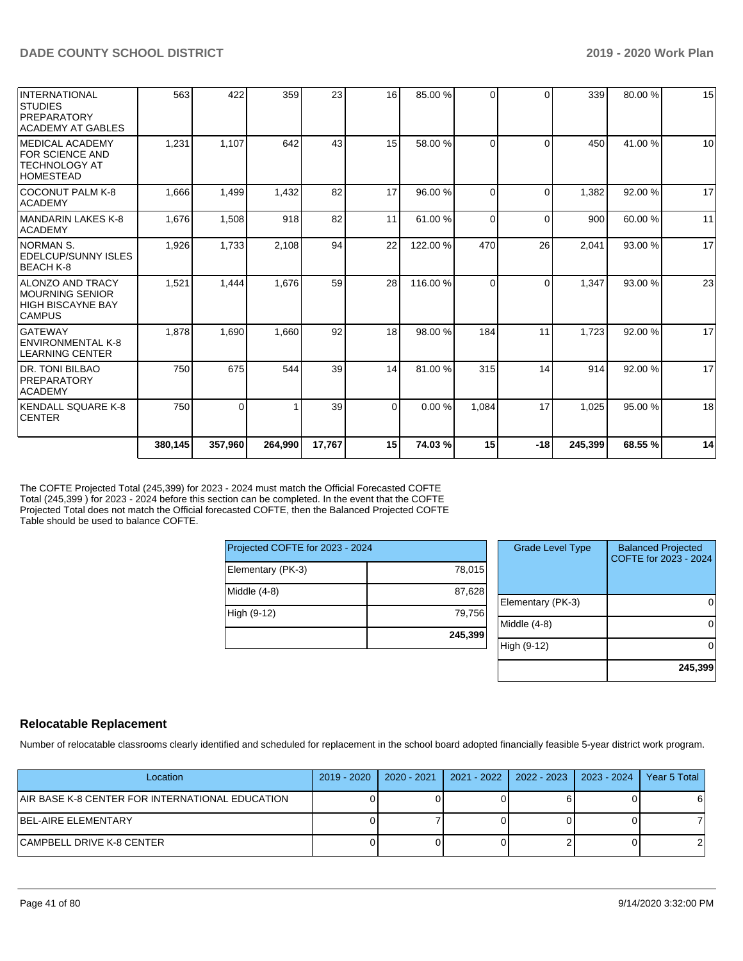|                                                                                                | 380,145 | 357,960  | 264,990 | 17,767 | 15       | 74.03%   | 15       | $-18$    | 245,399 | 68.55 % | 14 |
|------------------------------------------------------------------------------------------------|---------|----------|---------|--------|----------|----------|----------|----------|---------|---------|----|
| KENDALL SQUARE K-8<br><b>CENTER</b>                                                            | 750     | $\Omega$ |         | 39     | $\Omega$ | 0.00 %   | 1.084    | 17       | 1,025   | 95.00 % | 18 |
| <b>DR. TONI BILBAO</b><br><b>PREPARATORY</b><br><b>ACADEMY</b>                                 | 750     | 675      | 544     | 39     | 14       | 81.00 %  | 315      | 14       | 914     | 92.00 % | 17 |
| <b>GATEWAY</b><br>ENVIRONMENTAL K-8<br><b>LEARNING CENTER</b>                                  | 1,878   | 1,690    | 1,660   | 92     | 18       | 98.00 %  | 184      | 11       | 1,723   | 92.00%  | 17 |
| ALONZO AND TRACY<br><b>MOURNING SENIOR</b><br>HIGH BISCAYNE BAY<br><b>CAMPUS</b>               | 1,521   | 1,444    | 1,676   | 59     | 28       | 116.00 % | $\Omega$ | $\Omega$ | 1,347   | 93.00 % | 23 |
| <b>NORMAN S.</b><br>EDELCUP/SUNNY ISLES<br>BEACH K-8                                           | 1,926   | 1,733    | 2,108   | 94     | 22       | 122.00 % | 470      | 26       | 2,041   | 93.00 % | 17 |
| IMANDARIN LAKES K-8<br><b>ACADEMY</b>                                                          | 1,676   | 1,508    | 918     | 82     | 11       | 61.00%   | $\Omega$ | $\Omega$ | 900     | 60.00 % | 11 |
| <b>COCONUT PALM K-8</b><br><b>ACADEMY</b>                                                      | 1,666   | 1,499    | 1,432   | 82     | 17       | 96.00 %  | $\Omega$ | $\Omega$ | 1,382   | 92.00 % | 17 |
| <b>IMEDICAL ACADEMY</b><br><b>FOR SCIENCE AND</b><br><b>ITECHNOLOGY AT</b><br><b>HOMESTEAD</b> | 1,231   | 1,107    | 642     | 43     | 15       | 58.00 %  | $\Omega$ | $\Omega$ | 450     | 41.00%  | 10 |
| INTERNATIONAL<br><b>STUDIES</b><br><b>PREPARATORY</b><br>ACADEMY AT GABLES                     | 563     | 422      | 359     | 23     | 16       | 85.00 %  | $\Omega$ | $\Omega$ | 339     | 80.00%  | 15 |

The COFTE Projected Total (245,399) for 2023 - 2024 must match the Official Forecasted COFTE Total (245,399 ) for 2023 - 2024 before this section can be completed. In the event that the COFTE Projected Total does not match the Official forecasted COFTE, then the Balanced Projected COFTE Table should be used to balance COFTE.

| Projected COFTE for 2023 - 2024 |         |
|---------------------------------|---------|
| Elementary (PK-3)               | 78,015  |
| Middle (4-8)                    | 87,628  |
| High (9-12)                     | 79,756  |
|                                 | 245,399 |

| <b>Grade Level Type</b> | <b>Balanced Projected</b><br>COFTE for 2023 - 2024 |
|-------------------------|----------------------------------------------------|
|                         |                                                    |
|                         |                                                    |
| Elementary (PK-3)       |                                                    |
| Middle $(4-8)$          |                                                    |
| High (9-12)             |                                                    |
|                         | 245,399                                            |

# **Relocatable Replacement**

Number of relocatable classrooms clearly identified and scheduled for replacement in the school board adopted financially feasible 5-year district work program.

| Location                                        | $2019 - 2020$ | 2020 - 2021 | 2021 - 2022   2022 - 2023   2023 - 2024 | Year 5 Total |
|-------------------------------------------------|---------------|-------------|-----------------------------------------|--------------|
| AIR BASE K-8 CENTER FOR INTERNATIONAL EDUCATION |               |             |                                         |              |
| BEL-AIRE ELEMENTARY                             |               |             |                                         |              |
| CAMPBELL DRIVE K-8 CENTER                       |               |             |                                         |              |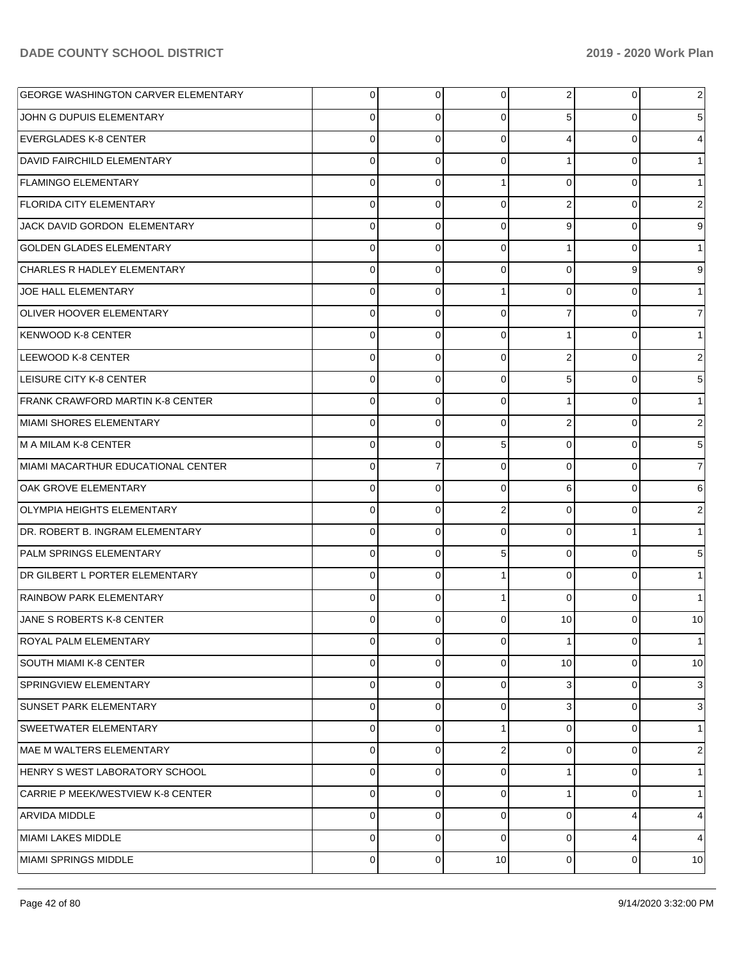| <b>GEORGE WASHINGTON CARVER ELEMENTARY</b> | $\overline{0}$ | 0        | 0              | 2              | 0        | 2            |
|--------------------------------------------|----------------|----------|----------------|----------------|----------|--------------|
| JOHN G DUPUIS ELEMENTARY                   | 0              | 0        | $\Omega$       | 5              | 0        | 5            |
| <b>EVERGLADES K-8 CENTER</b>               | 0              | $\Omega$ | $\Omega$       | 4              | 0        |              |
| <b>DAVID FAIRCHILD ELEMENTARY</b>          | 0              | 0        | $\Omega$       |                | 0        |              |
| <b>FLAMINGO ELEMENTARY</b>                 | 0              | 0        |                | $\Omega$       | 0        |              |
| <b>FLORIDA CITY ELEMENTARY</b>             | 0              | 0        | $\Omega$       | 2              | 0        | 2            |
| JACK DAVID GORDON ELEMENTARY               | 0              | 0        | $\Omega$       | 9              | 0        | 9            |
| GOLDEN GLADES ELEMENTARY                   | 0              | 0        | $\Omega$       | 1              | 0        |              |
| CHARLES R HADLEY ELEMENTARY                | 0              | 0        | $\Omega$       | $\Omega$       | 9        | 9            |
| JOE HALL ELEMENTARY                        | 0              | 0        |                | $\Omega$       | $\Omega$ |              |
| <b>OLIVER HOOVER ELEMENTARY</b>            | 0              | $\Omega$ | $\Omega$       | 7              | 0        | 7            |
| KENWOOD K-8 CENTER                         | 0              | 0        | $\Omega$       |                | $\Omega$ |              |
| LEEWOOD K-8 CENTER                         | 0              | 0        | $\Omega$       | 2              | 0        | 2            |
| LEISURE CITY K-8 CENTER                    | 0              | 0        | $\Omega$       | 5              | $\Omega$ | 5            |
| <b>FRANK CRAWFORD MARTIN K-8 CENTER</b>    | 0              | 0        | $\Omega$       |                | 0        |              |
| MIAMI SHORES ELEMENTARY                    | 0              | 0        | $\Omega$       | $\overline{2}$ | $\Omega$ | 2            |
| M A MILAM K-8 CENTER                       | 0              | 0        | 5              | $\Omega$       | $\Omega$ | 5            |
| MIAMI MACARTHUR EDUCATIONAL CENTER         | 0              | 7        | $\Omega$       | $\Omega$       | $\Omega$ | 7            |
| <b>OAK GROVE ELEMENTARY</b>                | 0              | $\Omega$ | $\Omega$       | 6              | $\Omega$ | 6            |
| <b>OLYMPIA HEIGHTS ELEMENTARY</b>          | 0              | 0        | $\overline{2}$ | $\Omega$       | $\Omega$ | 2            |
| DR. ROBERT B. INGRAM ELEMENTARY            | 0              | 0        | $\Omega$       | $\Omega$       |          |              |
| <b>PALM SPRINGS ELEMENTARY</b>             | 0              | 0        | 5              | $\Omega$       | $\Omega$ | 5            |
| DR GILBERT L PORTER ELEMENTARY             | 0              | 0        |                | $\Omega$       | $\Omega$ |              |
| RAINBOW PARK ELEMENTARY                    | 0              | 0        |                | $\Omega$       | 0        |              |
| <b>JANE S ROBERTS K-8 CENTER</b>           | 0              | 0        | ∩              | 10             | 0        | 10           |
| ROYAL PALM ELEMENTARY                      | $\overline{0}$ | 0        | 0              | 1              | 0        | $\mathbf{1}$ |
| SOUTH MIAMI K-8 CENTER                     | 0              | 0        | $\Omega$       | 10             | 0        | 10           |
| SPRINGVIEW ELEMENTARY                      | 0              | 0        | $\Omega$       | 3              | $\Omega$ | 3            |
| <b>SUNSET PARK ELEMENTARY</b>              | 0              | 0        | $\Omega$       | 3              | 0        | 3            |
| SWEETWATER ELEMENTARY                      | 0              | 0        |                | $\Omega$       | 0        | 1            |
| MAE M WALTERS ELEMENTARY                   | 0              | 0        | $\overline{2}$ | $\overline{0}$ | 0        | 2            |
| HENRY S WEST LABORATORY SCHOOL             | 0              | 0        | $\Omega$       |                | $\Omega$ | 1            |
| CARRIE P MEEK/WESTVIEW K-8 CENTER          | 0              | 0        | $\Omega$       | 1              | 0        | 1            |
| <b>ARVIDA MIDDLE</b>                       | 0              | 0        | $\Omega$       | $\Omega$       |          | 4            |
| MIAMI LAKES MIDDLE                         | 0              | 0        | $\Omega$       | $\overline{0}$ |          | 4            |
| MIAMI SPRINGS MIDDLE                       | 0              | 0        | 10             | $\overline{0}$ | 0        | 10           |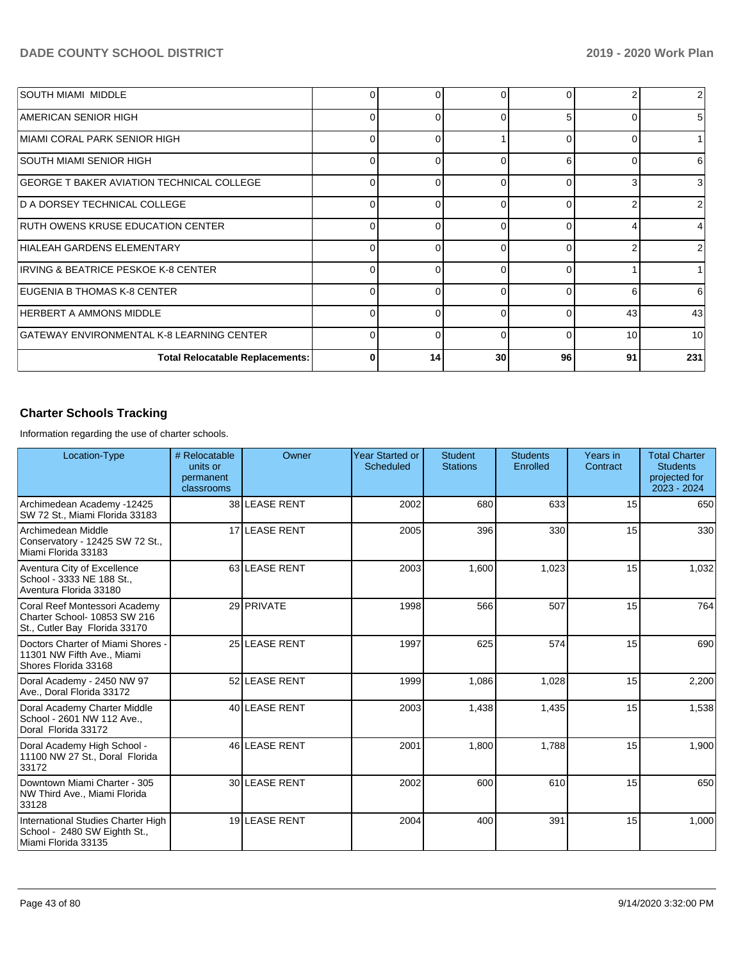| <b>SOUTH MIAMI MIDDLE</b>                        | 0        | O            |          | <sup>n</sup> |    | $\overline{2}$  |
|--------------------------------------------------|----------|--------------|----------|--------------|----|-----------------|
| AMERICAN SENIOR HIGH                             | 0        | 0            | O        | 5            |    | 5 <sup>1</sup>  |
| MIAMI CORAL PARK SENIOR HIGH                     | 0        | 0            |          |              |    |                 |
| ISOUTH MIAMI SENIOR HIGH                         | 0        | 0            | r        | 6            |    | 6               |
| <b>GEORGE T BAKER AVIATION TECHNICAL COLLEGE</b> | $\Omega$ | ∩            |          |              |    | 3               |
| D A DORSEY TECHNICAL COLLEGE                     | 0        | ∩            |          |              |    | $\overline{2}$  |
| <b>RUTH OWENS KRUSE EDUCATION CENTER</b>         | $\Omega$ | <sup>0</sup> | ∩        | <sup>n</sup> |    | 4               |
| HIALEAH GARDENS ELEMENTARY                       | $\Omega$ | ∩            | C        |              |    | 2               |
| IRVING & BEATRICE PESKOE K-8 CENTER              | 0        | $\Omega$     | O        |              |    |                 |
| <b>IEUGENIA B THOMAS K-8 CENTER</b>              | 0        | 0            | $\Omega$ | 0            | 6  | 6               |
| HERBERT A AMMONS MIDDLE                          | $\Omega$ | $\Omega$     | C        |              | 43 | 43              |
| GATEWAY ENVIRONMENTAL K-8 LEARNING CENTER        | $\Omega$ | ∩            |          |              | 10 | 10 <sup>1</sup> |
| <b>Total Relocatable Replacements:</b>           | 0        | 14           | 30       | 96           | 91 | 231             |

## **Charter Schools Tracking**

Information regarding the use of charter schools.

| Location-Type                                                                                  | # Relocatable<br>units or<br>permanent<br>classrooms | Owner         | Year Started or<br><b>Scheduled</b> | <b>Student</b><br><b>Stations</b> | <b>Students</b><br>Enrolled | Years in<br>Contract | <b>Total Charter</b><br><b>Students</b><br>projected for<br>2023 - 2024 |
|------------------------------------------------------------------------------------------------|------------------------------------------------------|---------------|-------------------------------------|-----------------------------------|-----------------------------|----------------------|-------------------------------------------------------------------------|
| Archimedean Academy -12425<br>SW 72 St., Miami Florida 33183                                   |                                                      | 38 LEASE RENT | 2002                                | 680                               | 633                         | 15                   | 650                                                                     |
| Archimedean Middle<br>Conservatory - 12425 SW 72 St.,<br>Miami Florida 33183                   |                                                      | 17 LEASE RENT | 2005                                | 396                               | 330                         | 15                   | 330                                                                     |
| Aventura City of Excellence<br>School - 3333 NE 188 St.,<br>Aventura Florida 33180             |                                                      | 63 LEASE RENT | 2003                                | 1.600                             | 1,023                       | 15                   | 1,032                                                                   |
| Coral Reef Montessori Academy<br>Charter School- 10853 SW 216<br>St., Cutler Bay Florida 33170 |                                                      | 29 PRIVATE    | 1998                                | 566                               | 507                         | 15                   | 764                                                                     |
| Doctors Charter of Miami Shores -<br>11301 NW Fifth Ave., Miami<br>Shores Florida 33168        |                                                      | 25 LEASE RENT | 1997                                | 625                               | 574                         | 15                   | 690                                                                     |
| Doral Academy - 2450 NW 97<br>Ave., Doral Florida 33172                                        |                                                      | 52 LEASE RENT | 1999                                | 1,086                             | 1,028                       | 15                   | 2,200                                                                   |
| Doral Academy Charter Middle<br>School - 2601 NW 112 Ave.,<br>Doral Florida 33172              |                                                      | 40 LEASE RENT | 2003                                | 1,438                             | 1,435                       | 15                   | 1,538                                                                   |
| Doral Academy High School -<br>11100 NW 27 St., Doral Florida<br>33172                         |                                                      | 46 LEASE RENT | 2001                                | 1,800                             | 1,788                       | 15                   | 1,900                                                                   |
| Downtown Miami Charter - 305<br>NW Third Ave., Miami Florida<br>33128                          |                                                      | 30 LEASE RENT | 2002                                | 600                               | 610                         | 15                   | 650                                                                     |
| International Studies Charter High<br>School - 2480 SW Eighth St.,<br>Miami Florida 33135      |                                                      | 19 LEASE RENT | 2004                                | 400                               | 391                         | 15                   | 1,000                                                                   |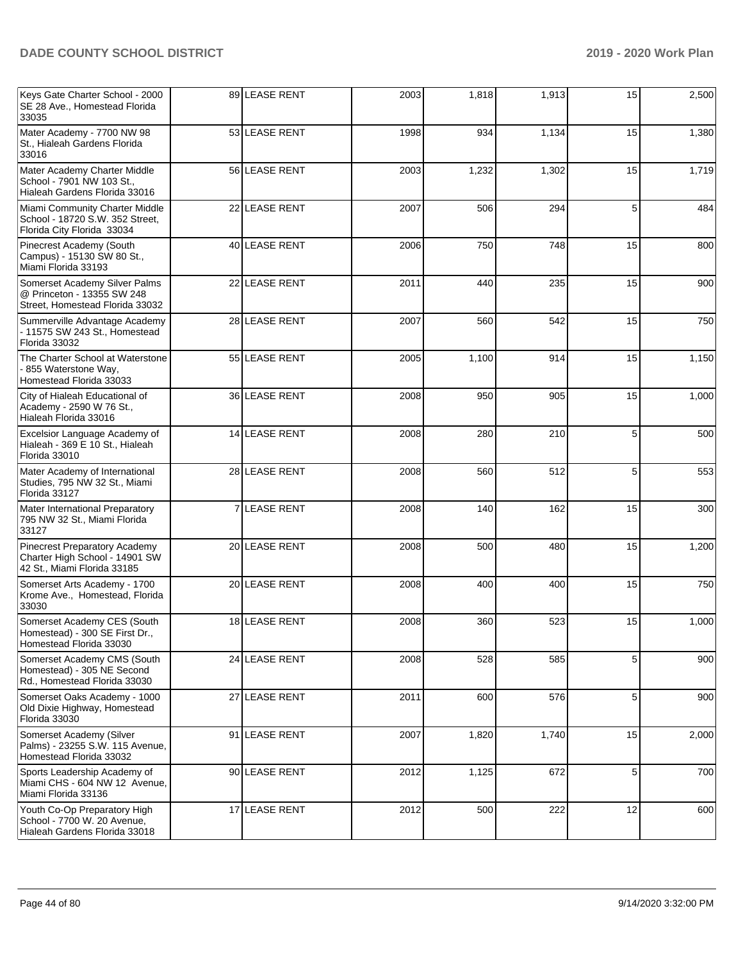| Keys Gate Charter School - 2000<br>SE 28 Ave., Homestead Florida<br>33035                       | 89 LEASE RENT | 2003 | 1,818 | 1,913 | 15 | 2,500 |
|-------------------------------------------------------------------------------------------------|---------------|------|-------|-------|----|-------|
| Mater Academy - 7700 NW 98<br>St., Hialeah Gardens Florida<br>33016                             | 53 LEASE RENT | 1998 | 934   | 1,134 | 15 | 1,380 |
| Mater Academy Charter Middle<br>School - 7901 NW 103 St.,<br>Hialeah Gardens Florida 33016      | 56 LEASE RENT | 2003 | 1,232 | 1,302 | 15 | 1,719 |
| Miami Community Charter Middle<br>School - 18720 S.W. 352 Street,<br>Florida City Florida 33034 | 22 LEASE RENT | 2007 | 506   | 294   | 5  | 484   |
| Pinecrest Academy (South<br>Campus) - 15130 SW 80 St.,<br>Miami Florida 33193                   | 40 LEASE RENT | 2006 | 750   | 748   | 15 | 800   |
| Somerset Academy Silver Palms<br>@ Princeton - 13355 SW 248<br>Street, Homestead Florida 33032  | 22 LEASE RENT | 2011 | 440   | 235   | 15 | 900   |
| Summerville Advantage Academy<br>- 11575 SW 243 St., Homestead<br>Florida 33032                 | 28 LEASE RENT | 2007 | 560   | 542   | 15 | 750   |
| The Charter School at Waterstone<br>855 Waterstone Way,<br>Homestead Florida 33033              | 55 LEASE RENT | 2005 | 1,100 | 914   | 15 | 1,150 |
| City of Hialeah Educational of<br>Academy - 2590 W 76 St.,<br>Hialeah Florida 33016             | 36 LEASE RENT | 2008 | 950   | 905   | 15 | 1,000 |
| Excelsior Language Academy of<br>Hialeah - 369 E 10 St., Hialeah<br>Florida 33010               | 14 LEASE RENT | 2008 | 280   | 210   | 5  | 500   |
| Mater Academy of International<br>Studies, 795 NW 32 St., Miami<br>Florida 33127                | 28 LEASE RENT | 2008 | 560   | 512   | 5  | 553   |
| Mater International Preparatory<br>795 NW 32 St., Miami Florida<br>33127                        | 7 LEASE RENT  | 2008 | 140   | 162   | 15 | 300   |
| Pinecrest Preparatory Academy<br>Charter High School - 14901 SW<br>42 St., Miami Florida 33185  | 20 LEASE RENT | 2008 | 500   | 480   | 15 | 1,200 |
| Somerset Arts Academy - 1700<br>Krome Ave., Homestead, Florida<br>33030                         | 20 LEASE RENT | 2008 | 400   | 400   | 15 | 750   |
| Somerset Academy CES (South<br>Homestead) - 300 SE First Dr.,<br>Homestead Florida 33030        | 18 LEASE RENT | 2008 | 360   | 523   | 15 | 1,000 |
| Somerset Academy CMS (South<br>Homestead) - 305 NE Second<br>Rd., Homestead Florida 33030       | 24 LEASE RENT | 2008 | 528   | 585   | 5  | 900   |
| Somerset Oaks Academy - 1000<br>Old Dixie Highway, Homestead<br>Florida 33030                   | 27 LEASE RENT | 2011 | 600   | 576   | 5  | 900   |
| Somerset Academy (Silver<br>Palms) - 23255 S.W. 115 Avenue,<br>Homestead Florida 33032          | 91 LEASE RENT | 2007 | 1,820 | 1,740 | 15 | 2,000 |
| Sports Leadership Academy of<br>Miami CHS - 604 NW 12 Avenue,<br>Miami Florida 33136            | 90 LEASE RENT | 2012 | 1,125 | 672   | 5  | 700   |
| Youth Co-Op Preparatory High<br>School - 7700 W. 20 Avenue,<br>Hialeah Gardens Florida 33018    | 17 LEASE RENT | 2012 | 500   | 222   | 12 | 600   |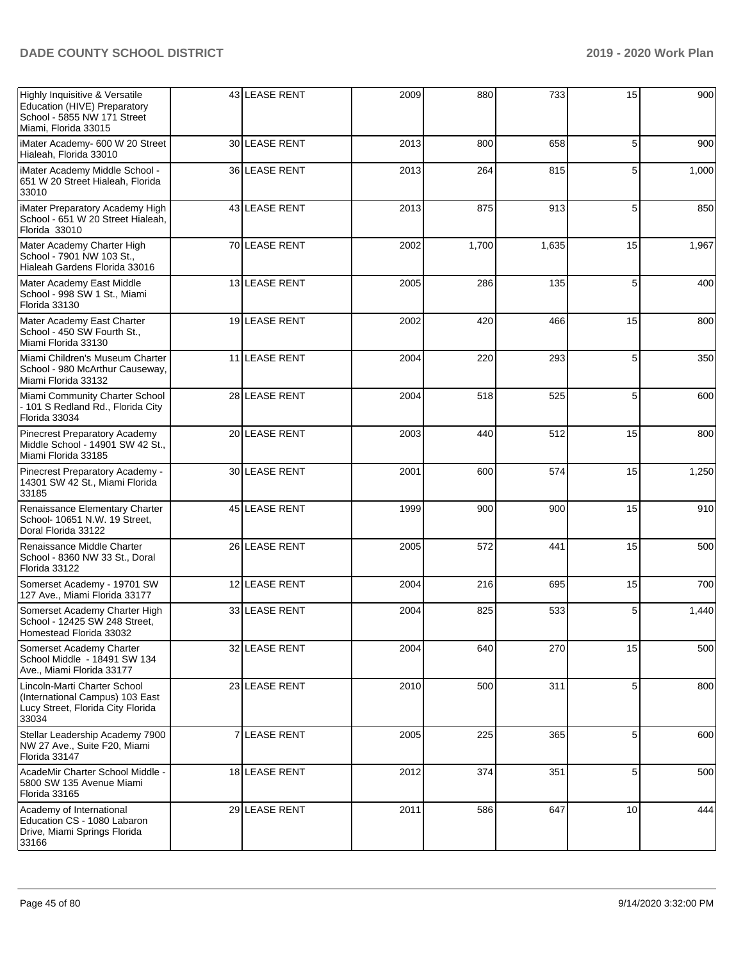| Highly Inquisitive & Versatile<br>Education (HIVE) Preparatory<br>School - 5855 NW 171 Street<br>Miami, Florida 33015 | 43 LEASE RENT | 2009 | 880   | 733   | 15 | 900   |
|-----------------------------------------------------------------------------------------------------------------------|---------------|------|-------|-------|----|-------|
| iMater Academy- 600 W 20 Street<br>Hialeah, Florida 33010                                                             | 30 LEASE RENT | 2013 | 800   | 658   | 5  | 900   |
| iMater Academy Middle School -<br>651 W 20 Street Hialeah, Florida<br>33010                                           | 36 LEASE RENT | 2013 | 264   | 815   | 5  | 1,000 |
| iMater Preparatory Academy High<br>School - 651 W 20 Street Hialeah,<br>Florida 33010                                 | 43 LEASE RENT | 2013 | 875   | 913   | 5  | 850   |
| Mater Academy Charter High<br>School - 7901 NW 103 St.,<br>Hialeah Gardens Florida 33016                              | 70 LEASE RENT | 2002 | 1,700 | 1,635 | 15 | 1,967 |
| Mater Academy East Middle<br>School - 998 SW 1 St., Miami<br>Florida 33130                                            | 13 LEASE RENT | 2005 | 286   | 135   | 5  | 400   |
| Mater Academy East Charter<br>School - 450 SW Fourth St<br>Miami Florida 33130                                        | 19 LEASE RENT | 2002 | 420   | 466   | 15 | 800   |
| Miami Children's Museum Charter<br>School - 980 McArthur Causeway,<br>Miami Florida 33132                             | 11 LEASE RENT | 2004 | 220   | 293   | 5  | 350   |
| Miami Community Charter School<br>- 101 S Redland Rd., Florida City<br>Florida 33034                                  | 28 LEASE RENT | 2004 | 518   | 525   | 5  | 600   |
| <b>Pinecrest Preparatory Academy</b><br>Middle School - 14901 SW 42 St.,<br>Miami Florida 33185                       | 20 LEASE RENT | 2003 | 440   | 512   | 15 | 800   |
| Pinecrest Preparatory Academy -<br>14301 SW 42 St., Miami Florida<br>33185                                            | 30 LEASE RENT | 2001 | 600   | 574   | 15 | 1,250 |
| Renaissance Elementary Charter<br>School- 10651 N.W. 19 Street,<br>Doral Florida 33122                                | 45 LEASE RENT | 1999 | 900   | 900   | 15 | 910   |
| Renaissance Middle Charter<br>School - 8360 NW 33 St., Doral<br>Florida 33122                                         | 26 LEASE RENT | 2005 | 572   | 441   | 15 | 500   |
| Somerset Academy - 19701 SW<br>127 Ave., Miami Florida 33177                                                          | 12 LEASE RENT | 2004 | 216   | 695   | 15 | 700   |
| Somerset Academy Charter High<br>School - 12425 SW 248 Street,<br>Homestead Florida 33032                             | 33 LEASE RENT | 2004 | 825   | 533   | 5  | 1,440 |
| Somerset Academy Charter<br>School Middle - 18491 SW 134<br>Ave., Miami Florida 33177                                 | 32 LEASE RENT | 2004 | 640   | 270   | 15 | 500   |
| Lincoln-Marti Charter School<br>(International Campus) 103 East<br>Lucy Street, Florida City Florida<br>33034         | 23 LEASE RENT | 2010 | 500   | 311   | 5  | 800   |
| Stellar Leadership Academy 7900<br>NW 27 Ave., Suite F20, Miami<br>Florida 33147                                      | 7 LEASE RENT  | 2005 | 225   | 365   | 5  | 600   |
| AcadeMir Charter School Middle -<br>5800 SW 135 Avenue Miami<br>Florida 33165                                         | 18 LEASE RENT | 2012 | 374   | 351   | 5  | 500   |
| Academy of International<br>Education CS - 1080 Labaron<br>Drive, Miami Springs Florida<br>33166                      | 29 LEASE RENT | 2011 | 586   | 647   | 10 | 444   |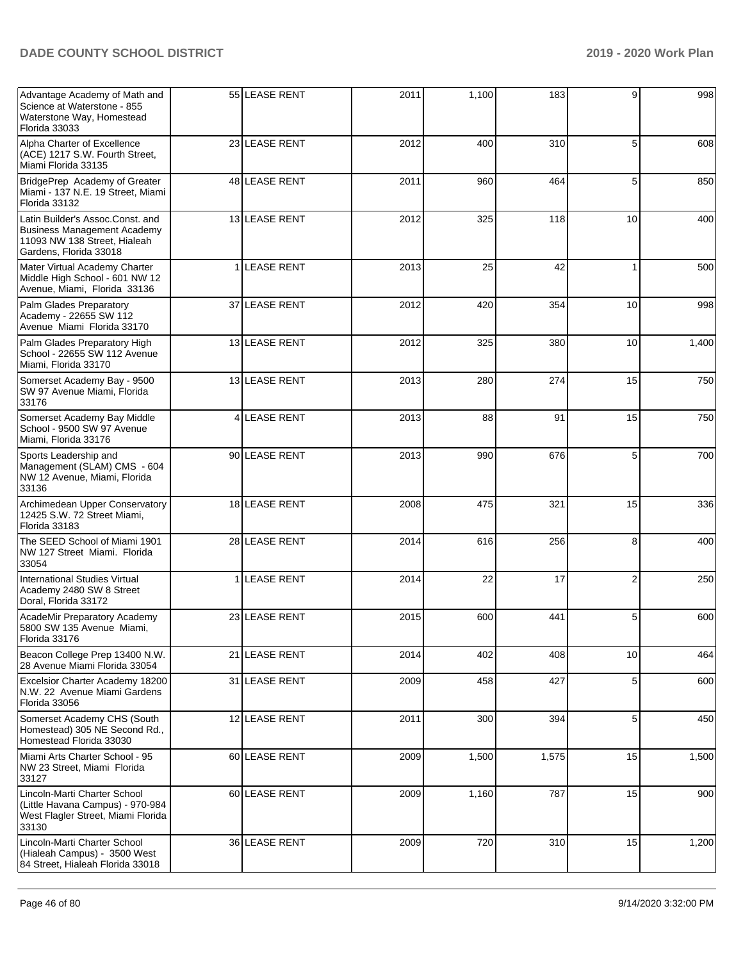| Advantage Academy of Math and<br>Science at Waterstone - 855<br>Waterstone Way, Homestead<br>Florida 33033                       |   | 55 LEASE RENT     | 2011 | 1,100 | 183   | 9              | 998   |
|----------------------------------------------------------------------------------------------------------------------------------|---|-------------------|------|-------|-------|----------------|-------|
| Alpha Charter of Excellence<br>(ACE) 1217 S.W. Fourth Street,<br>Miami Florida 33135                                             |   | 23 LEASE RENT     | 2012 | 400   | 310   | 5              | 608   |
| BridgePrep Academy of Greater<br>Miami - 137 N.E. 19 Street, Miami<br>Florida 33132                                              |   | 48 LEASE RENT     | 2011 | 960   | 464   | 5              | 850   |
| Latin Builder's Assoc.Const. and<br><b>Business Management Academy</b><br>11093 NW 138 Street, Hialeah<br>Gardens, Florida 33018 |   | 13 LEASE RENT     | 2012 | 325   | 118   | 10             | 400   |
| Mater Virtual Academy Charter<br>Middle High School - 601 NW 12<br>Avenue, Miami, Florida 33136                                  |   | <b>LEASE RENT</b> | 2013 | 25    | 42    | 1              | 500   |
| Palm Glades Preparatory<br>Academy - 22655 SW 112<br>Avenue Miami Florida 33170                                                  |   | 37 LEASE RENT     | 2012 | 420   | 354   | 10             | 998   |
| Palm Glades Preparatory High<br>School - 22655 SW 112 Avenue<br>Miami, Florida 33170                                             |   | 13 LEASE RENT     | 2012 | 325   | 380   | 10             | 1,400 |
| Somerset Academy Bay - 9500<br>SW 97 Avenue Miami, Florida<br>33176                                                              |   | 13 LEASE RENT     | 2013 | 280   | 274   | 15             | 750   |
| Somerset Academy Bay Middle<br>School - 9500 SW 97 Avenue<br>Miami, Florida 33176                                                | 4 | <b>LEASE RENT</b> | 2013 | 88    | 91    | 15             | 750   |
| Sports Leadership and<br>Management (SLAM) CMS - 604<br>NW 12 Avenue, Miami, Florida<br>33136                                    |   | 90 LEASE RENT     | 2013 | 990   | 676   | 5              | 700   |
| Archimedean Upper Conservatory<br>12425 S.W. 72 Street Miami,<br>Florida 33183                                                   |   | 18 LEASE RENT     | 2008 | 475   | 321   | 15             | 336   |
| The SEED School of Miami 1901<br>NW 127 Street Miami. Florida<br>33054                                                           |   | 28 LEASE RENT     | 2014 | 616   | 256   | 8              | 400   |
| <b>International Studies Virtual</b><br>Academy 2480 SW 8 Street<br>Doral, Florida 33172                                         |   | LEASE RENT        | 2014 | 22    | 17    | $\overline{2}$ | 250   |
| AcadeMir Preparatory Academy<br>5800 SW 135 Avenue Miami,<br>Florida 33176                                                       |   | 23 LEASE RENT     | 2015 | 600   | 441   | 5              | 600   |
| Beacon College Prep 13400 N.W.<br>28 Avenue Miami Florida 33054                                                                  |   | 21 LEASE RENT     | 2014 | 402   | 408   | 10             | 464   |
| Excelsior Charter Academy 18200<br>N.W. 22 Avenue Miami Gardens<br>Florida 33056                                                 |   | 31 LEASE RENT     | 2009 | 458   | 427   | 5              | 600   |
| Somerset Academy CHS (South<br>Homestead) 305 NE Second Rd.,<br>Homestead Florida 33030                                          |   | 12 LEASE RENT     | 2011 | 300   | 394   | 5              | 450   |
| Miami Arts Charter School - 95<br>NW 23 Street, Miami Florida<br>33127                                                           |   | 60 LEASE RENT     | 2009 | 1,500 | 1,575 | 15             | 1,500 |
| Lincoln-Marti Charter School<br>(Little Havana Campus) - 970-984<br>West Flagler Street, Miami Florida<br>33130                  |   | 60 LEASE RENT     | 2009 | 1,160 | 787   | 15             | 900   |
| Lincoln-Marti Charter School<br>(Hialeah Campus) - 3500 West<br>84 Street, Hialeah Florida 33018                                 |   | 36 LEASE RENT     | 2009 | 720   | 310   | 15             | 1,200 |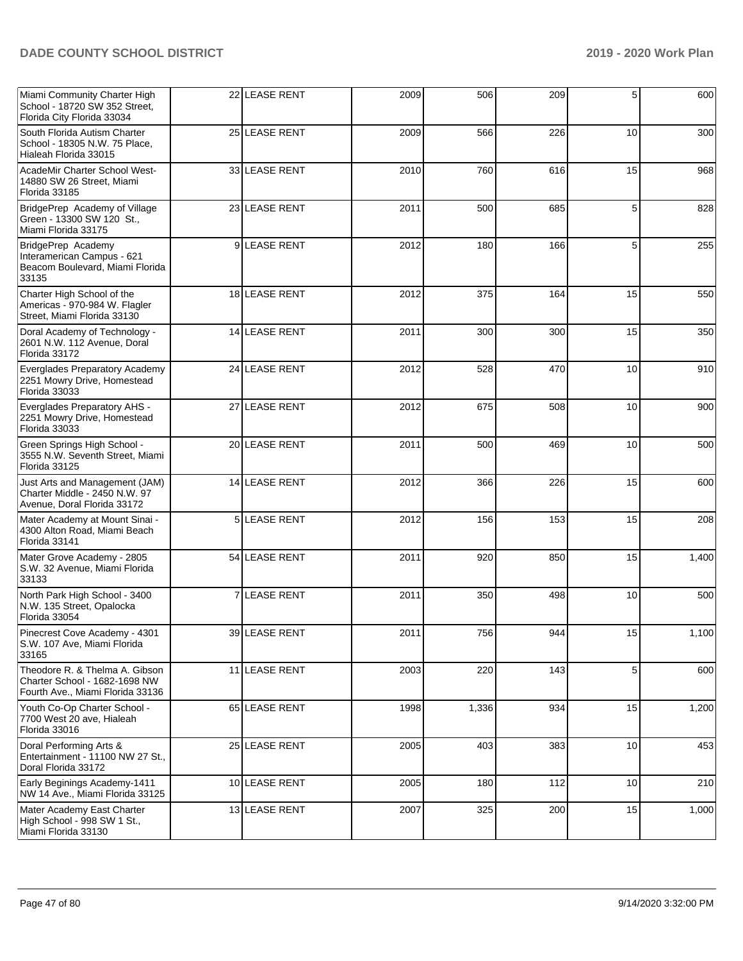| Miami Community Charter High<br>School - 18720 SW 352 Street,<br>Florida City Florida 33034         | 22 LEASE RENT | 2009 | 506   | 209 | 5  | 600   |
|-----------------------------------------------------------------------------------------------------|---------------|------|-------|-----|----|-------|
| South Florida Autism Charter<br>School - 18305 N.W. 75 Place,<br>Hialeah Florida 33015              | 25 LEASE RENT | 2009 | 566   | 226 | 10 | 300   |
| AcadeMir Charter School West-<br>14880 SW 26 Street, Miami<br>Florida 33185                         | 33 LEASE RENT | 2010 | 760   | 616 | 15 | 968   |
| BridgePrep Academy of Village<br>Green - 13300 SW 120 St.,<br>Miami Florida 33175                   | 23 LEASE RENT | 2011 | 500   | 685 | 5  | 828   |
| BridgePrep Academy<br>Interamerican Campus - 621<br>Beacom Boulevard, Miami Florida<br>33135        | 9 LEASE RENT  | 2012 | 180   | 166 | 5  | 255   |
| Charter High School of the<br>Americas - 970-984 W. Flagler<br>Street, Miami Florida 33130          | 18 LEASE RENT | 2012 | 375   | 164 | 15 | 550   |
| Doral Academy of Technology -<br>2601 N.W. 112 Avenue, Doral<br>Florida 33172                       | 14 LEASE RENT | 2011 | 300   | 300 | 15 | 350   |
| Everglades Preparatory Academy<br>2251 Mowry Drive, Homestead<br>Florida 33033                      | 24 LEASE RENT | 2012 | 528   | 470 | 10 | 910   |
| Everglades Preparatory AHS -<br>2251 Mowry Drive, Homestead<br>Florida 33033                        | 27 LEASE RENT | 2012 | 675   | 508 | 10 | 900   |
| Green Springs High School -<br>3555 N.W. Seventh Street, Miami<br>Florida 33125                     | 20 LEASE RENT | 2011 | 500   | 469 | 10 | 500   |
| Just Arts and Management (JAM)<br>Charter Middle - 2450 N.W. 97<br>Avenue, Doral Florida 33172      | 14 LEASE RENT | 2012 | 366   | 226 | 15 | 600   |
| Mater Academy at Mount Sinai -<br>4300 Alton Road, Miami Beach<br>Florida 33141                     | 5 LEASE RENT  | 2012 | 156   | 153 | 15 | 208   |
| Mater Grove Academy - 2805<br>S.W. 32 Avenue, Miami Florida<br>33133                                | 54 LEASE RENT | 2011 | 920   | 850 | 15 | 1,400 |
| North Park High School - 3400<br>N.W. 135 Street, Opalocka<br>Florida 33054                         | 7 LEASE RENT  | 2011 | 350   | 498 | 10 | 500   |
| Pinecrest Cove Academy - 4301<br>S.W. 107 Ave, Miami Florida<br>33165                               | 39 LEASE RENT | 2011 | 756   | 944 | 15 | 1,100 |
| Theodore R. & Thelma A. Gibson<br>Charter School - 1682-1698 NW<br>Fourth Ave., Miami Florida 33136 | 11 LEASE RENT | 2003 | 220   | 143 | 5  | 600   |
| Youth Co-Op Charter School -<br>7700 West 20 ave, Hialeah<br>Florida 33016                          | 65 LEASE RENT | 1998 | 1,336 | 934 | 15 | 1,200 |
| Doral Performing Arts &<br>Entertainment - 11100 NW 27 St.,<br>Doral Florida 33172                  | 25 LEASE RENT | 2005 | 403   | 383 | 10 | 453   |
| Early Beginings Academy-1411<br>NW 14 Ave., Miami Florida 33125                                     | 10 LEASE RENT | 2005 | 180   | 112 | 10 | 210   |
| Mater Academy East Charter<br>High School - 998 SW 1 St.,<br>Miami Florida 33130                    | 13 LEASE RENT | 2007 | 325   | 200 | 15 | 1,000 |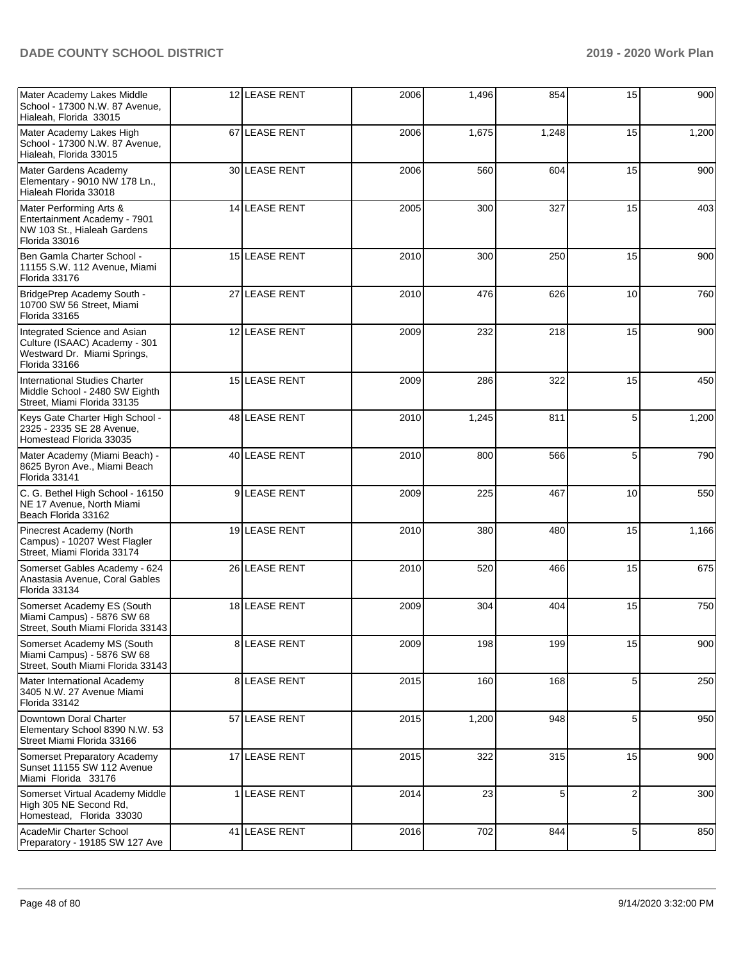| Mater Academy Lakes Middle<br>School - 17300 N.W. 87 Avenue,<br>Hialeah, Florida 33015                        | 12 LEASE RENT        | 2006 | 1,496 | 854   | 15 | 900   |
|---------------------------------------------------------------------------------------------------------------|----------------------|------|-------|-------|----|-------|
| Mater Academy Lakes High<br>School - 17300 N.W. 87 Avenue,<br>Hialeah, Florida 33015                          | 67 LEASE RENT        | 2006 | 1,675 | 1,248 | 15 | 1,200 |
| Mater Gardens Academy<br>Elementary - 9010 NW 178 Ln.,<br>Hialeah Florida 33018                               | 30 LEASE RENT        | 2006 | 560   | 604   | 15 | 900   |
| Mater Performing Arts &<br>Entertainment Academy - 7901<br>NW 103 St., Hialeah Gardens<br>Florida 33016       | <b>14 LEASE RENT</b> | 2005 | 300   | 327   | 15 | 403   |
| Ben Gamla Charter School -<br>11155 S.W. 112 Avenue, Miami<br>Florida 33176                                   | 15 LEASE RENT        | 2010 | 300   | 250   | 15 | 900   |
| BridgePrep Academy South -<br>10700 SW 56 Street, Miami<br>Florida 33165                                      | 27 LEASE RENT        | 2010 | 476   | 626   | 10 | 760   |
| Integrated Science and Asian<br>Culture (ISAAC) Academy - 301<br>Westward Dr. Miami Springs,<br>Florida 33166 | 12 LEASE RENT        | 2009 | 232   | 218   | 15 | 900   |
| International Studies Charter<br>Middle School - 2480 SW Eighth<br>Street, Miami Florida 33135                | 15 LEASE RENT        | 2009 | 286   | 322   | 15 | 450   |
| Keys Gate Charter High School -<br>2325 - 2335 SE 28 Avenue,<br>Homestead Florida 33035                       | 48 LEASE RENT        | 2010 | 1,245 | 811   | 5  | 1,200 |
| Mater Academy (Miami Beach) -<br>8625 Byron Ave., Miami Beach<br>Florida 33141                                | 40 LEASE RENT        | 2010 | 800   | 566   | 5  | 790   |
| C. G. Bethel High School - 16150<br>NE 17 Avenue, North Miami<br>Beach Florida 33162                          | 9 LEASE RENT         | 2009 | 225   | 467   | 10 | 550   |
| Pinecrest Academy (North<br>Campus) - 10207 West Flagler<br>Street, Miami Florida 33174                       | 19 LEASE RENT        | 2010 | 380   | 480   | 15 | 1,166 |
| Somerset Gables Academy - 624<br>Anastasia Avenue, Coral Gables<br>Florida 33134                              | 26 LEASE RENT        | 2010 | 520   | 466   | 15 | 675   |
| Somerset Academy ES (South<br>Miami Campus) - 5876 SW 68<br>Street. South Miami Florida 33143                 | 18 LEASE RENT        | 2009 | 304   | 404   | 15 | 750   |
| Somerset Academy MS (South<br>Miami Campus) - 5876 SW 68<br>Street, South Miami Florida 33143                 | 8 LEASE RENT         | 2009 | 198   | 199   | 15 | 900   |
| Mater International Academy<br>3405 N.W. 27 Avenue Miami<br>Florida 33142                                     | 8 LEASE RENT         | 2015 | 160   | 168   | 5  | 250   |
| Downtown Doral Charter<br>Elementary School 8390 N.W. 53<br>Street Miami Florida 33166                        | 57 LEASE RENT        | 2015 | 1,200 | 948   | 5  | 950   |
| Somerset Preparatory Academy<br>Sunset 11155 SW 112 Avenue<br>Miami Florida 33176                             | 17 LEASE RENT        | 2015 | 322   | 315   | 15 | 900   |
| Somerset Virtual Academy Middle<br>High 305 NE Second Rd,<br>Homestead, Florida 33030                         | 1 LEASE RENT         | 2014 | 23    | 5     | 2  | 300   |
| AcadeMir Charter School<br>Preparatory - 19185 SW 127 Ave                                                     | 41 LEASE RENT        | 2016 | 702   | 844   | 5  | 850   |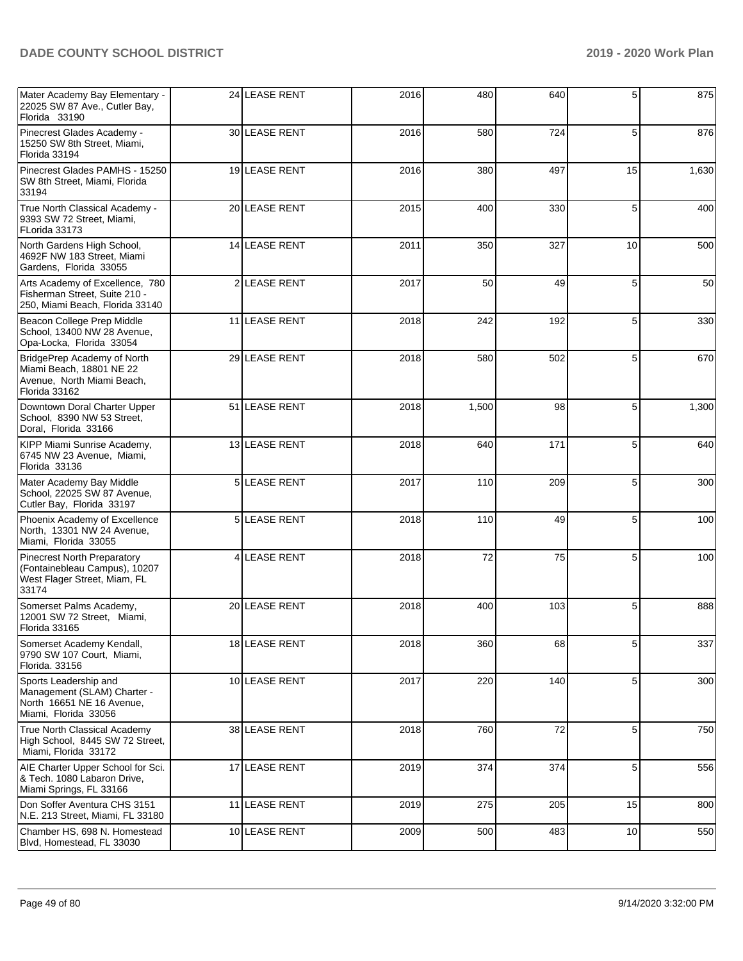| Mater Academy Bay Elementary -<br>22025 SW 87 Ave., Cutler Bay,<br>Florida 33190                             | 24 LEASE RENT | 2016 | 480   | 640 | 5  | 875   |
|--------------------------------------------------------------------------------------------------------------|---------------|------|-------|-----|----|-------|
| Pinecrest Glades Academy -<br>15250 SW 8th Street, Miami,<br>Florida 33194                                   | 30 LEASE RENT | 2016 | 580   | 724 | 5  | 876   |
| Pinecrest Glades PAMHS - 15250<br>SW 8th Street, Miami, Florida<br>33194                                     | 19 LEASE RENT | 2016 | 380   | 497 | 15 | 1,630 |
| True North Classical Academy -<br>9393 SW 72 Street, Miami,<br>FLorida 33173                                 | 20 LEASE RENT | 2015 | 400   | 330 | 5  | 400   |
| North Gardens High School,<br>4692F NW 183 Street, Miami<br>Gardens, Florida 33055                           | 14 LEASE RENT | 2011 | 350   | 327 | 10 | 500   |
| Arts Academy of Excellence, 780<br>Fisherman Street, Suite 210 -<br>250, Miami Beach, Florida 33140          | 2 LEASE RENT  | 2017 | 50    | 49  | 5  | 50    |
| Beacon College Prep Middle<br>School, 13400 NW 28 Avenue,<br>Opa-Locka, Florida 33054                        | 11 LEASE RENT | 2018 | 242   | 192 | 5  | 330   |
| BridgePrep Academy of North<br>Miami Beach, 18801 NE 22<br>Avenue, North Miami Beach,<br>Florida 33162       | 29 LEASE RENT | 2018 | 580   | 502 | 5  | 670   |
| Downtown Doral Charter Upper<br>School, 8390 NW 53 Street,<br>Doral, Florida 33166                           | 51 LEASE RENT | 2018 | 1,500 | 98  | 5  | 1,300 |
| KIPP Miami Sunrise Academy,<br>6745 NW 23 Avenue, Miami,<br>Florida 33136                                    | 13 LEASE RENT | 2018 | 640   | 171 | 5  | 640   |
| Mater Academy Bay Middle<br>School, 22025 SW 87 Avenue,<br>Cutler Bay, Florida 33197                         | 5 LEASE RENT  | 2017 | 110   | 209 | 5  | 300   |
| Phoenix Academy of Excellence<br>North, 13301 NW 24 Avenue,<br>Miami, Florida 33055                          | 5 LEASE RENT  | 2018 | 110   | 49  | 5  | 100   |
| <b>Pinecrest North Preparatory</b><br>(Fontainebleau Campus), 10207<br>West Flager Street, Miam, FL<br>33174 | 4 LEASE RENT  | 2018 | 72    | 75  | 5  | 100   |
| Somerset Palms Academy,<br>12001 SW 72 Street, Miami,<br>Florida 33165                                       | 20 LEASE RENT | 2018 | 400   | 103 | 5  | 888   |
| Somerset Academy Kendall,<br>9790 SW 107 Court, Miami,<br>Florida. 33156                                     | 18 LEASE RENT | 2018 | 360   | 68  | 5  | 337   |
| Sports Leadership and<br>Management (SLAM) Charter -<br>North 16651 NE 16 Avenue,<br>Miami, Florida 33056    | 10 LEASE RENT | 2017 | 220   | 140 | 5  | 300   |
| True North Classical Academy<br>High School, 8445 SW 72 Street,<br>Miami, Florida 33172                      | 38 LEASE RENT | 2018 | 760   | 72  | 5  | 750   |
| AIE Charter Upper School for Sci.<br>& Tech. 1080 Labaron Drive,<br>Miami Springs, FL 33166                  | 17 LEASE RENT | 2019 | 374   | 374 | 5  | 556   |
| Don Soffer Aventura CHS 3151<br>N.E. 213 Street, Miami, FL 33180                                             | 11 LEASE RENT | 2019 | 275   | 205 | 15 | 800   |
| Chamber HS, 698 N. Homestead<br>Blvd, Homestead, FL 33030                                                    | 10 LEASE RENT | 2009 | 500   | 483 | 10 | 550   |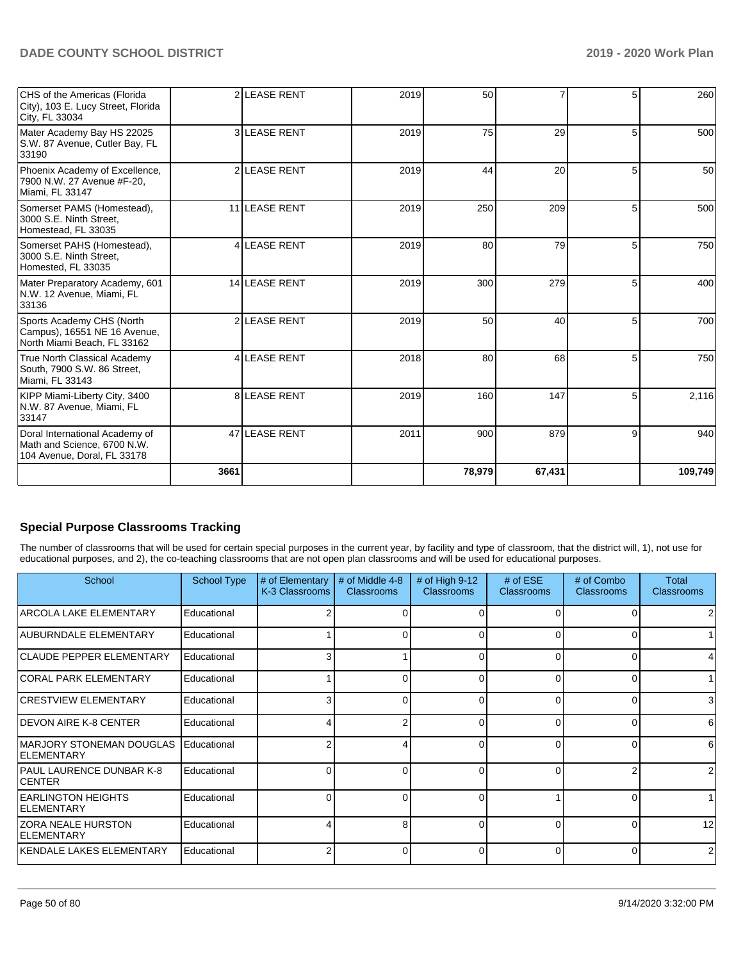| CHS of the Americas (Florida<br>City), 103 E. Lucy Street, Florida<br>City, FL 33034         |      | 2 LEASE RENT      | 2019 | 50     |                 |   | 260             |
|----------------------------------------------------------------------------------------------|------|-------------------|------|--------|-----------------|---|-----------------|
| Mater Academy Bay HS 22025<br>S.W. 87 Avenue, Cutler Bay, FL<br>33190                        |      | 3 LEASE RENT      | 2019 | 75     | 29              | 5 | 500             |
| Phoenix Academy of Excellence,<br>7900 N.W. 27 Avenue #F-20,<br>Miami, FL 33147              |      | 2 LEASE RENT      | 2019 | 44     | 20              | 5 | 50 <sub>1</sub> |
| Somerset PAMS (Homestead),<br>3000 S.E. Ninth Street,<br>Homestead, FL 33035                 |      | 11 LEASE RENT     | 2019 | 250    | 209             | 5 | 500             |
| Somerset PAHS (Homestead),<br>3000 S.E. Ninth Street,<br>Homested, FL 33035                  | 4    | <b>LEASE RENT</b> | 2019 | 80     | 79              | 5 | 750             |
| Mater Preparatory Academy, 601<br>N.W. 12 Avenue, Miami, FL<br>33136                         |      | 14 LEASE RENT     | 2019 | 300    | 279             | 5 | 400             |
| Sports Academy CHS (North<br>Campus), 16551 NE 16 Avenue,<br>North Miami Beach. FL 33162     |      | 2 LEASE RENT      | 2019 | 50     | 40 <sup>1</sup> | 5 | 700             |
| True North Classical Academy<br>South, 7900 S.W. 86 Street,<br>Miami, FL 33143               |      | 4 LEASE RENT      | 2018 | 80     | 68              |   | 750             |
| KIPP Miami-Liberty City, 3400<br>N.W. 87 Avenue, Miami, FL<br>33147                          | 8    | <b>LEASE RENT</b> | 2019 | 160    | 147             | 5 | 2,116           |
| Doral International Academy of<br>Math and Science, 6700 N.W.<br>104 Avenue, Doral, FL 33178 |      | 47 LEASE RENT     | 2011 | 900    | 879             | 9 | 940             |
|                                                                                              | 3661 |                   |      | 78,979 | 67,431          |   | 109,749         |

# **Special Purpose Classrooms Tracking**

The number of classrooms that will be used for certain special purposes in the current year, by facility and type of classroom, that the district will, 1), not use for educational purposes, and 2), the co-teaching classrooms that are not open plan classrooms and will be used for educational purposes.

| School                                          | <b>School Type</b> | # of Elementary<br>K-3 Classrooms | # of Middle 4-8<br><b>Classrooms</b> | # of High $9-12$<br><b>Classrooms</b> | # of $ESE$<br><b>Classrooms</b> | # of Combo<br><b>Classrooms</b> | Total<br><b>Classrooms</b> |
|-------------------------------------------------|--------------------|-----------------------------------|--------------------------------------|---------------------------------------|---------------------------------|---------------------------------|----------------------------|
| ARCOLA LAKE ELEMENTARY                          | Educational        |                                   |                                      |                                       | n                               |                                 |                            |
| AUBURNDALE ELEMENTARY                           | Educational        |                                   | 0                                    | ŋ                                     | $\Omega$                        | 0                               |                            |
| <b>CLAUDE PEPPER ELEMENTARY</b>                 | Educational        |                                   |                                      |                                       | 0                               | 0                               |                            |
| <b>CORAL PARK ELEMENTARY</b>                    | Educational        |                                   |                                      |                                       | $\Omega$                        |                                 |                            |
| <b>CRESTVIEW ELEMENTARY</b>                     | Educational        |                                   |                                      |                                       | $\Omega$                        | 0                               | 3                          |
| <b>IDEVON AIRE K-8 CENTER</b>                   | Educational        |                                   | $\mathcal{P}$                        | O                                     | $\Omega$                        | 0                               | 6                          |
| IMARJORY STONEMAN DOUGLAS<br>ELEMENTARY         | Educational        |                                   |                                      | 0                                     | $\Omega$                        | 0                               | 6                          |
| PAUL LAURENCE DUNBAR K-8<br><b>CENTER</b>       | Educational        |                                   | ∩                                    | n                                     | $\Omega$                        |                                 | 2                          |
| <b>EARLINGTON HEIGHTS</b><br><b>IELEMENTARY</b> | Educational        | O                                 | 0                                    | O                                     |                                 | 0                               |                            |
| <b>ZORA NEALE HURSTON</b><br><b>ELEMENTARY</b>  | Educational        |                                   | 8                                    |                                       | $\Omega$                        | 0                               | 12                         |
| KENDALE LAKES ELEMENTARY                        | Educational        |                                   |                                      |                                       | $\Omega$                        | 0                               | 2                          |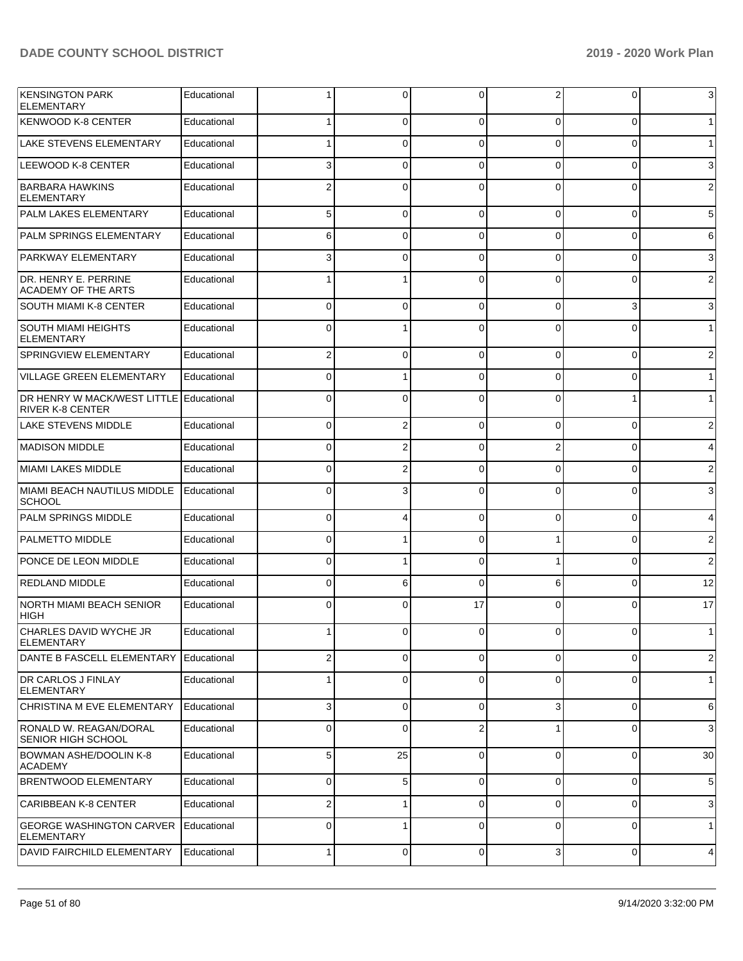| <b>KENSINGTON PARK</b><br>ELEMENTARY                               | Educational |              | 0        | 0              | 2            | 0        | 3              |
|--------------------------------------------------------------------|-------------|--------------|----------|----------------|--------------|----------|----------------|
| KENWOOD K-8 CENTER                                                 | Educational |              | 0        | $\Omega$       | 0            | 0        | $\mathbf{1}$   |
| LAKE STEVENS ELEMENTARY                                            | Educational |              | 0        | $\Omega$       | 0            | 0        | $\mathbf{1}$   |
| LEEWOOD K-8 CENTER                                                 | Educational | 3            | 0        | $\Omega$       | 0            | 0        | 3              |
| BARBARA HAWKINS<br><b>ELEMENTARY</b>                               | Educational | 2            | 0        | $\Omega$       | 0            | 0        | $\overline{2}$ |
| <b>PALM LAKES ELEMENTARY</b>                                       | Educational | 5            | 0        | $\Omega$       | 0            | 0        | 5              |
| PALM SPRINGS ELEMENTARY                                            | Educational | 6            | 0        | $\Omega$       | 0            | 0        | 6              |
| <b>PARKWAY ELEMENTARY</b>                                          | Educational |              | 0        | $\Omega$       | 0            | 0        | 3              |
| DR. HENRY E. PERRINE<br><b>ACADEMY OF THE ARTS</b>                 | Educational |              |          | $\Omega$       | 0            | 0        | 2              |
| <b>SOUTH MIAMI K-8 CENTER</b>                                      | Educational | 0            | 0        | $\Omega$       | 0            | 3        | 3              |
| <b>SOUTH MIAMI HEIGHTS</b><br>ELEMENTARY                           | Educational | 0            |          | $\Omega$       | 0            | $\Omega$ | $\mathbf{1}$   |
| <b>SPRINGVIEW ELEMENTARY</b>                                       | Educational | 2            | 0        | $\Omega$       | 0            | 0        | $\overline{2}$ |
| <b>VILLAGE GREEN ELEMENTARY</b>                                    | Educational | 0            |          | $\Omega$       | 0            | 0        | $\mathbf{1}$   |
| DR HENRY W MACK/WEST LITTLE Educational<br><b>RIVER K-8 CENTER</b> |             | 0            | $\Omega$ | $\Omega$       | 0            |          | $\mathbf{1}$   |
| <b>LAKE STEVENS MIDDLE</b>                                         | Educational | 0            | 2        | $\Omega$       | 0            | 0        | 2              |
| <b>MADISON MIDDLE</b>                                              | Educational | 0            | 2        | $\Omega$       | 2            | 0        | 4              |
| MIAMI LAKES MIDDLE                                                 | Educational | 0            | 2        | $\Omega$       | 0            | 0        | $\overline{c}$ |
| MIAMI BEACH NAUTILUS MIDDLE<br><b>SCHOOL</b>                       | Educational | 0            | 3        | $\Omega$       | 0            | 0        | 3              |
| <b>PALM SPRINGS MIDDLE</b>                                         | Educational | 0            | 4        | $\Omega$       | 0            | 0        | 4              |
| <b>PALMETTO MIDDLE</b>                                             | Educational | 0            | 1        | $\mathbf 0$    | 1            | 0        | $\overline{2}$ |
| PONCE DE LEON MIDDLE                                               | Educational | 0            |          | $\Omega$       |              | 0        | $\overline{2}$ |
| <b>REDLAND MIDDLE</b>                                              | Educational | 0            | 6        | $\Omega$       | 6            | 0        | 12             |
| <b>NORTH MIAMI BEACH SENIOR</b><br>HIGH                            | Educational | 0            | $\Omega$ | 17             | 0            | $\Omega$ | 17             |
| CHARLES DAVID WYCHE JR<br><b>ELEMENTARY</b>                        | Educational |              |          | $\Omega$       | <sup>n</sup> | U        | $\mathbf{1}$   |
| DANTE B FASCELL ELEMENTARY                                         | Educational |              | 0        | 0              | 0            | 0        | $\overline{2}$ |
| <b>DR CARLOS J FINLAY</b><br><b>ELEMENTARY</b>                     | Educational |              | 0        | 0              | 0            | 0        | $\mathbf{1}$   |
| CHRISTINA M EVE ELEMENTARY                                         | Educational | 3            | 0        | $\mathbf 0$    | 3            | 0        | 6              |
| RONALD W. REAGAN/DORAL<br><b>SENIOR HIGH SCHOOL</b>                | Educational | $\Omega$     | 0        | $\overline{2}$ | 1            | 0        | 3              |
| <b>BOWMAN ASHE/DOOLIN K-8</b><br><b>ACADEMY</b>                    | Educational | 5            | 25       | $\Omega$       | $\mathbf 0$  | 0        | 30             |
| <b>BRENTWOOD ELEMENTARY</b>                                        | Educational | 0            | 5        | 0              | 0            | 0        | 5              |
| <b>CARIBBEAN K-8 CENTER</b>                                        | Educational |              |          | 0              | 0            | 0        | 3              |
| <b>GEORGE WASHINGTON CARVER</b><br>ELEMENTARY                      | Educational | 0            |          | $\mathbf 0$    | 0            | 0        | $\mathbf{1}$   |
| <b>DAVID FAIRCHILD ELEMENTARY</b>                                  | Educational | $\mathbf{1}$ | 0        | $\mathbf 0$    | 3            | 0        | 4              |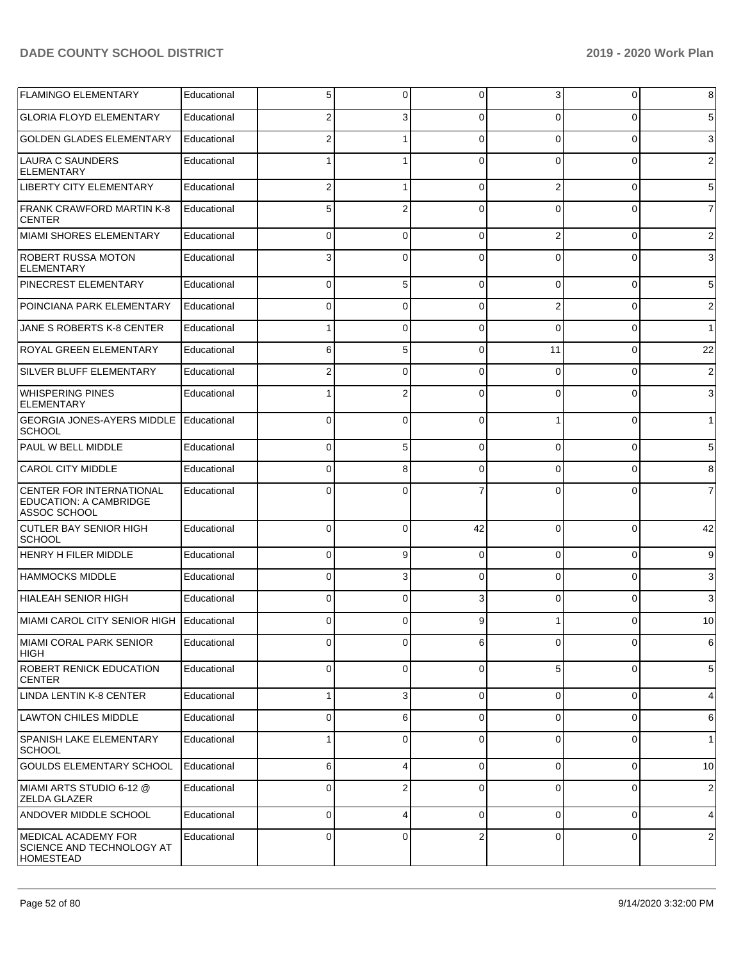| <b>FLAMINGO ELEMENTARY</b>                                                       | Educational | 5              | 0              | 0              | 3              | $\overline{0}$ | 8               |
|----------------------------------------------------------------------------------|-------------|----------------|----------------|----------------|----------------|----------------|-----------------|
| <b>GLORIA FLOYD ELEMENTARY</b>                                                   | Educational | 2              | 3              | $\Omega$       | $\Omega$       | 0              | $5\overline{)}$ |
| <b>GOLDEN GLADES ELEMENTARY</b>                                                  | Educational | $\overline{2}$ |                | $\Omega$       | $\Omega$       | 0              | $\mathbf{3}$    |
| LAURA C SAUNDERS<br><b>ELEMENTARY</b>                                            | Educational |                |                | $\Omega$       | $\Omega$       | 0              | $\overline{2}$  |
| <b>LIBERTY CITY ELEMENTARY</b>                                                   | Educational | $\overline{2}$ | 1              | $\Omega$       | $\overline{2}$ | $\overline{0}$ | $5\overline{)}$ |
| <b>FRANK CRAWFORD MARTIN K-8</b><br><b>CENTER</b>                                | Educational | 5              | $\overline{2}$ | $\Omega$       | $\Omega$       | 0              | $\overline{7}$  |
| MIAMI SHORES ELEMENTARY                                                          | Educational | 0              | $\Omega$       | $\Omega$       | 2              | 0              | $\overline{2}$  |
| <b>ROBERT RUSSA MOTON</b><br><b>ELEMENTARY</b>                                   | Educational | 3              | 0              | ∩              | $\Omega$       | 0              | $\mathbf{3}$    |
| <b>PINECREST ELEMENTARY</b>                                                      | Educational | $\Omega$       | 5              | $\Omega$       | $\Omega$       | $\Omega$       | $5\phantom{.0}$ |
| POINCIANA PARK ELEMENTARY                                                        | Educational | 0              | $\Omega$       | $\Omega$       | $\overline{2}$ | $\Omega$       | $\overline{2}$  |
| <b>JANE S ROBERTS K-8 CENTER</b>                                                 | Educational |                | $\Omega$       | $\Omega$       | $\Omega$       | 0              | 1               |
| <b>ROYAL GREEN ELEMENTARY</b>                                                    | Educational | 6              | 5              | $\Omega$       | 11             | $\Omega$       | 22              |
| SILVER BLUFF ELEMENTARY                                                          | Educational | 2              | $\Omega$       | $\Omega$       | $\Omega$       | $\Omega$       | $\overline{2}$  |
| <b>WHISPERING PINES</b><br><b>ELEMENTARY</b>                                     | Educational |                | $\overline{2}$ | $\Omega$       | $\Omega$       | 0              | $\mathbf{3}$    |
| <b>GEORGIA JONES-AYERS MIDDLE</b><br><b>SCHOOL</b>                               | Educational | $\Omega$       | $\Omega$       | $\Omega$       |                | 0              | 1 <sup>1</sup>  |
| PAUL W BELL MIDDLE                                                               | Educational | 0              | 5              | $\Omega$       | $\Omega$       | 0              | $5\overline{)}$ |
| <b>CAROL CITY MIDDLE</b>                                                         | Educational | 0              | 8              | O              | 0              | 0              | 8 <sup>1</sup>  |
| <b>CENTER FOR INTERNATIONAL</b><br><b>EDUCATION: A CAMBRIDGE</b><br>ASSOC SCHOOL | Educational | $\Omega$       | 0              |                | 0              | 0              | $\overline{7}$  |
| CUTLER BAY SENIOR HIGH<br><b>SCHOOL</b>                                          | Educational | 0              | $\Omega$       | 42             | $\Omega$       | $\mathbf 0$    | 42              |
| HENRY H FILER MIDDLE                                                             | Educational | $\Omega$       | 9              | $\Omega$       | $\Omega$       | $\mathbf 0$    | 9               |
| <b>HAMMOCKS MIDDLE</b>                                                           | Educational | 0              | 3              | $\Omega$       | $\Omega$       | 0              | $\mathbf{3}$    |
| HIALEAH SENIOR HIGH                                                              | Educational | 0              | $\Omega$       | 3              | 0              | 0              | $\mathbf{3}$    |
| MIAMI CAROL CITY SENIOR HIGH                                                     | Educational | 0              | 0              | 9              |                | 0              | 10 <sup>1</sup> |
| MIAMI CORAL PARK SENIOR<br> HIGH                                                 | Educational | $\Omega$       | 0              | 6              | $\Omega$       | $\mathbf 0$    | $6 \,$          |
| <b>ROBERT RENICK EDUCATION</b><br><b>CENTER</b>                                  | Educational | 0              | 0              | $\Omega$       | 5              | $\mathbf 0$    | $5\overline{)}$ |
| LINDA LENTIN K-8 CENTER                                                          | Educational | 1              | 3              | 0              | $\Omega$       | $\mathbf 0$    | $\overline{4}$  |
| LAWTON CHILES MIDDLE                                                             | Educational | 0              | 6              | $\Omega$       | $\Omega$       | 0              | $6 \mid$        |
| SPANISH LAKE ELEMENTARY<br><b>SCHOOL</b>                                         | Educational | 1              | 0              | $\Omega$       | $\overline{0}$ | $\mathbf 0$    | 1               |
| GOULDS ELEMENTARY SCHOOL                                                         | Educational | 6              | 4              | 0              | $\Omega$       | $\overline{0}$ | 10 <sup>1</sup> |
| MIAMI ARTS STUDIO 6-12 @<br><b>ZELDA GLAZER</b>                                  | Educational | 0              | $\overline{2}$ | $\Omega$       | $\Omega$       | 0              | $\overline{2}$  |
| <b>ANDOVER MIDDLE SCHOOL</b>                                                     | Educational | 0              | 4              | $\Omega$       | $\Omega$       | $\mathbf 0$    | $\vert 4 \vert$ |
| MEDICAL ACADEMY FOR<br>SCIENCE AND TECHNOLOGY AT<br>HOMESTEAD                    | Educational | 0              | 0              | $\overline{2}$ | $\Omega$       | 0              | $\overline{2}$  |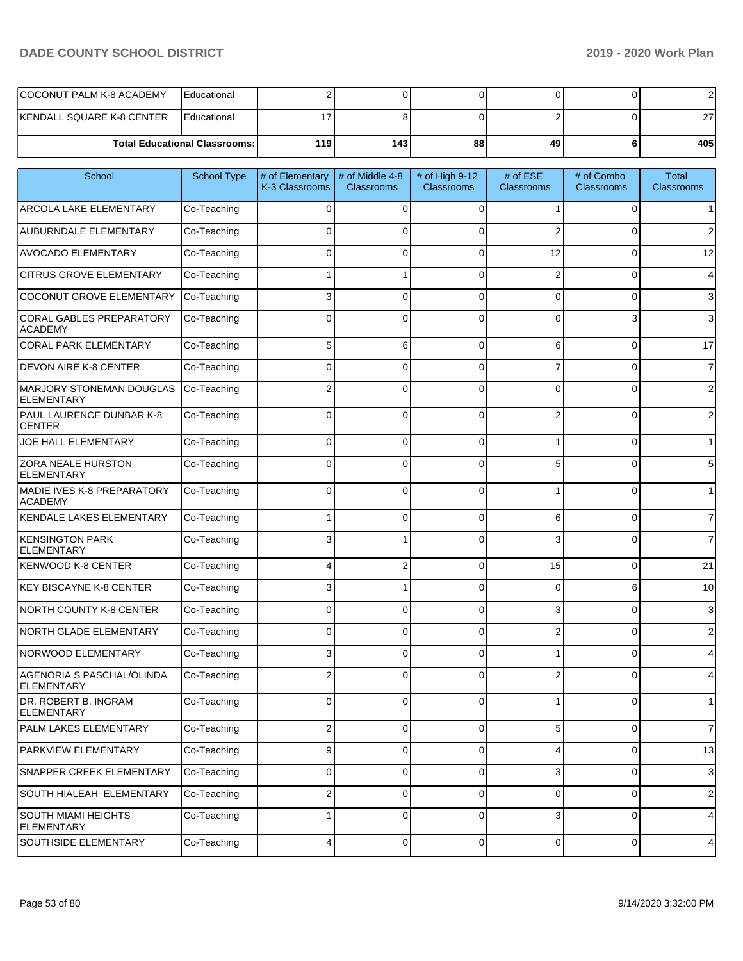|                           | <b>Total Educational Classrooms: I</b> | 119 | 143 | 88 | 49 | 405 |
|---------------------------|----------------------------------------|-----|-----|----|----|-----|
| KENDALL SQUARE K-8 CENTER | Educational                            |     |     |    |    |     |
| COCONUT PALM K-8 ACADEMY  | <b>I</b> Educational                   |     |     |    |    |     |

| School                                         | <b>School Type</b> | # of Elementary<br>K-3 Classrooms | # of Middle 4-8<br><b>Classrooms</b> | # of High 9-12<br><b>Classrooms</b> | # of ESE<br><b>Classrooms</b> | # of Combo<br><b>Classrooms</b> | Total<br><b>Classrooms</b> |
|------------------------------------------------|--------------------|-----------------------------------|--------------------------------------|-------------------------------------|-------------------------------|---------------------------------|----------------------------|
| ARCOLA LAKE ELEMENTARY                         | Co-Teaching        | $\Omega$                          | $\Omega$                             | $\Omega$                            |                               | 0                               |                            |
| AUBURNDALE ELEMENTARY                          | Co-Teaching        | $\Omega$                          | $\Omega$                             | $\Omega$                            | 2                             | 0                               | 2                          |
| <b>AVOCADO ELEMENTARY</b>                      | Co-Teaching        | $\Omega$                          | $\Omega$                             | $\Omega$                            | 12                            | 0                               | 12                         |
| <b>CITRUS GROVE ELEMENTARY</b>                 | Co-Teaching        |                                   |                                      | $\mathfrak{o}$                      | 2                             | 0                               | 4                          |
| COCONUT GROVE ELEMENTARY                       | Co-Teaching        | 3                                 | $\Omega$                             | $\Omega$                            | $\Omega$                      | 0                               | 3                          |
| CORAL GABLES PREPARATORY<br><b>ACADEMY</b>     | Co-Teaching        | $\Omega$                          | $\Omega$                             | $\Omega$                            | $\Omega$                      | 3                               | 3                          |
| <b>CORAL PARK ELEMENTARY</b>                   | Co-Teaching        | 5                                 | 6                                    | $\Omega$                            | 6                             | $\Omega$                        | 17                         |
| <b>DEVON AIRE K-8 CENTER</b>                   | Co-Teaching        | 0                                 | $\Omega$                             | $\Omega$                            |                               | $\Omega$                        | $\overline{7}$             |
| MARJORY STONEMAN DOUGLAS<br><b>ELEMENTARY</b>  | Co-Teaching        | 2                                 | $\Omega$                             | $\Omega$                            | $\Omega$                      | $\Omega$                        | $\overline{2}$             |
| PAUL LAURENCE DUNBAR K-8<br><b>CENTER</b>      | Co-Teaching        | $\Omega$                          | $\Omega$                             | $\Omega$                            | 2                             | $\Omega$                        | 2                          |
| JOE HALL ELEMENTARY                            | Co-Teaching        | $\Omega$                          | 0                                    | $\Omega$                            |                               | 0                               | 1                          |
| ZORA NEALE HURSTON<br>ELEMENTARY               | Co-Teaching        | $\Omega$                          | $\Omega$                             | $\Omega$                            | 5                             | $\Omega$                        | 5                          |
| MADIE IVES K-8 PREPARATORY<br><b>ACADEMY</b>   | Co-Teaching        | $\Omega$                          | $\Omega$                             | $\Omega$                            |                               | $\Omega$                        | $\mathbf{1}$               |
| KENDALE LAKES ELEMENTARY                       | Co-Teaching        |                                   | $\Omega$                             | $\Omega$                            | 6                             | $\Omega$                        | $\overline{7}$             |
| <b>KENSINGTON PARK</b><br><b>ELEMENTARY</b>    | Co-Teaching        | 3                                 |                                      | $\Omega$                            | 3                             | $\Omega$                        | $\overline{7}$             |
| KENWOOD K-8 CENTER                             | Co-Teaching        |                                   | 2                                    | $\Omega$                            | 15                            | 0                               | 21                         |
| <b>KEY BISCAYNE K-8 CENTER</b>                 | Co-Teaching        | 3                                 |                                      | $\Omega$                            | 0                             | 6                               | 10                         |
| NORTH COUNTY K-8 CENTER                        | Co-Teaching        | $\Omega$                          | $\Omega$                             | $\Omega$                            | 3                             | 0                               | 3                          |
| NORTH GLADE ELEMENTARY                         | Co-Teaching        | $\Omega$                          | 0                                    | $\Omega$                            | 2                             | 0                               | 2                          |
| NORWOOD ELEMENTARY                             | Co-Teaching        | 3                                 | $\Omega$                             | $\Omega$                            |                               | $\Omega$                        | 4                          |
| AGENORIA S PASCHAL/OLINDA<br><b>ELEMENTARY</b> | Co-Teaching        | 2                                 | $\Omega$                             | $\Omega$                            |                               | 0                               |                            |
| DR. ROBERT B. INGRAM<br><b>ELEMENTARY</b>      | Co-Teaching        | 0                                 | $\Omega$                             | 0                                   |                               | 0                               | 1                          |
| PALM LAKES ELEMENTARY                          | Co-Teaching        | $\overline{\mathbf{c}}$           | $\mathbf 0$                          | 0                                   | 5                             | 0                               | $\overline{7}$             |
| PARKVIEW ELEMENTARY                            | Co-Teaching        | 9                                 | $\mathbf 0$                          | 0                                   | 4                             | 0                               | 13                         |
| SNAPPER CREEK ELEMENTARY                       | Co-Teaching        | 0                                 | 0                                    | 0                                   | 3                             | 0                               | $\sqrt{3}$                 |
| SOUTH HIALEAH ELEMENTARY                       | Co-Teaching        | $\overline{\mathbf{c}}$           | $\mathbf 0$                          | 0                                   | 0                             | 0                               | $\sqrt{2}$                 |
| SOUTH MIAMI HEIGHTS<br><b>ELEMENTARY</b>       | Co-Teaching        |                                   | $\mathbf 0$                          | $\mathbf 0$                         | 3                             | 0                               | 4                          |
| SOUTHSIDE ELEMENTARY                           | Co-Teaching        | 4                                 | $\overline{0}$                       | $\mathbf 0$                         | 0                             | 0                               | 4                          |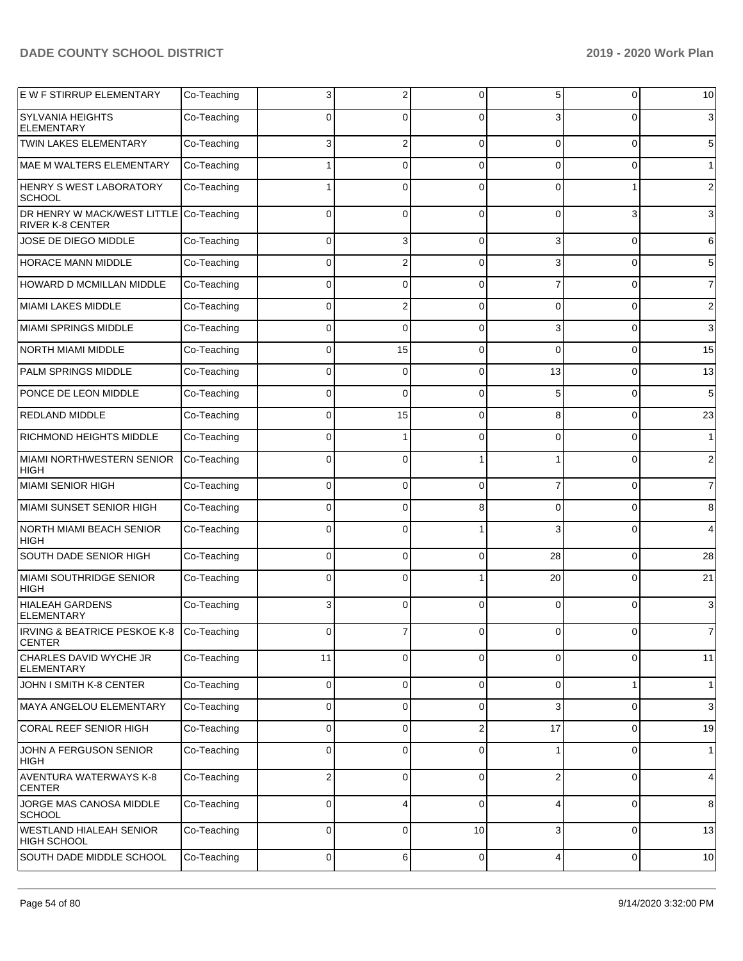| E W F STIRRUP ELEMENTARY                                           | Co-Teaching | 3  | 2        | 0              | 5           | 0              | 10              |
|--------------------------------------------------------------------|-------------|----|----------|----------------|-------------|----------------|-----------------|
| <b>SYLVANIA HEIGHTS</b><br><b>ELEMENTARY</b>                       | Co-Teaching | 0  | 0        | $\Omega$       |             | 0              | $\mathbf{3}$    |
| <b>TWIN LAKES ELEMENTARY</b>                                       | Co-Teaching | 3  | 2        | $\Omega$       | $\Omega$    | $\overline{0}$ | $5\overline{)}$ |
| <b>MAE M WALTERS ELEMENTARY</b>                                    | Co-Teaching |    | $\Omega$ | $\Omega$       | $\Omega$    | 0              | 1               |
| HENRY S WEST LABORATORY<br><b>SCHOOL</b>                           | Co-Teaching |    | $\Omega$ | $\Omega$       | $\Omega$    | 1              | $\overline{c}$  |
| DR HENRY W MACK/WEST LITTLE Co-Teaching<br><b>RIVER K-8 CENTER</b> |             | 0  | 0        | $\Omega$       | 0           | 3              | $\mathbf{3}$    |
| JOSE DE DIEGO MIDDLE                                               | Co-Teaching | 0  | 3        | $\Omega$       | 3           | 0              | $6 \,$          |
| HORACE MANN MIDDLE                                                 | Co-Teaching | 0  | 2        | $\Omega$       | 3           | 0              | $5\overline{)}$ |
| HOWARD D MCMILLAN MIDDLE                                           | Co-Teaching | 0  | 0        | $\Omega$       |             | 0              | $\overline{7}$  |
| <b>MIAMI LAKES MIDDLE</b>                                          | Co-Teaching | 0  | 2        | $\Omega$       | 0           | 0              | $\overline{2}$  |
| <b>MIAMI SPRINGS MIDDLE</b>                                        | Co-Teaching | 0  | 0        | $\Omega$       | 3           | 0              | $\mathbf{3}$    |
| <b>NORTH MIAMI MIDDLE</b>                                          | Co-Teaching | 0  | 15       | $\Omega$       | 0           | 0              | 15              |
| PALM SPRINGS MIDDLE                                                | Co-Teaching | 0  | 0        | $\Omega$       | 13          | 0              | 13              |
| PONCE DE LEON MIDDLE                                               | Co-Teaching | 0  | 0        | $\Omega$       | 5           | 0              | $5\phantom{.0}$ |
| <b>REDLAND MIDDLE</b>                                              | Co-Teaching | 0  | 15       | $\Omega$       | 8           | 0              | 23              |
| <b>RICHMOND HEIGHTS MIDDLE</b>                                     | Co-Teaching | 0  | 1        | $\Omega$       | 0           | 0              | 1               |
| <b>MIAMI NORTHWESTERN SENIOR</b><br><b>HIGH</b>                    | Co-Teaching | 0  | 0        |                |             | $\Omega$       | $\overline{c}$  |
| MIAMI SENIOR HIGH                                                  | Co-Teaching | 0  | $\Omega$ | $\Omega$       |             | $\overline{0}$ | $\overline{7}$  |
| MIAMI SUNSET SENIOR HIGH                                           | Co-Teaching | 0  | $\Omega$ | 8              | 0           | 0              | 8               |
| <b>NORTH MIAMI BEACH SENIOR</b><br><b>HIGH</b>                     | Co-Teaching | 0  | 0        |                | 3           | $\Omega$       | $\overline{4}$  |
| SOUTH DADE SENIOR HIGH                                             | Co-Teaching | 0  | 0        | $\Omega$       | 28          | 0              | 28              |
| MIAMI SOUTHRIDGE SENIOR<br><b>HIGH</b>                             | Co-Teaching | 0  | 0        |                | 20          | 0              | 21              |
| <b>HIALEAH GARDENS</b><br><b>ELEMENTARY</b>                        | Co-Teaching | 3  | 0        | $\Omega$       | 0           | $\Omega$       | $\mathbf{3}$    |
| IRVING & BEATRICE PESKOE K-8 Co-Teaching<br><b>CENTER</b>          |             |    |          | $\Omega$       |             | 0              | $\overline{7}$  |
| CHARLES DAVID WYCHE JR<br><b>ELEMENTARY</b>                        | Co-Teaching | 11 | 0        | $\Omega$       | 0           | 0              | 11              |
| JOHN I SMITH K-8 CENTER                                            | Co-Teaching | 0  | 0        | $\mathbf 0$    | $\mathbf 0$ | 1              | 1               |
| <b>MAYA ANGELOU ELEMENTARY</b>                                     | Co-Teaching | 0  | 0        | $\mathbf 0$    | 3           | 0              | $\mathbf{3}$    |
| CORAL REEF SENIOR HIGH                                             | Co-Teaching | 0  | 0        | $\overline{2}$ | 17          | $\overline{0}$ | 19              |
| JOHN A FERGUSON SENIOR<br>HIGH                                     | Co-Teaching | 0  | 0        | $\Omega$       |             | 0              | 1               |
| <b>AVENTURA WATERWAYS K-8</b><br><b>CENTER</b>                     | Co-Teaching | 2  | 0        | $\Omega$       | 2           | $\overline{0}$ | $\overline{4}$  |
| JORGE MAS CANOSA MIDDLE<br><b>SCHOOL</b>                           | Co-Teaching | 0  | 4        | $\Omega$       | 4           | 0              | 8               |
| <b>WESTLAND HIALEAH SENIOR</b><br><b>HIGH SCHOOL</b>               | Co-Teaching | 0  | 0        | 10             | 3           | $\overline{0}$ | 13              |
| SOUTH DADE MIDDLE SCHOOL                                           | Co-Teaching | 0  | 6        | $\mathbf 0$    | 4           | $\overline{0}$ | 10              |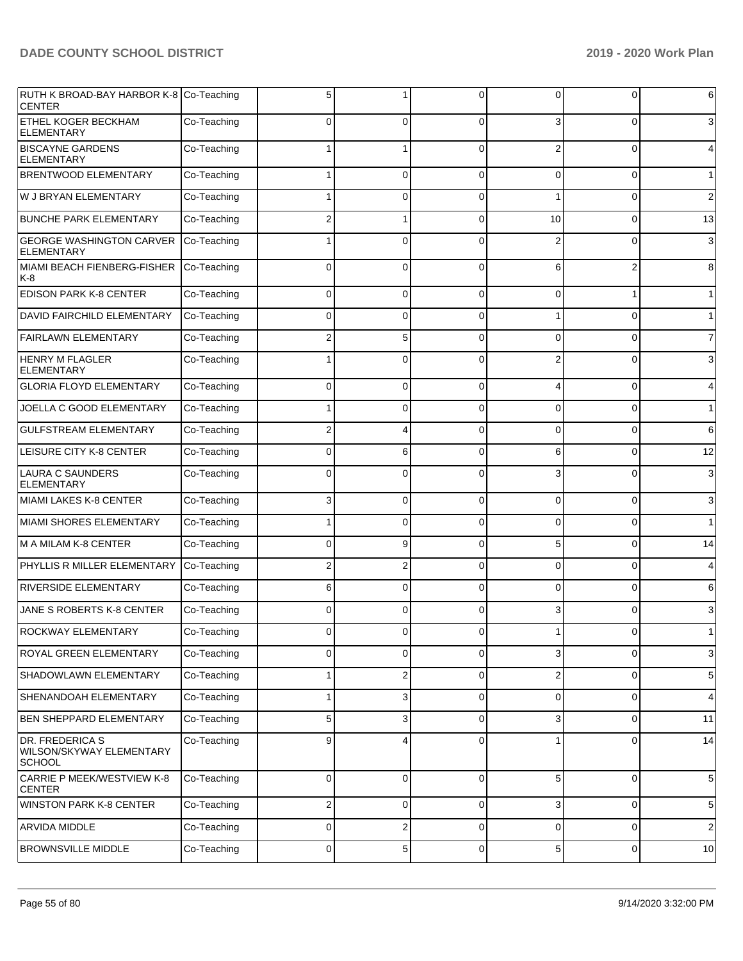| RUTH K BROAD-BAY HARBOR K-8 Co-Teaching<br><b>CENTER</b>     |             | 5           |          | $\Omega$    | 0        | 0        | 6              |
|--------------------------------------------------------------|-------------|-------------|----------|-------------|----------|----------|----------------|
| ETHEL KOGER BECKHAM<br><b>ELEMENTARY</b>                     | Co-Teaching | 0           | 0        | $\Omega$    | 3        | 0        | 3              |
| <b>BISCAYNE GARDENS</b><br><b>ELEMENTARY</b>                 | Co-Teaching |             |          | $\Omega$    | 2        | 0        | 4              |
| <b>BRENTWOOD ELEMENTARY</b>                                  | Co-Teaching |             | 0        | 0           | 0        | 0        | $\mathbf 1$    |
| W J BRYAN ELEMENTARY                                         | Co-Teaching |             | 0        | $\Omega$    |          | 0        | $\overline{2}$ |
| <b>BUNCHE PARK ELEMENTARY</b>                                | Co-Teaching | 2           | 1        | $\Omega$    | 10       | 0        | 13             |
| <b>GEORGE WASHINGTON CARVER</b><br>ELEMENTARY                | Co-Teaching |             | 0        | $\Omega$    |          | O        | 3              |
| MIAMI BEACH FIENBERG-FISHER<br>K-8                           | Co-Teaching | 0           | 0        | $\Omega$    | 6        | 2        | 8              |
| <b>EDISON PARK K-8 CENTER</b>                                | Co-Teaching | 0           | 0        | $\Omega$    | 0        |          | $\mathbf 1$    |
| <b>DAVID FAIRCHILD ELEMENTARY</b>                            | Co-Teaching | $\Omega$    | 0        | $\Omega$    |          | 0        | $\mathbf{1}$   |
| <b>FAIRLAWN ELEMENTARY</b>                                   | Co-Teaching | 2           | 5        | $\Omega$    | 0        | 0        | $\overline{7}$ |
| <b>HENRY M FLAGLER</b><br><b>ELEMENTARY</b>                  | Co-Teaching |             | 0        | $\Omega$    | 2        | ŋ        | 3              |
| <b>GLORIA FLOYD ELEMENTARY</b>                               | Co-Teaching | 0           | 0        | $\Omega$    | 4        | 0        | 4              |
| JOELLA C GOOD ELEMENTARY                                     | Co-Teaching |             | 0        | $\mathbf 0$ | 0        | 0        | $\mathbf{1}$   |
| <b>GULFSTREAM ELEMENTARY</b>                                 | Co-Teaching | 2           | 4        | $\Omega$    | 0        | 0        | 6              |
| LEISURE CITY K-8 CENTER                                      | Co-Teaching | 0           | 6        | $\Omega$    | 6        | 0        | 12             |
| <b>LAURA C SAUNDERS</b><br><b>ELEMENTARY</b>                 | Co-Teaching | 0           | 0        | $\Omega$    | 3        | O        | 3              |
| MIAMI LAKES K-8 CENTER                                       | Co-Teaching | 3           | $\Omega$ | $\Omega$    | $\Omega$ | 0        | 3              |
| MIAMI SHORES ELEMENTARY                                      | Co-Teaching |             | 0        | $\Omega$    | 0        | 0        | $\mathbf{1}$   |
| M A MILAM K-8 CENTER                                         | Co-Teaching | 0           | 9        | $\Omega$    | 5        | $\Omega$ | 14             |
| PHYLLIS R MILLER ELEMENTARY                                  | Co-Teaching | 2           | 2        | $\Omega$    | 0        | 0        | 4              |
| <b>RIVERSIDE ELEMENTARY</b>                                  | Co-Teaching | 6           | 0        | $\Omega$    | 0        | 0        | 6              |
| JANE S ROBERTS K-8 CENTER                                    | Co-Teaching | 0           | $\Omega$ | $\Omega$    | 3        | $\Omega$ | 3              |
| <b>ROCKWAY ELEMENTARY</b>                                    | Co-Teaching |             |          | ∩           |          |          | $\mathbf{1}$   |
| <b>ROYAL GREEN ELEMENTARY</b>                                | Co-Teaching | $\Omega$    | 0        | $\Omega$    | 3        | 0        | 3              |
| SHADOWLAWN ELEMENTARY                                        | Co-Teaching |             | 2        | $\Omega$    | 2        | 0        | 5              |
| SHENANDOAH ELEMENTARY                                        | Co-Teaching | 1           | 3        | $\mathbf 0$ | 0        | 0        | 4              |
| <b>BEN SHEPPARD ELEMENTARY</b>                               | Co-Teaching | 5           | 3        | $\Omega$    | 3        | 0        | 11             |
| DR. FREDERICA S<br>WILSON/SKYWAY ELEMENTARY<br><b>SCHOOL</b> | Co-Teaching | 9           | 4        | $\Omega$    | 1        | 0        | 14             |
| CARRIE P MEEK/WESTVIEW K-8<br><b>CENTER</b>                  | Co-Teaching | $\mathbf 0$ | 0        | $\mathbf 0$ | 5        | 0        | 5              |
| <b>WINSTON PARK K-8 CENTER</b>                               | Co-Teaching | 2           | 0        | $\mathbf 0$ | 3        | 0        | $\,$ 5 $\,$    |
| ARVIDA MIDDLE                                                | Co-Teaching | 0           | 2        | $\mathbf 0$ | 0        | 0        | $\overline{2}$ |
| BROWNSVILLE MIDDLE                                           | Co-Teaching | 0           | 5        | 0           | 5        | 0        | 10             |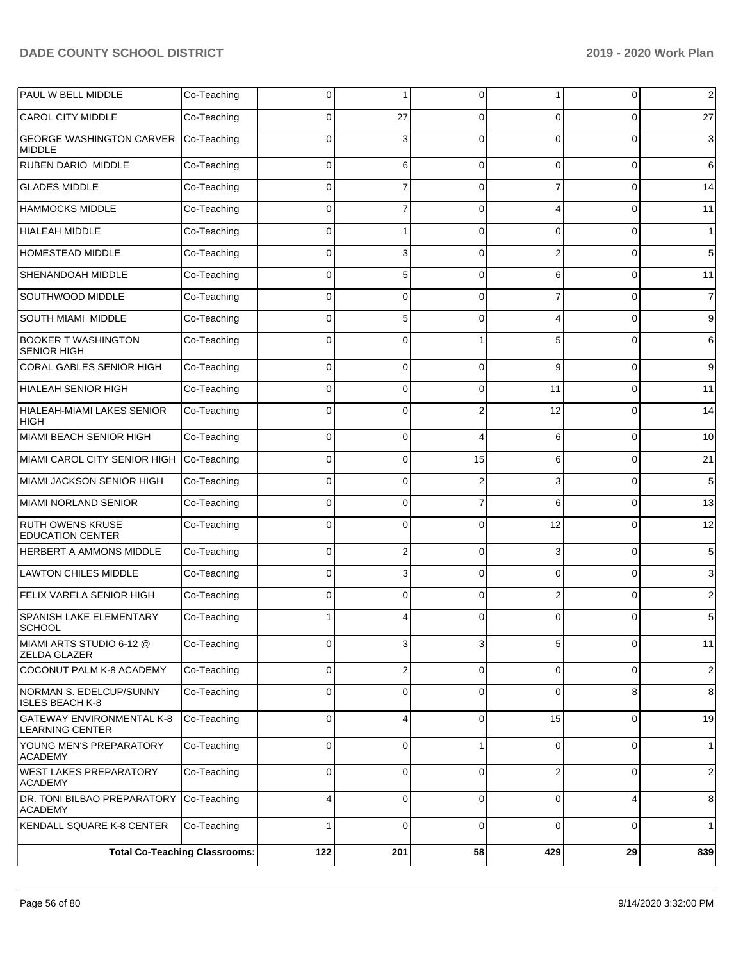| PAUL W BELL MIDDLE                                         | Co-Teaching                          | 0              |                         | 0              | 1              | 0        | $\overline{2}$ |
|------------------------------------------------------------|--------------------------------------|----------------|-------------------------|----------------|----------------|----------|----------------|
| <b>CAROL CITY MIDDLE</b>                                   | Co-Teaching                          | $\Omega$       | 27                      | 0              | 0              | $\Omega$ | 27             |
| <b>GEORGE WASHINGTON CARVER</b><br><b>MIDDLE</b>           | Co-Teaching                          | $\Omega$       | 3                       | $\Omega$       | 0              | $\Omega$ | 3              |
| <b>RUBEN DARIO MIDDLE</b>                                  | Co-Teaching                          | $\Omega$       | 6                       | 0              | $\Omega$       | 0        | 6              |
| <b>GLADES MIDDLE</b>                                       | Co-Teaching                          | $\Omega$       | 7                       | 0              | 7              | 0        | 14             |
| <b>HAMMOCKS MIDDLE</b>                                     | Co-Teaching                          | $\Omega$       | $\overline{7}$          | $\Omega$       | Δ              | $\Omega$ | 11             |
| <b>HIALEAH MIDDLE</b>                                      | Co-Teaching                          | 0              |                         | $\Omega$       | $\Omega$       | 0        | 1              |
| <b>HOMESTEAD MIDDLE</b>                                    | Co-Teaching                          | $\Omega$       | 3                       | 0              | $\overline{2}$ | $\Omega$ | 5              |
| SHENANDOAH MIDDLE                                          | Co-Teaching                          | $\Omega$       | 5                       | 0              | 6              | 0        | 11             |
| SOUTHWOOD MIDDLE                                           | Co-Teaching                          | $\Omega$       | $\Omega$                | $\Omega$       |                | $\Omega$ | $\overline{7}$ |
| SOUTH MIAMI MIDDLE                                         | Co-Teaching                          | $\Omega$       | 5                       | $\Omega$       | Δ              | $\Omega$ | 9              |
| <b>BOOKER T WASHINGTON</b><br><b>SENIOR HIGH</b>           | Co-Teaching                          | $\Omega$       | $\Omega$                |                | 5              | $\Omega$ | 6              |
| CORAL GABLES SENIOR HIGH                                   | Co-Teaching                          | $\Omega$       | 0                       | 0              | 9              | $\Omega$ | 9              |
| <b>HIALEAH SENIOR HIGH</b>                                 | Co-Teaching                          | 0              | 0                       | 0              | 11             | 0        | 11             |
| <b>HIALEAH-MIAMI LAKES SENIOR</b><br>HIGH                  | Co-Teaching                          | $\Omega$       | 0                       | 2              | 12             | 0        | 14             |
| MIAMI BEACH SENIOR HIGH                                    | Co-Teaching                          | 0              | 0                       | 4              | 6              | $\Omega$ | 10             |
| MIAMI CAROL CITY SENIOR HIGH                               | Co-Teaching                          | $\Omega$       | $\Omega$                | 15             | 6              | $\Omega$ | 21             |
| MIAMI JACKSON SENIOR HIGH                                  | Co-Teaching                          | $\Omega$       | 0                       | $\overline{2}$ | 3              | 0        | 5              |
| <b>MIAMI NORLAND SENIOR</b>                                | Co-Teaching                          | $\Omega$       | $\Omega$                | $\overline{7}$ | 6              | $\Omega$ | 13             |
| <b>RUTH OWENS KRUSE</b><br><b>EDUCATION CENTER</b>         | Co-Teaching                          | $\Omega$       | $\Omega$                | $\Omega$       | 12             | $\Omega$ | 12             |
| HERBERT A AMMONS MIDDLE                                    | Co-Teaching                          | $\overline{0}$ | $\overline{2}$          | 0              | 3              | 0        | 5              |
| <b>LAWTON CHILES MIDDLE</b>                                | Co-Teaching                          | $\Omega$       | 3                       | 0              | $\Omega$       | $\Omega$ | 3              |
| FELIX VARELA SENIOR HIGH                                   | Co-Teaching                          | 0              | $\Omega$                | $\Omega$       | $\overline{2}$ | 0        | 2              |
| SPANISH LAKE ELEMENTARY<br><b>SCHOOL</b>                   | Co-Teaching                          |                | 4                       | 0              | 0              |          | 5              |
| MIAMI ARTS STUDIO 6-12 @<br><b>ZELDA GLAZER</b>            | Co-Teaching                          | 0              | 3                       | 3              | 5              | 0        | 11             |
| COCONUT PALM K-8 ACADEMY                                   | Co-Teaching                          | 0              | $\overline{\mathbf{c}}$ | $\mathbf 0$    | $\overline{0}$ | 0        | $\overline{c}$ |
| NORMAN S. EDELCUP/SUNNY<br><b>ISLES BEACH K-8</b>          | Co-Teaching                          | 0              | 0                       | 0              | $\Omega$       | 8        | 8              |
| <b>GATEWAY ENVIRONMENTAL K-8</b><br><b>LEARNING CENTER</b> | Co-Teaching                          | $\overline{0}$ | 4                       | $\mathbf 0$    | 15             | 0        | 19             |
| YOUNG MEN'S PREPARATORY<br><b>ACADEMY</b>                  | Co-Teaching                          | 0              | 0                       |                | 0              | 0        | $\mathbf{1}$   |
| <b>WEST LAKES PREPARATORY</b><br><b>ACADEMY</b>            | Co-Teaching                          | 0              | 0                       | $\mathbf 0$    | $\overline{2}$ | 0        | $\overline{2}$ |
| DR. TONI BILBAO PREPARATORY<br><b>ACADEMY</b>              | Co-Teaching                          | 4              | $\mathbf 0$             | $\mathbf 0$    | 0              | 4        | 8              |
| KENDALL SQUARE K-8 CENTER                                  | Co-Teaching                          | 1              | 0                       | 0              | 0              | 0        | 1              |
|                                                            | <b>Total Co-Teaching Classrooms:</b> | 122            | 201                     | 58             | 429            | 29       | 839            |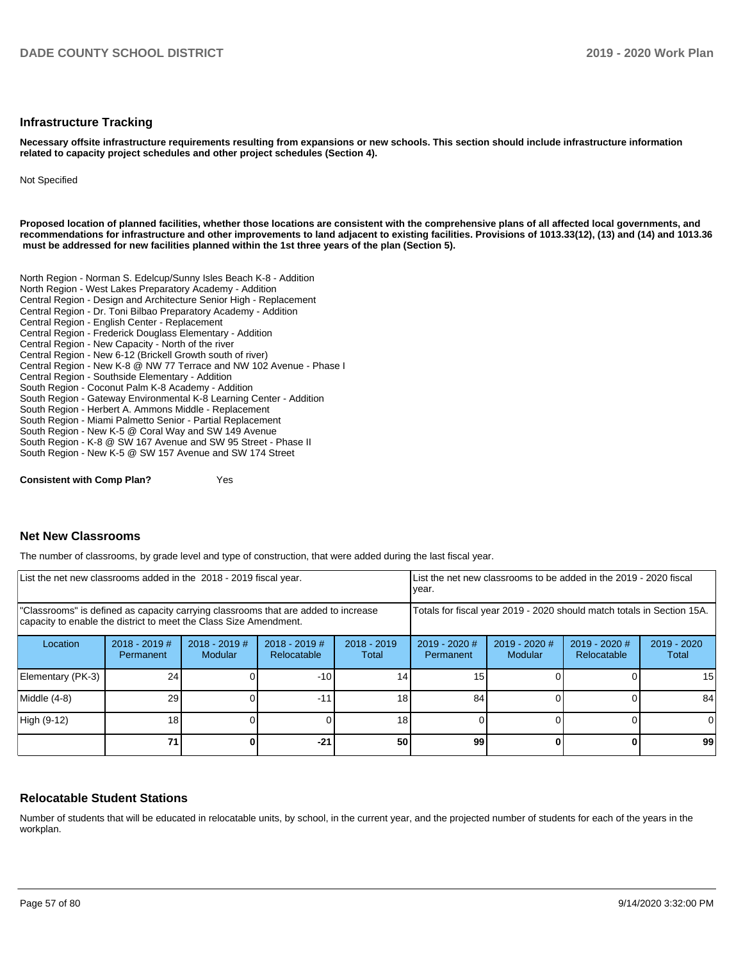#### **Infrastructure Tracking**

**Necessary offsite infrastructure requirements resulting from expansions or new schools. This section should include infrastructure information related to capacity project schedules and other project schedules (Section 4).** 

Not Specified

**Proposed location of planned facilities, whether those locations are consistent with the comprehensive plans of all affected local governments, and recommendations for infrastructure and other improvements to land adjacent to existing facilities. Provisions of 1013.33(12), (13) and (14) and 1013.36 must be addressed for new facilities planned within the 1st three years of the plan (Section 5).** 

North Region - Norman S. Edelcup/Sunny Isles Beach K-8 - Addition North Region - West Lakes Preparatory Academy - Addition Central Region - Design and Architecture Senior High - Replacement Central Region - Dr. Toni Bilbao Preparatory Academy - Addition Central Region - English Center - Replacement Central Region - Frederick Douglass Elementary - Addition Central Region - New Capacity - North of the river Central Region - New 6-12 (Brickell Growth south of river) Central Region - New K-8 @ NW 77 Terrace and NW 102 Avenue - Phase I Central Region - Southside Elementary - Addition South Region - Coconut Palm K-8 Academy - Addition South Region - Gateway Environmental K-8 Learning Center - Addition South Region - Herbert A. Ammons Middle - Replacement South Region - Miami Palmetto Senior - Partial Replacement South Region - New K-5 @ Coral Way and SW 149 Avenue South Region - K-8 @ SW 167 Avenue and SW 95 Street - Phase II South Region - New K-5 @ SW 157 Avenue and SW 174 Street

**Consistent with Comp Plan?** Yes

### **Net New Classrooms**

The number of classrooms, by grade level and type of construction, that were added during the last fiscal year.

| List the net new classrooms added in the 2018 - 2019 fiscal year.                                                                                       |                              |                            |                                                                        |                        | List the net new classrooms to be added in the 2019 - 2020 fiscal<br>year. |                          |                                |                      |
|---------------------------------------------------------------------------------------------------------------------------------------------------------|------------------------------|----------------------------|------------------------------------------------------------------------|------------------------|----------------------------------------------------------------------------|--------------------------|--------------------------------|----------------------|
| 'Classrooms" is defined as capacity carrying classrooms that are added to increase<br>capacity to enable the district to meet the Class Size Amendment. |                              |                            | Totals for fiscal year 2019 - 2020 should match totals in Section 15A. |                        |                                                                            |                          |                                |                      |
| Location                                                                                                                                                | $2018 - 2019$ #<br>Permanent | $2018 - 2019$ #<br>Modular | $2018 - 2019$ #<br>Relocatable                                         | $2018 - 2019$<br>Total | $2019 - 2020$ #<br>Permanent                                               | 2019 - 2020 #<br>Modular | $2019 - 2020$ #<br>Relocatable | 2019 - 2020<br>Total |
| Elementary (PK-3)                                                                                                                                       | 24                           |                            | $-10$                                                                  | 14                     | 15 <sub>1</sub>                                                            |                          |                                | 15                   |
| Middle (4-8)                                                                                                                                            | 29                           |                            | $-11$                                                                  | 18                     | 84                                                                         |                          |                                | 84                   |
| High (9-12)                                                                                                                                             | 18 <sub>1</sub>              |                            |                                                                        | 18                     |                                                                            |                          |                                | <sup>0</sup>         |
|                                                                                                                                                         | 71                           |                            | $-21$                                                                  | 50                     | 99                                                                         |                          |                                | 99                   |

### **Relocatable Student Stations**

Number of students that will be educated in relocatable units, by school, in the current year, and the projected number of students for each of the years in the workplan.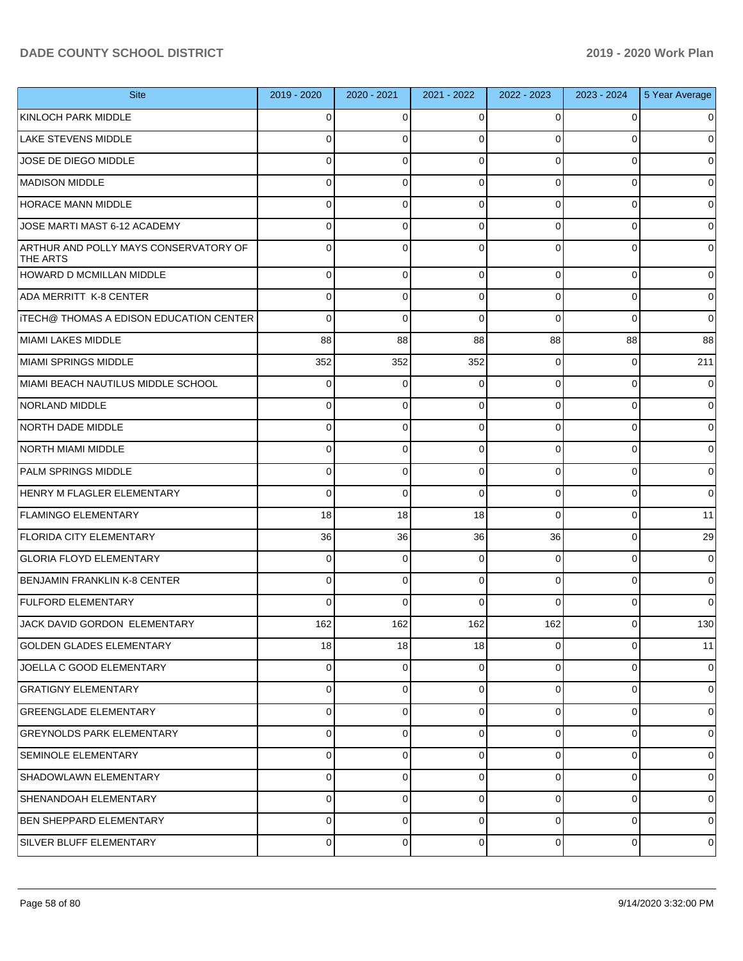| <b>Site</b>                                       | 2019 - 2020    | 2020 - 2021 | 2021 - 2022 | 2022 - 2023    | 2023 - 2024    | 5 Year Average |
|---------------------------------------------------|----------------|-------------|-------------|----------------|----------------|----------------|
| KINLOCH PARK MIDDLE                               | $\Omega$       | $\Omega$    | $\Omega$    | 0              | 0              | 0              |
| <b>LAKE STEVENS MIDDLE</b>                        | $\Omega$       | $\Omega$    | $\Omega$    | $\Omega$       | $\Omega$       | 0              |
| JOSE DE DIEGO MIDDLE                              | $\Omega$       | 0           | 0           | $\Omega$       | $\Omega$       | 0              |
| <b>MADISON MIDDLE</b>                             | $\Omega$       | 0           | $\Omega$    | $\Omega$       | $\Omega$       | $\Omega$       |
| <b>HORACE MANN MIDDLE</b>                         | $\Omega$       | $\mathbf 0$ | 0           | $\Omega$       | $\Omega$       | $\Omega$       |
| JOSE MARTI MAST 6-12 ACADEMY                      | $\Omega$       | 0           | $\Omega$    | $\Omega$       | $\Omega$       | $\Omega$       |
| ARTHUR AND POLLY MAYS CONSERVATORY OF<br>THE ARTS | $\Omega$       | $\Omega$    | $\Omega$    | $\Omega$       | $\Omega$       | 0              |
| <b>HOWARD D MCMILLAN MIDDLE</b>                   | 0              | 0           | $\mathbf 0$ | $\Omega$       | 0              | 0              |
| ADA MERRITT K-8 CENTER                            | $\Omega$       | 0           | 0           | $\Omega$       | $\Omega$       | 0              |
| ITECH@ THOMAS A EDISON EDUCATION CENTER           | $\Omega$       | 0           | 0           | $\Omega$       | $\Omega$       | 0              |
| MIAMI LAKES MIDDLE                                | 88             | 88          | 88          | 88             | 88             | 88             |
| MIAMI SPRINGS MIDDLE                              | 352            | 352         | 352         | $\Omega$       | 0              | 211            |
| MIAMI BEACH NAUTILUS MIDDLE SCHOOL                | 0              | 0           | 0           | $\Omega$       | 0              | 0              |
| NORLAND MIDDLE                                    | 0              | 0           | 0           | $\Omega$       | 0              | 0              |
| NORTH DADE MIDDLE                                 | 0              | 0           | 0           | $\Omega$       | 0              | 0              |
| NORTH MIAMI MIDDLE                                | 0              | $\mathbf 0$ | $\mathbf 0$ | $\Omega$       | 0              | 0              |
| <b>PALM SPRINGS MIDDLE</b>                        | $\Omega$       | 0           | 0           | $\Omega$       | $\Omega$       | 0              |
| HENRY M FLAGLER ELEMENTARY                        | 0              | 0           | $\mathbf 0$ | $\Omega$       | $\Omega$       | 0              |
| <b>FLAMINGO ELEMENTARY</b>                        | 18             | 18          | 18          | $\Omega$       | 0              | 11             |
| <b>FLORIDA CITY ELEMENTARY</b>                    | 36             | 36          | 36          | 36             | 0              | 29             |
| <b>GLORIA FLOYD ELEMENTARY</b>                    | 0              | 0           | 0           | $\Omega$       | 0              | 0              |
| <b>BENJAMIN FRANKLIN K-8 CENTER</b>               | 0              | 0           | 0           | $\Omega$       | $\Omega$       | 0              |
| <b>FULFORD ELEMENTARY</b>                         | $\Omega$       | $\Omega$    | $\Omega$    | $\Omega$       | $\Omega$       | $\Omega$       |
| <b>JACK DAVID GORDON ELEMENTARY</b>               | 162            | 162         | 162         | 162            | $\overline{0}$ | 130            |
| <b>GOLDEN GLADES ELEMENTARY</b>                   | 18             | 18          | 18          | $\overline{0}$ | 0              | 11             |
| JOELLA C GOOD ELEMENTARY                          | $\overline{0}$ | 0           | $\mathbf 0$ | $\overline{0}$ | $\mathbf 0$    | $\overline{0}$ |
| <b>GRATIGNY ELEMENTARY</b>                        | $\overline{0}$ | 0           | $\mathbf 0$ | $\overline{0}$ | $\mathbf 0$    | $\overline{0}$ |
| <b>GREENGLADE ELEMENTARY</b>                      | $\overline{0}$ | 0           | $\mathbf 0$ | $\overline{0}$ | $\mathbf 0$    | $\overline{0}$ |
| <b>GREYNOLDS PARK ELEMENTARY</b>                  | $\overline{0}$ | 0           | $\mathbf 0$ | $\overline{0}$ | $\mathbf 0$    | $\overline{0}$ |
| SEMINOLE ELEMENTARY                               | $\overline{0}$ | 0           | $\mathbf 0$ | $\overline{0}$ | $\mathbf 0$    | $\overline{0}$ |
| SHADOWLAWN ELEMENTARY                             | $\overline{0}$ | 0           | $\mathbf 0$ | $\overline{0}$ | $\mathbf 0$    | $\overline{0}$ |
| SHENANDOAH ELEMENTARY                             | $\overline{0}$ | $\mathbf 0$ | $\mathbf 0$ | $\overline{0}$ | $\mathbf 0$    | $\overline{0}$ |
| <b>BEN SHEPPARD ELEMENTARY</b>                    | $\overline{0}$ | 0           | $\mathbf 0$ | $\overline{0}$ | $\mathbf 0$    | $\overline{0}$ |
| SILVER BLUFF ELEMENTARY                           | $\overline{0}$ | 0           | $\mathbf 0$ | $\overline{0}$ | 0              | 0              |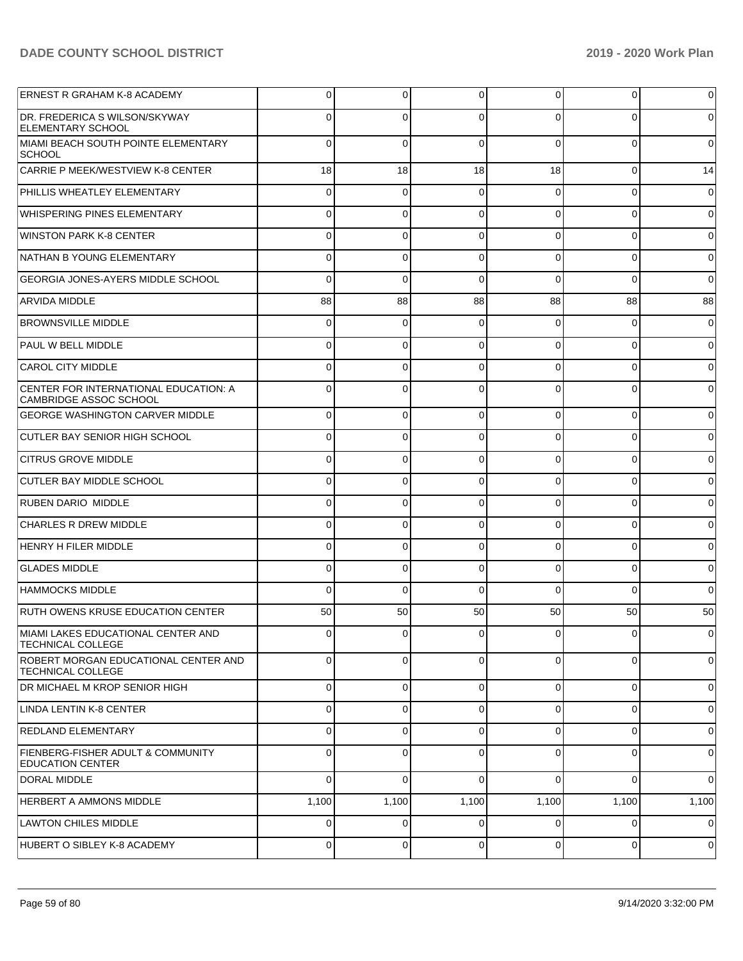| <b>ERNEST R GRAHAM K-8 ACADEMY</b>                                      | 0        | $\overline{0}$ | 0        | 0           | $\overline{0}$ | $\overline{0}$ |
|-------------------------------------------------------------------------|----------|----------------|----------|-------------|----------------|----------------|
| DR. FREDERICA S WILSON/SKYWAY<br><b>ELEMENTARY SCHOOL</b>               | 0        | $\Omega$       | $\Omega$ | 0           | $\Omega$       | $\overline{0}$ |
| MIAMI BEACH SOUTH POINTE ELEMENTARY<br>SCHOOL                           | $\Omega$ | $\mathbf 0$    | $\Omega$ | $\Omega$    | $\Omega$       | $\overline{0}$ |
| CARRIE P MEEK/WESTVIEW K-8 CENTER                                       | 18       | 18             | 18       | 18          | 0              | 14             |
| PHILLIS WHEATLEY ELEMENTARY                                             | 0        | 0              | ſ        | 0           | 0              | $\overline{0}$ |
| WHISPERING PINES ELEMENTARY                                             |          | $\Omega$       |          | 0           | $\Omega$       | $\overline{0}$ |
| <b>WINSTON PARK K-8 CENTER</b>                                          | 0        | $\Omega$       |          | 0           | 0              | $\overline{0}$ |
| NATHAN B YOUNG ELEMENTARY                                               |          | $\Omega$       |          | $\Omega$    | $\Omega$       | $\overline{0}$ |
| <b>GEORGIA JONES-AYERS MIDDLE SCHOOL</b>                                | 0        | $\Omega$       |          | $\Omega$    | $\Omega$       | $\overline{0}$ |
| <b>ARVIDA MIDDLE</b>                                                    | 88       | 88             | 88       | 88          | 88             | 88             |
| <b>BROWNSVILLE MIDDLE</b>                                               | 0        | 0              |          | 0           | 0              | $\overline{0}$ |
| <b>PAUL W BELL MIDDLE</b>                                               |          | $\Omega$       |          | 0           | $\Omega$       | $\overline{0}$ |
| <b>CAROL CITY MIDDLE</b>                                                | 0        | $\Omega$       |          | 0           | 0              | $\overline{0}$ |
| CENTER FOR INTERNATIONAL EDUCATION: A<br><b>CAMBRIDGE ASSOC SCHOOL</b>  | 0        | $\Omega$       |          | 0           | $\Omega$       | $\overline{0}$ |
| <b>GEORGE WASHINGTON CARVER MIDDLE</b>                                  | $\Omega$ | $\mathbf 0$    | $\Omega$ | $\Omega$    | $\overline{0}$ | $\overline{0}$ |
| <b>CUTLER BAY SENIOR HIGH SCHOOL</b>                                    | $\Omega$ | $\mathbf 0$    | $\Omega$ | $\Omega$    | 0              | $\overline{0}$ |
| <b>CITRUS GROVE MIDDLE</b>                                              | $\Omega$ | $\mathbf 0$    | $\Omega$ | $\Omega$    | 0              | $\overline{0}$ |
| CUTLER BAY MIDDLE SCHOOL                                                | $\Omega$ | $\mathbf 0$    | $\Omega$ | $\Omega$    | $\mathbf 0$    | $\overline{0}$ |
| <b>RUBEN DARIO MIDDLE</b>                                               | $\Omega$ | 0              | $\Omega$ | $\Omega$    | 0              | $\overline{0}$ |
| <b>CHARLES R DREW MIDDLE</b>                                            | $\Omega$ | $\mathbf 0$    | $\Omega$ | $\Omega$    | 0              | $\overline{0}$ |
| HENRY H FILER MIDDLE                                                    | $\Omega$ | $\mathbf 0$    | $\Omega$ | $\Omega$    | 0              | $\overline{0}$ |
| <b>GLADES MIDDLE</b>                                                    | $\Omega$ | $\mathbf 0$    | $\Omega$ | $\Omega$    | $\mathbf 0$    | $\overline{0}$ |
| <b>HAMMOCKS MIDDLE</b>                                                  | $\Omega$ | $\Omega$       | $\Omega$ | $\Omega$    | $\Omega$       | $\overline{0}$ |
| <b>RUTH OWENS KRUSE EDUCATION CENTER</b>                                | 50       | 50             | 50       | 50          | 50             | 50             |
| MIAMI LAKES EDUCATIONAL CENTER AND<br><b>TECHNICAL COLLEGE</b>          | υı       | <sup>0</sup>   | υı       | υı          | <sub>U</sub>   | $\overline{0}$ |
| ROBERT MORGAN EDUCATIONAL CENTER AND<br><b>TECHNICAL COLLEGE</b>        | $\Omega$ | $\overline{0}$ | $\Omega$ | $\Omega$    | $\overline{0}$ | $\overline{0}$ |
| DR MICHAEL M KROP SENIOR HIGH                                           | 0        | 0              | $\Omega$ | $\Omega$    | 0              | $\mathbf 0$    |
| LINDA LENTIN K-8 CENTER                                                 | 0        | 0              | $\Omega$ | $\Omega$    | 0              | $\overline{0}$ |
| <b>REDLAND ELEMENTARY</b>                                               | 0        | 0              | C        | $\Omega$    | 0              | $\mathbf 0$    |
| <b>FIENBERG-FISHER ADULT &amp; COMMUNITY</b><br><b>EDUCATION CENTER</b> | 0        | 0              | 0        | 0           | 0              | $\mathbf 0$    |
| <b>DORAL MIDDLE</b>                                                     | $\Omega$ | $\mathbf 0$    | $\Omega$ | $\Omega$    | $\overline{0}$ | $\overline{0}$ |
| <b>HERBERT A AMMONS MIDDLE</b>                                          | 1,100    | 1,100          | 1,100    | 1,100       | 1,100          | 1,100          |
| <b>LAWTON CHILES MIDDLE</b>                                             | $\Omega$ | $\mathbf 0$    | $\Omega$ | $\Omega$    | $\overline{0}$ | $\overline{0}$ |
| HUBERT O SIBLEY K-8 ACADEMY                                             | 0        | 0              | 0        | $\mathbf 0$ | $\mathbf 0$    | $\mathbf 0$    |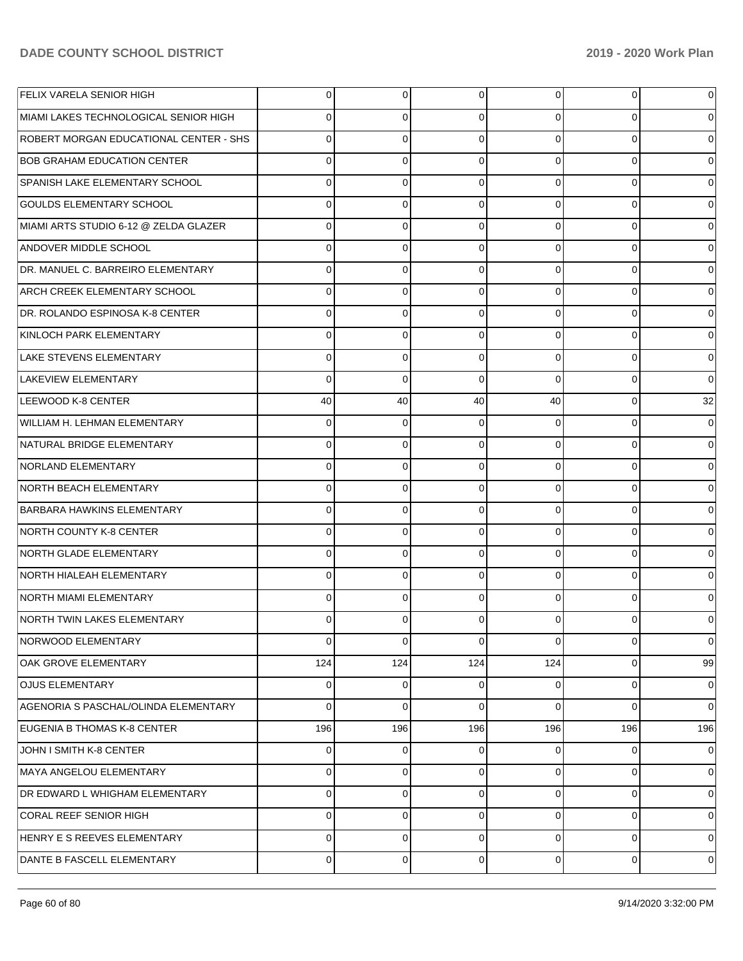| FELIX VARELA SENIOR HIGH               | $\Omega$ | 0   | 0   | $\Omega$ | 0        | 0              |
|----------------------------------------|----------|-----|-----|----------|----------|----------------|
| MIAMI LAKES TECHNOLOGICAL SENIOR HIGH  | 0        | 0   | 0   |          | 0        |                |
| ROBERT MORGAN EDUCATIONAL CENTER - SHS | U        | 0   | 0   | U.       | $\Omega$ |                |
| <b>BOB GRAHAM EDUCATION CENTER</b>     | 0        | 0   | 0   | U        | 0        |                |
| SPANISH LAKE ELEMENTARY SCHOOL         | U        | 0   | 0   | U.       | $\Omega$ |                |
| <b>GOULDS ELEMENTARY SCHOOL</b>        | 0        | 0   | 0   | U        | 0        |                |
| MIAMI ARTS STUDIO 6-12 @ ZELDA GLAZER  | U        | 0   | 0   | U.       | $\Omega$ |                |
| <b>ANDOVER MIDDLE SCHOOL</b>           | 0        | 0   | 0   | U        | 0        |                |
| DR. MANUEL C. BARREIRO ELEMENTARY      | U        | 0   | 0   | U.       | $\Omega$ |                |
| <b>ARCH CREEK ELEMENTARY SCHOOL</b>    | 0        | 0   | 0   | U        | 0        |                |
| DR. ROLANDO ESPINOSA K-8 CENTER        | U        | 0   | 0   | U.       | $\Omega$ |                |
| KINLOCH PARK ELEMENTARY                | 0        | 0   | 0   | U        | 0        |                |
| <b>LAKE STEVENS ELEMENTARY</b>         | 0        | 0   | 0   | 0        | $\Omega$ |                |
| LAKEVIEW ELEMENTARY                    | 0        | 0   | 0   | ∩        | 0        | 0              |
| LEEWOOD K-8 CENTER                     | 40       | 40  | 40  | 40       | $\Omega$ | 32             |
| WILLIAM H. LEHMAN ELEMENTARY           | 0        | 0   | 0   | 0        | $\Omega$ |                |
| NATURAL BRIDGE ELEMENTARY              | 0        | 0   | 0   | 0        | $\Omega$ |                |
| NORLAND ELEMENTARY                     | 0        | 0   | 0   | U        | 0        |                |
| NORTH BEACH ELEMENTARY                 | 0        | 0   | 0   | U.       | $\Omega$ |                |
| <b>BARBARA HAWKINS ELEMENTARY</b>      | 0        | 0   | 0   | U        | 0        |                |
| NORTH COUNTY K-8 CENTER                | U        | 0   | 0   | U        | $\Omega$ |                |
| NORTH GLADE ELEMENTARY                 | 0        | 0   | 0   | U        | 0        |                |
| NORTH HIALEAH ELEMENTARY               | 0        | 0   | 0   | U        | 0        |                |
| NORTH MIAMI ELEMENTARY                 | U        | 0   | 0   |          | $\Omega$ |                |
| NORTH TWIN LAKES ELEMENTARY            | 0        | 0   | 0   |          | 0        |                |
| NORWOOD ELEMENTARY                     | 0        | 0   | 0   | $\Omega$ | 0        | $\Omega$       |
| OAK GROVE ELEMENTARY                   | 124      | 124 | 124 | 124      | 0        | 99             |
| <b>OJUS ELEMENTARY</b>                 | 0        | 0   | 0   | 0        | 0        | 0              |
| AGENORIA S PASCHAL/OLINDA ELEMENTARY   | $\Omega$ | 0   | 0   | 0        | 0        | 0              |
| EUGENIA B THOMAS K-8 CENTER            | 196      | 196 | 196 | 196      | 196      | 196            |
| JOHN I SMITH K-8 CENTER                | 0        | 0   | 0   | 0        | 0        | 0              |
| MAYA ANGELOU ELEMENTARY                | 0        | 0   | 0   | 0        | 0        | $\Omega$       |
| DR EDWARD L WHIGHAM ELEMENTARY         | $\Omega$ | 0   | 0   | 0        | 0        | 0              |
| <b>CORAL REEF SENIOR HIGH</b>          | 0        | 0   | 0   | 0        | 0        | 0              |
| HENRY E S REEVES ELEMENTARY            | $\Omega$ | 0   | 0   | 0        | 0        | 0              |
| DANTE B FASCELL ELEMENTARY             | 0        | 0   | 0   | 0        | 0        | $\overline{0}$ |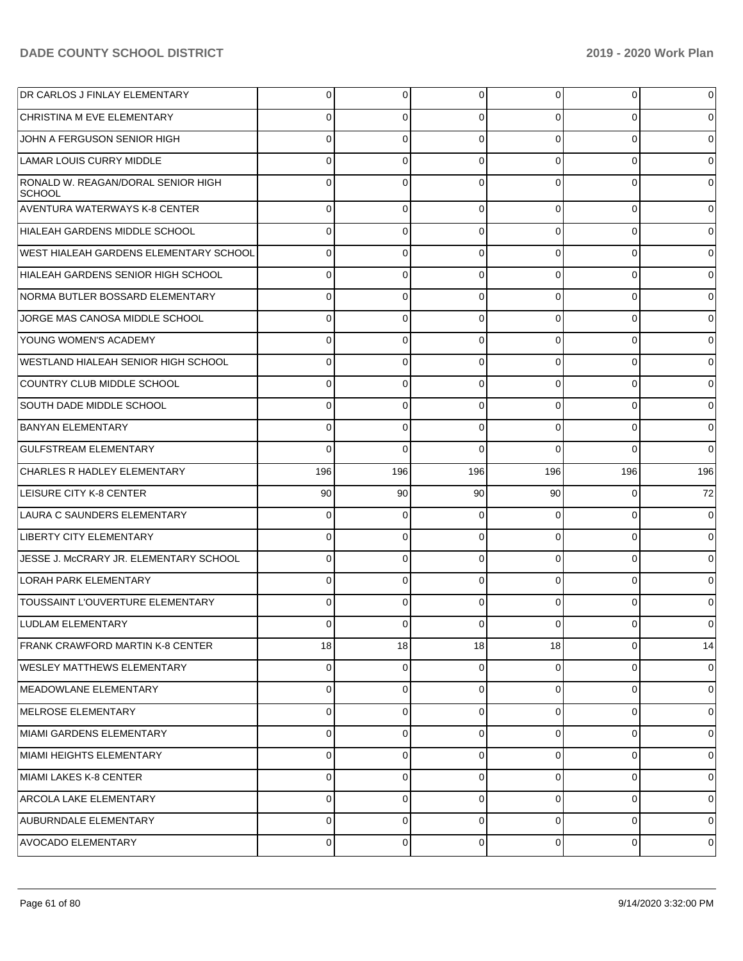| DR CARLOS J FINLAY ELEMENTARY                       | $\overline{0}$ | $\overline{0}$ | 0        | $\overline{0}$ | $\overline{0}$ | $\mathbf 0$                                                                                        |
|-----------------------------------------------------|----------------|----------------|----------|----------------|----------------|----------------------------------------------------------------------------------------------------|
| CHRISTINA M EVE ELEMENTARY                          | 0              | $\overline{0}$ | 0        | $\Omega$       | $\overline{0}$ | $\overline{0}$                                                                                     |
| JOHN A FERGUSON SENIOR HIGH                         | $\Omega$       | $\overline{0}$ | $\Omega$ | $\Omega$       | $\overline{0}$ | $\overline{0}$                                                                                     |
| LAMAR LOUIS CURRY MIDDLE                            | $\Omega$       | $\overline{0}$ | $\Omega$ | $\Omega$       | $\overline{0}$ | $\overline{0}$                                                                                     |
| RONALD W. REAGAN/DORAL SENIOR HIGH<br><b>SCHOOL</b> | $\Omega$       | $\mathbf 0$    | $\Omega$ | $\Omega$       | $\mathbf 0$    | $\overline{0}$                                                                                     |
| AVENTURA WATERWAYS K-8 CENTER                       | $\Omega$       | $\overline{0}$ | $\Omega$ | $\Omega$       | $\overline{0}$ | $\overline{0}$                                                                                     |
| HIALEAH GARDENS MIDDLE SCHOOL                       | $\Omega$       | $\overline{0}$ | $\Omega$ | $\Omega$       | $\overline{0}$ | $\overline{0}$                                                                                     |
| <b>WEST HIALEAH GARDENS ELEMENTARY SCHOOL</b>       | $\Omega$       | $\overline{0}$ | $\Omega$ | $\Omega$       | $\overline{0}$ | $\overline{0}$                                                                                     |
| HIALEAH GARDENS SENIOR HIGH SCHOOL                  | $\Omega$       | $\overline{0}$ | $\Omega$ | $\Omega$       | $\overline{0}$ | $\overline{0}$                                                                                     |
| INORMA BUTLER BOSSARD ELEMENTARY                    | $\Omega$       | $\overline{0}$ | $\Omega$ | $\Omega$       | $\overline{0}$ | $\overline{0}$                                                                                     |
| JORGE MAS CANOSA MIDDLE SCHOOL                      | $\Omega$       | $\overline{0}$ | $\Omega$ | $\Omega$       | $\overline{0}$ | $\overline{0}$                                                                                     |
| <b>YOUNG WOMEN'S ACADEMY</b>                        | $\Omega$       | $\overline{0}$ | $\Omega$ | $\Omega$       | $\overline{0}$ | $\overline{0}$                                                                                     |
| WESTLAND HIALEAH SENIOR HIGH SCHOOL                 | $\Omega$       | $\overline{0}$ | $\Omega$ | $\Omega$       | $\overline{0}$ | $\overline{0}$                                                                                     |
| COUNTRY CLUB MIDDLE SCHOOL                          | $\Omega$       | $\overline{0}$ | $\Omega$ | $\Omega$       | $\overline{0}$ | $\overline{0}$                                                                                     |
| SOUTH DADE MIDDLE SCHOOL                            | $\Omega$       | $\overline{0}$ | $\Omega$ | $\Omega$       | $\overline{0}$ | $\overline{0}$                                                                                     |
| <b>BANYAN ELEMENTARY</b>                            | $\Omega$       | $\mathbf{0}$   | $\Omega$ | $\Omega$       | $\overline{0}$ | $\overline{0}$                                                                                     |
| <b>GULFSTREAM ELEMENTARY</b>                        | $\Omega$       | $\Omega$       | $\Omega$ | $\Omega$       | $\Omega$       | $\Omega$                                                                                           |
| <b>CHARLES R HADLEY ELEMENTARY</b>                  | 196            | 196            | 196      | 196            | 196            | 196                                                                                                |
| <b>LEISURE CITY K-8 CENTER</b>                      | 90             | 90             | 90       | 90             | $\overline{0}$ | 72                                                                                                 |
| LAURA C SAUNDERS ELEMENTARY                         | $\Omega$       | $\mathbf{0}$   | $\Omega$ | $\Omega$       | $\overline{0}$ | $\overline{0}$                                                                                     |
| <b>LIBERTY CITY ELEMENTARY</b>                      | $\Omega$       | $\mathbf{0}$   | $\Omega$ | $\Omega$       | $\overline{0}$ | $\overline{0}$                                                                                     |
| JESSE J. MCCRARY JR. ELEMENTARY SCHOOL              | $\Omega$       | $\overline{0}$ | $\Omega$ | $\Omega$       | $\overline{0}$ | $\overline{0}$                                                                                     |
| LORAH PARK ELEMENTARY                               | $\Omega$       | $\overline{0}$ | $\Omega$ | $\Omega$       | $\overline{0}$ | $\overline{0}$                                                                                     |
| <b>TOUSSAINT L'OUVERTURE ELEMENTARY</b>             | $\Omega$       | $\Omega$       | $\Omega$ | $\Omega$       | $\overline{0}$ | $\overline{0}$                                                                                     |
| <b>LUDLAM ELEMENTARY</b>                            | $\Omega$       | $\mathbf 0$    | $\Omega$ | $\Omega$       | $\mathbf 0$    | $\overline{0}$                                                                                     |
| <b>FRANK CRAWFORD MARTIN K-8 CENTER</b>             | 18             | 18             | 18       | 18             | $\overline{0}$ | 14                                                                                                 |
| <b>WESLEY MATTHEWS ELEMENTARY</b>                   | $\mathbf 0$    | $\overline{0}$ | 0        | 0              | $\overline{0}$ | $\mathbf 0$                                                                                        |
| MEADOWLANE ELEMENTARY                               |                |                |          |                |                | $\mathbf 0$                                                                                        |
|                                                     | $\mathbf 0$    | $\mathbf 0$    | $\Omega$ | $\Omega$       | $\overline{0}$ |                                                                                                    |
| MELROSE ELEMENTARY                                  | 0              | $\overline{0}$ | $\Omega$ | $\Omega$       | $\overline{0}$ |                                                                                                    |
| MIAMI GARDENS ELEMENTARY                            | $\mathbf 0$    | $\mathbf 0$    | $\Omega$ | $\Omega$       | $\overline{0}$ |                                                                                                    |
| <b>MIAMI HEIGHTS ELEMENTARY</b>                     | $\mathbf 0$    | $\overline{0}$ | $\Omega$ | $\Omega$       | $\overline{0}$ |                                                                                                    |
| MIAMI LAKES K-8 CENTER                              | 0              | $\mathbf 0$    | $\Omega$ | $\Omega$       | $\overline{0}$ |                                                                                                    |
| <b>ARCOLA LAKE ELEMENTARY</b>                       | 0              | $\overline{0}$ | $\Omega$ | $\Omega$       | $\overline{0}$ |                                                                                                    |
| <b>AUBURNDALE ELEMENTARY</b>                        | $\mathbf 0$    | $\mathbf 0$    | $\Omega$ | $\Omega$       | $\overline{0}$ | $\mathbf 0$<br>$\mathbf 0$<br>$\overline{0}$<br>$\overline{0}$<br>$\overline{0}$<br>$\overline{0}$ |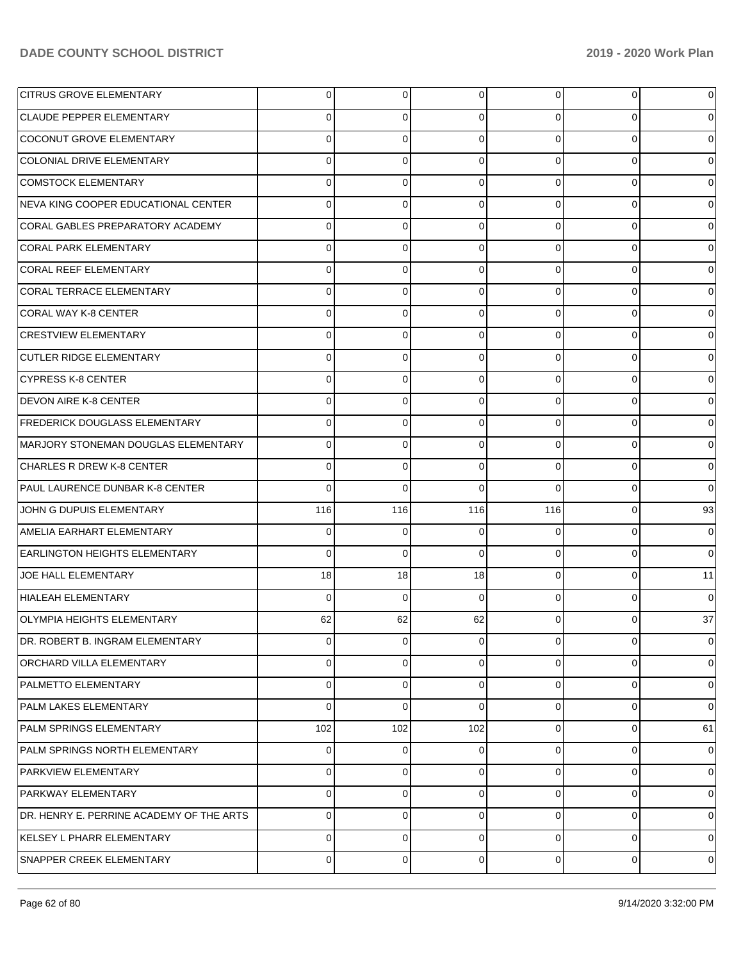| <b>CITRUS GROVE ELEMENTARY</b>           | 0              | $\overline{0}$ | $\overline{0}$ | $\overline{0}$ | $\overline{0}$ | $\overline{0}$ |
|------------------------------------------|----------------|----------------|----------------|----------------|----------------|----------------|
| <b>CLAUDE PEPPER ELEMENTARY</b>          | 0              | $\overline{0}$ | $\Omega$       | $\Omega$       | $\overline{0}$ | $\overline{0}$ |
| COCONUT GROVE ELEMENTARY                 | $\Omega$       | $\mathbf 0$    | $\Omega$       | $\Omega$       | $\overline{0}$ | $\overline{0}$ |
| COLONIAL DRIVE ELEMENTARY                | $\Omega$       | $\overline{0}$ | $\Omega$       | $\Omega$       | $\overline{0}$ | $\overline{0}$ |
| <b>COMSTOCK ELEMENTARY</b>               | $\Omega$       | 0              | $\Omega$       | $\Omega$       | $\overline{0}$ | $\overline{0}$ |
| NEVA KING COOPER EDUCATIONAL CENTER      | $\Omega$       | $\overline{0}$ | $\Omega$       | $\Omega$       | $\overline{0}$ | $\overline{0}$ |
| CORAL GABLES PREPARATORY ACADEMY         | $\Omega$       | $\Omega$       | $\Omega$       | $\Omega$       | $\overline{0}$ | $\overline{0}$ |
| <b>CORAL PARK ELEMENTARY</b>             | $\Omega$       | $\overline{0}$ | $\Omega$       | $\Omega$       | $\overline{0}$ | $\overline{0}$ |
| CORAL REEF ELEMENTARY                    | $\Omega$       | 0              | $\Omega$       | $\Omega$       | $\overline{0}$ | $\overline{0}$ |
| CORAL TERRACE ELEMENTARY                 | $\Omega$       | $\overline{0}$ | $\Omega$       | $\Omega$       | $\overline{0}$ | $\overline{0}$ |
| CORAL WAY K-8 CENTER                     | $\Omega$       | 0              | $\Omega$       | $\Omega$       | $\overline{0}$ | $\overline{0}$ |
| <b>CRESTVIEW ELEMENTARY</b>              | $\Omega$       | $\overline{0}$ | $\Omega$       | $\Omega$       | $\overline{0}$ | $\overline{0}$ |
| CUTLER RIDGE ELEMENTARY                  | $\Omega$       | $\Omega$       | $\Omega$       | $\Omega$       | $\overline{0}$ | $\overline{0}$ |
| <b>CYPRESS K-8 CENTER</b>                | $\Omega$       | $\overline{0}$ | $\Omega$       | $\Omega$       | $\overline{0}$ | $\overline{0}$ |
| <b>DEVON AIRE K-8 CENTER</b>             | $\Omega$       | $\overline{0}$ | $\Omega$       | $\Omega$       | $\overline{0}$ | $\overline{0}$ |
| <b>FREDERICK DOUGLASS ELEMENTARY</b>     | $\Omega$       | $\mathbf 0$    | $\Omega$       | $\Omega$       | $\overline{0}$ | $\overline{0}$ |
| MARJORY STONEMAN DOUGLAS ELEMENTARY      | $\Omega$       | $\Omega$       | $\Omega$       | $\Omega$       | $\overline{0}$ | $\overline{0}$ |
| <b>CHARLES R DREW K-8 CENTER</b>         | $\Omega$       | $\mathbf 0$    | $\Omega$       | $\Omega$       | $\overline{0}$ | $\overline{0}$ |
| <b>PAUL LAURENCE DUNBAR K-8 CENTER</b>   | $\Omega$       | $\Omega$       | $\Omega$       | $\Omega$       | $\Omega$       | $\overline{0}$ |
| JOHN G DUPUIS ELEMENTARY                 | 116            | 116            | 116            | 116            | $\overline{0}$ | 93             |
| AMELIA EARHART ELEMENTARY                | $\Omega$       | $\Omega$       | 0              | $\Omega$       | $\overline{0}$ | $\overline{0}$ |
| <b>EARLINGTON HEIGHTS ELEMENTARY</b>     | $\Omega$       | $\mathbf 0$    | $\Omega$       | $\Omega$       | $\overline{0}$ | $\overline{0}$ |
| JOE HALL ELEMENTARY                      | 18             | 18             | 18             | $\Omega$       | $\overline{0}$ | 11             |
| HIALEAH ELEMENTARY                       | $\Omega$       | $\Omega$       | $\Omega$       | $\Omega$       | $\overline{0}$ | $\overline{0}$ |
| OLYMPIA HEIGHTS ELEMENTARY               | 62             | 62             | 62             | $\Omega$       | $\Omega$       | 37             |
| DR. ROBERT B. INGRAM ELEMENTARY          | $\overline{0}$ | $\overline{0}$ | $\overline{0}$ | $\overline{0}$ | $\overline{0}$ | $\mathbf 0$    |
| <b>ORCHARD VILLA ELEMENTARY</b>          | $\Omega$       | $\overline{0}$ | 0              | $\Omega$       | $\overline{0}$ | $\mathbf 0$    |
| PALMETTO ELEMENTARY                      | $\Omega$       | $\overline{0}$ | $\Omega$       | $\Omega$       | $\overline{0}$ | $\overline{0}$ |
| PALM LAKES ELEMENTARY                    | $\Omega$       | $\mathbf 0$    | $\Omega$       | $\Omega$       | $\overline{0}$ | $\overline{0}$ |
| PALM SPRINGS ELEMENTARY                  | 102            | 102            | 102            | $\Omega$       | $\overline{0}$ | 61             |
| <b>PALM SPRINGS NORTH ELEMENTARY</b>     | $\Omega$       | $\overline{0}$ | $\Omega$       | $\Omega$       | $\overline{0}$ | $\mathbf 0$    |
| <b>PARKVIEW ELEMENTARY</b>               | $\Omega$       | $\overline{0}$ | $\Omega$       | $\Omega$       | $\overline{0}$ | $\overline{0}$ |
| PARKWAY ELEMENTARY                       | $\Omega$       | $\overline{0}$ | $\Omega$       | $\Omega$       | $\overline{0}$ | $\overline{0}$ |
| DR. HENRY E. PERRINE ACADEMY OF THE ARTS | $\Omega$       | $\overline{0}$ | $\Omega$       | $\Omega$       | $\overline{0}$ | $\overline{0}$ |
| KELSEY L PHARR ELEMENTARY                | $\Omega$       | $\overline{0}$ | $\Omega$       | $\Omega$       | $\overline{0}$ | $\overline{0}$ |
| SNAPPER CREEK ELEMENTARY                 | $\mathbf 0$    | $\overline{0}$ | 0              | $\overline{0}$ | $\overline{0}$ | $\mathbf 0$    |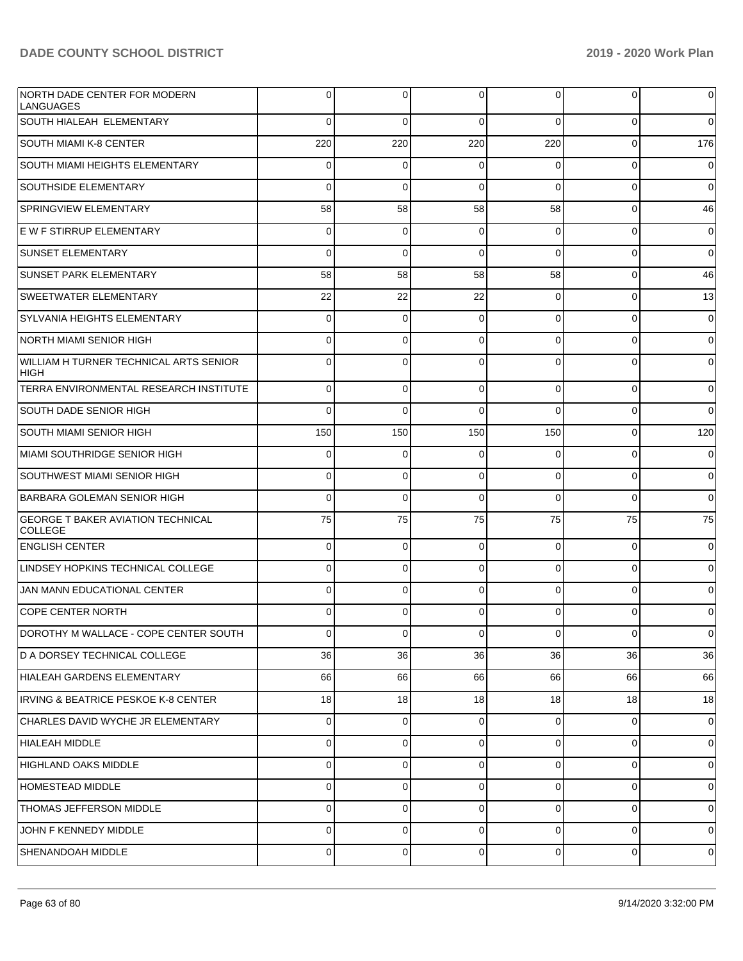| NORTH DADE CENTER FOR MODERN<br><b>LANGUAGES</b>           | 0           | 0           | $\Omega$       | $\Omega$       | $\overline{0}$ | $\overline{0}$ |
|------------------------------------------------------------|-------------|-------------|----------------|----------------|----------------|----------------|
| SOUTH HIALEAH ELEMENTARY                                   | $\Omega$    | $\Omega$    | $\Omega$       | $\Omega$       | $\overline{0}$ | $\overline{0}$ |
| <b>SOUTH MIAMI K-8 CENTER</b>                              | 220         | 220         | 220            | 220            | $\overline{0}$ | 176            |
| SOUTH MIAMI HEIGHTS ELEMENTARY                             | $\mathbf 0$ | $\Omega$    | $\Omega$       | 0              | $\overline{0}$ | $\mathbf 0$    |
| <b>SOUTHSIDE ELEMENTARY</b>                                | 0           | $\Omega$    | $\Omega$       | $\Omega$       | $\overline{0}$ | $\overline{0}$ |
| SPRINGVIEW ELEMENTARY                                      | 58          | 58          | 58             | 58             | $\overline{0}$ | 46             |
| E W F STIRRUP ELEMENTARY                                   | $\mathbf 0$ | $\mathbf 0$ | $\Omega$       | $\Omega$       | $\overline{0}$ | $\mathbf 0$    |
| <b>SUNSET ELEMENTARY</b>                                   | $\Omega$    | $\Omega$    | $\Omega$       | $\Omega$       | $\overline{0}$ | $\overline{0}$ |
| <b>SUNSET PARK ELEMENTARY</b>                              | 58          | 58          | 58             | 58             | $\overline{0}$ | 46             |
| <b>SWEETWATER ELEMENTARY</b>                               | 22          | 22          | 22             | $\Omega$       | $\overline{0}$ | 13             |
| SYLVANIA HEIGHTS ELEMENTARY                                | $\mathbf 0$ | $\Omega$    | $\Omega$       | $\Omega$       | $\overline{0}$ | $\mathbf 0$    |
| NORTH MIAMI SENIOR HIGH                                    | 0           | $\Omega$    | $\Omega$       | 0              | $\overline{0}$ | $\overline{0}$ |
| WILLIAM H TURNER TECHNICAL ARTS SENIOR<br><b>HIGH</b>      | $\Omega$    | 0           | $\Omega$       | 0              | $\overline{0}$ | $\overline{0}$ |
| TERRA ENVIRONMENTAL RESEARCH INSTITUTE                     | $\Omega$    | 0           | $\Omega$       | 0              | 0              | $\overline{0}$ |
| SOUTH DADE SENIOR HIGH                                     | $\Omega$    | 0           | $\Omega$       | $\Omega$       | 0              | $\overline{0}$ |
| SOUTH MIAMI SENIOR HIGH                                    | 150         | 150         | 150            | 150            | 0              | 120            |
| MIAMI SOUTHRIDGE SENIOR HIGH                               | 0           | 0           | $\Omega$       | 0              | 0              | $\overline{0}$ |
| SOUTHWEST MIAMI SENIOR HIGH                                | 0           | 0           | $\Omega$       | 0              | 0              | $\overline{0}$ |
| <b>BARBARA GOLEMAN SENIOR HIGH</b>                         | $\Omega$    | 0           | $\Omega$       | 0              | 0              | $\overline{0}$ |
| <b>GEORGE T BAKER AVIATION TECHNICAL</b><br><b>COLLEGE</b> | 75          | 75          | 75             | 75             | 75             | 75             |
| <b>ENGLISH CENTER</b>                                      | 0           | 0           | $\Omega$       | $\Omega$       | $\overline{0}$ | $\overline{0}$ |
| LINDSEY HOPKINS TECHNICAL COLLEGE                          | $\Omega$    | 0           | $\Omega$       | $\Omega$       | $\overline{0}$ | $\overline{0}$ |
| JAN MANN EDUCATIONAL CENTER                                | $\Omega$    | 0           | $\Omega$       | $\Omega$       | $\overline{0}$ | $\overline{0}$ |
| <b>COPE CENTER NORTH</b>                                   | $\Omega$    | 0           | $\Omega$       | 0              | $\overline{0}$ | $\overline{0}$ |
| DOROTHY M WALLACE - COPE CENTER SOUTH                      | υı          | $\cup$      | <sup>0</sup>   | υı             | υI             | $\overline{0}$ |
| D A DORSEY TECHNICAL COLLEGE                               | 36          | 36          | 36             | 36             | 36             | 36             |
| HIALEAH GARDENS ELEMENTARY                                 | 66          | 66          | 66             | 66             | 66             | 66             |
| IRVING & BEATRICE PESKOE K-8 CENTER                        | 18          | 18          | 18             | 18             | 18             | 18             |
| CHARLES DAVID WYCHE JR ELEMENTARY                          | 0           | 0           | $\Omega$       | $\Omega$       | $\overline{0}$ | $\overline{0}$ |
| HIALEAH MIDDLE                                             | 0           | 0           | $\Omega$       | $\Omega$       | $\overline{0}$ | $\overline{0}$ |
| HIGHLAND OAKS MIDDLE                                       | 0           | 0           | $\Omega$       | $\Omega$       | $\overline{0}$ | $\overline{0}$ |
| HOMESTEAD MIDDLE                                           | 0           | 0           | $\Omega$       | 0              | $\overline{0}$ | $\overline{0}$ |
| THOMAS JEFFERSON MIDDLE                                    | $\mathbf 0$ | 0           | $\Omega$       | 0              | $\overline{0}$ | $\overline{0}$ |
| JOHN F KENNEDY MIDDLE                                      | 0           | 0           | $\Omega$       | $\mathbf 0$    | $\overline{0}$ | $\overline{0}$ |
| <b>SHENANDOAH MIDDLE</b>                                   | 0           | 0           | $\overline{0}$ | $\overline{0}$ | $\overline{0}$ | $\mathbf 0$    |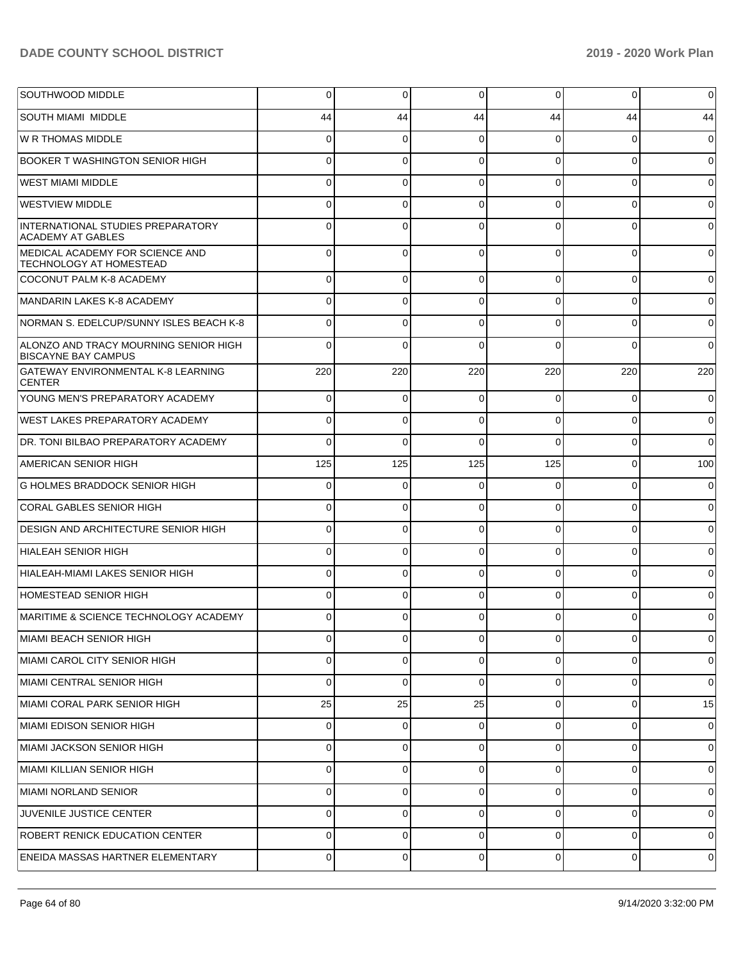| SOUTHWOOD MIDDLE                                                    | $\overline{0}$ | 0              | 0              | 0              | 0              | 0              |
|---------------------------------------------------------------------|----------------|----------------|----------------|----------------|----------------|----------------|
| <b>SOUTH MIAMI MIDDLE</b>                                           | 44             | 44             | 44             | 44             | 44             | 44             |
| W R THOMAS MIDDLE                                                   | $\Omega$       | 0              | $\Omega$       | 0              | $\Omega$       | $\Omega$       |
| BOOKER T WASHINGTON SENIOR HIGH                                     | $\Omega$       | 0              | $\Omega$       | 0              | $\Omega$       | 0              |
| <b>WEST MIAMI MIDDLE</b>                                            | $\Omega$       | $\Omega$       | $\Omega$       | 0              | $\Omega$       | $\Omega$       |
| <b>WESTVIEW MIDDLE</b>                                              | $\Omega$       | 0              | $\Omega$       | 0              | $\Omega$       |                |
| INTERNATIONAL STUDIES PREPARATORY<br><b>ACADEMY AT GABLES</b>       | $\Omega$       | 0              | $\Omega$       | <sup>0</sup>   | $\Omega$       |                |
| MEDICAL ACADEMY FOR SCIENCE AND<br><b>TECHNOLOGY AT HOMESTEAD</b>   | $\Omega$       | 0              | $\Omega$       | 0              | $\Omega$       | ∩              |
| COCONUT PALM K-8 ACADEMY                                            | $\Omega$       | 0              | 0              | 0              | $\Omega$       | 0              |
| MANDARIN LAKES K-8 ACADEMY                                          | 0              | 0              | $\Omega$       | 0              | $\Omega$       | 0              |
| NORMAN S. EDELCUP/SUNNY ISLES BEACH K-8                             | $\Omega$       | $\Omega$       | $\Omega$       | 0              | $\Omega$       | 0              |
| ALONZO AND TRACY MOURNING SENIOR HIGH<br><b>BISCAYNE BAY CAMPUS</b> | $\Omega$       | $\Omega$       | $\Omega$       | $\Omega$       | $\Omega$       | $\Omega$       |
| <b>GATEWAY ENVIRONMENTAL K-8 LEARNING</b><br><b>CENTER</b>          | 220            | 220            | 220            | 220            | 220            | 220            |
| YOUNG MEN'S PREPARATORY ACADEMY                                     | 0              | 0              | $\Omega$       | 0              | $\mathbf 0$    | 0              |
| WEST LAKES PREPARATORY ACADEMY                                      | $\Omega$       | 0              | $\Omega$       | $\Omega$       | $\Omega$       | 0              |
| DR. TONI BILBAO PREPARATORY ACADEMY                                 | $\Omega$       | $\Omega$       | $\Omega$       | O              | $\Omega$       | $\Omega$       |
| <b>AMERICAN SENIOR HIGH</b>                                         | 125            | 125            | 125            | 125            | $\Omega$       | 100            |
| <b>G HOLMES BRADDOCK SENIOR HIGH</b>                                | 0              | 0              | 0              | 0              | $\Omega$       | 0              |
| CORAL GABLES SENIOR HIGH                                            | $\Omega$       | $\Omega$       | $\Omega$       | 0              | $\Omega$       | 0              |
| DESIGN AND ARCHITECTURE SENIOR HIGH                                 | $\Omega$       | 0              | $\Omega$       | 0              | $\Omega$       | 0              |
| <b>HIALEAH SENIOR HIGH</b>                                          | $\Omega$       | $\Omega$       | $\Omega$       | 0              | $\Omega$       | 0              |
| <b>HIALEAH-MIAMI LAKES SENIOR HIGH</b>                              | $\Omega$       | 0              | 0              | 0              | $\Omega$       | 0              |
| HOMESTEAD SENIOR HIGH                                               | $\Omega$       | $\Omega$       | $\Omega$       | O              | $\Omega$       | 0              |
| MARITIME & SCIENCE TECHNOLOGY ACADEMY                               | 0              | 0              | $\Omega$       | U              | $\Omega$       | 0              |
| MIAMI BEACH SENIOR HIGH                                             | $\overline{0}$ | $\overline{0}$ | $\overline{0}$ | 0              | $\overline{0}$ | $\overline{0}$ |
| MIAMI CAROL CITY SENIOR HIGH                                        | 0              | $\mathbf 0$    | $\Omega$       | 0              | 0              | $\mathbf 0$    |
| MIAMI CENTRAL SENIOR HIGH                                           | 0              | $\mathbf 0$    | 0              | 0              | $\mathbf 0$    | $\mathbf 0$    |
| MIAMI CORAL PARK SENIOR HIGH                                        | 25             | 25             | 25             | 0              | 0              | 15             |
| MIAMI EDISON SENIOR HIGH                                            | $\overline{0}$ | 0              | $\mathbf 0$    | 0              | $\mathbf 0$    | 0              |
| MIAMI JACKSON SENIOR HIGH                                           | 0              | $\mathbf 0$    | $\Omega$       | 0              | $\mathbf 0$    | $\mathbf 0$    |
| MIAMI KILLIAN SENIOR HIGH                                           | 0              | $\mathbf 0$    | 0              | 0              | $\mathbf 0$    | $\mathbf 0$    |
| MIAMI NORLAND SENIOR                                                | 0              | $\mathbf 0$    | $\Omega$       | 0              | 0              | $\mathbf 0$    |
| JUVENILE JUSTICE CENTER                                             | 0              | 0              | 0              | 0              | $\mathbf 0$    | $\mathbf 0$    |
| ROBERT RENICK EDUCATION CENTER                                      | 0              | 0              | $\Omega$       | 0              | 0              | $\mathbf 0$    |
| ENEIDA MASSAS HARTNER ELEMENTARY                                    | $\overline{0}$ | 0              | $\mathbf 0$    | $\overline{0}$ | $\mathbf 0$    | $\overline{0}$ |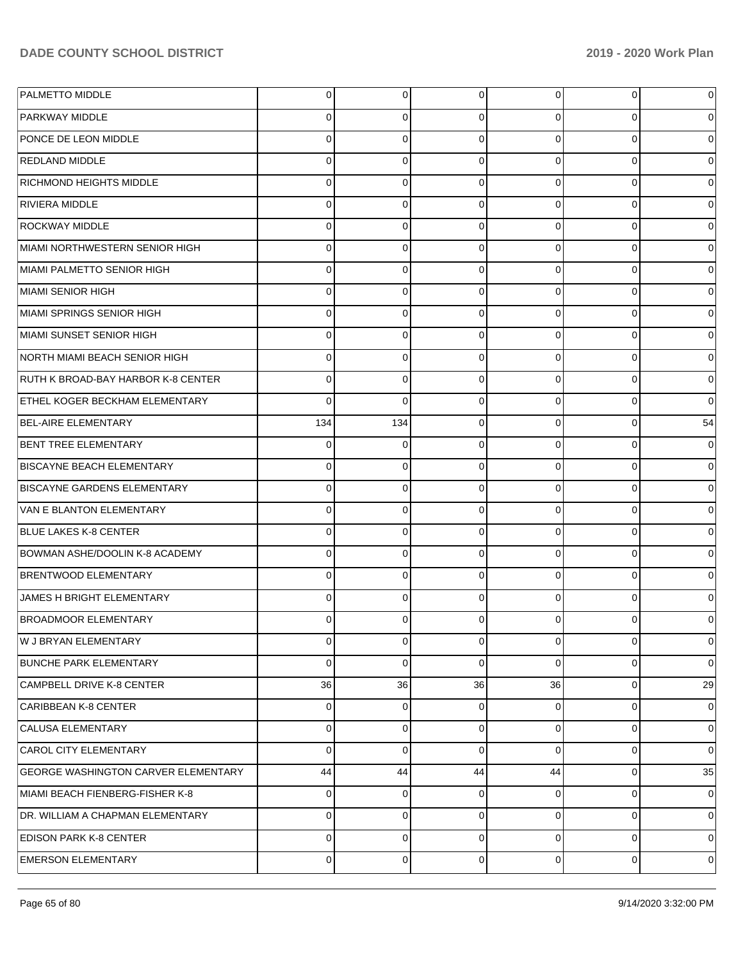| PALMETTO MIDDLE                            | 0           | 0              | 0              | 0              | $\overline{0}$ | $\mathbf 0$    |
|--------------------------------------------|-------------|----------------|----------------|----------------|----------------|----------------|
| <b>PARKWAY MIDDLE</b>                      | 0           | 0              | $\Omega$       | 0              | $\overline{0}$ | $\overline{0}$ |
| PONCE DE LEON MIDDLE                       | 0           | 0              | $\Omega$       | $\Omega$       | $\overline{0}$ | $\overline{0}$ |
| <b>REDLAND MIDDLE</b>                      | 0           | 0              | $\Omega$       | $\Omega$       | $\overline{0}$ | $\overline{0}$ |
| <b>RICHMOND HEIGHTS MIDDLE</b>             | 0           | 0              | $\Omega$       | $\Omega$       | $\overline{0}$ | $\overline{0}$ |
| <b>RIVIERA MIDDLE</b>                      | 0           | 0              | $\Omega$       | $\Omega$       | $\overline{0}$ | $\overline{0}$ |
| <b>ROCKWAY MIDDLE</b>                      | 0           | 0              | $\Omega$       | $\Omega$       | $\overline{0}$ | $\overline{0}$ |
| MIAMI NORTHWESTERN SENIOR HIGH             | 0           | 0              | $\Omega$       | $\Omega$       | $\overline{0}$ | $\overline{0}$ |
| MIAMI PALMETTO SENIOR HIGH                 | 0           | 0              | $\Omega$       | $\Omega$       | $\overline{0}$ | $\overline{0}$ |
| MIAMI SENIOR HIGH                          | 0           | 0              | $\Omega$       | $\Omega$       | $\overline{0}$ | $\overline{0}$ |
| MIAMI SPRINGS SENIOR HIGH                  | 0           | 0              | $\Omega$       | $\Omega$       | $\overline{0}$ | $\overline{0}$ |
| MIAMI SUNSET SENIOR HIGH                   | 0           | 0              | $\Omega$       | $\Omega$       | $\overline{0}$ | $\overline{0}$ |
| NORTH MIAMI BEACH SENIOR HIGH              | 0           | 0              | $\Omega$       | $\Omega$       | $\Omega$       | $\overline{0}$ |
| RUTH K BROAD-BAY HARBOR K-8 CENTER         | 0           | 0              | $\Omega$       | $\Omega$       | $\overline{0}$ | $\overline{0}$ |
| <b>ETHEL KOGER BECKHAM ELEMENTARY</b>      | 0           | 0              | $\Omega$       | $\Omega$       | $\overline{0}$ | $\overline{0}$ |
| <b>BEL-AIRE ELEMENTARY</b>                 | 134         | 134            | $\Omega$       | $\Omega$       | $\overline{0}$ | 54             |
| BENT TREE ELEMENTARY                       | 0           | 0              | $\Omega$       | $\Omega$       | $\overline{0}$ | $\overline{0}$ |
| <b>BISCAYNE BEACH ELEMENTARY</b>           | 0           | 0              | $\Omega$       | $\Omega$       | $\overline{0}$ | $\overline{0}$ |
| <b>BISCAYNE GARDENS ELEMENTARY</b>         | 0           | 0              | $\Omega$       | $\Omega$       | $\Omega$       | $\overline{0}$ |
| VAN E BLANTON ELEMENTARY                   | 0           | $\Omega$       | $\Omega$       | $\Omega$       | $\overline{0}$ | $\overline{0}$ |
| <b>BLUE LAKES K-8 CENTER</b>               | 0           | 0              | $\Omega$       | $\Omega$       | $\overline{0}$ | $\overline{0}$ |
| BOWMAN ASHE/DOOLIN K-8 ACADEMY             | 0           | 0              | $\Omega$       | $\Omega$       | $\overline{0}$ | $\overline{0}$ |
| <b>BRENTWOOD ELEMENTARY</b>                | 0           | 0              | $\Omega$       | $\Omega$       | $\Omega$       | $\overline{0}$ |
| JAMES H BRIGHT ELEMENTARY                  | 0           | 0              | $\Omega$       | $\Omega$       | $\Omega$       | $\overline{0}$ |
| <b>BROADMOOR ELEMENTARY</b>                | 0           | 0              | $\Omega$       | <sup>0</sup>   | 0              | $\overline{0}$ |
| W J BRYAN ELEMENTARY                       | $\mathbf 0$ | $\overline{0}$ | $\overline{0}$ | $\overline{0}$ | $\overline{0}$ | $\mathbf 0$    |
| <b>BUNCHE PARK ELEMENTARY</b>              | 0           | 0              | $\Omega$       | $\Omega$       | $\overline{0}$ | $\overline{0}$ |
| CAMPBELL DRIVE K-8 CENTER                  | 36          | 36             | 36             | 36             | $\overline{0}$ | 29             |
| CARIBBEAN K-8 CENTER                       | $\mathbf 0$ | 0              | $\Omega$       | 0              | $\overline{0}$ | $\mathbf 0$    |
| <b>CALUSA ELEMENTARY</b>                   | 0           | 0              | $\Omega$       | $\Omega$       | $\overline{0}$ | $\mathbf 0$    |
| <b>CAROL CITY ELEMENTARY</b>               | 0           | 0              | $\Omega$       | $\Omega$       | $\overline{0}$ | $\overline{0}$ |
| <b>GEORGE WASHINGTON CARVER ELEMENTARY</b> | 44          | 44             | 44             | 44             | $\overline{0}$ | 35             |
| MIAMI BEACH FIENBERG-FISHER K-8            | 0           | 0              | $\Omega$       | 0              | $\overline{0}$ | $\mathbf 0$    |
| DR. WILLIAM A CHAPMAN ELEMENTARY           | 0           | 0              | $\Omega$       | $\Omega$       | $\overline{0}$ | $\mathbf 0$    |
| <b>EDISON PARK K-8 CENTER</b>              | $\mathbf 0$ | 0              | $\Omega$       | $\Omega$       | $\overline{0}$ | $\overline{0}$ |
| <b>EMERSON ELEMENTARY</b>                  | 0           | 0              | 0              | $\overline{0}$ | $\overline{0}$ | $\mathbf 0$    |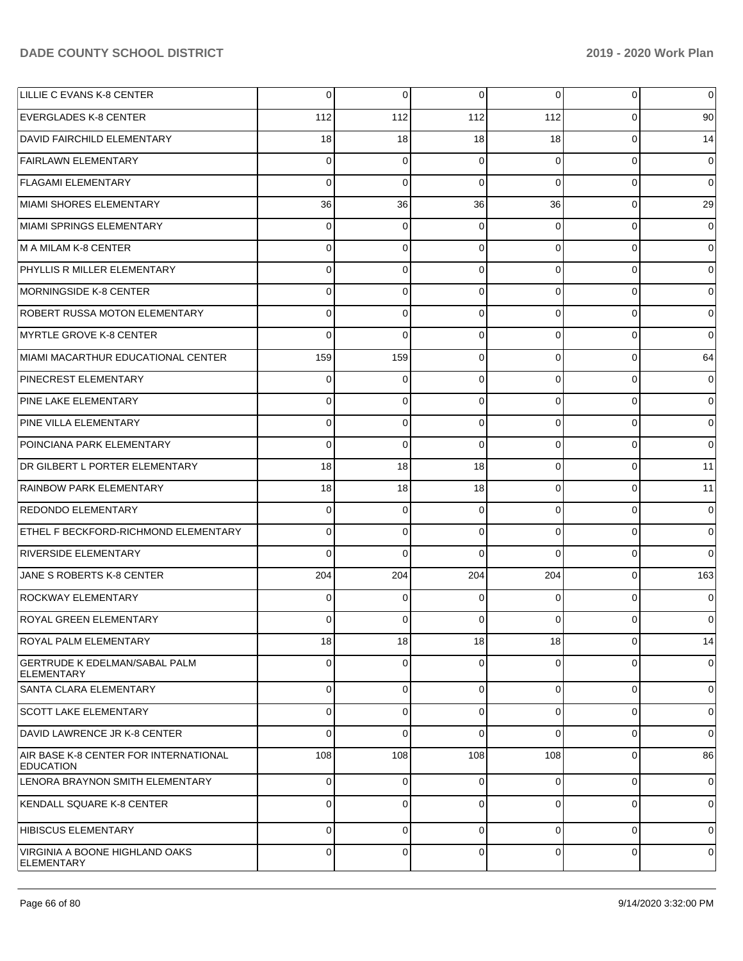| LILLIE C EVANS K-8 CENTER                                 | $\overline{0}$ | 0           | 0           | $\overline{0}$ | 0              | 0              |
|-----------------------------------------------------------|----------------|-------------|-------------|----------------|----------------|----------------|
| <b>EVERGLADES K-8 CENTER</b>                              | 112            | 112         | 112         | 112            | $\Omega$       | 90             |
| DAVID FAIRCHILD ELEMENTARY                                | 18             | 18          | 18          | 18             | $\Omega$       | 14             |
| <b>FAIRLAWN ELEMENTARY</b>                                | $\Omega$       | $\Omega$    | $\Omega$    | $\Omega$       | $\Omega$       | $\overline{0}$ |
| <b>FLAGAMI ELEMENTARY</b>                                 | $\Omega$       | $\Omega$    | $\Omega$    | $\Omega$       | $\Omega$       | $\Omega$       |
| MIAMI SHORES ELEMENTARY                                   | 36             | 36          | 36          | 36             | $\Omega$       | 29             |
| MIAMI SPRINGS ELEMENTARY                                  | $\Omega$       | $\Omega$    | $\Omega$    | $\Omega$       | $\Omega$       | $\Omega$       |
| M A MILAM K-8 CENTER                                      | $\Omega$       | $\Omega$    | $\Omega$    | $\Omega$       | $\Omega$       | $\overline{0}$ |
| PHYLLIS R MILLER ELEMENTARY                               | $\Omega$       | $\Omega$    | $\Omega$    | $\Omega$       | $\Omega$       | $\Omega$       |
| MORNINGSIDE K-8 CENTER                                    | $\Omega$       | $\mathbf 0$ | $\Omega$    | $\Omega$       | $\Omega$       | $\overline{0}$ |
| ROBERT RUSSA MOTON ELEMENTARY                             | $\Omega$       | $\Omega$    | $\Omega$    | $\Omega$       | $\Omega$       | $\Omega$       |
| MYRTLE GROVE K-8 CENTER                                   | $\Omega$       | $\Omega$    | $\Omega$    | $\Omega$       | $\Omega$       | $\Omega$       |
| MIAMI MACARTHUR EDUCATIONAL CENTER                        | 159            | 159         | $\Omega$    | $\Omega$       | $\Omega$       | 64             |
| <b>PINECREST ELEMENTARY</b>                               | $\Omega$       | 0           | $\Omega$    | $\Omega$       | $\Omega$       | $\overline{0}$ |
| PINE LAKE ELEMENTARY                                      | $\Omega$       | $\Omega$    | $\Omega$    | $\Omega$       | $\Omega$       | $\Omega$       |
| PINE VILLA ELEMENTARY                                     | $\Omega$       | $\mathbf 0$ | $\Omega$    | $\Omega$       | $\Omega$       | $\overline{0}$ |
| POINCIANA PARK ELEMENTARY                                 | $\Omega$       | $\Omega$    | $\Omega$    | $\Omega$       | $\Omega$       | $\Omega$       |
| DR GILBERT L PORTER ELEMENTARY                            | 18             | 18          | 18          | $\Omega$       | $\Omega$       | 11             |
| <b>RAINBOW PARK ELEMENTARY</b>                            | 18             | 18          | 18          | $\Omega$       | $\Omega$       | 11             |
| <b>REDONDO ELEMENTARY</b>                                 | $\Omega$       | $\Omega$    | $\Omega$    | $\Omega$       | $\Omega$       | $\overline{0}$ |
| ETHEL F BECKFORD-RICHMOND ELEMENTARY                      | $\Omega$       | $\Omega$    | 0           | $\Omega$       | $\Omega$       | $\Omega$       |
| <b>RIVERSIDE ELEMENTARY</b>                               | $\Omega$       | $\Omega$    | $\Omega$    | $\Omega$       | $\Omega$       | $\Omega$       |
| JANE S ROBERTS K-8 CENTER                                 | 204            | 204         | 204         | 204            | $\Omega$       | 163            |
| <b>ROCKWAY ELEMENTARY</b>                                 | $\Omega$       | 0           | $\Omega$    | $\Omega$       | $\Omega$       | $\Omega$       |
| <b>ROYAL GREEN ELEMENTARY</b>                             | $\Omega$       | $\Omega$    | 0           | 0              | 0              | $\overline{0}$ |
| <b>ROYAL PALM ELEMENTARY</b>                              | 18             | 18          | 18          | 18             | $\overline{0}$ | 14             |
| <b>GERTRUDE K EDELMAN/SABAL PALM</b><br><b>ELEMENTARY</b> | $\Omega$       | $\Omega$    | $\Omega$    | $\Omega$       | $\Omega$       | 0              |
| SANTA CLARA ELEMENTARY                                    | $\Omega$       | 0           | $\Omega$    | $\Omega$       | $\Omega$       | $\overline{0}$ |
| <b>SCOTT LAKE ELEMENTARY</b>                              | $\Omega$       | $\mathbf 0$ | $\mathbf 0$ | $\Omega$       | $\Omega$       | $\overline{0}$ |
| DAVID LAWRENCE JR K-8 CENTER                              | $\Omega$       | $\Omega$    | $\Omega$    | $\Omega$       | $\Omega$       | 0              |
| AIR BASE K-8 CENTER FOR INTERNATIONAL<br><b>EDUCATION</b> | 108            | 108         | 108         | 108            | 0              | 86             |
| LENORA BRAYNON SMITH ELEMENTARY                           | 0              | 0           | 0           | $\Omega$       | $\Omega$       | $\overline{0}$ |
| KENDALL SQUARE K-8 CENTER                                 | $\Omega$       | 0           | 0           | $\Omega$       | 0              | $\overline{0}$ |
| HIBISCUS ELEMENTARY                                       | $\Omega$       | $\mathbf 0$ | $\Omega$    | $\Omega$       | $\Omega$       | 0              |
| VIRGINIA A BOONE HIGHLAND OAKS<br>ELEMENTARY              | $\overline{0}$ | $\mathbf 0$ | $\mathbf 0$ | $\overline{0}$ | $\mathbf 0$    | 0              |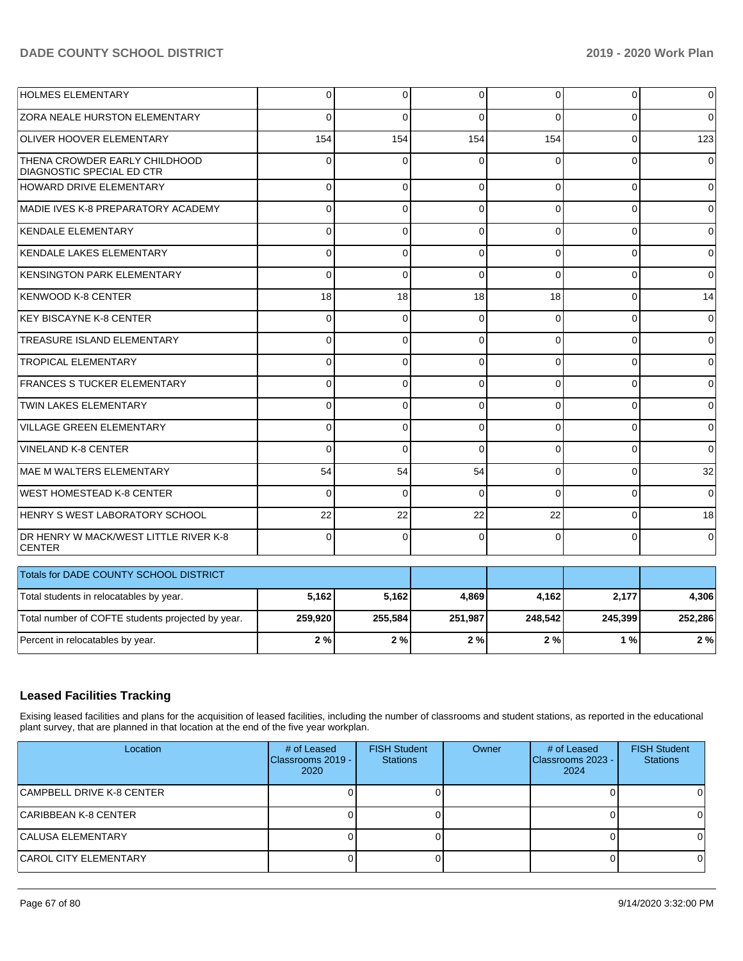| <b>HOLMES ELEMENTARY</b>                                   | 0              | $\mathbf 0$ | 0        | $\Omega$ | $\Omega$ | 0              |
|------------------------------------------------------------|----------------|-------------|----------|----------|----------|----------------|
| <b>ZORA NEALE HURSTON ELEMENTARY</b>                       | $\Omega$       | $\Omega$    | $\Omega$ | 0        | 0        | $\Omega$       |
| <b>OLIVER HOOVER ELEMENTARY</b>                            | 154            | 154         | 154      | 154      | $\Omega$ | 123            |
| THENA CROWDER EARLY CHILDHOOD<br>DIAGNOSTIC SPECIAL ED CTR | 0              | $\Omega$    | $\Omega$ | $\Omega$ | $\Omega$ | $\Omega$       |
| <b>HOWARD DRIVE ELEMENTARY</b>                             | 0              | $\Omega$    | $\Omega$ | $\Omega$ | $\Omega$ | $\Omega$       |
| MADIE IVES K-8 PREPARATORY ACADEMY                         | $\overline{0}$ | $\Omega$    | $\Omega$ | $\Omega$ | $\Omega$ | 0              |
| KENDALE ELEMENTARY                                         | $\Omega$       | $\Omega$    | $\Omega$ | $\Omega$ | $\Omega$ | $\Omega$       |
| KENDALE LAKES ELEMENTARY                                   | $\Omega$       | $\Omega$    | $\Omega$ | $\Omega$ | $\Omega$ | $\Omega$       |
| KENSINGTON PARK ELEMENTARY                                 | $\Omega$       | $\Omega$    | $\Omega$ | $\Omega$ | $\Omega$ | $\mathbf{0}$   |
| KENWOOD K-8 CENTER                                         | 18             | 18          | 18       | 18       | $\Omega$ | 14             |
| <b>KEY BISCAYNE K-8 CENTER</b>                             | $\Omega$       | $\Omega$    | $\Omega$ | $\Omega$ | $\Omega$ | 0              |
| TREASURE ISLAND ELEMENTARY                                 | $\Omega$       | $\mathbf 0$ | $\Omega$ | $\Omega$ | $\Omega$ | $\Omega$       |
| <b>TROPICAL ELEMENTARY</b>                                 | 0              | $\Omega$    | $\Omega$ | $\Omega$ | $\Omega$ | $\Omega$       |
| <b>FRANCES S TUCKER ELEMENTARY</b>                         | $\Omega$       | $\mathbf 0$ | 0        | $\Omega$ | 0        | 0              |
| <b>TWIN LAKES ELEMENTARY</b>                               | $\Omega$       | $\Omega$    | $\Omega$ | $\Omega$ | $\Omega$ | $\Omega$       |
| <b>VILLAGE GREEN ELEMENTARY</b>                            | 0              | $\Omega$    | $\Omega$ | $\Omega$ | $\Omega$ | $\mathbf 0$    |
| <b>VINELAND K-8 CENTER</b>                                 | $\Omega$       | $\Omega$    | $\Omega$ | $\Omega$ | $\Omega$ | $\Omega$       |
| MAE M WALTERS ELEMENTARY                                   | 54             | 54          | 54       | $\Omega$ | $\Omega$ | 32             |
| <b>WEST HOMESTEAD K-8 CENTER</b>                           | $\Omega$       | $\Omega$    | $\Omega$ | $\Omega$ | $\Omega$ | $\Omega$       |
| HENRY S WEST LABORATORY SCHOOL                             | 22             | 22          | 22       | 22       | $\Omega$ | 18             |
| DR HENRY W MACK/WEST LITTLE RIVER K-8<br><b>CENTER</b>     | $\Omega$       | $\Omega$    | $\Omega$ | $\Omega$ | $\Omega$ | $\overline{0}$ |
| Totals for DADE COUNTY SCHOOL DISTRICT                     |                |             |          |          |          |                |
| Total students in relocatables by year.                    | 5,162          | 5,162       | 4,869    | 4,162    | 2,177    | 4,306          |
| Total number of COFTE students projected by year.          | 259,920        | 255,584     | 251,987  | 248,542  | 245,399  | 252,286        |
| Percent in relocatables by year.                           | 2%             | 2%          | 2%       | 2%       | 1%       | 2%             |

# **Leased Facilities Tracking**

Exising leased facilities and plans for the acquisition of leased facilities, including the number of classrooms and student stations, as reported in the educational plant survey, that are planned in that location at the end of the five year workplan.

| Location                     | # of Leased<br>Classrooms 2019 -<br>2020 | <b>FISH Student</b><br><b>Stations</b> | Owner | # of Leased<br>Classrooms 2023 -<br>2024 | <b>FISH Student</b><br><b>Stations</b> |
|------------------------------|------------------------------------------|----------------------------------------|-------|------------------------------------------|----------------------------------------|
| CAMPBELL DRIVE K-8 CENTER    |                                          |                                        |       |                                          |                                        |
| CARIBBEAN K-8 CENTER_        |                                          |                                        |       |                                          |                                        |
| <b>CALUSA ELEMENTARY</b>     |                                          |                                        |       |                                          |                                        |
| <b>CAROL CITY ELEMENTARY</b> |                                          |                                        |       |                                          |                                        |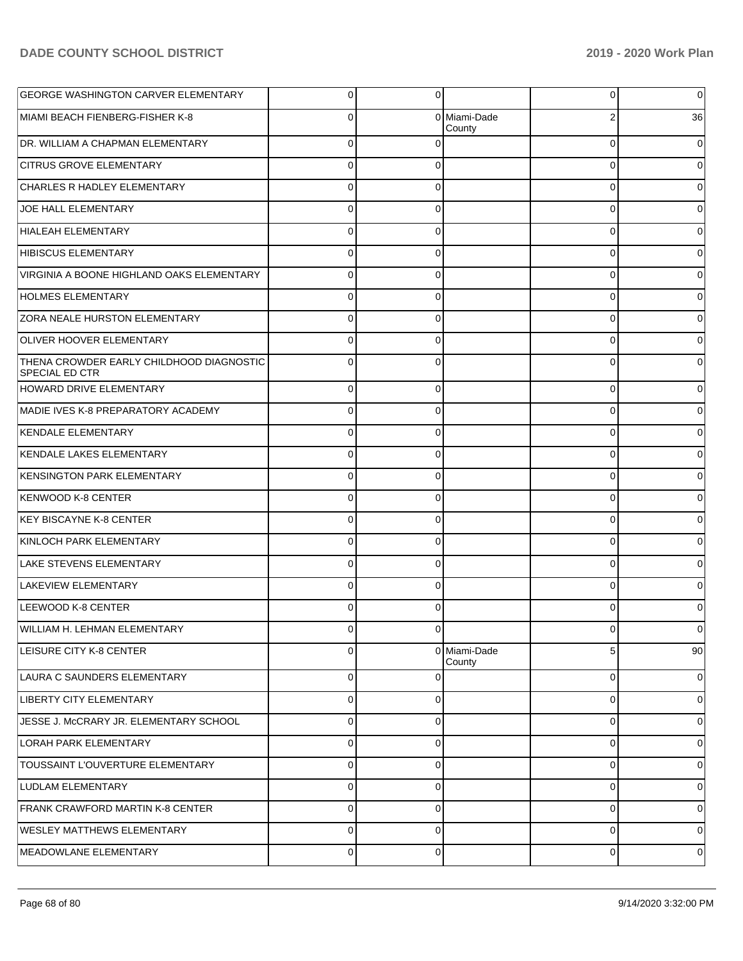| <b>GEORGE WASHINGTON CARVER ELEMENTARY</b>                        | $\overline{0}$ | $\overline{0}$ |                        | 0        | $\overline{0}$ |
|-------------------------------------------------------------------|----------------|----------------|------------------------|----------|----------------|
| MIAMI BEACH FIENBERG-FISHER K-8                                   | $\overline{0}$ |                | 0 Miami-Dade<br>County |          | 36             |
| DR. WILLIAM A CHAPMAN ELEMENTARY                                  | $\overline{0}$ | $\Omega$       |                        | $\Omega$ | $\overline{0}$ |
| <b>CITRUS GROVE ELEMENTARY</b>                                    | $\overline{0}$ | $\Omega$       |                        | $\Omega$ | $\overline{0}$ |
| <b>CHARLES R HADLEY ELEMENTARY</b>                                | $\overline{0}$ | $\Omega$       |                        | $\Omega$ | $\overline{0}$ |
| JOE HALL ELEMENTARY                                               | $\overline{0}$ | $\Omega$       |                        | $\Omega$ | $\overline{0}$ |
| HIALEAH ELEMENTARY                                                | $\overline{0}$ | $\Omega$       |                        | $\Omega$ | 0              |
| <b>HIBISCUS ELEMENTARY</b>                                        | $\overline{0}$ | $\Omega$       |                        | $\Omega$ | $\overline{0}$ |
| VIRGINIA A BOONE HIGHLAND OAKS ELEMENTARY                         | $\overline{0}$ | $\Omega$       |                        | $\Omega$ | 0              |
| <b>HOLMES ELEMENTARY</b>                                          | $\overline{0}$ | $\Omega$       |                        | $\Omega$ | $\overline{0}$ |
| <b>ZORA NEALE HURSTON ELEMENTARY</b>                              | $\overline{0}$ | $\Omega$       |                        | $\Omega$ | 0              |
| <b>OLIVER HOOVER ELEMENTARY</b>                                   | $\overline{0}$ | $\Omega$       |                        | $\Omega$ | $\overline{0}$ |
| THENA CROWDER EARLY CHILDHOOD DIAGNOSTIC<br><b>SPECIAL ED CTR</b> | $\Omega$       | $\Omega$       |                        | 0        | 0              |
| HOWARD DRIVE ELEMENTARY                                           | $\overline{0}$ | $\Omega$       |                        | 0        | $\overline{0}$ |
| MADIE IVES K-8 PREPARATORY ACADEMY                                | 0              | $\Omega$       |                        | 0        | $\overline{0}$ |
| <b>KENDALE ELEMENTARY</b>                                         | $\overline{0}$ | $\Omega$       |                        | 0        | 0              |
| KENDALE LAKES ELEMENTARY                                          | $\overline{0}$ | $\Omega$       |                        | 0        | 0              |
| <b>KENSINGTON PARK ELEMENTARY</b>                                 | 0              | 0              |                        |          | 0              |
| <b>KENWOOD K-8 CENTER</b>                                         | 0              | $\Omega$       |                        | C        | 0              |
| <b>KEY BISCAYNE K-8 CENTER</b>                                    | 0              | $\Omega$       |                        | C        | 0              |
| KINLOCH PARK ELEMENTARY                                           | 0              | $\Omega$       |                        | 0        | $\overline{0}$ |
| <b>LAKE STEVENS ELEMENTARY</b>                                    | $\overline{0}$ | $\Omega$       |                        | 0        | 0              |
| LAKEVIEW ELEMENTARY                                               | $\overline{0}$ | $\Omega$       |                        | 0        | 0              |
| LEEWOOD K-8 CENTER                                                | 0              |                |                        |          | 0              |
| WILLIAM H. LEHMAN ELEMENTARY                                      | ΩI             | <sup>0</sup>   |                        |          | 0              |
| LEISURE CITY K-8 CENTER                                           | 0              |                | 0 Miami-Dade<br>County | 5        | 90             |
| LAURA C SAUNDERS ELEMENTARY                                       | $\mathbf{0}$   | $\Omega$       |                        | 0        | $\overline{0}$ |
| <b>LIBERTY CITY ELEMENTARY</b>                                    | $\overline{0}$ | $\mathbf 0$    |                        | 0        | $\overline{0}$ |
| JESSE J. MCCRARY JR. ELEMENTARY SCHOOL                            | $\mathbf{0}$   | $\mathbf 0$    |                        | 0        | $\overline{0}$ |
| LORAH PARK ELEMENTARY                                             | $\overline{0}$ | $\mathbf 0$    |                        | 0        | $\overline{0}$ |
| TOUSSAINT L'OUVERTURE ELEMENTARY                                  | $\overline{0}$ | $\mathbf 0$    |                        | 0        | $\overline{0}$ |
| <b>LUDLAM ELEMENTARY</b>                                          | $\overline{0}$ | $\mathbf 0$    |                        | 0        | $\overline{0}$ |
| FRANK CRAWFORD MARTIN K-8 CENTER                                  | $\mathbf{0}$   | $\mathbf 0$    |                        | 0        | $\overline{0}$ |
| <b>WESLEY MATTHEWS ELEMENTARY</b>                                 | $\overline{0}$ | $\mathbf 0$    |                        | 0        | $\overline{0}$ |
| MEADOWLANE ELEMENTARY                                             | $\overline{0}$ | $\mathbf 0$    |                        | 0        | 0              |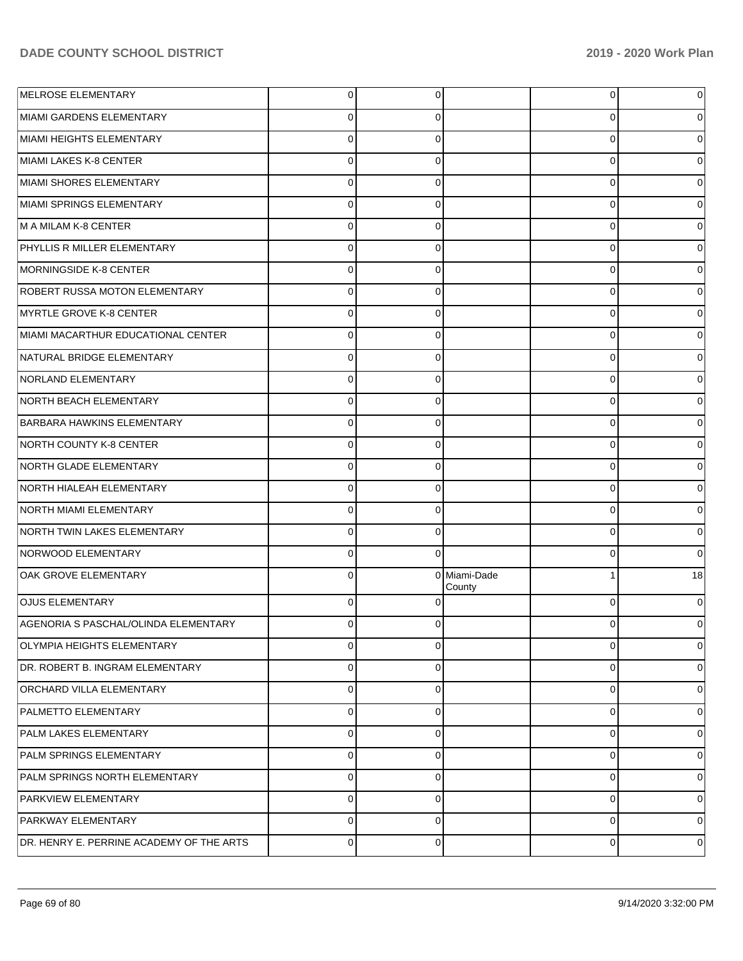| MELROSE ELEMENTARY                       | 0              | 0              |                        | 0           | 0        |
|------------------------------------------|----------------|----------------|------------------------|-------------|----------|
| MIAMI GARDENS ELEMENTARY                 | 0              | 0              |                        | 0           | 0        |
| MIAMI HEIGHTS ELEMENTARY                 | 0              | 0              |                        | 0           | 0        |
| MIAMI LAKES K-8 CENTER                   | $\Omega$       | 0              |                        | 0           | 0        |
| MIAMI SHORES ELEMENTARY                  | 0              | 0              |                        | 0           | 0        |
| MIAMI SPRINGS ELEMENTARY                 | $\Omega$       | 0              |                        | 0           | 0        |
| M A MILAM K-8 CENTER                     | $\Omega$       | 0              |                        | 0           | 0        |
| PHYLLIS R MILLER ELEMENTARY              | $\Omega$       | 0              |                        | 0           | 0        |
| MORNINGSIDE K-8 CENTER                   | $\Omega$       | 0              |                        | 0           | 0        |
| <b>ROBERT RUSSA MOTON ELEMENTARY</b>     | $\Omega$       | 0              |                        | 0           | 0        |
| MYRTLE GROVE K-8 CENTER                  | $\Omega$       | 0              |                        | 0           | 0        |
| MIAMI MACARTHUR EDUCATIONAL CENTER       | $\Omega$       | 0              |                        | 0           | 0        |
| NATURAL BRIDGE ELEMENTARY                | $\Omega$       | 0              |                        | 0           | 0        |
| NORLAND ELEMENTARY                       | $\Omega$       | 0              |                        | 0           | 0        |
| NORTH BEACH ELEMENTARY                   | $\Omega$       | 0              |                        | 0           | 0        |
| <b>BARBARA HAWKINS ELEMENTARY</b>        | 0              | 0              |                        | 0           | 0        |
| NORTH COUNTY K-8 CENTER                  | $\Omega$       | 0              |                        | 0           | 0        |
| NORTH GLADE ELEMENTARY                   | $\Omega$       | 0              |                        | 0           | 0        |
| NORTH HIALEAH ELEMENTARY                 | $\Omega$       | 0              |                        | 0           | 0        |
| NORTH MIAMI ELEMENTARY                   | $\Omega$       | 0              |                        | 0           | 0        |
| NORTH TWIN LAKES ELEMENTARY              | $\Omega$       | 0              |                        | 0           | 0        |
| NORWOOD ELEMENTARY                       | $\Omega$       | 0              |                        | 0           | 0        |
| OAK GROVE ELEMENTARY                     | $\Omega$       |                | 0 Miami-Dade<br>County | 1           | 18       |
| <b>OJUS ELEMENTARY</b>                   | $\Omega$       | $\Omega$       |                        | $\Omega$    | 0        |
| AGENORIA S PASCHAL/OLINDA ELEMENTARY     | $\Omega$       | 0              |                        | $\Omega$    | 0        |
| <b>OLYMPIA HEIGHTS ELEMENTARY</b>        | $\Omega$       | $\Omega$       |                        | 0           | 0        |
| DR. ROBERT B. INGRAM ELEMENTARY          | $\Omega$       | $\Omega$       |                        | $\mathbf 0$ | 0        |
| <b>ORCHARD VILLA ELEMENTARY</b>          | $\Omega$       | $\Omega$       |                        | $\mathbf 0$ | $\Omega$ |
| PALMETTO ELEMENTARY                      | $\Omega$       | $\Omega$       |                        | $\mathbf 0$ | 0        |
| PALM LAKES ELEMENTARY                    | $\Omega$       | $\Omega$       |                        | $\mathbf 0$ | $\Omega$ |
| PALM SPRINGS ELEMENTARY                  | $\Omega$       | $\Omega$       |                        | $\mathbf 0$ | 0        |
| PALM SPRINGS NORTH ELEMENTARY            | $\Omega$       | $\Omega$       |                        | $\mathbf 0$ | $\Omega$ |
| <b>PARKVIEW ELEMENTARY</b>               | $\Omega$       | $\Omega$       |                        | $\mathbf 0$ | 0        |
| <b>PARKWAY ELEMENTARY</b>                | $\Omega$       | $\Omega$       |                        | $\mathbf 0$ | 0        |
| DR. HENRY E. PERRINE ACADEMY OF THE ARTS | $\overline{0}$ | $\overline{0}$ |                        | 0           | 0        |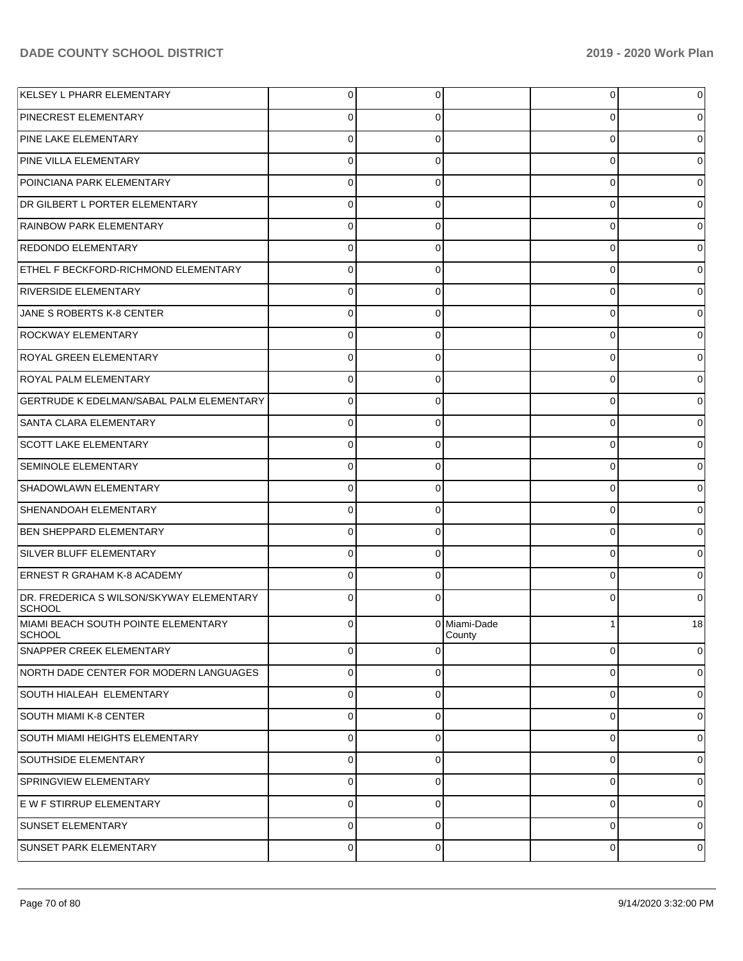| KELSEY L PHARR ELEMENTARY                            | 0        | 0        |                        | 0 | 0  |
|------------------------------------------------------|----------|----------|------------------------|---|----|
| <b>PINECREST ELEMENTARY</b>                          | 0        | 0        |                        | 0 | 0  |
| <b>PINE LAKE ELEMENTARY</b>                          | 0        | 0        |                        | 0 | 0  |
| PINE VILLA ELEMENTARY                                | $\Omega$ | 0        |                        | 0 | 0  |
| POINCIANA PARK ELEMENTARY                            | 0        | 0        |                        | 0 | 0  |
| DR GILBERT L PORTER ELEMENTARY                       | 0        | 0        |                        | 0 | 0  |
| RAINBOW PARK ELEMENTARY                              | 0        | 0        |                        | 0 | 0  |
| <b>REDONDO ELEMENTARY</b>                            | $\Omega$ | 0        |                        | 0 | 0  |
| ETHEL F BECKFORD-RICHMOND ELEMENTARY                 | 0        | 0        |                        | 0 | 0  |
| <b>RIVERSIDE ELEMENTARY</b>                          | 0        | 0        |                        | 0 | 0  |
| JANE S ROBERTS K-8 CENTER                            | 0        | 0        |                        | 0 | 0  |
| <b>ROCKWAY ELEMENTARY</b>                            | 0        | 0        |                        | 0 | 0  |
| <b>ROYAL GREEN ELEMENTARY</b>                        | 0        | 0        |                        | 0 | 0  |
| <b>ROYAL PALM ELEMENTARY</b>                         | $\Omega$ | 0        |                        | 0 | 0  |
| <b>GERTRUDE K EDELMAN/SABAL PALM ELEMENTARY</b>      | 0        | 0        |                        | 0 | 0  |
| SANTA CLARA ELEMENTARY                               | 0        | 0        |                        | 0 | 0  |
| <b>SCOTT LAKE ELEMENTARY</b>                         | 0        | 0        |                        | 0 | 0  |
| <b>SEMINOLE ELEMENTARY</b>                           | $\Omega$ | 0        |                        | 0 | 0  |
| SHADOWLAWN ELEMENTARY                                | 0        | 0        |                        | 0 | 0  |
| SHENANDOAH ELEMENTARY                                | 0        | 0        |                        | 0 | 0  |
| <b>BEN SHEPPARD ELEMENTARY</b>                       | 0        | 0        |                        | 0 | 0  |
| SILVER BLUFF ELEMENTARY                              | 0        | 0        |                        | 0 | 0  |
| <b>ERNEST R GRAHAM K-8 ACADEMY</b>                   | 0        | 0        |                        | 0 | 0  |
| DR. FREDERICA S WILSON/SKYWAY ELEMENTARY<br>SCHOOL   | $\Omega$ | 0        |                        | 0 | 0  |
| MIAMI BEACH SOUTH POINTE ELEMENTARY<br><b>SCHOOL</b> | $\Omega$ |          | 0 Miami-Dade<br>County | 1 | 18 |
| SNAPPER CREEK ELEMENTARY                             | 0        | $\Omega$ |                        | 0 | 0  |
| NORTH DADE CENTER FOR MODERN LANGUAGES               | $\Omega$ | 0        |                        | 0 | 0  |
| SOUTH HIALEAH ELEMENTARY                             | $\Omega$ | 0        |                        | 0 | 0  |
| SOUTH MIAMI K-8 CENTER                               | 0        | 0        |                        | 0 | 0  |
| SOUTH MIAMI HEIGHTS ELEMENTARY                       | 0        | 0        |                        | 0 | 0  |
| <b>SOUTHSIDE ELEMENTARY</b>                          | $\Omega$ | 0        |                        | 0 | 0  |
| SPRINGVIEW ELEMENTARY                                | $\Omega$ | 0        |                        | 0 | 0  |
| E W F STIRRUP ELEMENTARY                             | $\Omega$ | 0        |                        | 0 | 0  |
| SUNSET ELEMENTARY                                    | $\Omega$ | 0        |                        | 0 | 0  |
| SUNSET PARK ELEMENTARY                               | 0        | 0        |                        | 0 | 0  |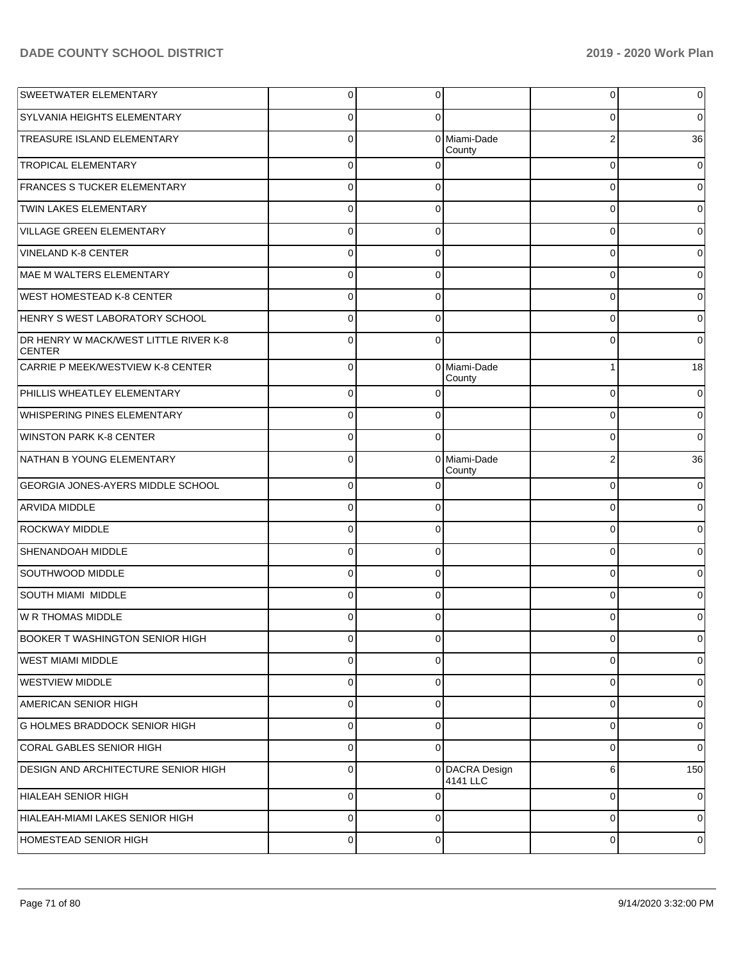| SWEETWATER ELEMENTARY                                  | $\overline{0}$ | 0        |                            | $\overline{0}$ | 0           |
|--------------------------------------------------------|----------------|----------|----------------------------|----------------|-------------|
| <b>SYLVANIA HEIGHTS ELEMENTARY</b>                     | $\mathbf 0$    | 0        |                            | 0              | $\mathbf 0$ |
| TREASURE ISLAND ELEMENTARY                             | $\mathbf 0$    |          | 0 Miami-Dade<br>County     | $\overline{2}$ | 36          |
| <b>TROPICAL ELEMENTARY</b>                             | $\mathbf 0$    | $\Omega$ |                            | $\mathbf 0$    | $\mathbf 0$ |
| <b>FRANCES S TUCKER ELEMENTARY</b>                     | $\mathbf 0$    | $\Omega$ |                            | $\mathbf 0$    | 0           |
| TWIN LAKES ELEMENTARY                                  | $\mathbf 0$    | $\Omega$ |                            | $\mathbf 0$    | 0           |
| <b>VILLAGE GREEN ELEMENTARY</b>                        | $\mathbf 0$    | $\Omega$ |                            | $\mathbf 0$    | 0           |
| <b>VINELAND K-8 CENTER</b>                             | $\mathbf 0$    | $\Omega$ |                            | $\Omega$       | $\Omega$    |
| MAE M WALTERS ELEMENTARY                               | $\mathbf 0$    | $\Omega$ |                            | 0              | $\Omega$    |
| <b>WEST HOMESTEAD K-8 CENTER</b>                       | $\mathbf 0$    | $\Omega$ |                            | $\Omega$       | 0           |
| HENRY S WEST LABORATORY SCHOOL                         | $\mathbf 0$    | $\Omega$ |                            | $\mathbf 0$    | 0           |
| DR HENRY W MACK/WEST LITTLE RIVER K-8<br><b>CENTER</b> | $\Omega$       | $\Omega$ |                            | $\Omega$       | $\Omega$    |
| CARRIE P MEEK/WESTVIEW K-8 CENTER                      | $\mathbf 0$    | $\Omega$ | Miami-Dade<br>County       | 1              | 18          |
| PHILLIS WHEATLEY ELEMENTARY                            | $\mathbf 0$    | ∩        |                            | 0              | 0           |
| WHISPERING PINES ELEMENTARY                            | $\mathbf 0$    | $\Omega$ |                            | 0              | $\mathbf 0$ |
| <b>WINSTON PARK K-8 CENTER</b>                         | $\mathbf 0$    | $\Omega$ |                            | 0              | $\mathbf 0$ |
| NATHAN B YOUNG ELEMENTARY                              | $\Omega$       |          | 0 Miami-Dade<br>County     | $\overline{2}$ | 36          |
| GEORGIA JONES-AYERS MIDDLE SCHOOL                      | $\mathbf 0$    | $\Omega$ |                            | $\mathbf 0$    | 0           |
| <b>ARVIDA MIDDLE</b>                                   | $\mathbf 0$    | $\Omega$ |                            | $\mathbf 0$    | 0           |
| <b>ROCKWAY MIDDLE</b>                                  | $\mathbf 0$    | $\Omega$ |                            | $\Omega$       | 0           |
| SHENANDOAH MIDDLE                                      | $\mathbf 0$    | $\Omega$ |                            | $\mathbf 0$    | 0           |
| SOUTHWOOD MIDDLE                                       | $\mathbf 0$    | $\Omega$ |                            | $\Omega$       | $\Omega$    |
| <b>SOUTH MIAMI MIDDLE</b>                              | $\mathbf 0$    | $\Omega$ |                            | 0              | 0           |
| W R THOMAS MIDDLE                                      | $\Omega$       | $\Omega$ |                            | $\Omega$       | 0           |
| <b>BOOKER T WASHINGTON SENIOR HIGH</b>                 | $\overline{0}$ | 0        |                            | $\overline{0}$ | 0           |
| WEST MIAMI MIDDLE                                      | $\mathbf 0$    | $\Omega$ |                            | $\mathbf 0$    | 0           |
| <b>WESTVIEW MIDDLE</b>                                 | $\mathbf 0$    | $\Omega$ |                            | $\mathbf 0$    | 0           |
| AMERICAN SENIOR HIGH                                   | $\mathbf 0$    | $\Omega$ |                            | $\mathbf 0$    | 0           |
| <b>G HOLMES BRADDOCK SENIOR HIGH</b>                   | $\mathbf 0$    | $\Omega$ |                            | $\Omega$       | 0           |
| CORAL GABLES SENIOR HIGH                               | $\mathbf 0$    | $\Omega$ |                            | $\mathbf 0$    | $\Omega$    |
| DESIGN AND ARCHITECTURE SENIOR HIGH                    | $\mathbf 0$    |          | 0 DACRA Design<br>4141 LLC | 6              | 150         |
| <b>HIALEAH SENIOR HIGH</b>                             | $\mathbf 0$    | $\Omega$ |                            | 0              | 0           |
| HIALEAH-MIAMI LAKES SENIOR HIGH                        | $\mathbf 0$    | $\Omega$ |                            | 0              | 0           |
| HOMESTEAD SENIOR HIGH                                  | $\pmb{0}$      | 0        |                            | 0              | 0           |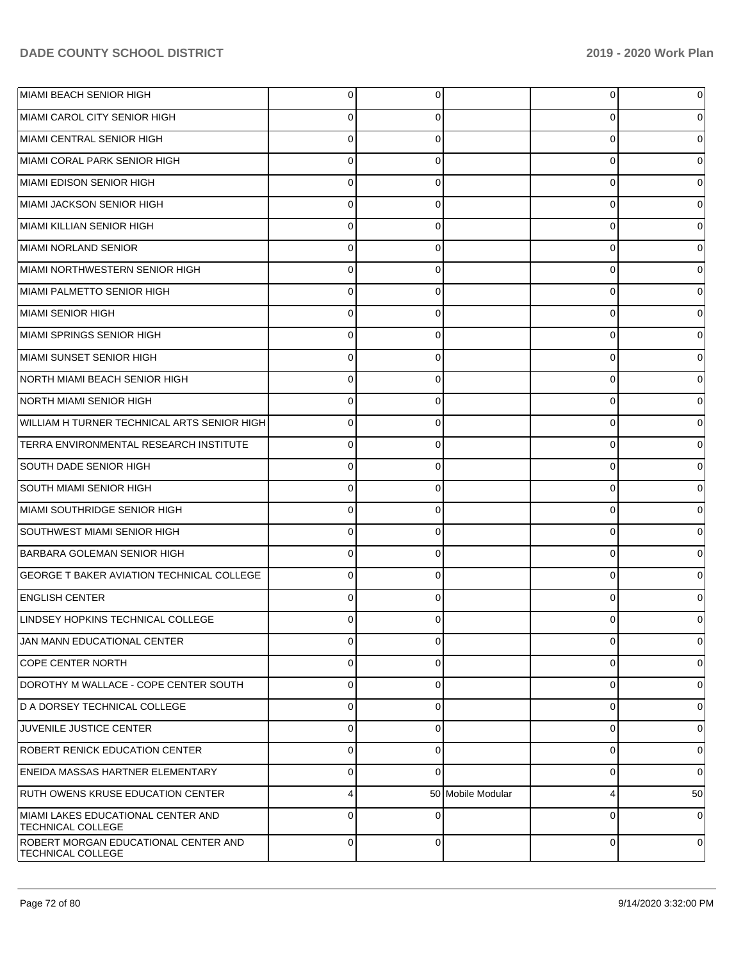| MIAMI BEACH SENIOR HIGH                                        | $\overline{0}$ | 0        |                   | 0           | 0           |
|----------------------------------------------------------------|----------------|----------|-------------------|-------------|-------------|
| MIAMI CAROL CITY SENIOR HIGH                                   | $\Omega$       | 0        |                   | 0           |             |
| MIAMI CENTRAL SENIOR HIGH                                      | $\Omega$       | 0        |                   | 0           |             |
| MIAMI CORAL PARK SENIOR HIGH                                   | $\Omega$       | 0        |                   | 0           | 0           |
| MIAMI EDISON SENIOR HIGH                                       | $\Omega$       | 0        |                   | 0           |             |
| MIAMI JACKSON SENIOR HIGH                                      | $\Omega$       | 0        |                   | 0           | 0           |
| MIAMI KILLIAN SENIOR HIGH                                      | $\Omega$       | 0        |                   | 0           |             |
| MIAMI NORLAND SENIOR                                           | $\Omega$       | 0        |                   | 0           |             |
| MIAMI NORTHWESTERN SENIOR HIGH                                 | $\Omega$       | 0        |                   | 0           |             |
| MIAMI PALMETTO SENIOR HIGH                                     | $\Omega$       | 0        |                   | 0           | 0           |
| MIAMI SENIOR HIGH                                              | $\Omega$       | 0        |                   | 0           |             |
| MIAMI SPRINGS SENIOR HIGH                                      | $\Omega$       | 0        |                   | 0           |             |
| MIAMI SUNSET SENIOR HIGH                                       | $\Omega$       | 0        |                   | 0           |             |
| NORTH MIAMI BEACH SENIOR HIGH                                  | $\Omega$       | 0        |                   | 0           | 0           |
| NORTH MIAMI SENIOR HIGH                                        | $\Omega$       | 0        |                   | 0           |             |
| WILLIAM H TURNER TECHNICAL ARTS SENIOR HIGH                    | $\mathbf 0$    | 0        |                   | 0           | 0           |
| TERRA ENVIRONMENTAL RESEARCH INSTITUTE                         | $\Omega$       | 0        |                   | 0           |             |
| SOUTH DADE SENIOR HIGH                                         | $\Omega$       | 0        |                   | 0           | 0           |
| SOUTH MIAMI SENIOR HIGH                                        | $\Omega$       | 0        |                   | 0           |             |
| MIAMI SOUTHRIDGE SENIOR HIGH                                   | $\Omega$       | 0        |                   | 0           | 0           |
| SOUTHWEST MIAMI SENIOR HIGH                                    | $\Omega$       | 0        |                   | 0           |             |
| <b>BARBARA GOLEMAN SENIOR HIGH</b>                             | $\mathbf 0$    | 0        |                   | 0           | 0           |
| <b>GEORGE T BAKER AVIATION TECHNICAL COLLEGE</b>               | $\Omega$       | 0        |                   | 0           |             |
| <b>ENGLISH CENTER</b>                                          | $\Omega$       | 0        |                   | 0           |             |
| LINDSEY HOPKINS TECHNICAL COLLEGE                              | 0              | 0        |                   | Ω           |             |
| JAN MANN EDUCATIONAL CENTER                                    | $\overline{0}$ | 0        |                   | 0           | 0           |
| <b>COPE CENTER NORTH</b>                                       | $\mathbf 0$    | 0        |                   | 0           | 0           |
| DOROTHY M WALLACE - COPE CENTER SOUTH                          | $\mathbf 0$    | 0        |                   | 0           | 0           |
| D A DORSEY TECHNICAL COLLEGE                                   | $\mathbf 0$    | 0        |                   | 0           | 0           |
| JUVENILE JUSTICE CENTER                                        | $\mathbf 0$    | 0        |                   | 0           | 0           |
| <b>ROBERT RENICK EDUCATION CENTER</b>                          | $\mathbf 0$    | 0        |                   | 0           | 0           |
| <b>ENEIDA MASSAS HARTNER ELEMENTARY</b>                        | $\Omega$       | $\Omega$ |                   | 0           | $\mathbf 0$ |
| RUTH OWENS KRUSE EDUCATION CENTER                              | $\overline{4}$ |          | 50 Mobile Modular | 4           | 50          |
| MIAMI LAKES EDUCATIONAL CENTER AND<br><b>TECHNICAL COLLEGE</b> | $\Omega$       | $\Omega$ |                   | $\Omega$    | 0           |
| ROBERT MORGAN EDUCATIONAL CENTER AND<br>TECHNICAL COLLEGE      | $\overline{0}$ | 0        |                   | $\mathbf 0$ | 0           |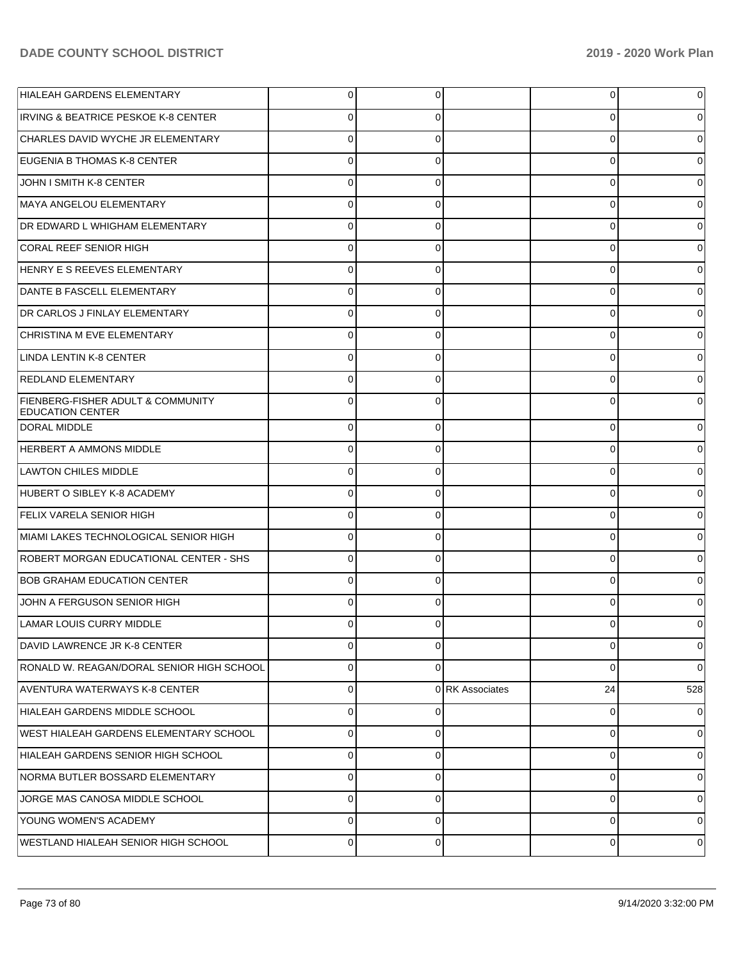| HIALEAH GARDENS ELEMENTARY                                   | $\overline{0}$ | 0           |                 | 0           | 0           |
|--------------------------------------------------------------|----------------|-------------|-----------------|-------------|-------------|
| <b>IRVING &amp; BEATRICE PESKOE K-8 CENTER</b>               | $\Omega$       | 0           |                 | 0           | 0           |
| CHARLES DAVID WYCHE JR ELEMENTARY                            | $\Omega$       | $\Omega$    |                 | $\Omega$    | 0           |
| EUGENIA B THOMAS K-8 CENTER                                  | $\Omega$       | $\Omega$    |                 | 0           | 0           |
| JOHN I SMITH K-8 CENTER                                      | $\Omega$       | $\Omega$    |                 | $\Omega$    | 0           |
| MAYA ANGELOU ELEMENTARY                                      | $\Omega$       | $\Omega$    |                 | 0           | 0           |
| DR EDWARD L WHIGHAM ELEMENTARY                               | $\Omega$       | $\Omega$    |                 | 0           | 0           |
| CORAL REEF SENIOR HIGH                                       | $\Omega$       | $\Omega$    |                 | 0           | 0           |
| HENRY E S REEVES ELEMENTARY                                  | $\Omega$       | 0           |                 | $\Omega$    | 0           |
| DANTE B FASCELL ELEMENTARY                                   | $\Omega$       | $\Omega$    |                 | 0           | 0           |
| DR CARLOS J FINLAY ELEMENTARY                                | $\Omega$       | $\Omega$    |                 | 0           | 0           |
| CHRISTINA M EVE ELEMENTARY                                   | $\Omega$       | $\Omega$    |                 | 0           | 0           |
| <b>LINDA LENTIN K-8 CENTER</b>                               | $\Omega$       | 0           |                 | 0           | 0           |
| <b>REDLAND ELEMENTARY</b>                                    | $\Omega$       | $\Omega$    |                 | 0           | 0           |
| FIENBERG-FISHER ADULT & COMMUNITY<br><b>EDUCATION CENTER</b> | $\Omega$       | $\Omega$    |                 | $\Omega$    |             |
| <b>DORAL MIDDLE</b>                                          | $\Omega$       | $\Omega$    |                 | $\Omega$    |             |
| <b>HERBERT A AMMONS MIDDLE</b>                               | $\Omega$       | $\Omega$    |                 | $\Omega$    |             |
| <b>LAWTON CHILES MIDDLE</b>                                  | $\Omega$       | $\Omega$    |                 | $\Omega$    |             |
| HUBERT O SIBLEY K-8 ACADEMY                                  | $\Omega$       | $\Omega$    |                 | $\Omega$    |             |
| <b>FELIX VARELA SENIOR HIGH</b>                              | $\Omega$       | $\Omega$    |                 | $\Omega$    |             |
| MIAMI LAKES TECHNOLOGICAL SENIOR HIGH                        | $\Omega$       | $\Omega$    |                 | 0           |             |
| ROBERT MORGAN EDUCATIONAL CENTER - SHS                       | $\Omega$       | $\Omega$    |                 | $\Omega$    |             |
| <b>BOB GRAHAM EDUCATION CENTER</b>                           | $\Omega$       | $\Omega$    |                 | $\Omega$    |             |
| JOHN A FERGUSON SENIOR HIGH                                  | $\Omega$       | $\Omega$    |                 | $\Omega$    |             |
| <b>LAMAR LOUIS CURRY MIDDLE</b>                              | 0              | 0           |                 | 0           | 0           |
| DAVID LAWRENCE JR K-8 CENTER                                 | $\Omega$       | $\Omega$    |                 | 0           | $\mathbf 0$ |
| RONALD W. REAGAN/DORAL SENIOR HIGH SCHOOL                    | $\mathbf{0}$   | $\Omega$    |                 | $\mathbf 0$ | $\Omega$    |
| AVENTURA WATERWAYS K-8 CENTER                                | $\mathbf{0}$   |             | 0 RK Associates | 24          | 528         |
| HIALEAH GARDENS MIDDLE SCHOOL                                | $\overline{0}$ | 0           |                 | $\mathbf 0$ | 0           |
| WEST HIALEAH GARDENS ELEMENTARY SCHOOL                       | $\mathbf{0}$   | $\Omega$    |                 | 0           | 0           |
| HIALEAH GARDENS SENIOR HIGH SCHOOL                           | $\mathbf{0}$   | $\Omega$    |                 | 0           | 0           |
| NORMA BUTLER BOSSARD ELEMENTARY                              | $\mathbf{0}$   | $\Omega$    |                 | $\mathbf 0$ | 0           |
| JORGE MAS CANOSA MIDDLE SCHOOL                               | $\overline{0}$ | $\mathbf 0$ |                 | $\mathbf 0$ | 0           |
| YOUNG WOMEN'S ACADEMY                                        | $\mathbf{0}$   | $\Omega$    |                 | 0           | 0           |
| WESTLAND HIALEAH SENIOR HIGH SCHOOL                          | $\mathbf{0}$   | $\mathbf 0$ |                 | 0           | 0           |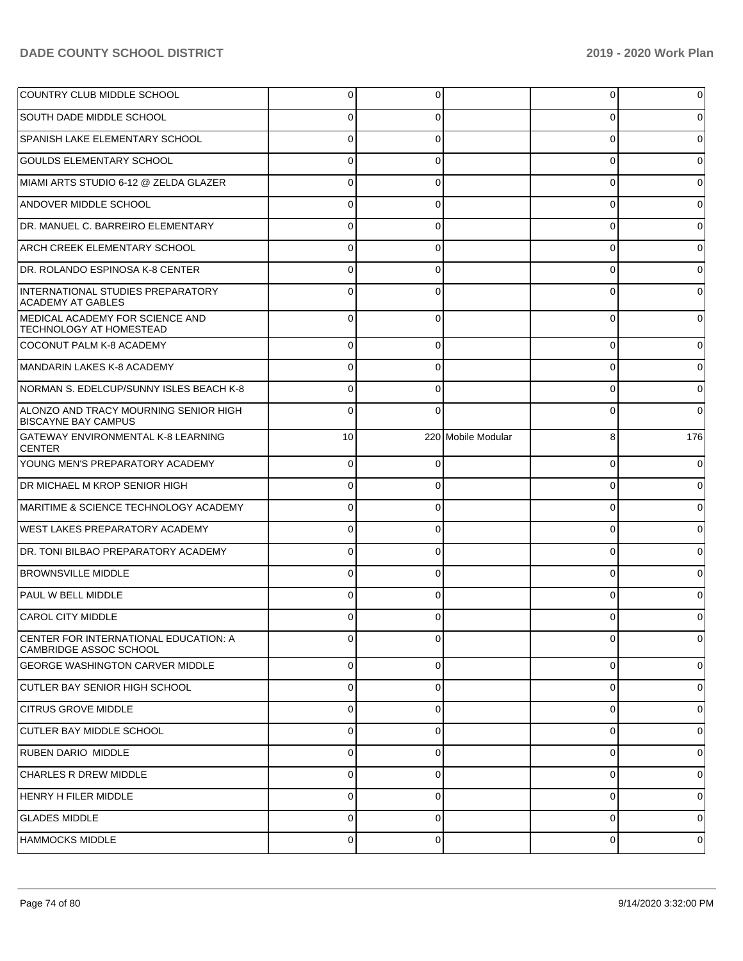| COUNTRY CLUB MIDDLE SCHOOL                                             | 0        | 0        |                    | $\overline{0}$ | 0            |
|------------------------------------------------------------------------|----------|----------|--------------------|----------------|--------------|
| SOUTH DADE MIDDLE SCHOOL                                               | 0        | 0        |                    | 0              | 0            |
| SPANISH LAKE ELEMENTARY SCHOOL                                         | 0        | 0        |                    | 0              | 0            |
| <b>GOULDS ELEMENTARY SCHOOL</b>                                        | 0        | 0        |                    | 0              | 0            |
| MIAMI ARTS STUDIO 6-12 @ ZELDA GLAZER                                  | 0        | 0        |                    | 0              | 0            |
| <b>ANDOVER MIDDLE SCHOOL</b>                                           | 0        | 0        |                    | 0              | 0            |
| DR. MANUEL C. BARREIRO ELEMENTARY                                      | 0        | 0        |                    | 0              | 0            |
| ARCH CREEK ELEMENTARY SCHOOL                                           | 0        | 0        |                    | 0              | 0            |
| DR. ROLANDO ESPINOSA K-8 CENTER                                        | 0        | 0        |                    | 0              | 0            |
| INTERNATIONAL STUDIES PREPARATORY<br><b>ACADEMY AT GABLES</b>          | 0        | 0        |                    | 0              | 0            |
| MEDICAL ACADEMY FOR SCIENCE AND<br><b>TECHNOLOGY AT HOMESTEAD</b>      | $\Omega$ | 0        |                    | $\Omega$       | <sup>0</sup> |
| COCONUT PALM K-8 ACADEMY                                               | 0        |          |                    | 0              | U            |
| MANDARIN LAKES K-8 ACADEMY                                             | 0        | O        |                    | 0              | 0            |
| NORMAN S. EDELCUP/SUNNY ISLES BEACH K-8                                | $\Omega$ |          |                    | 0              | 0            |
| ALONZO AND TRACY MOURNING SENIOR HIGH<br><b>BISCAYNE BAY CAMPUS</b>    | $\Omega$ |          |                    | 0              | 0            |
| <b>GATEWAY ENVIRONMENTAL K-8 LEARNING</b><br><b>CENTER</b>             | 10       |          | 220 Mobile Modular | 8              | 176          |
| YOUNG MEN'S PREPARATORY ACADEMY                                        | $\Omega$ | $\Omega$ |                    | $\mathbf 0$    | 0            |
| <b>DR MICHAEL M KROP SENIOR HIGH</b>                                   | $\Omega$ | $\Omega$ |                    | $\Omega$       | 0            |
| MARITIME & SCIENCE TECHNOLOGY ACADEMY                                  | $\Omega$ | $\Omega$ |                    | $\mathbf 0$    | 0            |
| <b>WEST LAKES PREPARATORY ACADEMY</b>                                  | 0        | $\Omega$ |                    | $\mathbf 0$    | 0            |
| DR. TONI BILBAO PREPARATORY ACADEMY                                    | $\Omega$ | $\Omega$ |                    | $\mathbf 0$    | 0            |
| <b>BROWNSVILLE MIDDLE</b>                                              | $\Omega$ | 0        |                    | $\mathbf 0$    | 0            |
| <b>PAUL W BELL MIDDLE</b>                                              | $\Omega$ | 0        |                    | $\Omega$       |              |
| <b>CAROL CITY MIDDLE</b>                                               | $\Omega$ | $\Omega$ |                    | $\Omega$       |              |
| CENTER FOR INTERNATIONAL EDUCATION: A<br><b>CAMBRIDGE ASSOC SCHOOL</b> | 0        |          |                    | $\overline{0}$ | 0            |
| <b>GEORGE WASHINGTON CARVER MIDDLE</b>                                 | 0        | 0        |                    | 0              | 0            |
| CUTLER BAY SENIOR HIGH SCHOOL                                          | $\Omega$ | 0        |                    | 0              |              |
| <b>CITRUS GROVE MIDDLE</b>                                             | 0        | 0        |                    | 0              | 0            |
| CUTLER BAY MIDDLE SCHOOL                                               | 0        | 0        |                    | 0              |              |
| RUBEN DARIO MIDDLE                                                     | 0        | 0        |                    | 0              | 0            |
| <b>CHARLES R DREW MIDDLE</b>                                           | $\Omega$ | U        |                    | 0              |              |
| <b>HENRY H FILER MIDDLE</b>                                            | $\Omega$ | 0        |                    | 0              |              |
| <b>GLADES MIDDLE</b>                                                   | $\Omega$ | 0        |                    | 0              |              |
| <b>HAMMOCKS MIDDLE</b>                                                 | 0        | 0        |                    | 0              | 0            |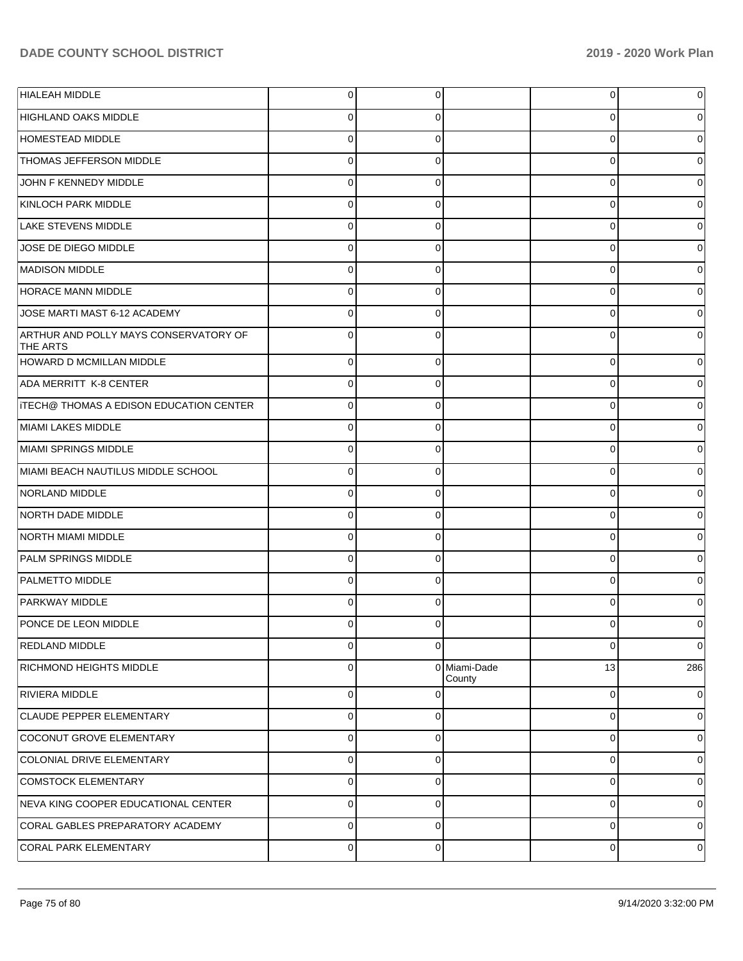| <b>HIALEAH MIDDLE</b>                                    | $\overline{0}$ | 0        |                        | 0           | 0        |
|----------------------------------------------------------|----------------|----------|------------------------|-------------|----------|
| HIGHLAND OAKS MIDDLE                                     | 0              | 0        |                        | 0           | 0        |
| HOMESTEAD MIDDLE                                         | $\mathbf 0$    | 0        |                        | 0           | 0        |
| <b>THOMAS JEFFERSON MIDDLE</b>                           | $\mathbf 0$    | 0        |                        | 0           | 0        |
| JOHN F KENNEDY MIDDLE                                    | $\mathbf 0$    | 0        |                        | 0           | 0        |
| KINLOCH PARK MIDDLE                                      | $\mathbf 0$    | 0        |                        | 0           | 0        |
| <b>LAKE STEVENS MIDDLE</b>                               | $\mathbf 0$    | 0        |                        | 0           | 0        |
| JOSE DE DIEGO MIDDLE                                     | $\mathbf 0$    | 0        |                        | 0           | 0        |
| <b>MADISON MIDDLE</b>                                    | $\mathbf 0$    | 0        |                        | 0           | 0        |
| <b>HORACE MANN MIDDLE</b>                                | $\mathbf 0$    | 0        |                        | 0           | 0        |
| JOSE MARTI MAST 6-12 ACADEMY                             | $\mathbf 0$    | 0        |                        | 0           | 0        |
| ARTHUR AND POLLY MAYS CONSERVATORY OF<br><b>THE ARTS</b> | $\mathbf 0$    | 0        |                        | $\Omega$    | 0        |
| <b>HOWARD D MCMILLAN MIDDLE</b>                          | $\overline{0}$ | 0        |                        | $\mathbf 0$ | 0        |
| ADA MERRITT K-8 CENTER                                   | $\mathbf 0$    | $\Omega$ |                        | $\Omega$    |          |
| <b>ITECH@ THOMAS A EDISON EDUCATION CENTER</b>           | $\mathbf 0$    | $\Omega$ |                        | $\Omega$    |          |
| MIAMI LAKES MIDDLE                                       | $\mathbf{0}$   | $\Omega$ |                        | $\mathbf 0$ |          |
| MIAMI SPRINGS MIDDLE                                     | $\mathbf 0$    | 0        |                        | 0           | 0        |
| MIAMI BEACH NAUTILUS MIDDLE SCHOOL                       | $\mathbf 0$    | $\Omega$ |                        | $\Omega$    |          |
| NORLAND MIDDLE                                           | $\Omega$       | $\Omega$ |                        | $\Omega$    |          |
| NORTH DADE MIDDLE                                        | $\mathbf 0$    | $\Omega$ |                        | $\Omega$    |          |
| <b>NORTH MIAMI MIDDLE</b>                                | $\mathbf 0$    | 0        |                        | 0           | 0        |
| PALM SPRINGS MIDDLE                                      | $\mathbf 0$    | $\Omega$ |                        | $\Omega$    |          |
| <b>PALMETTO MIDDLE</b>                                   | $\Omega$       | $\Omega$ |                        | $\Omega$    |          |
| <b>PARKWAY MIDDLE</b>                                    | $\mathbf 0$    | $\Omega$ |                        | $\Omega$    |          |
| PONCE DE LEON MIDDLE                                     | $\Omega$       | 0        |                        | 0           | 0        |
| <b>REDLAND MIDDLE</b>                                    | $\mathbf 0$    | $\Omega$ |                        | 0           | $\Omega$ |
| RICHMOND HEIGHTS MIDDLE                                  | $\mathbf 0$    |          | 0 Miami-Dade<br>County | 13          | 286      |
| RIVIERA MIDDLE                                           | $\mathbf 0$    | 0        |                        | 0           | 0        |
| CLAUDE PEPPER ELEMENTARY                                 | $\mathbf 0$    | 0        |                        | 0           | 0        |
| COCONUT GROVE ELEMENTARY                                 | $\mathbf 0$    | 0        |                        | 0           | 0        |
| COLONIAL DRIVE ELEMENTARY                                | $\mathbf 0$    | 0        |                        | 0           | 0        |
| COMSTOCK ELEMENTARY                                      | $\mathbf 0$    | 0        |                        | 0           | 0        |
| NEVA KING COOPER EDUCATIONAL CENTER                      | $\mathbf 0$    | 0        |                        | 0           | 0        |
| CORAL GABLES PREPARATORY ACADEMY                         | $\mathbf 0$    | 0        |                        | 0           | 0        |
| CORAL PARK ELEMENTARY                                    | $\pmb{0}$      | 0        |                        | 0           | 0        |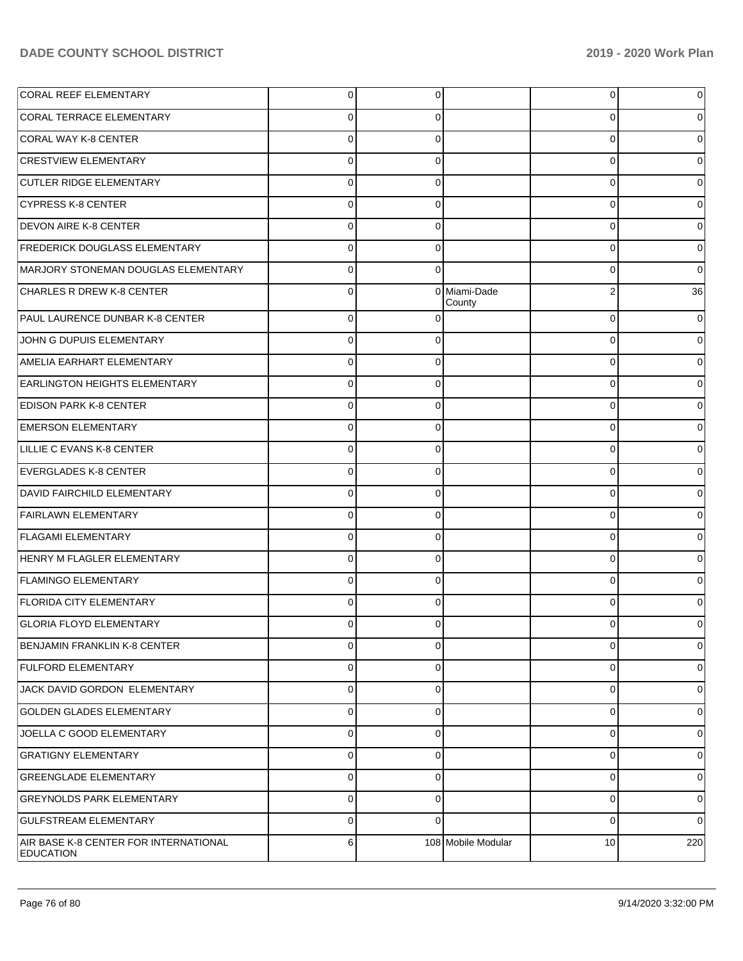| <b>CORAL REEF ELEMENTARY</b>                              | $\overline{0}$ | $\overline{0}$ |                        | $\overline{0}$ | 0        |
|-----------------------------------------------------------|----------------|----------------|------------------------|----------------|----------|
| CORAL TERRACE ELEMENTARY                                  | 0              | 0              |                        | 0              | 0        |
| CORAL WAY K-8 CENTER                                      | $\Omega$       | $\Omega$       |                        | 0              | 0        |
| <b>CRESTVIEW ELEMENTARY</b>                               | $\Omega$       | 0              |                        | 0              | 0        |
| <b>CUTLER RIDGE ELEMENTARY</b>                            | $\Omega$       | $\Omega$       |                        | 0              | $\Omega$ |
| <b>CYPRESS K-8 CENTER</b>                                 | $\Omega$       | 0              |                        | 0              | 0        |
| <b>DEVON AIRE K-8 CENTER</b>                              | $\Omega$       | 0              |                        | 0              | 0        |
| <b>FREDERICK DOUGLASS ELEMENTARY</b>                      | $\Omega$       | 0              |                        | 0              | 0        |
| MARJORY STONEMAN DOUGLAS ELEMENTARY                       | $\Omega$       | $\Omega$       |                        | 0              | $\Omega$ |
| <b>CHARLES R DREW K-8 CENTER</b>                          | $\Omega$       |                | 0 Miami-Dade<br>County | 2              | 36       |
| PAUL LAURENCE DUNBAR K-8 CENTER                           | $\Omega$       | 0              |                        | $\mathbf 0$    | 0        |
| JOHN G DUPUIS ELEMENTARY                                  | $\Omega$       | 0              |                        | 0              | 0        |
| AMELIA EARHART ELEMENTARY                                 | $\Omega$       | 0              |                        | 0              | 0        |
| <b>EARLINGTON HEIGHTS ELEMENTARY</b>                      | $\Omega$       | 0              |                        | $\mathbf 0$    |          |
| <b>EDISON PARK K-8 CENTER</b>                             | $\Omega$       | 0              |                        | 0              |          |
| <b>EMERSON ELEMENTARY</b>                                 | $\Omega$       | 0              |                        | 0              |          |
| LILLIE C EVANS K-8 CENTER                                 | $\Omega$       | 0              |                        | 0              |          |
| EVERGLADES K-8 CENTER                                     | $\Omega$       | 0              |                        | $\mathbf 0$    |          |
| DAVID FAIRCHILD ELEMENTARY                                | $\Omega$       | 0              |                        | 0              |          |
| <b>FAIRLAWN ELEMENTARY</b>                                | $\Omega$       | 0              |                        | 0              |          |
| <b>FLAGAMI ELEMENTARY</b>                                 | $\Omega$       | 0              |                        | 0              | 0        |
| HENRY M FLAGLER ELEMENTARY                                | $\Omega$       | 0              |                        | 0              |          |
| <b>FLAMINGO ELEMENTARY</b>                                | $\Omega$       | $\mathbf 0$    |                        | $\mathbf 0$    | 0        |
| <b>FLORIDA CITY ELEMENTARY</b>                            | $\Omega$       | 0              |                        | $\Omega$       |          |
| <b>GLORIA FLOYD ELEMENTARY</b>                            | 0              | 0              |                        | 0              | 0        |
| <b>BENJAMIN FRANKLIN K-8 CENTER</b>                       | 0              | 0              |                        | 0              | 0        |
| <b>FULFORD ELEMENTARY</b>                                 | 0              | 0              |                        | $\mathbf 0$    | 0        |
| JACK DAVID GORDON ELEMENTARY                              | 0              | $\mathbf 0$    |                        | $\mathbf 0$    | 0        |
| <b>GOLDEN GLADES ELEMENTARY</b>                           | 0              | $\mathbf 0$    |                        | $\mathbf 0$    | 0        |
| JOELLA C GOOD ELEMENTARY                                  | 0              | $\mathbf 0$    |                        | 0              | 0        |
| <b>GRATIGNY ELEMENTARY</b>                                | 0              | $\mathbf 0$    |                        | $\mathbf 0$    | 0        |
| <b>GREENGLADE ELEMENTARY</b>                              | 0              | $\mathbf 0$    |                        | 0              | 0        |
| <b>GREYNOLDS PARK ELEMENTARY</b>                          | 0              | $\mathbf 0$    |                        | $\mathbf 0$    | 0        |
| <b>GULFSTREAM ELEMENTARY</b>                              | 0              | 0              |                        | $\mathbf 0$    | 0        |
| AIR BASE K-8 CENTER FOR INTERNATIONAL<br><b>EDUCATION</b> | 6              |                | 108 Mobile Modular     | 10             | 220      |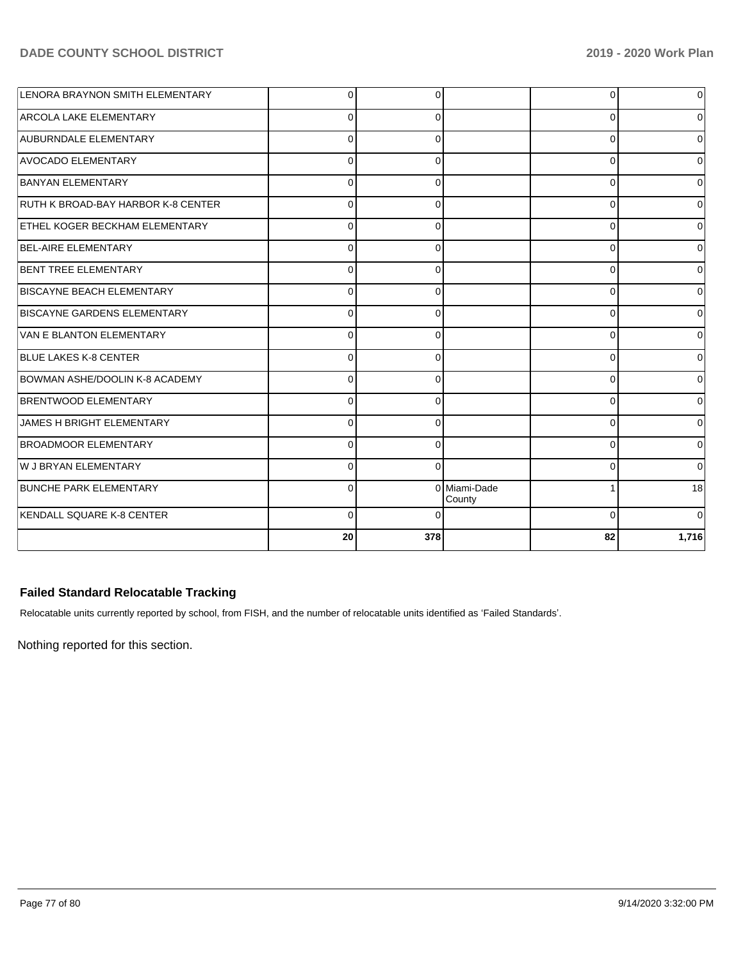| LENORA BRAYNON SMITH ELEMENTARY       | $\Omega$ | $\Omega$ |                        | 0        | 0              |
|---------------------------------------|----------|----------|------------------------|----------|----------------|
| <b>ARCOLA LAKE ELEMENTARY</b>         | $\Omega$ | $\Omega$ |                        | 0        | $\Omega$       |
| <b>AUBURNDALE ELEMENTARY</b>          | $\Omega$ | ∩        |                        | 0        | 0              |
| <b>AVOCADO ELEMENTARY</b>             | $\Omega$ | $\Omega$ |                        | 0        | 0              |
| <b>BANYAN ELEMENTARY</b>              | $\Omega$ |          |                        | 0        | $\mathbf 0$    |
| RUTH K BROAD-BAY HARBOR K-8 CENTER    | $\Omega$ | $\Omega$ |                        | $\Omega$ | 0              |
| <b>ETHEL KOGER BECKHAM ELEMENTARY</b> | 0        | ∩        |                        | 0        | 0              |
| BEL-AIRE ELEMENTARY                   | $\Omega$ |          |                        | $\Omega$ | $\Omega$       |
| BENT TREE ELEMENTARY                  | $\Omega$ |          |                        | $\Omega$ | $\Omega$       |
| <b>BISCAYNE BEACH ELEMENTARY</b>      | $\Omega$ | $\Omega$ |                        | 0        | 0              |
| <b>BISCAYNE GARDENS ELEMENTARY</b>    | $\Omega$ | 0        |                        | $\Omega$ | ٥I             |
| VAN E BLANTON ELEMENTARY              | $\Omega$ | 0        |                        | 0        | 0              |
| <b>BLUE LAKES K-8 CENTER</b>          | $\Omega$ |          |                        | 0        | 0l             |
| BOWMAN ASHE/DOOLIN K-8 ACADEMY        | $\Omega$ |          |                        | $\Omega$ | $\overline{0}$ |
| <b>BRENTWOOD ELEMENTARY</b>           | $\Omega$ | ∩        |                        | $\Omega$ | 0              |
| JAMES H BRIGHT ELEMENTARY             | $\Omega$ | 0        |                        | 0        | 0              |
| <b>BROADMOOR ELEMENTARY</b>           | $\Omega$ | 0        |                        | $\Omega$ | 0              |
| W J BRYAN ELEMENTARY                  | $\Omega$ |          |                        | $\Omega$ | $\Omega$       |
| <b>BUNCHE PARK ELEMENTARY</b>         | $\Omega$ |          | 0 Miami-Dade<br>County |          | 18             |
| KENDALL SQUARE K-8 CENTER             | $\Omega$ |          |                        | $\Omega$ | $\Omega$       |
|                                       | 20       | 378      |                        | 82       | 1,716          |

## **Failed Standard Relocatable Tracking**

Relocatable units currently reported by school, from FISH, and the number of relocatable units identified as 'Failed Standards'.

Nothing reported for this section.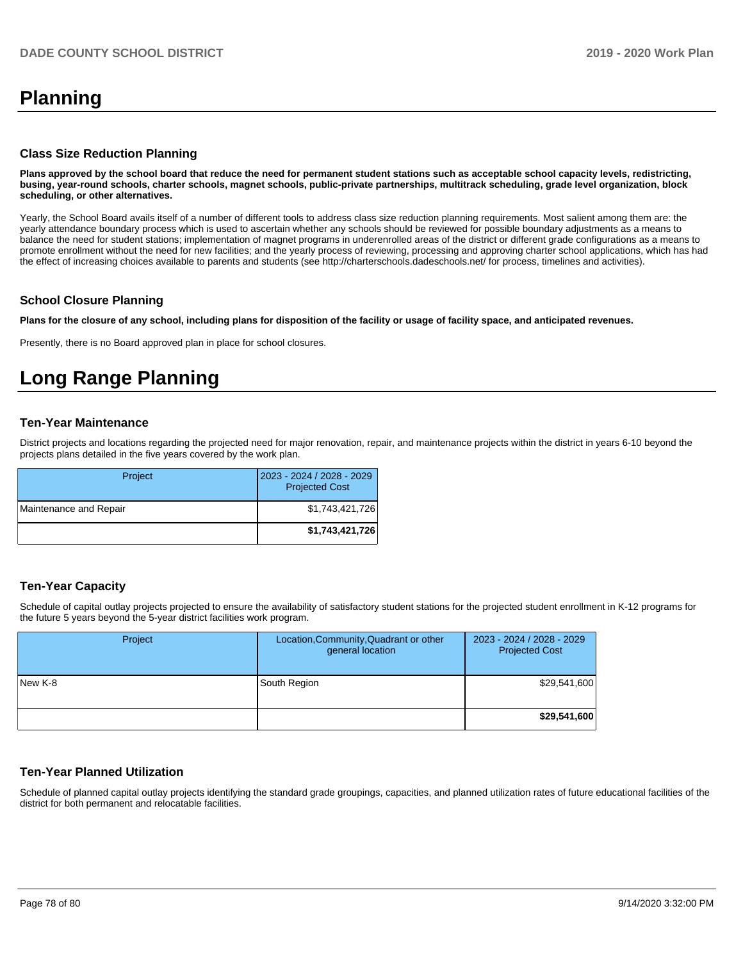# **Planning**

#### **Class Size Reduction Planning**

**Plans approved by the school board that reduce the need for permanent student stations such as acceptable school capacity levels, redistricting, busing, year-round schools, charter schools, magnet schools, public-private partnerships, multitrack scheduling, grade level organization, block scheduling, or other alternatives.**

Yearly, the School Board avails itself of a number of different tools to address class size reduction planning requirements. Most salient among them are: the yearly attendance boundary process which is used to ascertain whether any schools should be reviewed for possible boundary adjustments as a means to balance the need for student stations; implementation of magnet programs in underenrolled areas of the district or different grade configurations as a means to promote enrollment without the need for new facilities; and the yearly process of reviewing, processing and approving charter school applications, which has had the effect of increasing choices available to parents and students (see http://charterschools.dadeschools.net/ for process, timelines and activities).

#### **School Closure Planning**

**Plans for the closure of any school, including plans for disposition of the facility or usage of facility space, and anticipated revenues.** 

Presently, there is no Board approved plan in place for school closures.

# **Long Range Planning**

#### **Ten-Year Maintenance**

District projects and locations regarding the projected need for major renovation, repair, and maintenance projects within the district in years 6-10 beyond the projects plans detailed in the five years covered by the work plan.

| Project                | 2023 - 2024 / 2028 - 2029<br><b>Projected Cost</b> |
|------------------------|----------------------------------------------------|
| Maintenance and Repair | \$1,743,421,726                                    |
|                        | \$1,743,421,726                                    |

### **Ten-Year Capacity**

Schedule of capital outlay projects projected to ensure the availability of satisfactory student stations for the projected student enrollment in K-12 programs for the future 5 years beyond the 5-year district facilities work program.

| Project | Location, Community, Quadrant or other<br>general location | 2023 - 2024 / 2028 - 2029<br><b>Projected Cost</b> |
|---------|------------------------------------------------------------|----------------------------------------------------|
| New K-8 | South Region                                               | \$29,541,600                                       |
|         |                                                            | \$29,541,600                                       |

#### **Ten-Year Planned Utilization**

Schedule of planned capital outlay projects identifying the standard grade groupings, capacities, and planned utilization rates of future educational facilities of the district for both permanent and relocatable facilities.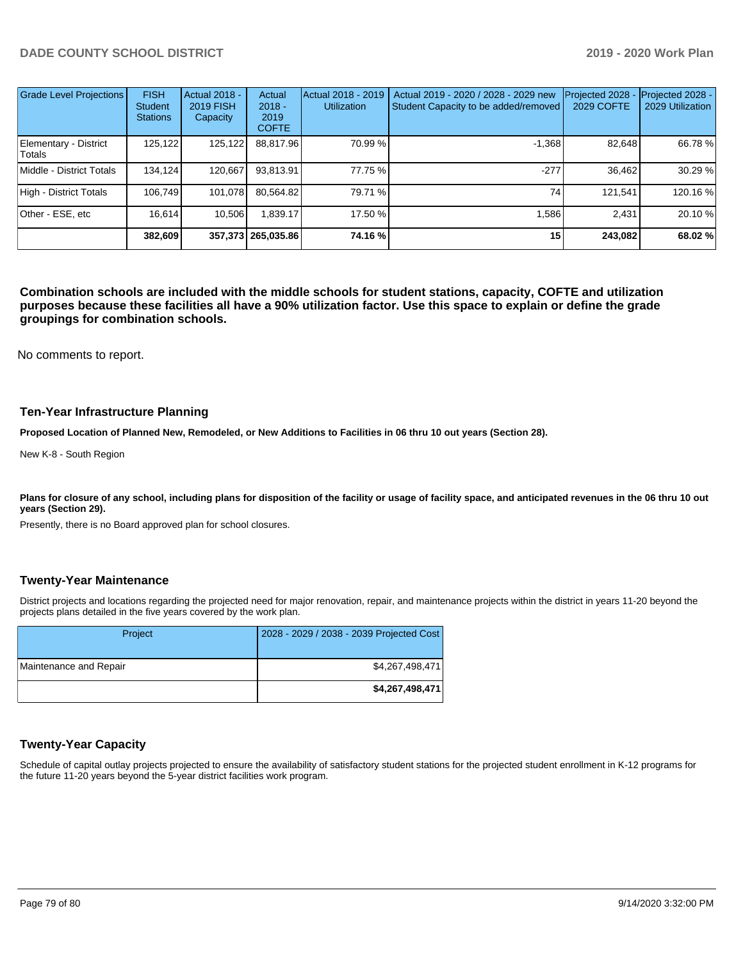| <b>Grade Level Projections</b>  | <b>FISH</b><br><b>Student</b><br><b>Stations</b> | <b>Actual 2018 -</b><br><b>2019 FISH</b><br>Capacity | Actual<br>$2018 -$<br>2019<br><b>COFTE</b> | Actual 2018 - 2019<br><b>Utilization</b> | Actual 2019 - 2020 / 2028 - 2029 new<br>Student Capacity to be added/removed | Projected 2028<br>2029 COFTE | Projected 2028 -<br>2029 Utilization |
|---------------------------------|--------------------------------------------------|------------------------------------------------------|--------------------------------------------|------------------------------------------|------------------------------------------------------------------------------|------------------------------|--------------------------------------|
| Elementary - District<br>Totals | 125,122                                          | 125,122                                              | 88,817.96                                  | 70.99 %                                  | $-1.368$                                                                     | 82,648                       | 66.78 %                              |
| Middle - District Totals        | 134.124                                          | 120.667                                              | 93,813.91                                  | 77.75 %                                  | $-277$                                                                       | 36.462                       | 30.29%                               |
| High - District Totals          | 106.749                                          | 101,078                                              | 80,564.82                                  | 79.71 %                                  | 74                                                                           | 121,541                      | 120.16 %                             |
| Other - ESE, etc                | 16.614                                           | 10.506                                               | .839.17                                    | 17.50 %                                  | 1.586                                                                        | 2.431                        | 20.10%                               |
|                                 | 382.609                                          |                                                      | 357,373 265,035.86                         | 74.16 %                                  | 15                                                                           | 243,082                      | 68.02 %                              |

**Combination schools are included with the middle schools for student stations, capacity, COFTE and utilization purposes because these facilities all have a 90% utilization factor. Use this space to explain or define the grade groupings for combination schools.** 

No comments to report.

#### **Ten-Year Infrastructure Planning**

**Proposed Location of Planned New, Remodeled, or New Additions to Facilities in 06 thru 10 out years (Section 28).**

New K-8 - South Region

Plans for closure of any school, including plans for disposition of the facility or usage of facility space, and anticipated revenues in the 06 thru 10 out **years (Section 29).**

Presently, there is no Board approved plan for school closures.

#### **Twenty-Year Maintenance**

District projects and locations regarding the projected need for major renovation, repair, and maintenance projects within the district in years 11-20 beyond the projects plans detailed in the five years covered by the work plan.

| Project                | 2028 - 2029 / 2038 - 2039 Projected Cost |
|------------------------|------------------------------------------|
| Maintenance and Repair | \$4,267,498,471                          |
|                        | \$4,267,498,471                          |

### **Twenty-Year Capacity**

Schedule of capital outlay projects projected to ensure the availability of satisfactory student stations for the projected student enrollment in K-12 programs for the future 11-20 years beyond the 5-year district facilities work program.